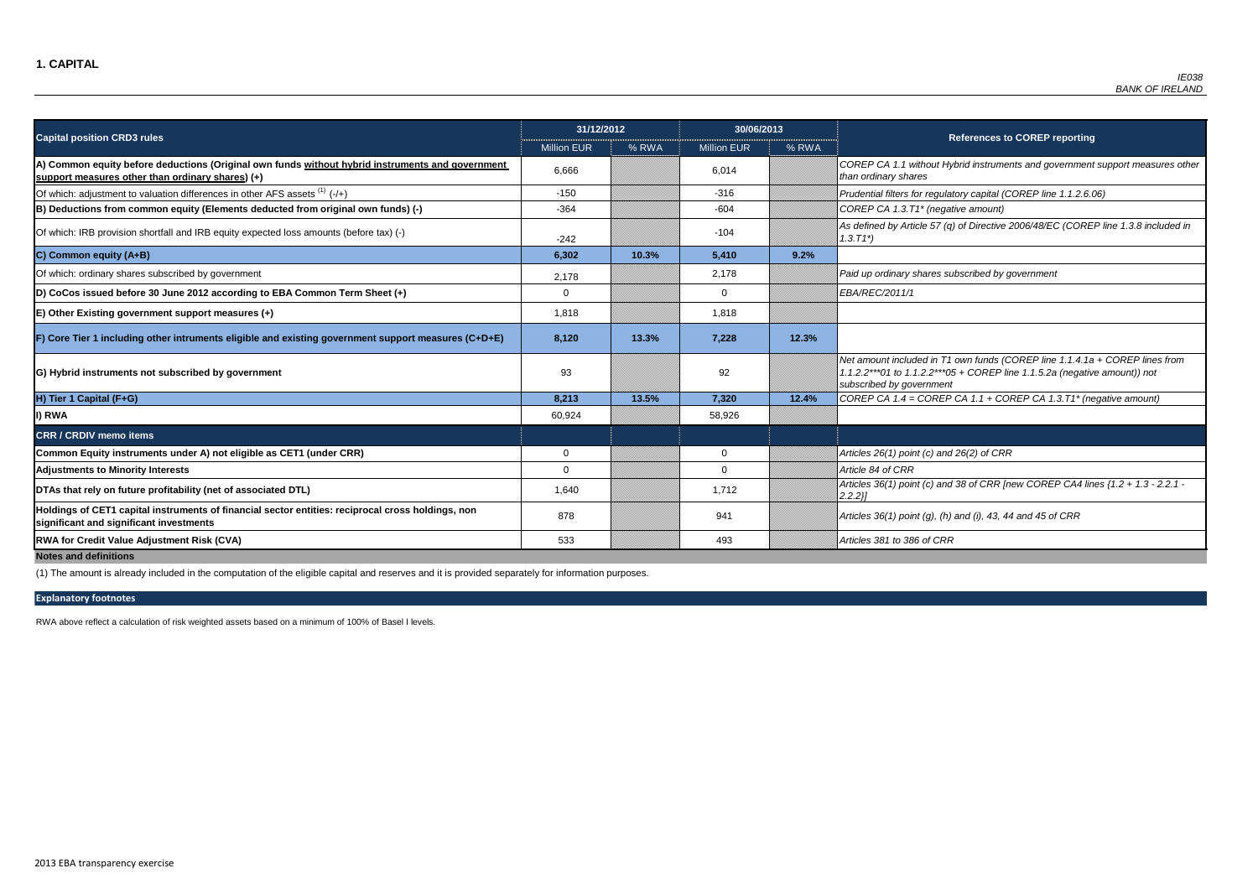FP CA 1.1 without Hybrid instruments and government support measures other *than ordinary shares*

of which: adjustment to valuation differences in the differences in the *1.1.2.6.06*  $\rho$ 

 $BP$  CA 1.3.T1<sup>\*</sup> (negative amount)

ined by Article 57 (q) of Directive 2006/48/EC (COREP line 1.3.8 included in

Of which: ordinary shares subscribed by government 2,178 2,178 *Paid up ordinary shares subscribed by government*

|                                                                                                                                                      | 31/12/2012         |       | 30/06/2013         |       |                                                                                       |
|------------------------------------------------------------------------------------------------------------------------------------------------------|--------------------|-------|--------------------|-------|---------------------------------------------------------------------------------------|
| <b>Capital position CRD3 rules</b>                                                                                                                   | <b>Million EUR</b> | % RWA | <b>Million EUR</b> | % RWA |                                                                                       |
| A) Common equity before deductions (Original own funds without hybrid instruments and government<br>support measures other than ordinary shares) (+) | 6,666              |       | 6,014              |       | COREP CA 1.1 without Hy<br>than ordinary shares                                       |
| Of which: adjustment to valuation differences in other AFS assets $(1)$ (-/+)                                                                        | $-150$             |       | $-316$             |       | Prudential filters for regulat                                                        |
| B) Deductions from common equity (Elements deducted from original own funds) (-)                                                                     | $-364$             |       | $-604$             |       | COREP CA 1.3.T1* (negati                                                              |
| Of which: IRB provision shortfall and IRB equity expected loss amounts (before tax) (-)                                                              | $-242$             |       | $-104$             |       | As defined by Article 57 (q)<br>$1.3.71^{*}$                                          |
| C) Common equity (A+B)                                                                                                                               | 6,302              | 10.3% | 5,410              | 9.2%  |                                                                                       |
| Of which: ordinary shares subscribed by government                                                                                                   | 2,178              |       | 2,178              |       | Paid up ordinary shares su                                                            |
| D) CoCos issued before 30 June 2012 according to EBA Common Term Sheet (+)                                                                           | $\mathbf 0$        |       | $\overline{0}$     |       | EBA/REC/2011/1                                                                        |
| $E$ ) Other Existing government support measures $(+)$                                                                                               | 1,818              |       | 1,818              |       |                                                                                       |
| F) Core Tier 1 including other intruments eligible and existing government support measures (C+D+E)                                                  | 8,120              | 13.3% | 7,228              | 12.3% |                                                                                       |
| G) Hybrid instruments not subscribed by government                                                                                                   | 93                 |       | 92                 |       | Net amount included in T1<br>1.1.2.2***01 to 1.1.2.2***05<br>subscribed by government |
| H) Tier 1 Capital (F+G)                                                                                                                              | 8,213              | 13.5% | 7,320              | 12.4% | COREP CA $1.4 = \text{COREP}$                                                         |
| I) RWA                                                                                                                                               | 60,924             |       | 58,926             |       |                                                                                       |
| <b>CRR / CRDIV memo items</b>                                                                                                                        |                    |       |                    |       |                                                                                       |
| Common Equity instruments under A) not eligible as CET1 (under CRR)                                                                                  | $\mathbf 0$        |       | $\mathbf 0$        |       | Articles 26(1) point (c) and                                                          |
| <b>Adjustments to Minority Interests</b>                                                                                                             | $\mathbf 0$        |       | $\mathbf 0$        |       | Article 84 of CRR                                                                     |
| DTAs that rely on future profitability (net of associated DTL)                                                                                       | 1,640              |       | 1,712              |       | Articles 36(1) point (c) and<br>$2.2.2$ }                                             |
| Holdings of CET1 capital instruments of financial sector entities: reciprocal cross holdings, non<br>significant and significant investments         | 878                |       | 941                |       | Articles 36(1) point (g), (h)                                                         |
| <b>RWA for Credit Value Adjustment Risk (CVA)</b>                                                                                                    | 533                |       | 493                |       | Articles 381 to 386 of CRR                                                            |
| <b>Notes and definitions</b>                                                                                                                         |                    |       |                    |       |                                                                                       |

*Net amount included in T1 own funds (COREP line 1.1.4.1a + COREP lines from 1.1.2.2\*\*\*01 to 1.1.2.2\*\*\*05 + COREP line 1.1.5.2a (negative amount)) not subscribed by government*

**H) Tier 1 Capital (F+G) 8,213 13.5% 7,320 12.4%** *COREP CA 1.4 = COREP CA 1.1 + COREP CA 1.3.T1\* (negative amount)*

**Common Equity instruments in the A**  $26(2)$  of CRR

**BAs that 36(1) point (c) and 38 of CRR [new COREP CA4 lines {1.2 + 1.3 - 2.2.1 -**

**significant and significant investments** <sup>878</sup> <sup>941</sup> *Articles 36(1) point (g), (h) and (i), 43, 44 and 45 of CRR*

RWA above reflect a calculation of risk weighted assets based on a minimum of 100% of Basel I levels.

(1) The amount is already included in the computation of the eligible capital and reserves and it is provided separately for information purposes.

### **References to COREP reporting**

### **Explanatory footnotes**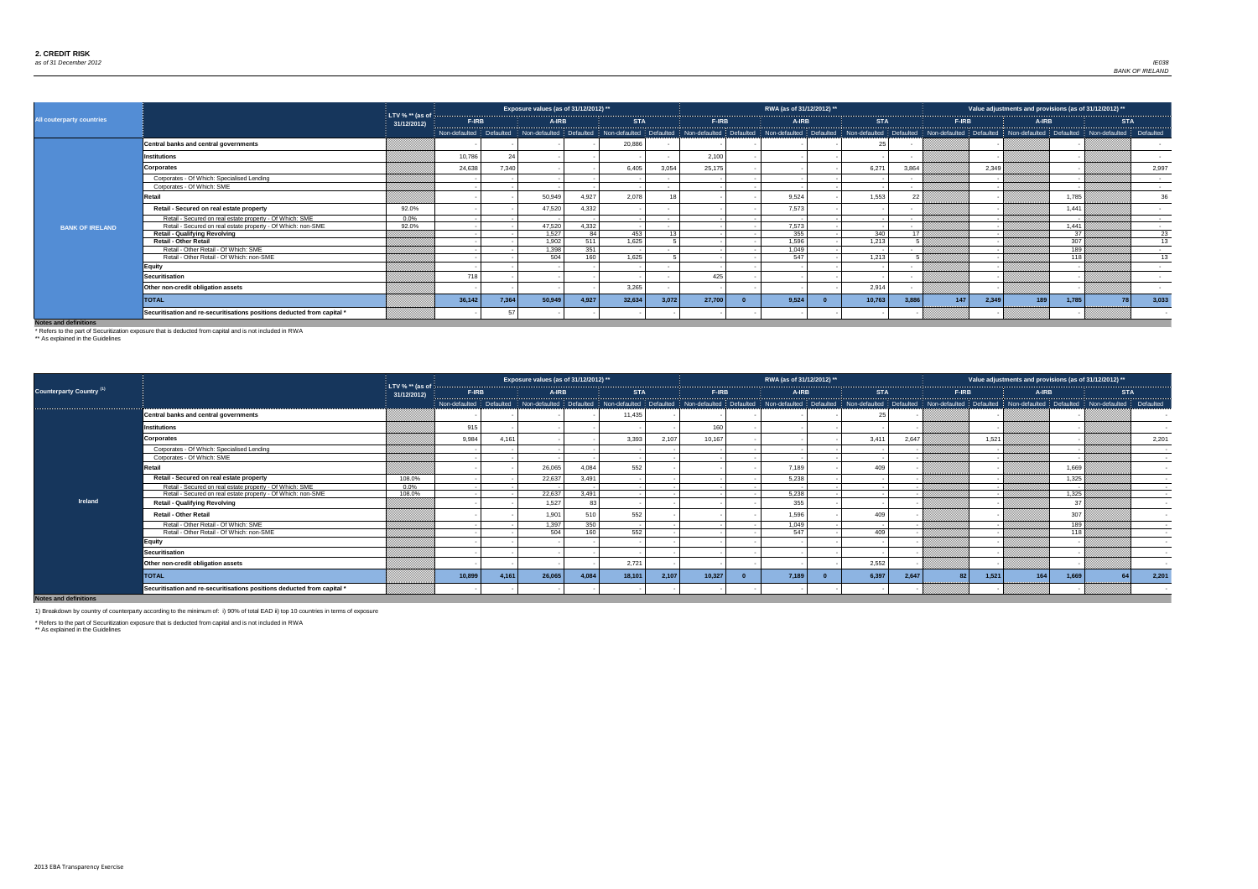

| 2012)<br>**        |           |
|--------------------|-----------|
| <b>STA</b>         |           |
| defaulted <b>i</b> | Defaulted |
|                    |           |
|                    |           |
|                    | 2,201     |
|                    |           |
|                    |           |
|                    |           |
|                    |           |
|                    |           |
|                    |           |
|                    |           |
|                    |           |
|                    |           |
|                    |           |
|                    |           |
|                    |           |
|                    |           |
| 64                 | 2,201     |
|                    |           |
|                    |           |

|                                  |                                                                         |                                  |                         |       | Exposure values (as of 31/12/2012) **           |           |            |        |        | RWA (as of 31/12/2012) ** |            |                                                                                                                         |              |              | Value adjustments and provisions (as of 31/12/2012) ** |                          |
|----------------------------------|-------------------------------------------------------------------------|----------------------------------|-------------------------|-------|-------------------------------------------------|-----------|------------|--------|--------|---------------------------|------------|-------------------------------------------------------------------------------------------------------------------------|--------------|--------------|--------------------------------------------------------|--------------------------|
| <b>All couterparty countries</b> |                                                                         | LTV % $**$ (as of<br>31/12/2012) | <b>F-IRB</b>            |       | A-IRB                                           |           | <b>STA</b> |        | F-IRB  | A-IRB                     | <b>STA</b> |                                                                                                                         | <b>F-IRB</b> | <b>A-IRB</b> |                                                        | <b>STA</b>               |
|                                  |                                                                         |                                  | Non-defaulted Defaulted |       | Non-defaulted Defaulted Non-defaulted Defaulted |           |            |        |        |                           |            | Non-defaulted Defaulted Non-defaulted Defaulted Non-defaulted Defaulted Non-defaulted Defaulted Non-defaulted Defaulted |              |              | Non-defaulted                                          | Defaulted                |
|                                  | Central banks and central governments                                   |                                  |                         |       |                                                 |           | 20,886     |        |        |                           | 25         |                                                                                                                         |              |              |                                                        |                          |
|                                  | <b>Institutions</b>                                                     |                                  | 10,786                  |       |                                                 |           |            |        | 2,100  |                           |            |                                                                                                                         |              |              |                                                        |                          |
|                                  | <b>Corporates</b>                                                       |                                  | 24,638                  | 7,340 |                                                 |           | 6,405      | 3,054  | 25,175 |                           | 6,271      | 3,864                                                                                                                   | 2,349        |              |                                                        | 2,997                    |
|                                  | Corporates - Of Which: Specialised Lending                              |                                  |                         |       |                                                 |           |            |        |        |                           |            |                                                                                                                         |              |              |                                                        | $\sim$                   |
|                                  | Corporates - Of Which: SME                                              |                                  |                         |       |                                                 |           |            |        |        |                           |            |                                                                                                                         |              |              |                                                        | $\sim 100$               |
|                                  | Retail                                                                  |                                  |                         |       | 50,949                                          | 4,927     | 2,078      |        |        | 9,524                     | 1,553      |                                                                                                                         |              |              | 1,785                                                  | 36                       |
|                                  | Retail - Secured on real estate property                                | 92.0%                            |                         |       | 47,520                                          | 4,332     |            |        |        | 7,573                     |            |                                                                                                                         |              |              | 1,441                                                  | $\sim$                   |
|                                  | Retail - Secured on real estate property - Of Which: SME                | $0.0\%$                          |                         |       |                                                 |           |            |        |        |                           |            | $\sim$                                                                                                                  |              |              |                                                        | $\sim$ $\sim$            |
| <b>BANK OF IRELAND</b>           | Retail - Secured on real estate property - Of Which: non-SME            | 92.0%                            |                         |       | 47,520                                          | 4,332     |            |        |        | 7,573                     |            |                                                                                                                         |              |              | 1,441                                                  | <b>Contract</b>          |
|                                  | <b>Retail - Qualifying Revolving</b>                                    |                                  |                         |       | 1,527                                           | <b>84</b> | 453        | 12     |        | 355                       | 340        |                                                                                                                         |              |              | 37                                                     | 23                       |
|                                  | <b>Retail - Other Retail</b>                                            |                                  |                         |       | 1,902                                           | 511       | 1,625      |        |        | 1,596                     | 1,213      |                                                                                                                         |              |              | 307                                                    | 13                       |
|                                  | Retail - Other Retail - Of Which: SME                                   |                                  |                         |       | 1,398                                           | 351       |            | $\sim$ |        | 1,049                     |            | $\overline{\phantom{a}}$                                                                                                |              |              | 189                                                    | <b>Contract Contract</b> |
|                                  | Retail - Other Retail - Of Which: non-SME                               |                                  |                         |       | 504                                             | 160       | 1,625      |        |        | 547                       | 1,213      |                                                                                                                         |              |              | 118                                                    | 13                       |
|                                  | Equity                                                                  |                                  |                         |       |                                                 |           |            |        |        |                           |            |                                                                                                                         |              |              |                                                        | <b>Contract</b>          |
|                                  | Securitisation                                                          |                                  | 718                     |       |                                                 |           |            |        | 425    |                           |            |                                                                                                                         |              |              |                                                        | $\sim$ $-$               |
|                                  | Other non-credit obligation assets                                      |                                  |                         |       |                                                 |           | 3,265      |        |        |                           | 2,914      |                                                                                                                         |              |              |                                                        |                          |
|                                  | <b>TOTAL</b>                                                            |                                  | 36,142                  | 7,364 | 50,949                                          | 4,927     | 32,634     | 3,072  | 27,700 | 9,524                     | 10,763     | 3,886                                                                                                                   | 147<br>2,349 | 189          | 1,785<br>78                                            | 3,033                    |
|                                  | Securitisation and re-securitisations positions deducted from capital * |                                  |                         |       |                                                 |           |            |        |        |                           |            |                                                                                                                         |              |              |                                                        |                          |

|                                 |                                                                         |                                  |                         |       | Exposure values (as of 31/12/2012) ** |                  |            |       |              | RWA (as of 31/12/2012) **                                                                                                                                                                                                      |            |       |                          |              | Value adjustments and provisions (as of 31/12/2012) ** |            |
|---------------------------------|-------------------------------------------------------------------------|----------------------------------|-------------------------|-------|---------------------------------------|------------------|------------|-------|--------------|--------------------------------------------------------------------------------------------------------------------------------------------------------------------------------------------------------------------------------|------------|-------|--------------------------|--------------|--------------------------------------------------------|------------|
| <b>Counterparty Country (1)</b> |                                                                         | LTV % $**$ (as of<br>31/12/2012) | <b>F-IRB</b>            |       | A-IRB                                 |                  | <b>STA</b> |       | <b>F-IRB</b> | <b>A-IRB</b>                                                                                                                                                                                                                   | <b>STA</b> |       | F-IRB                    | <b>A-IRB</b> |                                                        | <b>STA</b> |
|                                 |                                                                         |                                  | Non-defaulted Defaulted |       |                                       |                  |            |       |              | Non-defaulted Defaulted Non-defaulted Defaulted Non-defaulted Defaulted Non-defaulted Non-defaulted Defaulted Defaulted Non-defaulted Defaulted Non-defaulted Non-defaulted Non-defaulted Defaulted Non-defaulted Non-defaulte |            |       |                          |              |                                                        |            |
|                                 | <b>Central banks and central governments</b>                            |                                  |                         |       |                                       |                  | 11,435     |       |              |                                                                                                                                                                                                                                |            |       |                          |              |                                                        |            |
|                                 | <b>Institutions</b>                                                     |                                  | 915                     |       |                                       |                  |            |       | 160          |                                                                                                                                                                                                                                |            |       |                          |              |                                                        |            |
|                                 | <b>Corporates</b>                                                       |                                  | 9,984                   | 4,161 |                                       |                  | 3,393      | 2,107 | 10,167       |                                                                                                                                                                                                                                | 3,41'      | 2,647 | 1,521                    |              |                                                        | 2,201      |
|                                 | Corporates - Of Which: Specialised Lending                              |                                  |                         |       |                                       |                  |            |       |              |                                                                                                                                                                                                                                |            |       |                          |              |                                                        | $\sim$ $-$ |
|                                 | Corporates - Of Which: SME                                              |                                  |                         |       |                                       |                  |            |       |              |                                                                                                                                                                                                                                |            |       |                          |              |                                                        |            |
|                                 | Retail                                                                  |                                  |                         |       | 26,065                                | 4,084            | 552        |       |              | 7,189                                                                                                                                                                                                                          | 409        |       |                          |              | 1,669                                                  |            |
|                                 | Retail - Secured on real estate property                                | 108.0%                           |                         |       | 22,637                                | 3,491            |            |       |              | 5,238                                                                                                                                                                                                                          |            |       |                          |              | 1,325                                                  |            |
|                                 | Retail - Secured on real estate property - Of Which: SME                | $0.0\%$                          |                         |       |                                       |                  |            |       |              |                                                                                                                                                                                                                                |            |       |                          |              |                                                        |            |
|                                 | Retail - Secured on real estate property - Of Which: non-SME            | 108.0%                           |                         |       | 22.637                                | 3,491            |            |       |              | 5,238                                                                                                                                                                                                                          |            |       |                          |              | 1.325                                                  |            |
| <b>Ireland</b>                  | <b>Retail - Qualifying Revolving</b>                                    |                                  |                         |       | 1,527                                 |                  |            |       |              | 355                                                                                                                                                                                                                            |            |       |                          |              | 37                                                     |            |
|                                 | <b>Retail - Other Retail</b>                                            |                                  |                         |       | 1,901                                 | 510              | 552        |       |              | 1,596                                                                                                                                                                                                                          | 409        |       |                          |              | 307                                                    |            |
|                                 | Retail - Other Retail - Of Which: SME                                   |                                  |                         |       | 1,397                                 | $\overline{350}$ |            |       |              | 1,049                                                                                                                                                                                                                          |            |       |                          |              | 189                                                    |            |
|                                 | Retail - Other Retail - Of Which: non-SME                               |                                  |                         |       | 504                                   | 160              | 552        |       |              | 547                                                                                                                                                                                                                            | 409        |       |                          |              | 118                                                    |            |
|                                 | <b>Equity</b>                                                           |                                  |                         |       |                                       |                  |            |       |              |                                                                                                                                                                                                                                |            |       |                          |              |                                                        |            |
|                                 | <b>Securitisation</b>                                                   |                                  |                         |       |                                       |                  |            |       |              |                                                                                                                                                                                                                                |            |       |                          |              |                                                        |            |
|                                 | Other non-credit obligation assets                                      |                                  |                         |       |                                       |                  | 2,721      |       |              |                                                                                                                                                                                                                                | 2,552      |       |                          |              |                                                        |            |
|                                 | <b>TOTAL</b>                                                            |                                  | 10,899                  | 4,161 | 26,065                                | 4,084            | 18,101     | 2,107 | 10,327       | 7,189                                                                                                                                                                                                                          | 6,397      | 2,647 | 1,521<br>82 <sup>1</sup> | 164          | 1,669                                                  | 2,201      |
|                                 | Securitisation and re-securitisations positions deducted from capital * |                                  |                         |       |                                       |                  |            |       |              |                                                                                                                                                                                                                                |            |       |                          |              |                                                        |            |

**Notes and definitions**

\* Refers to the part of Securitization exposure that is deducted from capital and is not included in RWA

\*\* As explained in the Guidelines

\* Refers to the part of Securitization exposure that is deducted from capital and is not included in RWA

\*\* As explained in the Guidelines

1) Breakdown by country of counterparty according to the minimum of: i) 90% of total EAD ii) top 10 countries in terms of exposure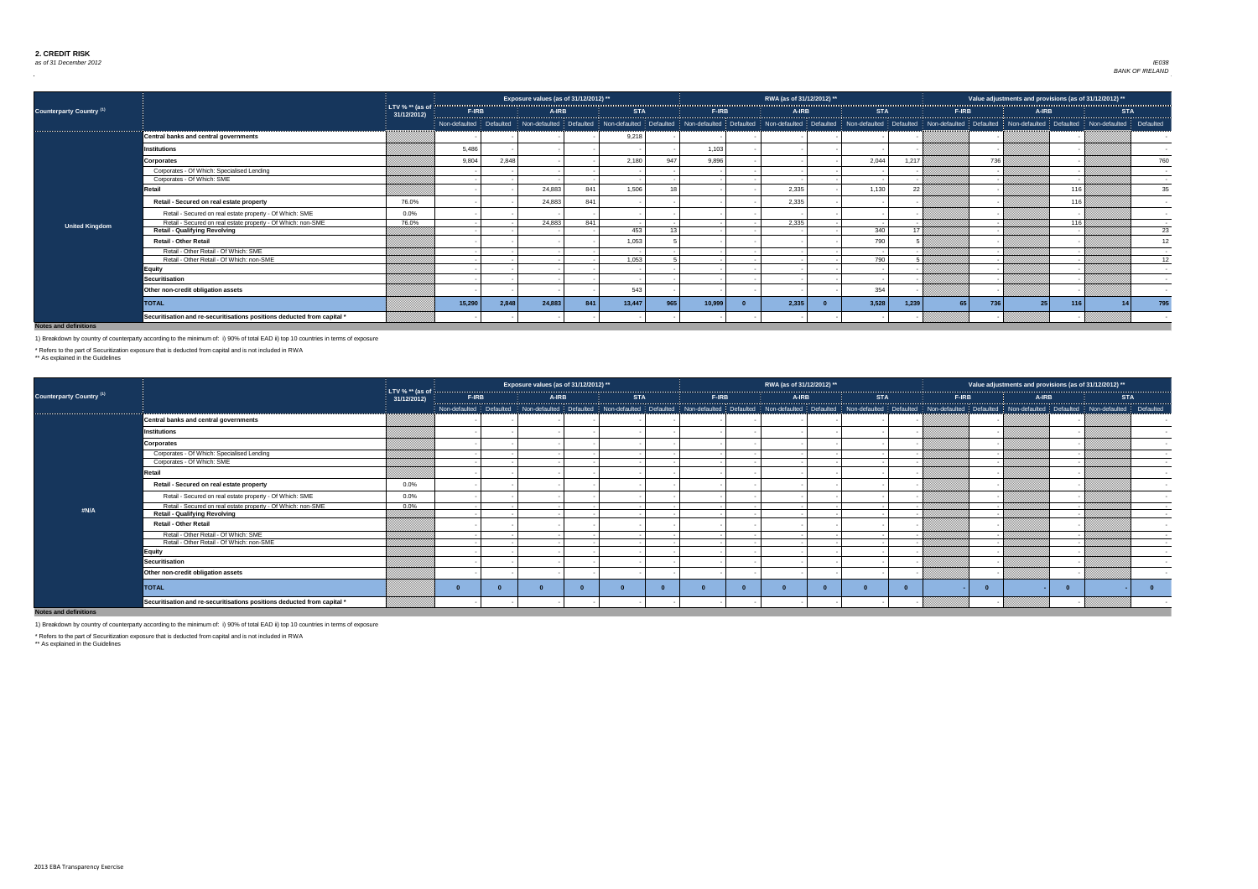

|                                     |                                                                         |                                  |                           |       | Exposure values (as of 31/12/2012) **                 |     |            |     |              | RWA (as of 31/12/2012) **                                                                                               |            |       |                 | Value adjustments and provisions (as of 31/12/2012) ** |       |     |                         |                      |
|-------------------------------------|-------------------------------------------------------------------------|----------------------------------|---------------------------|-------|-------------------------------------------------------|-----|------------|-----|--------------|-------------------------------------------------------------------------------------------------------------------------|------------|-------|-----------------|--------------------------------------------------------|-------|-----|-------------------------|----------------------|
| Counterparty Country <sup>(1)</sup> |                                                                         | LTV % $**$ (as of<br>31/12/2012) | <b>F-IRB</b>              |       | A-IRB                                                 |     | <b>STA</b> |     | <b>F-IRB</b> | A-IRB                                                                                                                   | <b>STA</b> |       | F-IRB           |                                                        | A-IRB |     | <b>STA</b>              |                      |
|                                     |                                                                         |                                  | Non-defaulted   Defaulted |       | Non-defaulted   Defaulted   Non-defaulted   Defaulted |     |            |     |              | Non-defaulted Defaulted Non-defaulted Defaulted Non-defaulted Defaulted Non-defaulted Defaulted Non-defaulted Defaulted |            |       |                 |                                                        |       |     | Non-defaulted Defaulted |                      |
|                                     | Central banks and central governments                                   |                                  |                           |       |                                                       |     | 9,218      |     |              |                                                                                                                         |            |       |                 |                                                        |       |     |                         |                      |
|                                     | <b>Institutions</b>                                                     |                                  | 5,486                     |       |                                                       |     |            |     | 1,103        |                                                                                                                         |            |       |                 |                                                        |       |     |                         |                      |
|                                     | <b>Corporates</b>                                                       |                                  | 9,804                     | 2,848 |                                                       |     | 2,180      | 947 | 9,896        |                                                                                                                         | 2,044      | 1,217 |                 | 736                                                    |       |     |                         | 760                  |
|                                     | Corporates - Of Which: Specialised Lending                              |                                  |                           |       |                                                       |     |            |     |              |                                                                                                                         |            |       |                 |                                                        |       |     |                         |                      |
|                                     | Corporates - Of Which: SME                                              |                                  |                           |       |                                                       |     |            |     |              |                                                                                                                         |            |       |                 |                                                        |       |     |                         | $\sim$ 100 $\sim$    |
|                                     | Retail                                                                  |                                  |                           |       | 24,883                                                | 841 | 1,506      |     |              | 2,335                                                                                                                   | 1,130      | 22    |                 |                                                        |       | 116 |                         | 35                   |
|                                     | Retail - Secured on real estate property                                | 76.0%                            |                           |       | 24,883                                                | 841 |            |     |              | 2,335                                                                                                                   |            |       |                 |                                                        |       | 116 |                         | $\sim$               |
|                                     | Retail - Secured on real estate property - Of Which: SME                | $0.0\%$                          |                           |       |                                                       |     |            |     |              |                                                                                                                         |            |       |                 |                                                        |       |     |                         |                      |
| <b>United Kingdom</b>               | Retail - Secured on real estate property - Of Which: non-SME            | 76.0%                            |                           |       | 24,883                                                | 841 |            |     |              | 2,335                                                                                                                   |            |       |                 |                                                        |       | 116 |                         | $\sim 100$ m $^{-1}$ |
|                                     | <b>Retail - Qualifying Revolving</b>                                    |                                  |                           |       |                                                       |     | 453        |     |              |                                                                                                                         | 340        | 17 I  |                 |                                                        |       |     |                         | 23                   |
|                                     | <b>Retail - Other Retail</b>                                            |                                  |                           |       |                                                       |     | 1,053      |     |              |                                                                                                                         | 790        |       |                 |                                                        |       |     |                         | 12 <sup>2</sup>      |
|                                     | Retail - Other Retail - Of Which: SME                                   |                                  |                           |       |                                                       |     |            |     |              |                                                                                                                         |            |       |                 |                                                        |       |     |                         | $\sim$               |
|                                     | Retail - Other Retail - Of Which: non-SME                               |                                  |                           |       |                                                       |     | 1,053      |     |              |                                                                                                                         | 790        |       |                 |                                                        |       |     |                         | 12                   |
|                                     | <b>Equity</b>                                                           |                                  |                           |       |                                                       |     |            |     |              |                                                                                                                         |            |       |                 |                                                        |       |     |                         | $\sim$ $ \sim$       |
|                                     | <b>Securitisation</b>                                                   |                                  |                           |       |                                                       |     |            |     |              |                                                                                                                         |            |       |                 |                                                        |       |     |                         | $\sim$               |
|                                     | Other non-credit obligation assets                                      |                                  |                           |       |                                                       |     | 543        |     |              |                                                                                                                         | 354        |       |                 |                                                        |       |     |                         |                      |
|                                     | <b>TOTAL</b>                                                            |                                  | 15,290                    | 2,848 | 24,883                                                | 841 | 13,447     | 965 | 10,999       | 2,335                                                                                                                   | 3,528      | 1,239 | 65 <sup>1</sup> | 736                                                    |       | 116 |                         | 795                  |
|                                     | Securitisation and re-securitisations positions deducted from capital * |                                  |                           |       |                                                       |     |            |     |              |                                                                                                                         |            |       |                 |                                                        |       |     |                         |                      |

|                                     |                                                                         |                                  |                           | Exposure values (as of 31/12/2012) ** |            |              | RWA (as of 31/12/2012) ** |            |              | Value adjustments and provisions (as of 31/12/2012) **                                                                                                                                                                         |            |                          |
|-------------------------------------|-------------------------------------------------------------------------|----------------------------------|---------------------------|---------------------------------------|------------|--------------|---------------------------|------------|--------------|--------------------------------------------------------------------------------------------------------------------------------------------------------------------------------------------------------------------------------|------------|--------------------------|
| Counterparty Country <sup>(1)</sup> |                                                                         | LTV % $**$ (as of<br>31/12/2012) | <b>F-IRB</b>              | <b>A-IRB</b>                          | <b>STA</b> | <b>F-IRB</b> | A-IRB                     | <b>STA</b> | <b>F-IRB</b> | A-IRB                                                                                                                                                                                                                          | <b>STA</b> |                          |
|                                     |                                                                         |                                  | Non-defaulted   Defaulted |                                       |            |              |                           |            |              | Non-defaulted   Defaulted   Non-defaulted   Defaulted   Non-defaulted   Non-defaulted   Defaulted   Non-defaulted   Defaulted   Non-defaulted   Defaulted   Non-defaulted   Non-defaulted   Non-defaulted   Non-defaulted   No |            | Defaulted                |
|                                     | <b>Central banks and central governments</b>                            |                                  |                           |                                       |            |              |                           |            |              |                                                                                                                                                                                                                                |            |                          |
|                                     | Institutions                                                            |                                  |                           |                                       |            |              |                           |            |              |                                                                                                                                                                                                                                |            |                          |
|                                     | <b>Corporates</b>                                                       |                                  |                           |                                       |            |              |                           |            |              |                                                                                                                                                                                                                                |            |                          |
|                                     | Corporates - Of Which: Specialised Lending                              |                                  |                           |                                       |            |              |                           |            |              |                                                                                                                                                                                                                                |            |                          |
|                                     | Corporates - Of Which: SME                                              |                                  |                           |                                       |            |              |                           |            |              |                                                                                                                                                                                                                                |            |                          |
|                                     | Retail                                                                  |                                  |                           |                                       |            |              |                           |            |              |                                                                                                                                                                                                                                |            |                          |
|                                     | Retail - Secured on real estate property                                | $0.0\%$                          |                           |                                       |            |              |                           |            |              |                                                                                                                                                                                                                                |            |                          |
|                                     | Retail - Secured on real estate property - Of Which: SME                | 0.0%                             |                           |                                       |            |              |                           |            |              |                                                                                                                                                                                                                                |            |                          |
|                                     | Retail - Secured on real estate property - Of Which: non-SME            | $0.0\%$                          |                           |                                       |            |              |                           |            |              |                                                                                                                                                                                                                                |            | $\sim$                   |
| #N/A                                | <b>Retail - Qualifying Revolving</b>                                    |                                  |                           |                                       |            |              |                           |            |              |                                                                                                                                                                                                                                |            | $\sim$                   |
|                                     | <b>Retail - Other Retail</b>                                            |                                  |                           |                                       |            |              |                           |            |              |                                                                                                                                                                                                                                |            | $\sim$                   |
|                                     | Retail - Other Retail - Of Which: SME                                   |                                  |                           |                                       |            |              |                           |            |              |                                                                                                                                                                                                                                |            | $\sim$ $-$               |
|                                     | Retail - Other Retail - Of Which: non-SME                               |                                  |                           |                                       |            |              |                           |            |              |                                                                                                                                                                                                                                |            | $\sim$                   |
|                                     | <b>Equity</b>                                                           |                                  |                           |                                       |            |              |                           |            |              |                                                                                                                                                                                                                                |            | $\overline{\phantom{a}}$ |
|                                     | <b>Securitisation</b>                                                   |                                  |                           |                                       |            |              |                           |            |              |                                                                                                                                                                                                                                |            |                          |
|                                     | Other non-credit obligation assets                                      |                                  |                           |                                       |            |              |                           |            |              |                                                                                                                                                                                                                                |            |                          |
|                                     | <b>TOTAL</b>                                                            |                                  |                           |                                       |            |              |                           |            |              |                                                                                                                                                                                                                                |            |                          |
|                                     | Securitisation and re-securitisations positions deducted from capital * |                                  |                           |                                       |            |              |                           |            |              |                                                                                                                                                                                                                                |            |                          |

**Notes and definitions**

\* Refers to the part of Securitization exposure that is deducted from capital and is not included in RWA

\*\* As explained in the Guidelines

1) Breakdown by country of counterparty according to the minimum of: i) 90% of total EAD ii) top 10 countries in terms of exposure



\*\* As explained in the Guidelines

1) Breakdown by country of counterparty according to the minimum of: i) 90% of total EAD ii) top 10 countries in terms of exposure

\* Refers to the part of Securitization exposure that is deducted from capital and is not included in RWA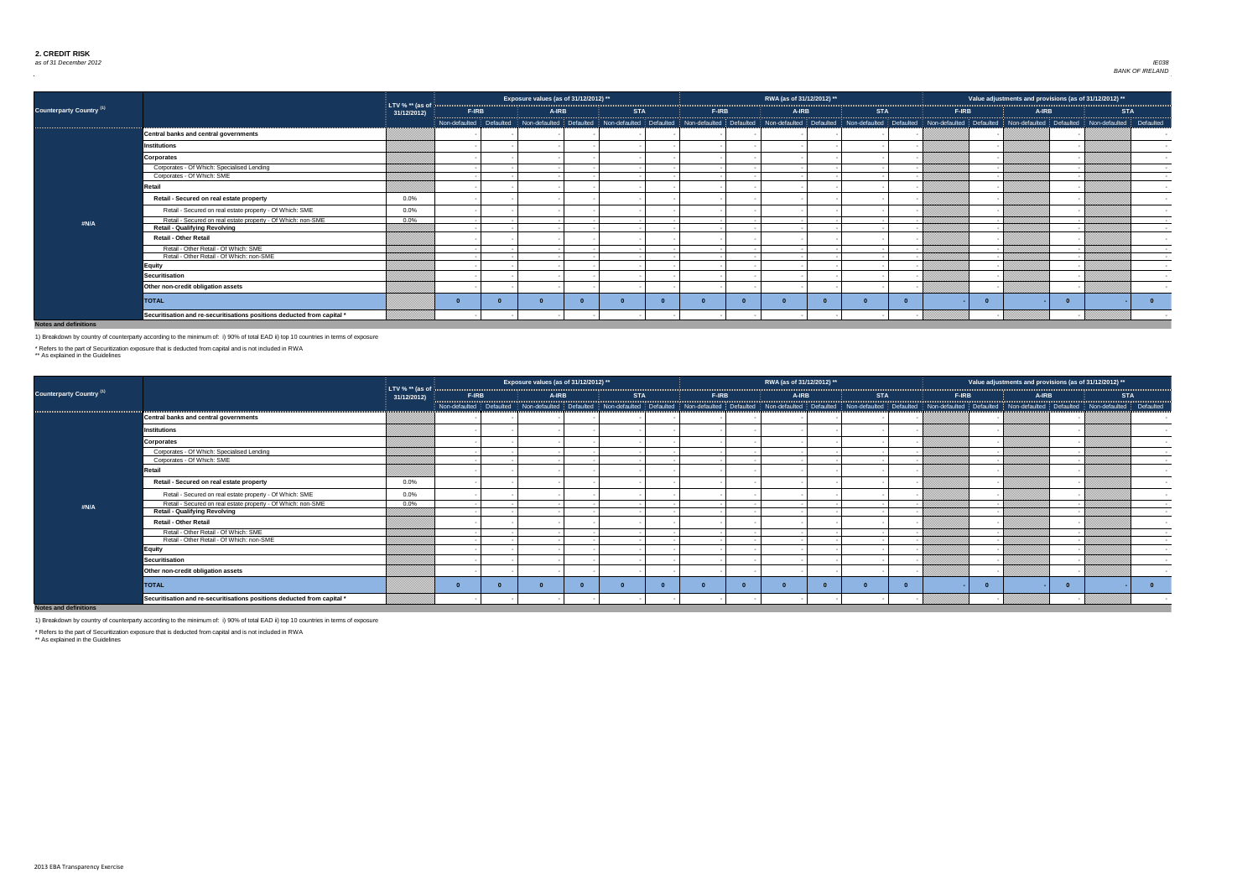

|                                 |                                                                         |                                  |       | Exposure values (as of 31/12/2012) ** |            |              | RWA (as of 31/12/2012) ** |            |              | Value adjustments and provisions (as of 31/12/2012) **                                                                                                                                                                         |                          |
|---------------------------------|-------------------------------------------------------------------------|----------------------------------|-------|---------------------------------------|------------|--------------|---------------------------|------------|--------------|--------------------------------------------------------------------------------------------------------------------------------------------------------------------------------------------------------------------------------|--------------------------|
| <b>Counterparty Country (1)</b> |                                                                         | LTV % $**$ (as of<br>31/12/2012) | F-IRB | <b>A-IRB</b>                          | <b>STA</b> | <b>F-IRB</b> | <b>A-IRB</b>              | <b>STA</b> | <b>F-IRB</b> | A-IRB                                                                                                                                                                                                                          | <b>STA</b>               |
|                                 |                                                                         |                                  |       |                                       |            |              |                           |            |              | Non-defaulted Defaulted Non-defaulted Defaulted Non-defaulted Defaulted Mon-defaulted Defaulted Defaulted Defaulted Non-defaulted Non-defaulted Non-defaulted Non-defaulted Non-defaulted Non-defaulted Non-defaulted Non-defa |                          |
|                                 | Central banks and central governments                                   |                                  |       |                                       |            |              |                           |            |              |                                                                                                                                                                                                                                |                          |
|                                 | Institutions                                                            |                                  |       |                                       |            |              |                           |            |              |                                                                                                                                                                                                                                |                          |
|                                 | <b>Corporates</b>                                                       |                                  |       |                                       |            |              |                           |            |              |                                                                                                                                                                                                                                |                          |
|                                 | Corporates - Of Which: Specialised Lending                              |                                  |       |                                       |            |              |                           |            |              |                                                                                                                                                                                                                                |                          |
|                                 | Corporates - Of Which: SME                                              |                                  |       |                                       |            |              |                           |            |              |                                                                                                                                                                                                                                | $\sim 100$               |
|                                 | Retail                                                                  |                                  |       |                                       |            |              |                           |            |              |                                                                                                                                                                                                                                |                          |
|                                 | Retail - Secured on real estate property                                | $0.0\%$                          |       |                                       |            |              |                           |            |              |                                                                                                                                                                                                                                |                          |
|                                 | Retail - Secured on real estate property - Of Which: SME                | 0.0%                             |       |                                       |            |              |                           |            |              |                                                                                                                                                                                                                                |                          |
| #N/A                            | Retail - Secured on real estate property - Of Which: non-SME            | $0.0\%$                          |       |                                       |            |              |                           |            |              |                                                                                                                                                                                                                                | <b>Contract Contract</b> |
|                                 | <b>Retail - Qualifying Revolving</b>                                    |                                  |       |                                       |            |              |                           |            |              |                                                                                                                                                                                                                                | $\sim 100$               |
|                                 | <b>Retail - Other Retail</b>                                            |                                  |       |                                       |            |              |                           |            |              |                                                                                                                                                                                                                                | $\sim$                   |
|                                 | Retail - Other Retail - Of Which: SME                                   |                                  |       |                                       |            |              |                           |            |              |                                                                                                                                                                                                                                | $\sim 100$               |
|                                 | Retail - Other Retail - Of Which: non-SME                               |                                  |       |                                       |            |              |                           |            |              |                                                                                                                                                                                                                                | $\sim 100$               |
|                                 | <b>Equity</b>                                                           |                                  |       |                                       |            |              |                           |            |              |                                                                                                                                                                                                                                | $\sim$                   |
|                                 | <b>Securitisation</b>                                                   |                                  |       |                                       |            |              |                           |            |              |                                                                                                                                                                                                                                |                          |
|                                 | Other non-credit obligation assets                                      |                                  |       |                                       |            |              |                           |            |              |                                                                                                                                                                                                                                |                          |
|                                 | <b>TOTAL</b>                                                            |                                  |       |                                       |            |              |                           |            |              |                                                                                                                                                                                                                                |                          |
|                                 | Securitisation and re-securitisations positions deducted from capital * |                                  |       |                                       |            |              |                           |            |              |                                                                                                                                                                                                                                |                          |

|                                 |                                                                         |                                                |                                                                                                                                                                                                                                | Exposure values (as of 31/12/2012) ** |            |              | RWA (as of 31/12/2012) ** |            |       | Value adjustments and provisions (as of 31/12/2012) ** |            |            |
|---------------------------------|-------------------------------------------------------------------------|------------------------------------------------|--------------------------------------------------------------------------------------------------------------------------------------------------------------------------------------------------------------------------------|---------------------------------------|------------|--------------|---------------------------|------------|-------|--------------------------------------------------------|------------|------------|
| <b>Counterparty Country (1)</b> |                                                                         | LTV % $**$ (as of $\frac{1}{3}$<br>31/12/2012) | <b>F-IRB</b>                                                                                                                                                                                                                   | <b>A-IRB</b>                          | <b>STA</b> | <b>F-IRB</b> | <b>A-IRB</b>              | <b>STA</b> | F-IRB | A-IRB                                                  | <b>STA</b> |            |
|                                 |                                                                         |                                                | Non-defaulted Defaulted Non-defaulted Defaulted Non-defaulted Defaulted Non-defaulted Non-defaulted Defaulted Defaulted Non-defaulted Defaulted Non-defaulted Non-defaulted Defaulted Non-defaulted Non-defaulted Non-defaulte |                                       |            |              |                           |            |       |                                                        |            | Defaulted  |
|                                 | <b>Central banks and central governments</b>                            |                                                |                                                                                                                                                                                                                                |                                       |            |              |                           |            |       |                                                        |            |            |
|                                 | <b>Institutions</b>                                                     |                                                |                                                                                                                                                                                                                                |                                       |            |              |                           |            |       |                                                        |            |            |
|                                 | <b>Corporates</b>                                                       |                                                |                                                                                                                                                                                                                                |                                       |            |              |                           |            |       |                                                        |            |            |
|                                 | Corporates - Of Which: Specialised Lending                              |                                                |                                                                                                                                                                                                                                |                                       |            |              |                           |            |       |                                                        |            |            |
|                                 | Corporates - Of Which: SME                                              |                                                |                                                                                                                                                                                                                                |                                       |            |              |                           |            |       |                                                        |            | $\sim$     |
|                                 | <b>Retail</b>                                                           |                                                |                                                                                                                                                                                                                                |                                       |            |              |                           |            |       |                                                        |            | $\sim$     |
|                                 | Retail - Secured on real estate property                                | $0.0\%$                                        |                                                                                                                                                                                                                                |                                       |            |              |                           |            |       |                                                        |            | $\sim$     |
|                                 | Retail - Secured on real estate property - Of Which: SME                | $0.0\%$                                        |                                                                                                                                                                                                                                |                                       |            |              |                           |            |       |                                                        |            | $\sim$     |
| #N/A                            | Retail - Secured on real estate property - Of Which: non-SME            | $0.0\%$                                        |                                                                                                                                                                                                                                |                                       |            |              |                           |            |       |                                                        |            | $\sim 100$ |
|                                 | <b>Retail - Qualifying Revolving</b>                                    |                                                |                                                                                                                                                                                                                                |                                       |            |              |                           |            |       |                                                        |            | $\sim$ $-$ |
|                                 | <b>Retail - Other Retail</b>                                            |                                                |                                                                                                                                                                                                                                |                                       |            |              |                           |            |       |                                                        |            |            |
|                                 | Retail - Other Retail - Of Which: SME                                   |                                                |                                                                                                                                                                                                                                |                                       |            |              |                           |            |       |                                                        |            | $\sim 100$ |
|                                 | Retail - Other Retail - Of Which: non-SME                               |                                                |                                                                                                                                                                                                                                |                                       |            |              |                           |            |       |                                                        |            | $\sim 100$ |
|                                 | <b>Equity</b>                                                           |                                                |                                                                                                                                                                                                                                |                                       |            |              |                           |            |       |                                                        |            | $\sim$     |
|                                 | <b>Securitisation</b>                                                   |                                                |                                                                                                                                                                                                                                |                                       |            |              |                           |            |       |                                                        |            | $\sim$     |
|                                 | Other non-credit obligation assets                                      |                                                |                                                                                                                                                                                                                                |                                       |            |              |                           |            |       |                                                        |            |            |
|                                 | <b>TOTAL</b>                                                            |                                                |                                                                                                                                                                                                                                |                                       |            |              |                           |            |       |                                                        |            |            |
|                                 | Securitisation and re-securitisations positions deducted from capital * |                                                |                                                                                                                                                                                                                                |                                       |            |              |                           |            |       |                                                        |            |            |

1) Breakdown by country of counterparty according to the minimum of: i) 90% of total EAD ii) top 10 countries in terms of exposure

\* Refers to the part of Securitization exposure that is deducted from capital and is not included in RWA

\*\* As explained in the Guidelines

1) Breakdown by country of counterparty according to the minimum of: i) 90% of total EAD ii) top 10 countries in terms of exposure

\* Refers to the part of Securitization exposure that is deducted from capital and is not included in RWA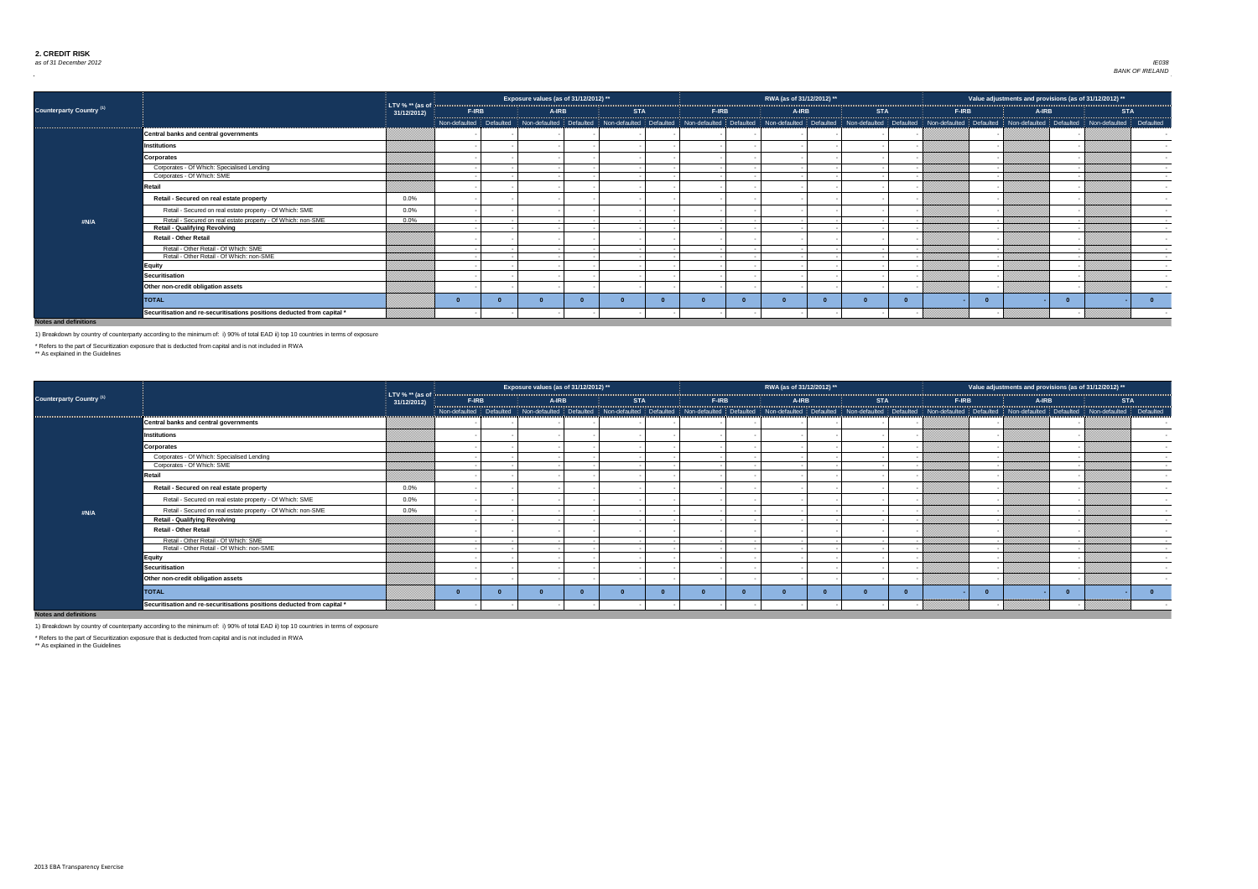

|                                 |                                                                         |                                  |       | Exposure values (as of 31/12/2012) ** |            |       | RWA (as of 31/12/2012) ** |            |       | Value adjustments and provisions (as of 31/12/2012) ** |       |                                                                                                                                                                                                                                |
|---------------------------------|-------------------------------------------------------------------------|----------------------------------|-------|---------------------------------------|------------|-------|---------------------------|------------|-------|--------------------------------------------------------|-------|--------------------------------------------------------------------------------------------------------------------------------------------------------------------------------------------------------------------------------|
| <b>Counterparty Country (1)</b> |                                                                         | LTV % $**$ (as of<br>31/12/2012) | F-IRB | A-IRB                                 | <b>STA</b> | F-IRB | A-IRB                     | <b>STA</b> | F-IRB |                                                        | A-IRB | <b>STA</b>                                                                                                                                                                                                                     |
|                                 |                                                                         |                                  |       |                                       |            |       |                           |            |       |                                                        |       | Non-defaulted Defaulted Non-defaulted Defaulted Non-defaulted Defaulted Non-defaulted Defaulted Non-defaulted Defaulted Non-defaulted Defaulted Non-defaulted Non-defaulted Non-defaulted Non-defaulted Non-defaulted Defaulte |
|                                 | Central banks and central governments                                   |                                  |       |                                       |            |       |                           |            |       |                                                        |       |                                                                                                                                                                                                                                |
|                                 | Institutions                                                            |                                  |       |                                       |            |       |                           |            |       |                                                        |       |                                                                                                                                                                                                                                |
|                                 | <b>Corporates</b>                                                       |                                  |       |                                       |            |       |                           |            |       |                                                        |       |                                                                                                                                                                                                                                |
|                                 | Corporates - Of Which: Specialised Lending                              |                                  |       |                                       |            |       |                           |            |       |                                                        |       | $\sim 100$                                                                                                                                                                                                                     |
|                                 | Corporates - Of Which: SME                                              |                                  |       |                                       |            |       |                           |            |       |                                                        |       | $\sim$ $-$                                                                                                                                                                                                                     |
|                                 | Retail                                                                  |                                  |       |                                       |            |       |                           |            |       |                                                        |       |                                                                                                                                                                                                                                |
|                                 | Retail - Secured on real estate property                                | $0.0\%$                          |       |                                       |            |       |                           |            |       |                                                        |       |                                                                                                                                                                                                                                |
|                                 | Retail - Secured on real estate property - Of Which: SME                | $0.0\%$                          |       |                                       |            |       |                           |            |       |                                                        |       |                                                                                                                                                                                                                                |
| #N/A                            | Retail - Secured on real estate property - Of Which: non-SME            | $0.0\%$                          |       |                                       |            |       |                           |            |       |                                                        |       | $\sim 100$ m $^{-1}$                                                                                                                                                                                                           |
|                                 | <b>Retail - Qualifying Revolving</b>                                    |                                  |       |                                       |            |       |                           |            |       |                                                        |       | $\sim 100$                                                                                                                                                                                                                     |
|                                 | <b>Retail - Other Retail</b>                                            |                                  |       |                                       |            |       |                           |            |       |                                                        |       | $\sim$ $-$                                                                                                                                                                                                                     |
|                                 | Retail - Other Retail - Of Which: SME                                   |                                  |       |                                       |            |       |                           |            |       |                                                        |       | <b>Contract Contract</b>                                                                                                                                                                                                       |
|                                 | Retail - Other Retail - Of Which: non-SME                               |                                  |       |                                       |            |       |                           |            |       |                                                        |       | $\sim 100$                                                                                                                                                                                                                     |
|                                 | <b>Equity</b>                                                           |                                  |       |                                       |            |       |                           |            |       |                                                        |       | $\sim$ $-$                                                                                                                                                                                                                     |
|                                 | Securitisation                                                          |                                  |       |                                       |            |       |                           |            |       |                                                        |       | $\sim$                                                                                                                                                                                                                         |
|                                 | Other non-credit obligation assets                                      |                                  |       |                                       |            |       |                           |            |       |                                                        |       |                                                                                                                                                                                                                                |
|                                 | <b>TOTAL</b>                                                            |                                  |       |                                       |            |       |                           |            |       |                                                        |       |                                                                                                                                                                                                                                |
|                                 | Securitisation and re-securitisations positions deducted from capital * |                                  |       |                                       |            |       |                           |            |       |                                                        |       |                                                                                                                                                                                                                                |

|                                 |                                                                         |                               |              |              | Exposure values (as of 31/12/2012) ** |            |              | RWA (as of 31/12/2012) ** |                                                                                                                                                                                                                                |              | Value adjustments and provisions (as of 31/12/2012) ** |                   |
|---------------------------------|-------------------------------------------------------------------------|-------------------------------|--------------|--------------|---------------------------------------|------------|--------------|---------------------------|--------------------------------------------------------------------------------------------------------------------------------------------------------------------------------------------------------------------------------|--------------|--------------------------------------------------------|-------------------|
| <b>Counterparty Country (1)</b> |                                                                         | LTV % ** (as of<br>31/12/2012 | <b>F-IRB</b> | <b>A-IRB</b> |                                       | <b>STA</b> | <b>F-IRB</b> | <b>A-IRB</b>              | <b>STA</b>                                                                                                                                                                                                                     | <b>F-IRB</b> | A-IRB                                                  | <b>STA</b>        |
|                                 |                                                                         |                               |              |              |                                       |            |              |                           | Non-defaulted Defaulted Non-defaulted Defaulted Non-defaulted Defaulted Non-defaulted Defaulted Non-defaulted Non-defaulted Non-defaulted Defaulted Non-defaulted Non-defaulted Non-defaulted Non-defaulted Non-defaulted Non- |              |                                                        |                   |
|                                 | Central banks and central governments                                   |                               |              |              |                                       |            |              |                           |                                                                                                                                                                                                                                |              |                                                        |                   |
|                                 | Institutions                                                            |                               |              |              |                                       |            |              |                           |                                                                                                                                                                                                                                |              |                                                        |                   |
|                                 | <b>Corporates</b>                                                       |                               |              |              |                                       |            |              |                           |                                                                                                                                                                                                                                |              |                                                        |                   |
|                                 | Corporates - Of Which: Specialised Lending                              |                               |              |              |                                       |            |              |                           |                                                                                                                                                                                                                                |              |                                                        | $\sim$            |
|                                 | Corporates - Of Which: SME                                              |                               |              |              |                                       |            |              |                           |                                                                                                                                                                                                                                |              |                                                        | $\sim$            |
|                                 | Retail                                                                  |                               |              |              |                                       |            |              |                           |                                                                                                                                                                                                                                |              |                                                        | $\sim$ 100 $\sim$ |
|                                 | Retail - Secured on real estate property                                | $0.0\%$                       |              |              |                                       |            |              |                           |                                                                                                                                                                                                                                |              |                                                        |                   |
|                                 | Retail - Secured on real estate property - Of Which: SME                | $0.0\%$                       |              |              |                                       |            |              |                           |                                                                                                                                                                                                                                |              |                                                        |                   |
| #N/A                            | Retail - Secured on real estate property - Of Which: non-SME            | $0.0\%$                       |              |              |                                       |            |              |                           |                                                                                                                                                                                                                                |              |                                                        |                   |
|                                 | <b>Retail - Qualifying Revolving</b>                                    |                               |              |              |                                       |            |              |                           |                                                                                                                                                                                                                                |              |                                                        | $\sim 100$        |
|                                 | <b>Retail - Other Retail</b>                                            |                               |              |              |                                       |            |              |                           |                                                                                                                                                                                                                                |              |                                                        | $\sim$ $-$        |
|                                 | Retail - Other Retail - Of Which: SME                                   |                               |              |              |                                       |            |              |                           |                                                                                                                                                                                                                                |              |                                                        | $\sim$ 100 $\pm$  |
|                                 | Retail - Other Retail - Of Which: non-SME                               |                               |              |              |                                       |            |              |                           |                                                                                                                                                                                                                                |              |                                                        | $\sim 100$        |
|                                 | <b>Equity</b>                                                           |                               |              |              |                                       |            |              |                           |                                                                                                                                                                                                                                |              |                                                        |                   |
|                                 | Securitisation                                                          |                               |              |              |                                       |            |              |                           |                                                                                                                                                                                                                                |              |                                                        |                   |
|                                 | Other non-credit obligation assets                                      |                               |              |              |                                       |            |              |                           |                                                                                                                                                                                                                                |              |                                                        |                   |
|                                 | <b>TOTAL</b>                                                            |                               |              |              |                                       |            |              |                           |                                                                                                                                                                                                                                |              |                                                        |                   |
|                                 | Securitisation and re-securitisations positions deducted from capital * |                               |              |              |                                       |            |              |                           |                                                                                                                                                                                                                                |              |                                                        |                   |
| <b>Notes and definitions</b>    |                                                                         |                               |              |              |                                       |            |              |                           |                                                                                                                                                                                                                                |              |                                                        |                   |

1) Breakdown by country of counterparty according to the minimum of: i) 90% of total EAD ii) top 10 countries in terms of exposure

\* Refers to the part of Securitization exposure that is deducted from capital and is not included in RWA

\*\* As explained in the Guidelines

1) Breakdown by country of counterparty according to the minimum of: i) 90% of total EAD ii) top 10 countries in terms of exposure

\* Refers to the part of Securitization exposure that is deducted from capital and is not included in RWA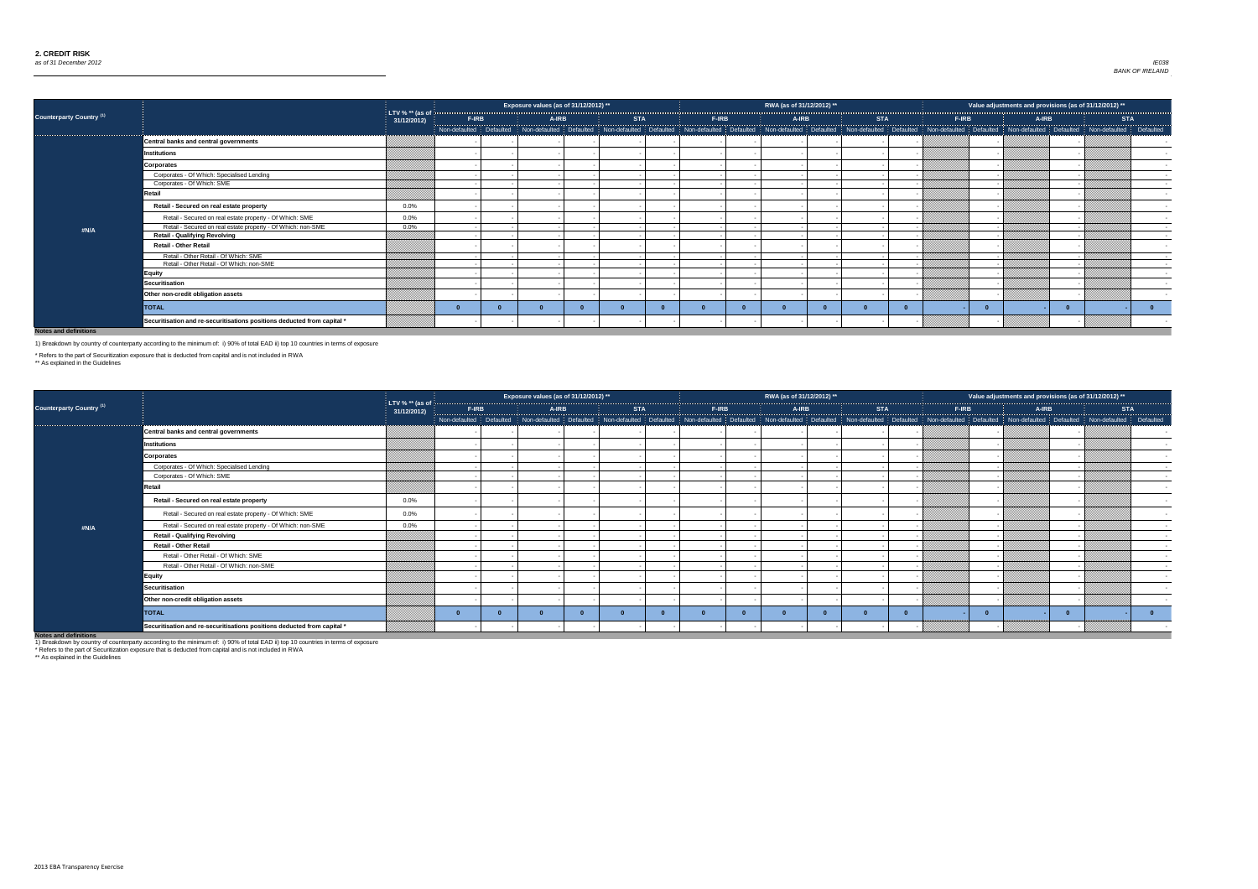

| 2012)<br>$\overline{**}$ |           |
|--------------------------|-----------|
| <b>STA</b>               |           |
| defaulted<br>I           | Defaulted |
|                          |           |
|                          |           |
|                          |           |
|                          |           |
|                          |           |
|                          |           |
|                          |           |
|                          |           |
|                          |           |
|                          |           |
|                          |           |
|                          |           |
|                          |           |
|                          |           |
|                          |           |
|                          | $\bf{0}$  |
|                          |           |
|                          |           |

|                                 |                                                                         |                                  |              | Exposure values (as of 31/12/2012) ** |            |              | RWA (as of 31/12/2012) ** |            |                                                                                                                                                                                                                               | Value adjustments and provisions (as of 31/12/2012) ** |                      |
|---------------------------------|-------------------------------------------------------------------------|----------------------------------|--------------|---------------------------------------|------------|--------------|---------------------------|------------|-------------------------------------------------------------------------------------------------------------------------------------------------------------------------------------------------------------------------------|--------------------------------------------------------|----------------------|
| <b>Counterparty Country (1)</b> |                                                                         | LTV % $**$ (as of<br>31/12/2012) | <b>F-IRB</b> | <b>A-IRB</b>                          | <b>STA</b> | <b>F-IRB</b> | <b>A-IRB</b>              | <b>STA</b> | <b>F-IRB</b>                                                                                                                                                                                                                  | <b>A-IRB</b>                                           | <b>STA</b>           |
|                                 |                                                                         |                                  |              |                                       |            |              |                           |            | Non-defaulted Defaulted Non-defaulted Defaulted Non-defaulted Defaulted Non-defaulted Defaulted Non-defaulted Non-defaulted Non-defaulted Non-defaulted Non-defaulted Non-defaulted Non-defaulted Non-defaulted Non-defaulted |                                                        |                      |
|                                 | Central banks and central governments                                   |                                  |              |                                       |            |              |                           |            |                                                                                                                                                                                                                               |                                                        |                      |
|                                 | <b>Institutions</b>                                                     |                                  |              |                                       |            |              |                           |            |                                                                                                                                                                                                                               |                                                        |                      |
|                                 | <b>Corporates</b>                                                       |                                  |              |                                       |            |              |                           |            |                                                                                                                                                                                                                               |                                                        |                      |
|                                 | Corporates - Of Which: Specialised Lending                              |                                  |              |                                       |            |              |                           |            |                                                                                                                                                                                                                               |                                                        | $\sim$               |
|                                 | Corporates - Of Which: SME                                              |                                  |              |                                       |            |              |                           |            |                                                                                                                                                                                                                               |                                                        | $\sim$ $-$           |
|                                 | Retail                                                                  |                                  |              |                                       |            |              |                           |            |                                                                                                                                                                                                                               |                                                        |                      |
|                                 | Retail - Secured on real estate property                                | $0.0\%$                          |              |                                       |            |              |                           |            |                                                                                                                                                                                                                               |                                                        |                      |
|                                 | Retail - Secured on real estate property - Of Which: SME                | $0.0\%$                          |              |                                       |            |              |                           |            |                                                                                                                                                                                                                               |                                                        |                      |
| #N/A                            | Retail - Secured on real estate property - Of Which: non-SME            | $0.0\%$                          |              |                                       |            |              |                           |            |                                                                                                                                                                                                                               |                                                        | $\sim$               |
|                                 | <b>Retail - Qualifying Revolving</b>                                    |                                  |              |                                       |            |              |                           |            |                                                                                                                                                                                                                               |                                                        | $\sim 100$ m $^{-1}$ |
|                                 | <b>Retail - Other Retail</b>                                            |                                  |              |                                       |            |              |                           |            |                                                                                                                                                                                                                               |                                                        | $\sim$               |
|                                 | Retail - Other Retail - Of Which: SME                                   |                                  |              |                                       |            |              |                           |            |                                                                                                                                                                                                                               |                                                        | $\sim$ 100 $\pm$     |
|                                 | Retail - Other Retail - Of Which: non-SME                               |                                  |              |                                       |            |              |                           |            |                                                                                                                                                                                                                               |                                                        | $\sim$               |
|                                 | <b>Equity</b>                                                           |                                  |              |                                       |            |              |                           |            |                                                                                                                                                                                                                               |                                                        |                      |
|                                 | <b>Securitisation</b>                                                   |                                  |              |                                       |            |              |                           |            |                                                                                                                                                                                                                               |                                                        |                      |
|                                 | Other non-credit obligation assets                                      |                                  |              |                                       |            |              |                           |            |                                                                                                                                                                                                                               |                                                        |                      |
|                                 | <b>TOTAL</b>                                                            |                                  |              |                                       |            |              |                           |            |                                                                                                                                                                                                                               |                                                        |                      |
|                                 | Securitisation and re-securitisations positions deducted from capital * |                                  |              |                                       |            |              |                           |            |                                                                                                                                                                                                                               |                                                        |                      |

|                                 |                                                                         |                                  |              |       | Exposure values (as of 31/12/2012) ** |            |       | RWA (as of 31/12/2012) ** |            |       | Value adjustments and provisions (as of 31/12/2012) **                                                                                                                                                                         |            |  |
|---------------------------------|-------------------------------------------------------------------------|----------------------------------|--------------|-------|---------------------------------------|------------|-------|---------------------------|------------|-------|--------------------------------------------------------------------------------------------------------------------------------------------------------------------------------------------------------------------------------|------------|--|
| <b>Counterparty Country (1)</b> |                                                                         | LTV % $**$ (as of<br>31/12/2012) | <b>F-IRB</b> | A-IRB |                                       | <b>STA</b> | F-IRB | A-IRB                     | <b>STA</b> | F-IRB | A-IRB                                                                                                                                                                                                                          | <b>STA</b> |  |
|                                 |                                                                         |                                  |              |       |                                       |            |       |                           |            |       | Non-defaulted Defaulted Non-defaulted Defaulted Non-defaulted Defaulted Non-defaulted Defaulted Non-defaulted Defaulted Non-defaulted Defaulted Non-defaulted Non-defaulted Non-defaulted Non-defaulted Non-defaulted Non-defa |            |  |
|                                 | <b>Central banks and central governments</b>                            |                                  |              |       |                                       |            |       |                           |            |       |                                                                                                                                                                                                                                |            |  |
|                                 | <b>Institutions</b>                                                     |                                  |              |       |                                       |            |       |                           |            |       |                                                                                                                                                                                                                                |            |  |
|                                 | <b>Corporates</b>                                                       |                                  |              |       |                                       |            |       |                           |            |       |                                                                                                                                                                                                                                |            |  |
|                                 | Corporates - Of Which: Specialised Lending                              |                                  |              |       |                                       |            |       |                           |            |       |                                                                                                                                                                                                                                |            |  |
|                                 | Corporates - Of Which: SME                                              |                                  |              |       |                                       |            |       |                           |            |       |                                                                                                                                                                                                                                |            |  |
|                                 | Retail                                                                  |                                  |              |       |                                       |            |       |                           |            |       |                                                                                                                                                                                                                                |            |  |
|                                 | Retail - Secured on real estate property                                | $0.0\%$                          |              |       |                                       |            |       |                           |            |       |                                                                                                                                                                                                                                |            |  |
|                                 | Retail - Secured on real estate property - Of Which: SME                | $0.0\%$                          |              |       |                                       |            |       |                           |            |       |                                                                                                                                                                                                                                |            |  |
| #N/A                            | Retail - Secured on real estate property - Of Which: non-SME            | 0.0%                             |              |       |                                       |            |       |                           |            |       |                                                                                                                                                                                                                                |            |  |
|                                 | <b>Retail - Qualifying Revolving</b>                                    |                                  |              |       |                                       |            |       |                           |            |       |                                                                                                                                                                                                                                |            |  |
|                                 | <b>Retail - Other Retail</b>                                            |                                  |              |       |                                       |            |       |                           |            |       |                                                                                                                                                                                                                                |            |  |
|                                 | Retail - Other Retail - Of Which: SME                                   |                                  |              |       |                                       |            |       |                           |            |       |                                                                                                                                                                                                                                |            |  |
|                                 | Retail - Other Retail - Of Which: non-SME                               |                                  |              |       |                                       |            |       |                           |            |       |                                                                                                                                                                                                                                |            |  |
|                                 | <b>Equity</b>                                                           |                                  |              |       |                                       |            |       |                           |            |       |                                                                                                                                                                                                                                |            |  |
|                                 | <b>Securitisation</b>                                                   |                                  |              |       |                                       |            |       |                           |            |       |                                                                                                                                                                                                                                |            |  |
|                                 | Other non-credit obligation assets                                      |                                  |              |       |                                       |            |       |                           |            |       |                                                                                                                                                                                                                                |            |  |
|                                 | <b>TOTAL</b>                                                            |                                  |              |       |                                       |            |       |                           |            |       | $\Omega$                                                                                                                                                                                                                       |            |  |
| Market and Hall Collection      | Securitisation and re-securitisations positions deducted from capital * |                                  |              |       |                                       |            |       |                           |            |       |                                                                                                                                                                                                                                |            |  |

1) Breakdown by country of counterparty according to the minimum of: i) 90% of total EAD ii) top 10 countries in terms of exposure

\* Refers to the part of Securitization exposure that is deducted from capital and is not included in RWA

\*\* As explained in the Guidelines

1) Breakdown by country of counterparty according to the minimum of: i) 90% of total EAD ii) top 10 countries in terms of exposure

\* Refers to the part of Securitization exposure that is deducted from capital and is not included in RWA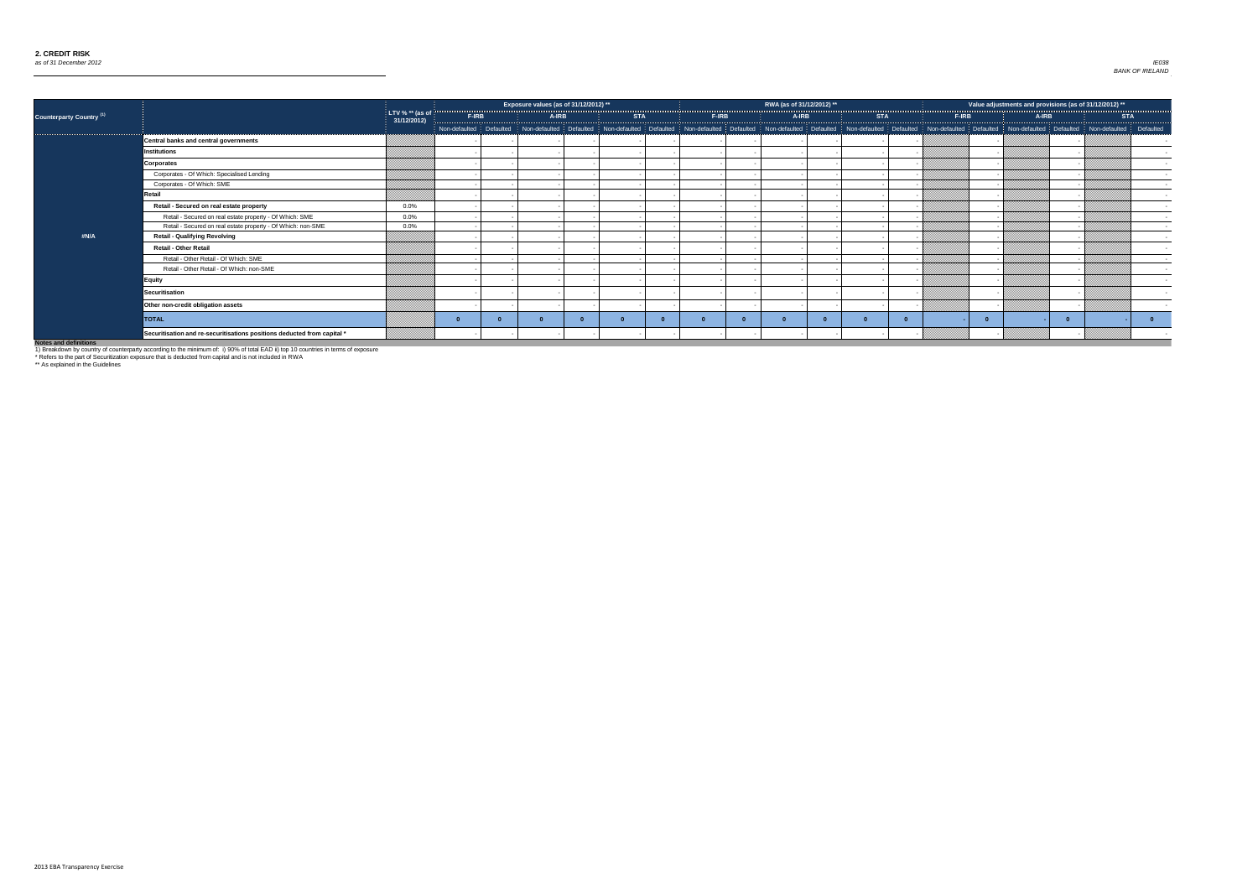

|                                 |                                                                         |                                  |       | Exposure values (as of 31/12/2012) ** |            |                                                                                                                                                                                                                               | RWA (as of 31/12/2012) ** |            |              | Value adjustments and provisions (as of $31/12/2012$ ) ** |            |            |
|---------------------------------|-------------------------------------------------------------------------|----------------------------------|-------|---------------------------------------|------------|-------------------------------------------------------------------------------------------------------------------------------------------------------------------------------------------------------------------------------|---------------------------|------------|--------------|-----------------------------------------------------------|------------|------------|
| <b>Counterparty Country (1)</b> |                                                                         | LTV % $**$ (as of<br>31/12/2012) | F-IRB | <b>A-IRB</b>                          | <b>STA</b> | <b>F-IRB</b>                                                                                                                                                                                                                  | A-IRB                     | <b>STA</b> | <b>F-IRB</b> | A-IRB                                                     | <b>STA</b> |            |
|                                 |                                                                         |                                  |       |                                       |            | Non-defaulted Defaulted Non-defaulted Defaulted Non-defaulted Defaulted Non-defaulted Defaulted Non-defaulted Non-defaulted Non-defaulted Non-defaulted Non-defaulted Non-defaulted Non-defaulted Non-defaulted Non-defaulted |                           |            |              |                                                           |            |            |
|                                 | Central banks and central governments                                   |                                  |       |                                       |            |                                                                                                                                                                                                                               |                           |            |              |                                                           |            |            |
|                                 | Institutions                                                            |                                  |       |                                       |            |                                                                                                                                                                                                                               |                           |            |              |                                                           |            |            |
|                                 | <b>Corporates</b>                                                       |                                  |       |                                       |            |                                                                                                                                                                                                                               |                           |            |              |                                                           |            |            |
|                                 | Corporates - Of Which: Specialised Lending                              |                                  |       |                                       |            |                                                                                                                                                                                                                               |                           |            |              |                                                           |            |            |
|                                 | Corporates - Of Which: SME                                              |                                  |       |                                       |            |                                                                                                                                                                                                                               |                           |            |              |                                                           |            | $\sim$ $-$ |
|                                 | Retail                                                                  |                                  |       |                                       |            |                                                                                                                                                                                                                               |                           |            |              |                                                           |            |            |
|                                 | Retail - Secured on real estate property                                | 0.0%                             |       |                                       |            |                                                                                                                                                                                                                               |                           |            |              |                                                           |            |            |
|                                 | Retail - Secured on real estate property - Of Which: SME                | 0.0%                             |       |                                       |            |                                                                                                                                                                                                                               |                           |            |              |                                                           |            | $\sim$ $-$ |
|                                 | Retail - Secured on real estate property - Of Which: non-SME            | 0.0%                             |       |                                       |            |                                                                                                                                                                                                                               |                           |            |              |                                                           |            | $\sim$     |
| #N/A                            | <b>Retail - Qualifying Revolving</b>                                    |                                  |       |                                       |            |                                                                                                                                                                                                                               |                           |            |              |                                                           |            |            |
|                                 | <b>Retail - Other Retail</b>                                            |                                  |       |                                       |            |                                                                                                                                                                                                                               |                           |            |              |                                                           |            | $\sim$ $-$ |
|                                 | Retail - Other Retail - Of Which: SME                                   |                                  |       |                                       |            |                                                                                                                                                                                                                               |                           |            |              |                                                           |            | $\sim 100$ |
|                                 | Retail - Other Retail - Of Which: non-SME                               |                                  |       |                                       |            |                                                                                                                                                                                                                               |                           |            |              |                                                           |            | $\sim$ $-$ |
|                                 | <b>Equity</b>                                                           |                                  |       |                                       |            |                                                                                                                                                                                                                               |                           |            |              |                                                           |            |            |
|                                 | Securitisation                                                          |                                  |       |                                       |            |                                                                                                                                                                                                                               |                           |            |              |                                                           |            |            |
|                                 | Other non-credit obligation assets                                      |                                  |       |                                       |            |                                                                                                                                                                                                                               |                           |            |              |                                                           |            |            |
|                                 | <b>TOTAL</b>                                                            |                                  |       |                                       |            |                                                                                                                                                                                                                               |                           |            |              |                                                           |            | - 0        |
|                                 | Securitisation and re-securitisations positions deducted from capital * |                                  |       |                                       |            |                                                                                                                                                                                                                               |                           |            |              |                                                           |            |            |

1) Breakdown by country of counterparty according to the minimum of: i) 90% of total EAD ii) top 10 countries in terms of exposure

\* Refers to the part of Securitization exposure that is deducted from capital and is not included in RWA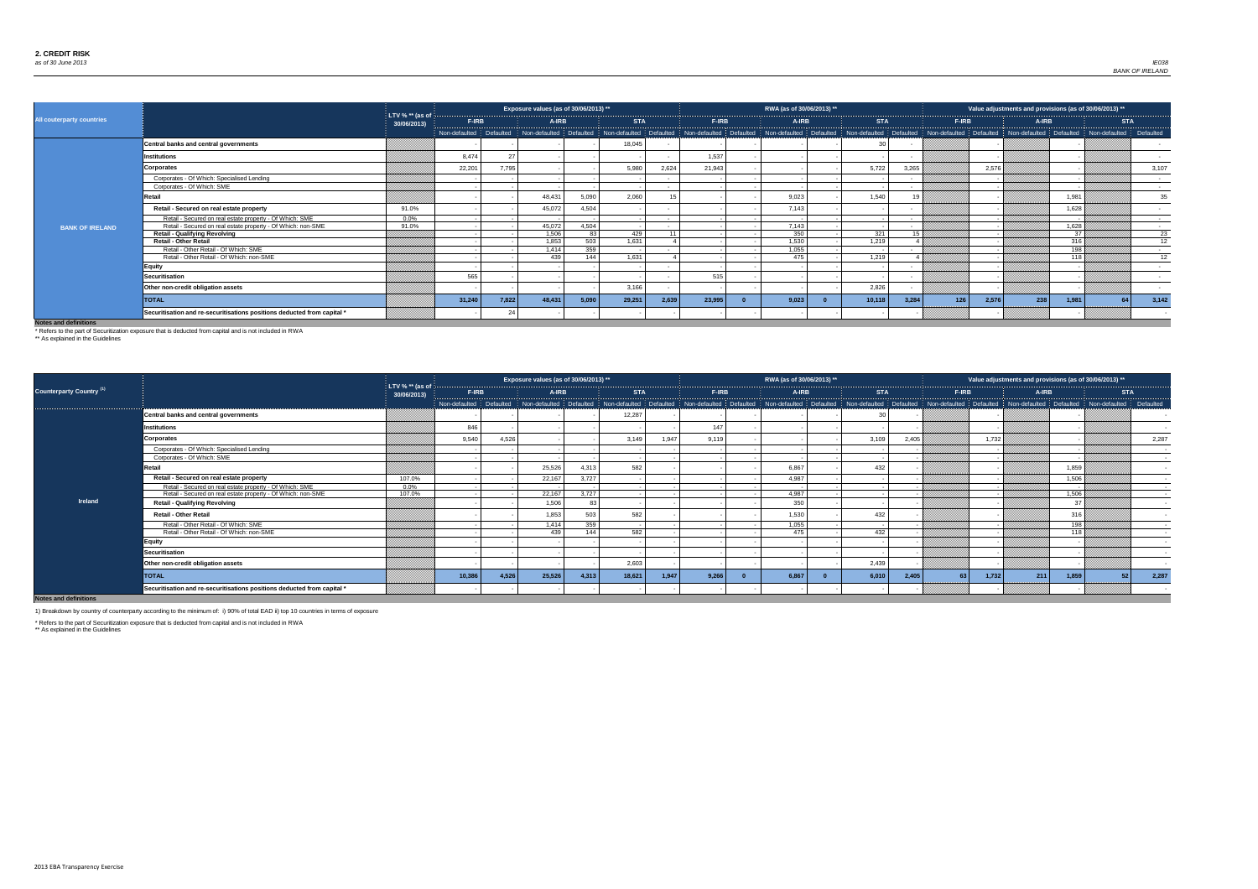

| 2013)<br>**        |                 |
|--------------------|-----------------|
|                    |                 |
| <b>STA</b>         |                 |
| defaulted <b>:</b> | Defaulted       |
|                    |                 |
|                    |                 |
|                    |                 |
|                    |                 |
|                    |                 |
|                    | 3,107           |
|                    |                 |
|                    |                 |
|                    |                 |
|                    |                 |
|                    | 35              |
|                    |                 |
|                    |                 |
|                    |                 |
|                    |                 |
|                    |                 |
|                    |                 |
|                    | $\overline{23}$ |
|                    | 12              |
|                    |                 |
|                    |                 |
|                    | $\overline{12}$ |
|                    |                 |
|                    |                 |
|                    |                 |
|                    |                 |
|                    |                 |
|                    |                 |
| 64                 | 3,142           |
|                    |                 |
|                    |                 |
|                    |                 |
|                    |                 |

| 2013)<br>$\overline{**}$ |           |
|--------------------------|-----------|
| <b>STA</b>               |           |
| defaulted                | Defaulted |
|                          |           |
|                          |           |
|                          | 2,287     |
|                          |           |
|                          |           |
|                          |           |
|                          |           |
|                          |           |
|                          |           |
|                          |           |
|                          |           |
|                          |           |
|                          |           |
|                          |           |
|                          |           |
|                          |           |
| 52                       | 2,287     |
|                          |           |
|                          |           |

|                                  |                                                                         |                                 |              |       | Exposure values (as of 30/06/2013) ** |       |            |               |              | RWA (as of 30/06/2013) ** |            |        |              | Value adjustments and provisions (as of 30/06/2013) **                                                                                                                                                                         |       |            |                          |
|----------------------------------|-------------------------------------------------------------------------|---------------------------------|--------------|-------|---------------------------------------|-------|------------|---------------|--------------|---------------------------|------------|--------|--------------|--------------------------------------------------------------------------------------------------------------------------------------------------------------------------------------------------------------------------------|-------|------------|--------------------------|
| <b>All couterparty countries</b> |                                                                         | LTV % $*$ (as of<br>30/06/2013) | <b>F-IRB</b> |       | A-IRB                                 |       | <b>STA</b> |               | <b>F-IRB</b> | A-IRB                     | <b>STA</b> |        | <b>F-IRB</b> | A-IRB                                                                                                                                                                                                                          |       | <b>STA</b> |                          |
|                                  |                                                                         |                                 |              |       |                                       |       |            |               |              |                           |            |        |              | Non-defaulted Defaulted Non-defaulted Defaulted Non-defaulted Defaulted Non-defaulted Non-defaulted Defaulted Defaulted Non-defaulted Defaulted Non-defaulted Non-defaulted Non-defaulted Non-defaulted Non-defaulted Defaulte |       |            |                          |
|                                  | Central banks and central governments                                   |                                 |              |       |                                       |       | 18,045     |               |              |                           |            |        |              |                                                                                                                                                                                                                                |       |            |                          |
|                                  | Institutions                                                            |                                 | 8,474        | 27    |                                       |       |            |               | 1,537        |                           |            |        |              |                                                                                                                                                                                                                                |       |            |                          |
|                                  | Corporates                                                              |                                 | 22,201       | 7,795 |                                       |       | 5,980      | 2,624         | 21,943       |                           | 5,722      | 3,265  |              | 2,576                                                                                                                                                                                                                          |       |            | 3,107                    |
|                                  | Corporates - Of Which: Specialised Lending                              |                                 |              |       |                                       |       |            |               |              |                           |            |        |              |                                                                                                                                                                                                                                |       |            | $\sim$                   |
|                                  | Corporates - Of Which: SME                                              |                                 |              |       |                                       |       |            |               |              |                           |            |        |              |                                                                                                                                                                                                                                |       |            | <b>Contract Contract</b> |
|                                  | Retail                                                                  |                                 |              |       | 48,431                                | 5,090 | 2,060      |               |              | 9,023                     | 1,540      |        |              |                                                                                                                                                                                                                                | 1,98' |            | 35                       |
|                                  | Retail - Secured on real estate property                                | 91.0%                           |              |       | 45,072                                | 4,504 |            |               |              | 7,143                     |            |        |              |                                                                                                                                                                                                                                | 1,628 |            |                          |
|                                  | Retail - Secured on real estate property - Of Which: SME                | $0.0\%$                         |              |       |                                       |       |            | $\sim$ $\sim$ |              |                           |            |        |              |                                                                                                                                                                                                                                |       |            | <b>Contract Contract</b> |
| <b>BANK OF IRELAND</b>           | Retail - Secured on real estate property - Of Which: non-SME            | 91.0%                           |              |       | 45,072                                | 4,504 |            |               |              | 7,143                     |            |        |              |                                                                                                                                                                                                                                | 1,628 |            | $\sim$                   |
|                                  | <b>Retail - Qualifying Revolving</b>                                    |                                 |              |       | 1,506                                 | ດລ    | 429        | $-11$         |              | 350                       | 321        | 15     |              |                                                                                                                                                                                                                                | 27    |            | 23                       |
|                                  | <b>Retail - Other Retail</b>                                            |                                 |              |       | 1,853                                 | 503   | 1,631      |               |              | 1,530                     | 1,219      |        |              |                                                                                                                                                                                                                                | 316   |            | 12                       |
|                                  | Retail - Other Retail - Of Which: SME                                   |                                 |              |       | 1,414                                 | 359   |            |               |              | 1,055                     |            | $\sim$ |              |                                                                                                                                                                                                                                | 198   |            | <b>Contract Contract</b> |
|                                  | Retail - Other Retail - Of Which: non-SME                               |                                 |              |       | 439                                   | 144   | 1,631      |               |              | 475                       | 1,219      |        |              |                                                                                                                                                                                                                                | 11S   |            | 12                       |
|                                  | Equity                                                                  |                                 |              |       |                                       |       |            |               |              |                           |            |        |              |                                                                                                                                                                                                                                |       |            | $\sim$                   |
|                                  | Securitisation                                                          |                                 | 565          |       |                                       |       |            |               | 515          |                           |            |        |              |                                                                                                                                                                                                                                |       |            | $\sim$                   |
|                                  | Other non-credit obligation assets                                      |                                 |              |       |                                       |       | 3,166      |               |              |                           | 2,826      |        |              |                                                                                                                                                                                                                                |       |            |                          |
|                                  | <b>TOTAL</b>                                                            |                                 | 31,240       | 7,822 | 48,431                                | 5,090 | 29,251     | 2,639         | 23,995       | 9,023                     | 10,118     | 3,284  | 126          | 238<br>2,576                                                                                                                                                                                                                   | 1,981 |            | 3,142                    |
|                                  | Securitisation and re-securitisations positions deducted from capital * |                                 |              |       |                                       |       |            |               |              |                           |            |        |              |                                                                                                                                                                                                                                |       |            |                          |

**Notes and defi** 

|                                     |                                                                         |                                  |        |       | Exposure values (as of 30/06/2013) **                                                                                                                                                                                          |            |       |              | RWA (as of 30/06/2013) ** |                |              | Value adjustments and provisions (as of 30/06/2013) ** |       |       |            |        |
|-------------------------------------|-------------------------------------------------------------------------|----------------------------------|--------|-------|--------------------------------------------------------------------------------------------------------------------------------------------------------------------------------------------------------------------------------|------------|-------|--------------|---------------------------|----------------|--------------|--------------------------------------------------------|-------|-------|------------|--------|
| Counterparty Country <sup>(1)</sup> |                                                                         | LTV % $**$ (as of<br>30/06/2013) | F-IRB  |       | <b>A-IRB</b>                                                                                                                                                                                                                   | <b>STA</b> |       | <b>F-IRB</b> | A-IRB                     | <b>STA</b>     | <b>F-IRB</b> |                                                        | A-IRB |       | <b>STA</b> |        |
|                                     |                                                                         |                                  |        |       | Non-defaulted Defaulted Non-defaulted Defaulted Non-defaulted Defaulted Non-defaulted Defaulted Non-defaulted Defaulted Non-defaulted Defaulted Non-defaulted Non-defaulted Non-defaulted Non-defaulted Non-defaulted Non-defa |            |       |              |                           |                |              |                                                        |       |       |            |        |
|                                     | <b>Central banks and central governments</b>                            |                                  |        |       |                                                                                                                                                                                                                                | 12,287     |       |              |                           |                |              |                                                        |       |       |            |        |
|                                     | <b>Institutions</b>                                                     |                                  | 846    |       |                                                                                                                                                                                                                                |            |       | 147          |                           |                |              |                                                        |       |       |            |        |
|                                     | <b>Corporates</b>                                                       |                                  | 9,540  | 4,526 |                                                                                                                                                                                                                                | 3,149      | 1,947 | 9,119        |                           | 3,109<br>2,405 |              | 1,732                                                  |       |       |            | 2,287  |
|                                     | Corporates - Of Which: Specialised Lending                              |                                  |        |       |                                                                                                                                                                                                                                |            |       |              |                           |                |              |                                                        |       |       |            | $\sim$ |
|                                     | Corporates - Of Which: SME                                              |                                  |        |       |                                                                                                                                                                                                                                |            |       |              |                           |                |              |                                                        |       |       |            |        |
|                                     | Retail                                                                  |                                  |        |       | 25,526<br>4,313                                                                                                                                                                                                                | 582        |       |              | 6,867                     | 432            |              |                                                        |       | 1,859 |            |        |
|                                     | Retail - Secured on real estate property                                | 107.0%                           |        |       | 22,167<br>3,727                                                                                                                                                                                                                |            |       |              | 4,987                     |                |              |                                                        |       | 1,506 |            |        |
|                                     | Retail - Secured on real estate property - Of Which: SME                | $0.0\%$                          |        |       |                                                                                                                                                                                                                                |            |       |              |                           |                |              |                                                        |       |       |            |        |
|                                     | Retail - Secured on real estate property - Of Which: non-SME            | 107.0%                           |        |       | 3,727<br>22,167                                                                                                                                                                                                                |            |       |              | 4,987                     |                |              |                                                        |       | 1,506 |            |        |
| <b>Ireland</b>                      | <b>Retail - Qualifying Revolving</b>                                    |                                  |        |       | 1,506                                                                                                                                                                                                                          |            |       |              | 350                       |                |              |                                                        |       | 31    |            |        |
|                                     | <b>Retail - Other Retail</b>                                            |                                  |        |       | 503<br>1,853                                                                                                                                                                                                                   | 582        |       |              | 1,530                     | 432            |              |                                                        |       | 316   |            |        |
|                                     | Retail - Other Retail - Of Which: SME                                   |                                  |        |       | 359<br>1,414                                                                                                                                                                                                                   |            |       |              | 1,055                     |                |              |                                                        |       | 198   |            |        |
|                                     | Retail - Other Retail - Of Which: non-SME                               |                                  |        |       | 439<br>144                                                                                                                                                                                                                     | 582        |       |              | 475                       | 432            |              |                                                        |       | 118   |            |        |
|                                     | <b>Equity</b>                                                           |                                  |        |       |                                                                                                                                                                                                                                |            |       |              |                           |                |              |                                                        |       |       |            |        |
|                                     | <b>Securitisation</b>                                                   |                                  |        |       |                                                                                                                                                                                                                                |            |       |              |                           |                |              |                                                        |       |       |            |        |
|                                     | Other non-credit obligation assets                                      |                                  |        |       |                                                                                                                                                                                                                                | 2,603      |       |              |                           | 2,439          |              |                                                        |       |       |            |        |
|                                     | <b>TOTAL</b>                                                            |                                  | 10,386 | 4,526 | 25,526<br>4,313                                                                                                                                                                                                                | 18,621     | 1,947 | 9,266        | 6,867                     | 6,010<br>2,405 | 63           | 1,732                                                  | 211   | 1,859 |            | 2,287  |
| Matan and definitions.              | Securitisation and re-securitisations positions deducted from capital * |                                  |        |       |                                                                                                                                                                                                                                |            |       |              |                           |                |              |                                                        |       |       |            |        |

**Notes and definitions**

1) Breakdown by country of counterparty according to the minimum of: i) 90% of total EAD ii) top 10 countries in terms of exposure

\* Refers to the part of Securitization exposure that is deducted from capital and is not included in RWA

\*\* As explained in the Guidelines

\* Refers to the part of Securitization exposure that is deducted from capital and is not included in RWA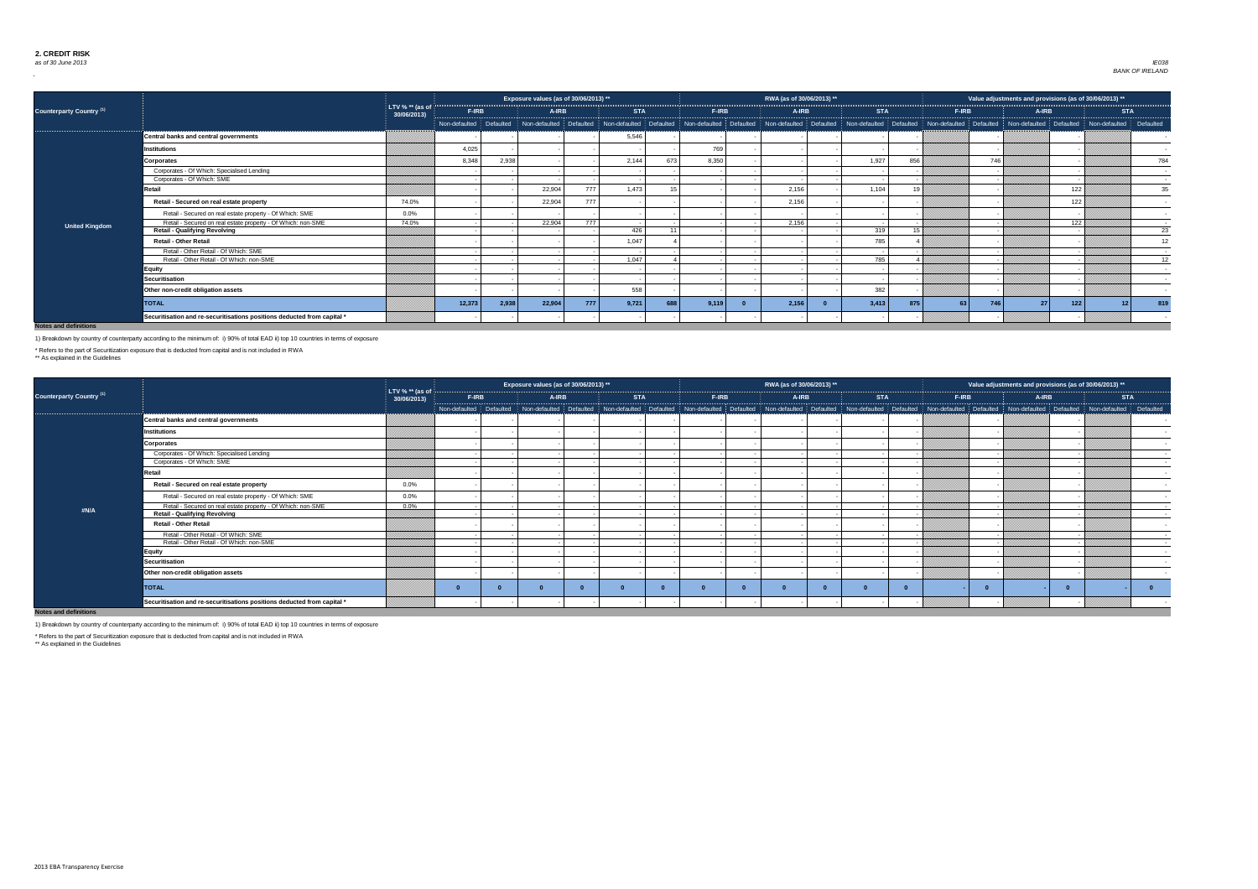

| 2013)          |                 |
|----------------|-----------------|
|                |                 |
| <b>STA</b>     |                 |
| defaulted<br>ļ | Defaulted       |
| V)             |                 |
|                |                 |
|                |                 |
|                |                 |
|                |                 |
|                |                 |
|                | 784             |
|                |                 |
|                |                 |
|                |                 |
|                |                 |
|                |                 |
|                | 35              |
|                |                 |
|                |                 |
|                |                 |
|                |                 |
|                |                 |
|                |                 |
|                |                 |
|                |                 |
|                | 23              |
|                |                 |
|                | 12              |
|                |                 |
|                |                 |
|                |                 |
|                | $\overline{12}$ |
|                |                 |
|                |                 |
|                |                 |
|                |                 |
|                |                 |
|                |                 |
|                |                 |
|                |                 |
| 12             | 819             |
|                |                 |
|                |                 |
|                |                 |
|                |                 |

|                                     |                                                                         |                                |               |           | Exposure values (as of 30/06/2013) ** |     |                         |       |              | RWA (as of 30/06/2013) **                                                         |            |           | Value adjustments and provisions (as of 30/06/2013) **                |     |                 |
|-------------------------------------|-------------------------------------------------------------------------|--------------------------------|---------------|-----------|---------------------------------------|-----|-------------------------|-------|--------------|-----------------------------------------------------------------------------------|------------|-----------|-----------------------------------------------------------------------|-----|-----------------|
| Counterparty Country <sup>(1)</sup> |                                                                         | LTV % ** (as of<br>30/06/2013) | F-IRB         |           | <b>A-IRB</b>                          |     | <b>STA</b>              |       | <b>F-IRB</b> | A-IRB                                                                             | <b>STA</b> | F-IRB     | <b>A-IRB</b>                                                          |     | <b>STA</b>      |
|                                     |                                                                         |                                | Non-defaulted | Defaulted | Non-defaulted Defaulted               |     | Non-defaulted Defaulted |       |              | Non-defaulted   Defaulted   Non-defaulted   Defaulted   Non-defaulted   Defaulted |            |           | Non-defaulted   Defaulted   Non-defaulted   Defaulted   Non-defaulted |     | Defaulted       |
|                                     | Central banks and central governments                                   |                                |               |           |                                       |     | 5,546                   |       |              |                                                                                   |            |           |                                                                       |     |                 |
|                                     | <b>Institutions</b>                                                     |                                | 4,025         |           |                                       |     |                         |       | 769          |                                                                                   |            |           |                                                                       |     |                 |
|                                     | <b>Corporates</b>                                                       |                                | 8,348         | 2,938     |                                       |     | 2,144                   | 673   | 8,350        |                                                                                   | 1,927      | 856       | 746                                                                   |     | 784             |
|                                     | Corporates - Of Which: Specialised Lending                              |                                |               |           |                                       |     |                         |       |              |                                                                                   |            |           |                                                                       |     |                 |
|                                     | Corporates - Of Which: SME                                              |                                |               |           |                                       |     |                         |       |              |                                                                                   |            |           |                                                                       |     |                 |
|                                     | Retail                                                                  |                                |               |           | 22,904                                | 777 | 1,473                   |       |              | 2,156                                                                             | 1,104      | 19        |                                                                       | 122 | 35              |
|                                     | Retail - Secured on real estate property                                | 74.0%                          |               |           | 22,904                                | 777 |                         |       |              | 2,156                                                                             |            |           |                                                                       | 122 |                 |
|                                     | Retail - Secured on real estate property - Of Which: SME                | $0.0\%$                        |               |           |                                       |     |                         |       |              |                                                                                   |            |           |                                                                       |     | $\sim$          |
| <b>United Kingdom</b>               | Retail - Secured on real estate property - Of Which: non-SME            | 74.0%                          |               |           | 22,904                                | 777 |                         |       |              | 2,156                                                                             |            |           |                                                                       | 122 |                 |
|                                     | <b>Retail - Qualifying Revolving</b>                                    |                                |               |           |                                       |     | 426                     | $-11$ |              |                                                                                   | 319        | 15        |                                                                       |     | $\overline{23}$ |
|                                     | <b>Retail - Other Retail</b>                                            |                                |               |           |                                       |     | 1,047                   |       |              |                                                                                   | 785        |           |                                                                       |     | 12              |
|                                     | Retail - Other Retail - Of Which: SME                                   |                                |               |           |                                       |     |                         |       |              |                                                                                   |            |           |                                                                       |     | $\sim$          |
|                                     | Retail - Other Retail - Of Which: non-SME                               |                                |               |           |                                       |     | 1,047                   |       |              |                                                                                   | 785        |           |                                                                       |     | $\overline{12}$ |
|                                     | <b>Equity</b>                                                           |                                |               |           |                                       |     |                         |       |              |                                                                                   |            |           |                                                                       |     |                 |
|                                     | <b>Securitisation</b>                                                   |                                |               |           |                                       |     |                         |       |              |                                                                                   |            |           |                                                                       |     |                 |
|                                     | Other non-credit obligation assets                                      |                                |               |           |                                       |     | 558                     |       |              |                                                                                   | 382        |           |                                                                       |     |                 |
|                                     | <b>TOTAL</b>                                                            |                                | 12,373        | 2,938     | 22,904                                | 777 | 9,721                   | 688   | 9,119        | 2,156                                                                             | 3,413      | 875<br>63 | 746<br>27                                                             | 122 | 819             |
|                                     | Securitisation and re-securitisations positions deducted from capital * |                                |               |           |                                       |     |                         |       |              |                                                                                   |            |           |                                                                       |     |                 |

| <b>Counterparty Country (1)</b> |                                                                         | LTV % $**$ (as of |       | Exposure values (as of 30/06/2013) $^{\ast\ast}$ $^{\shortmid}$                                                                                                                                                                |            |       |       | RWA (as of 30/06/2013) ** |            |              | Value adjustments and provisions (as of 30/06/2013) ** |                          |
|---------------------------------|-------------------------------------------------------------------------|-------------------|-------|--------------------------------------------------------------------------------------------------------------------------------------------------------------------------------------------------------------------------------|------------|-------|-------|---------------------------|------------|--------------|--------------------------------------------------------|--------------------------|
|                                 |                                                                         | 30/06/2013)       | F-IRB | A-IRB                                                                                                                                                                                                                          | <b>STA</b> | F-IRB | A-IRB |                           | <b>STA</b> | <b>F-IRB</b> | A-IRB                                                  | <b>STA</b>               |
|                                 |                                                                         |                   |       | Non-defaulted Defaulted Non-defaulted Defaulted Non-defaulted Defaulted Non-defaulted Defaulted Non-defaulted Defaulted Non-defaulted Defaulted Non-defaulted Non-defaulted Non-defaulted Non-defaulted Non-defaulted Non-defa |            |       |       |                           |            |              |                                                        |                          |
|                                 | Central banks and central governments                                   |                   |       |                                                                                                                                                                                                                                |            |       |       |                           |            |              |                                                        |                          |
|                                 | <b>Institutions</b>                                                     |                   |       |                                                                                                                                                                                                                                |            |       |       |                           |            |              |                                                        |                          |
|                                 | <b>Corporates</b>                                                       |                   |       |                                                                                                                                                                                                                                |            |       |       |                           |            |              |                                                        |                          |
|                                 | Corporates - Of Which: Specialised Lending                              |                   |       |                                                                                                                                                                                                                                |            |       |       |                           |            |              |                                                        |                          |
|                                 | Corporates - Of Which: SME                                              |                   |       |                                                                                                                                                                                                                                |            |       |       |                           |            |              |                                                        |                          |
|                                 | Retail                                                                  |                   |       |                                                                                                                                                                                                                                |            |       |       |                           |            |              |                                                        | $\overline{\phantom{a}}$ |
|                                 | Retail - Secured on real estate property                                | $0.0\%$           |       |                                                                                                                                                                                                                                |            |       |       |                           |            |              |                                                        |                          |
|                                 | Retail - Secured on real estate property - Of Which: SME                | $0.0\%$           |       |                                                                                                                                                                                                                                |            |       |       |                           |            |              |                                                        |                          |
| #N/A                            | Retail - Secured on real estate property - Of Which: non-SME            | $0.0\%$           |       |                                                                                                                                                                                                                                |            |       |       |                           |            |              |                                                        | $\sim$                   |
|                                 | <b>Retail - Qualifying Revolving</b>                                    |                   |       |                                                                                                                                                                                                                                |            |       |       |                           |            |              |                                                        |                          |
|                                 | <b>Retail - Other Retail</b>                                            |                   |       |                                                                                                                                                                                                                                |            |       |       |                           |            |              |                                                        |                          |
|                                 | Retail - Other Retail - Of Which: SME                                   |                   |       |                                                                                                                                                                                                                                |            |       |       |                           |            |              |                                                        |                          |
|                                 | Retail - Other Retail - Of Which: non-SME                               |                   |       |                                                                                                                                                                                                                                |            |       |       |                           |            |              |                                                        |                          |
|                                 | <b>Equity</b>                                                           |                   |       |                                                                                                                                                                                                                                |            |       |       |                           |            |              |                                                        |                          |
|                                 | <b>Securitisation</b>                                                   |                   |       |                                                                                                                                                                                                                                |            |       |       |                           |            |              |                                                        |                          |
|                                 | Other non-credit obligation assets                                      |                   |       |                                                                                                                                                                                                                                |            |       |       |                           |            |              |                                                        |                          |
|                                 | <b>TOTAL</b>                                                            |                   |       |                                                                                                                                                                                                                                |            |       |       |                           |            |              |                                                        |                          |
|                                 | Securitisation and re-securitisations positions deducted from capital * |                   |       |                                                                                                                                                                                                                                |            |       |       |                           |            |              |                                                        |                          |

**Notes and definitions**

\*\* As explained in the Guidelines



1) Breakdown by country of counterparty according to the minimum of: i) 90% of total EAD ii) top 10 countries in terms of exposure

\* Refers to the part of Securitization exposure that is deducted from capital and is not included in RWA

\* Refers to the part of Securitization exposure that is deducted from capital and is not included in RWA

\*\* As explained in the Guidelines

1) Breakdown by country of counterparty according to the minimum of: i) 90% of total EAD ii) top 10 countries in terms of exposure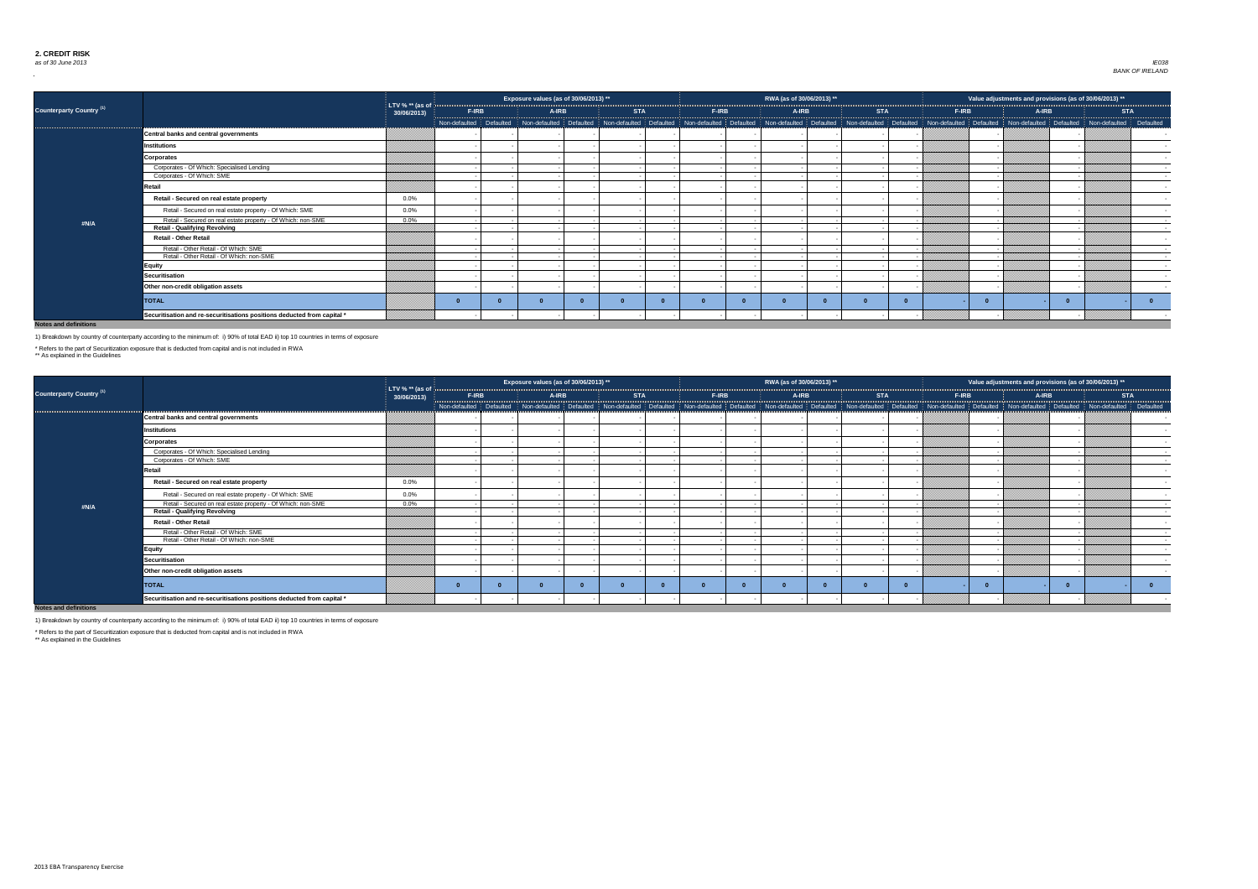

| 2013)<br>**    |             |
|----------------|-------------|
| <b>STA</b>     |             |
| defaulted<br>j | Defaulted   |
| 4              |             |
|                |             |
|                |             |
|                |             |
|                |             |
|                |             |
|                |             |
|                |             |
|                |             |
|                |             |
|                |             |
|                |             |
|                |             |
|                |             |
|                |             |
|                |             |
|                |             |
|                |             |
|                |             |
|                |             |
|                |             |
|                |             |
|                |             |
|                | $\mathbf 0$ |
|                |             |
|                |             |
|                |             |

| 2013)<br>**         |          |
|---------------------|----------|
| <b>STA</b>          |          |
| defaulted Defaulted |          |
|                     |          |
|                     |          |
|                     |          |
|                     |          |
|                     |          |
|                     |          |
|                     |          |
|                     |          |
|                     |          |
|                     |          |
|                     |          |
|                     |          |
|                     |          |
|                     |          |
|                     | $\bf{0}$ |
|                     |          |
|                     |          |

|                                 |                                                                         |                                  |              | Exposure values (as of 30/06/2013) **                                                                                                                                                                                         |            |              | RWA (as of 30/06/2013) ** |            |       | Value adjustments and provisions (as of 30/06/2013) ** |            |
|---------------------------------|-------------------------------------------------------------------------|----------------------------------|--------------|-------------------------------------------------------------------------------------------------------------------------------------------------------------------------------------------------------------------------------|------------|--------------|---------------------------|------------|-------|--------------------------------------------------------|------------|
| <b>Counterparty Country (1)</b> |                                                                         | LTV % $**$ (as of<br>30/06/2013) | <b>F-IRB</b> | A-IRB                                                                                                                                                                                                                         | <b>STA</b> | <b>F-IRB</b> | <b>A-IRB</b>              | <b>STA</b> | F-IRB | A-IRB                                                  | <b>STA</b> |
|                                 |                                                                         |                                  |              | Non-defaulted   Defaulted   Non-defaulted   Defaulted   Non-defaulted   Non-defaulted   Defaulted   Non-defaulted   Defaulted   Non-defaulted   Non-defaulted   Non-defaulted   Non-defaulted   Non-defaulted   Non-defaulted |            |              |                           |            |       |                                                        |            |
|                                 | <b>Central banks and central governments</b>                            |                                  |              |                                                                                                                                                                                                                               |            |              |                           |            |       |                                                        |            |
|                                 | <b>Institutions</b>                                                     |                                  |              |                                                                                                                                                                                                                               |            |              |                           |            |       |                                                        |            |
|                                 | <b>Corporates</b>                                                       |                                  |              |                                                                                                                                                                                                                               |            |              |                           |            |       |                                                        |            |
|                                 | Corporates - Of Which: Specialised Lending                              |                                  |              |                                                                                                                                                                                                                               |            |              |                           |            |       |                                                        |            |
|                                 | Corporates - Of Which: SME                                              |                                  |              |                                                                                                                                                                                                                               |            |              |                           |            |       |                                                        |            |
|                                 | Retail                                                                  |                                  |              |                                                                                                                                                                                                                               |            |              |                           |            |       |                                                        |            |
|                                 | Retail - Secured on real estate property                                | $0.0\%$                          |              |                                                                                                                                                                                                                               |            |              |                           |            |       |                                                        |            |
|                                 | Retail - Secured on real estate property - Of Which: SME                | $0.0\%$                          |              |                                                                                                                                                                                                                               |            |              |                           |            |       |                                                        |            |
| #N/A                            | Retail - Secured on real estate property - Of Which: non-SME            | $0.0\%$                          |              |                                                                                                                                                                                                                               |            |              |                           |            |       |                                                        | $\sim$     |
|                                 | <b>Retail - Qualifying Revolving</b>                                    |                                  |              |                                                                                                                                                                                                                               |            |              |                           |            |       |                                                        |            |
|                                 | <b>Retail - Other Retail</b>                                            |                                  |              |                                                                                                                                                                                                                               |            |              |                           |            |       |                                                        |            |
|                                 | Retail - Other Retail - Of Which: SME                                   |                                  |              |                                                                                                                                                                                                                               |            |              |                           |            |       |                                                        |            |
|                                 | Retail - Other Retail - Of Which: non-SME                               |                                  |              |                                                                                                                                                                                                                               |            |              |                           |            |       |                                                        |            |
|                                 | <b>Equity</b>                                                           |                                  |              |                                                                                                                                                                                                                               |            |              |                           |            |       |                                                        |            |
|                                 | <b>Securitisation</b>                                                   |                                  |              |                                                                                                                                                                                                                               |            |              |                           |            |       |                                                        |            |
|                                 | Other non-credit obligation assets                                      |                                  |              |                                                                                                                                                                                                                               |            |              |                           |            |       |                                                        |            |
|                                 | <b>TOTAL</b>                                                            |                                  |              |                                                                                                                                                                                                                               |            |              |                           |            |       |                                                        |            |
|                                 | Securitisation and re-securitisations positions deducted from capital * |                                  |              |                                                                                                                                                                                                                               |            |              |                           |            |       |                                                        |            |

|                                 |                                                                         |                                                |                         | Exposure values (as of 30/06/2013) ** |                                                                                                                                                                                                                                |       | RWA (as of 30/06/2013) ** |            |       |       | Value adjustments and provisions (as of 30/06/2013) ** |            |
|---------------------------------|-------------------------------------------------------------------------|------------------------------------------------|-------------------------|---------------------------------------|--------------------------------------------------------------------------------------------------------------------------------------------------------------------------------------------------------------------------------|-------|---------------------------|------------|-------|-------|--------------------------------------------------------|------------|
| <b>Counterparty Country (1)</b> |                                                                         | LTV % $**$ (as of $\frac{1}{3}$<br>30/06/2013) | <b>F-IRB</b>            | A-IRB                                 | <b>STA</b>                                                                                                                                                                                                                     | F-IRB | A-IRB                     | <b>STA</b> | F-IRB | A-IRB |                                                        | <b>STA</b> |
|                                 |                                                                         |                                                | Non-defaulted Defaulted |                                       | Non-defaulted Defaulted Non-defaulted Defaulted Non-defaulted Defaulted Non-defaulted Non-defaulted Defaulted Non-defaulted Non-defaulted Defaulted Non-defaulted Non-defaulted Defaulted Non-defaulted Non-defaulted Non-defa |       |                           |            |       |       |                                                        |            |
|                                 | Central banks and central governments                                   |                                                |                         |                                       |                                                                                                                                                                                                                                |       |                           |            |       |       |                                                        |            |
|                                 | <b>Institutions</b>                                                     |                                                |                         |                                       |                                                                                                                                                                                                                                |       |                           |            |       |       |                                                        |            |
|                                 | <b>Corporates</b>                                                       |                                                |                         |                                       |                                                                                                                                                                                                                                |       |                           |            |       |       |                                                        |            |
|                                 | Corporates - Of Which: Specialised Lending                              |                                                |                         |                                       |                                                                                                                                                                                                                                |       |                           |            |       |       |                                                        |            |
|                                 | Corporates - Of Which: SME                                              |                                                |                         |                                       |                                                                                                                                                                                                                                |       |                           |            |       |       |                                                        |            |
|                                 | Retail                                                                  |                                                |                         |                                       |                                                                                                                                                                                                                                |       |                           |            |       |       |                                                        |            |
|                                 | Retail - Secured on real estate property                                | $0.0\%$                                        |                         |                                       |                                                                                                                                                                                                                                |       |                           |            |       |       |                                                        |            |
|                                 | Retail - Secured on real estate property - Of Which: SME                | $0.0\%$                                        |                         |                                       |                                                                                                                                                                                                                                |       |                           |            |       |       |                                                        |            |
| #N/A                            | Retail - Secured on real estate property - Of Which: non-SME            | $0.0\%$                                        |                         |                                       |                                                                                                                                                                                                                                |       |                           |            |       |       |                                                        |            |
|                                 | <b>Retail - Qualifying Revolving</b>                                    |                                                |                         |                                       |                                                                                                                                                                                                                                |       |                           |            |       |       |                                                        |            |
|                                 | <b>Retail - Other Retail</b>                                            |                                                |                         |                                       |                                                                                                                                                                                                                                |       |                           |            |       |       |                                                        |            |
|                                 | Retail - Other Retail - Of Which: SME                                   |                                                |                         |                                       |                                                                                                                                                                                                                                |       |                           |            |       |       |                                                        |            |
|                                 | Retail - Other Retail - Of Which: non-SME                               |                                                |                         |                                       |                                                                                                                                                                                                                                |       |                           |            |       |       |                                                        |            |
|                                 | <b>Equity</b>                                                           |                                                |                         |                                       |                                                                                                                                                                                                                                |       |                           |            |       |       |                                                        |            |
|                                 | <b>Securitisation</b>                                                   |                                                |                         |                                       |                                                                                                                                                                                                                                |       |                           |            |       |       |                                                        |            |
|                                 | Other non-credit obligation assets                                      |                                                |                         |                                       |                                                                                                                                                                                                                                |       |                           |            |       |       |                                                        |            |
|                                 | <b>TOTAL</b>                                                            |                                                |                         |                                       |                                                                                                                                                                                                                                |       |                           |            |       |       |                                                        |            |
|                                 | Securitisation and re-securitisations positions deducted from capital * |                                                |                         |                                       |                                                                                                                                                                                                                                |       |                           |            |       |       |                                                        |            |

**Notes and definitions**

1) Breakdown by country of counterparty according to the minimum of: i) 90% of total EAD ii) top 10 countries in terms of exposure

\* Refers to the part of Securitization exposure that is deducted from capital and is not included in RWA

\*\* As explained in the Guidelines

1) Breakdown by country of counterparty according to the minimum of: i) 90% of total EAD ii) top 10 countries in terms of exposure

\* Refers to the part of Securitization exposure that is deducted from capital and is not included in RWA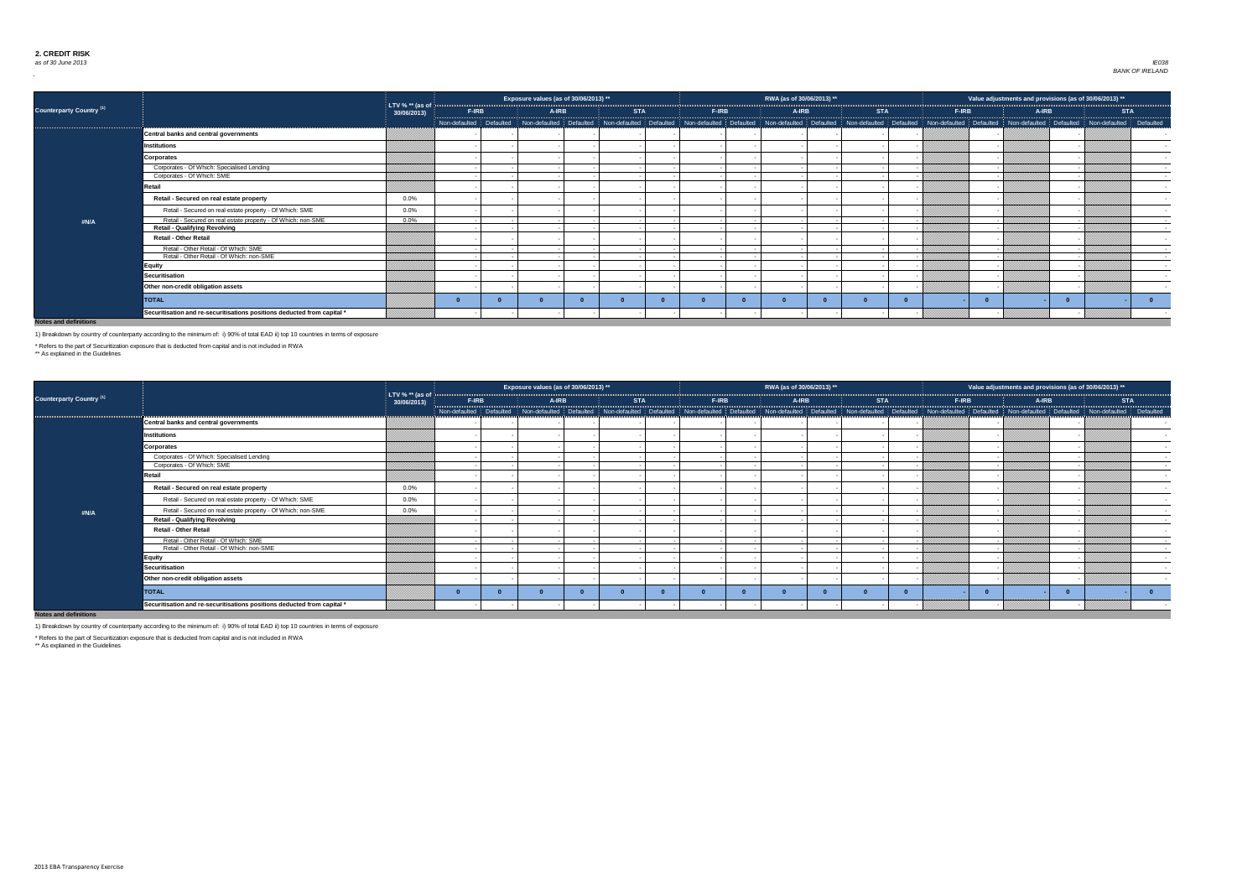

| 2013)<br>$\star\star$ |           |
|-----------------------|-----------|
| <b>STA</b>            |           |
| defaulted<br>I        | Defaulted |
|                       |           |
|                       |           |
|                       |           |
|                       |           |
|                       |           |
|                       |           |
|                       |           |
|                       |           |
|                       |           |
|                       |           |
|                       |           |
|                       |           |
|                       |           |
|                       |           |
|                       |           |
|                       | 0         |
|                       |           |
|                       |           |



|                                 |                                                                         |                                  |       |       | Exposure values (as of 30/06/2013) ** |            |       | RWA (as of 30/06/2013) ** |            |       |       | Value adjustments and provisions (as of 30/06/2013) **                                                                                                                                                                         |            |
|---------------------------------|-------------------------------------------------------------------------|----------------------------------|-------|-------|---------------------------------------|------------|-------|---------------------------|------------|-------|-------|--------------------------------------------------------------------------------------------------------------------------------------------------------------------------------------------------------------------------------|------------|
| <b>Counterparty Country (1)</b> |                                                                         | LTV % $**$ (as of<br>30/06/2013) | F-IRB | A-IRB |                                       | <b>STA</b> | F-IRB | A-IRB                     | <b>STA</b> | F-IRB | A-IRB |                                                                                                                                                                                                                                | <b>STA</b> |
|                                 |                                                                         |                                  |       |       |                                       |            |       |                           |            |       |       | Non-defaulted   Defaulted   Non-defaulted   Defaulted   Non-defaulted   Non-defaulted   Non-defaulted   Non-defaulted   Defaulted   Non-defaulted   Non-defaulted   Non-defaulted   Non-defaulted   Non-defaulted   Non-defaul |            |
|                                 | <b>Central banks and central governments</b>                            |                                  |       |       |                                       |            |       |                           |            |       |       |                                                                                                                                                                                                                                |            |
|                                 | <b>Institutions</b>                                                     |                                  |       |       |                                       |            |       |                           |            |       |       |                                                                                                                                                                                                                                |            |
|                                 | <b>Corporates</b>                                                       |                                  |       |       |                                       |            |       |                           |            |       |       |                                                                                                                                                                                                                                |            |
|                                 | Corporates - Of Which: Specialised Lending                              |                                  |       |       |                                       |            |       |                           |            |       |       |                                                                                                                                                                                                                                |            |
|                                 | Corporates - Of Which: SME                                              |                                  |       |       |                                       |            |       |                           |            |       |       |                                                                                                                                                                                                                                |            |
|                                 | Retail                                                                  |                                  |       |       |                                       |            |       |                           |            |       |       |                                                                                                                                                                                                                                |            |
|                                 | Retail - Secured on real estate property                                | $0.0\%$                          |       |       |                                       |            |       |                           |            |       |       |                                                                                                                                                                                                                                |            |
|                                 | Retail - Secured on real estate property - Of Which: SME                | 0.0%                             |       |       |                                       |            |       |                           |            |       |       |                                                                                                                                                                                                                                |            |
| #N/A                            | Retail - Secured on real estate property - Of Which: non-SME            | $0.0\%$                          |       |       |                                       |            |       |                           |            |       |       |                                                                                                                                                                                                                                |            |
|                                 | <b>Retail - Qualifying Revolving</b>                                    |                                  |       |       |                                       |            |       |                           |            |       |       |                                                                                                                                                                                                                                |            |
|                                 | <b>Retail - Other Retail</b>                                            |                                  |       |       |                                       |            |       |                           |            |       |       |                                                                                                                                                                                                                                |            |
|                                 | Retail - Other Retail - Of Which: SME                                   |                                  |       |       |                                       |            |       |                           |            |       |       |                                                                                                                                                                                                                                |            |
|                                 | Retail - Other Retail - Of Which: non-SME                               |                                  |       |       |                                       |            |       |                           |            |       |       |                                                                                                                                                                                                                                |            |
|                                 | <b>Equity</b>                                                           |                                  |       |       |                                       |            |       |                           |            |       |       |                                                                                                                                                                                                                                |            |
|                                 | Securitisation                                                          |                                  |       |       |                                       |            |       |                           |            |       |       |                                                                                                                                                                                                                                |            |
|                                 | Other non-credit obligation assets                                      |                                  |       |       |                                       |            |       |                           |            |       |       |                                                                                                                                                                                                                                |            |
|                                 | <b>TOTAL</b>                                                            |                                  |       |       |                                       |            |       |                           |            |       |       |                                                                                                                                                                                                                                |            |
|                                 | Securitisation and re-securitisations positions deducted from capital * |                                  |       |       |                                       |            |       |                           |            |       |       |                                                                                                                                                                                                                                |            |

|                                 |                                                                         |                                  |       | Exposure values (as of 30/06/2013) **                                                                                                                                                                                         |            |       | RWA (as of 30/06/2013) ** |            |       | Value adjustments and provisions (as of 30/06/2013) ** |            |  |
|---------------------------------|-------------------------------------------------------------------------|----------------------------------|-------|-------------------------------------------------------------------------------------------------------------------------------------------------------------------------------------------------------------------------------|------------|-------|---------------------------|------------|-------|--------------------------------------------------------|------------|--|
| <b>Counterparty Country (1)</b> |                                                                         | LTV % $**$ (as of<br>30/06/2013) | F-IRB | A-IRB                                                                                                                                                                                                                         | <b>STA</b> | F-IRB | A-IRB                     | <b>STA</b> | F-IRB | <b>A-IRB</b>                                           | <b>STA</b> |  |
|                                 |                                                                         |                                  |       | Non-defaulted   Defaulted   Non-defaulted   Defaulted   Non-defaulted   Non-defaulted   Defaulted   Non-defaulted   Defaulted   Non-defaulted   Non-defaulted   Non-defaulted   Non-defaulted   Non-defaulted   Non-defaulted |            |       |                           |            |       |                                                        |            |  |
|                                 | <b>Central banks and central governments</b>                            |                                  |       |                                                                                                                                                                                                                               |            |       |                           |            |       |                                                        |            |  |
|                                 | <b>Institutions</b>                                                     |                                  |       |                                                                                                                                                                                                                               |            |       |                           |            |       |                                                        |            |  |
|                                 | <b>Corporates</b>                                                       |                                  |       |                                                                                                                                                                                                                               |            |       |                           |            |       |                                                        |            |  |
|                                 | Corporates - Of Which: Specialised Lending                              |                                  |       |                                                                                                                                                                                                                               |            |       |                           |            |       |                                                        |            |  |
|                                 | Corporates - Of Which: SME                                              |                                  |       |                                                                                                                                                                                                                               |            |       |                           |            |       |                                                        |            |  |
|                                 | Retail                                                                  |                                  |       |                                                                                                                                                                                                                               |            |       |                           |            |       |                                                        |            |  |
|                                 | Retail - Secured on real estate property                                | $0.0\%$                          |       |                                                                                                                                                                                                                               |            |       |                           |            |       |                                                        |            |  |
|                                 | Retail - Secured on real estate property - Of Which: SME                | $0.0\%$                          |       |                                                                                                                                                                                                                               |            |       |                           |            |       |                                                        |            |  |
| #N/A                            | Retail - Secured on real estate property - Of Which: non-SME            | $0.0\%$                          |       |                                                                                                                                                                                                                               |            |       |                           |            |       |                                                        |            |  |
|                                 | <b>Retail - Qualifying Revolving</b>                                    |                                  |       |                                                                                                                                                                                                                               |            |       |                           |            |       |                                                        |            |  |
|                                 | <b>Retail - Other Retail</b>                                            |                                  |       |                                                                                                                                                                                                                               |            |       |                           |            |       |                                                        |            |  |
|                                 | Retail - Other Retail - Of Which: SME                                   |                                  |       |                                                                                                                                                                                                                               |            |       |                           |            |       |                                                        |            |  |
|                                 | Retail - Other Retail - Of Which: non-SME                               |                                  |       |                                                                                                                                                                                                                               |            |       |                           |            |       |                                                        |            |  |
|                                 | <b>Equity</b>                                                           |                                  |       |                                                                                                                                                                                                                               |            |       |                           |            |       |                                                        |            |  |
|                                 | <b>Securitisation</b>                                                   |                                  |       |                                                                                                                                                                                                                               |            |       |                           |            |       |                                                        |            |  |
|                                 | Other non-credit obligation assets                                      |                                  |       |                                                                                                                                                                                                                               |            |       |                           |            |       |                                                        |            |  |
|                                 | <b>TOTAL</b>                                                            |                                  |       |                                                                                                                                                                                                                               |            |       |                           |            |       |                                                        |            |  |
| Notos and dofinitions           | Securitisation and re-securitisations positions deducted from capital * |                                  |       |                                                                                                                                                                                                                               |            |       |                           |            |       |                                                        |            |  |

**Notes and definitions**

1) Breakdown by country of counterparty according to the minimum of: i) 90% of total EAD ii) top 10 countries in terms of exposure

\* Refers to the part of Securitization exposure that is deducted from capital and is not included in RWA

\*\* As explained in the Guidelines

1) Breakdown by country of counterparty according to the minimum of: i) 90% of total EAD ii) top 10 countries in terms of exposure

\* Refers to the part of Securitization exposure that is deducted from capital and is not included in RWA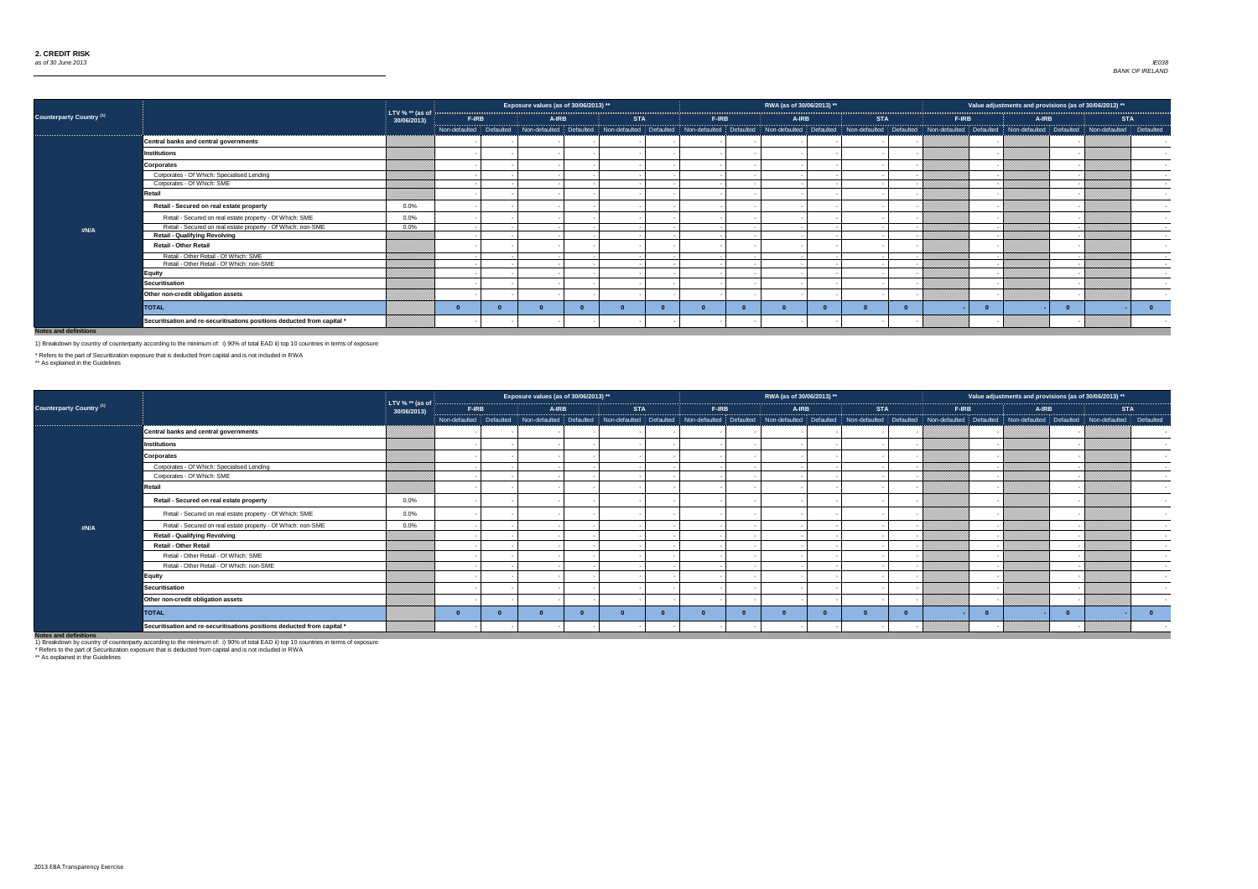

| 2013)<br>** |                |  |
|-------------|----------------|--|
|             |                |  |
| <b>STA</b>  |                |  |
| defaulted   | Defaulted<br>I |  |
|             |                |  |
|             |                |  |
|             |                |  |
|             |                |  |
|             |                |  |
|             |                |  |
|             |                |  |
|             |                |  |
|             |                |  |
|             |                |  |
|             |                |  |
|             |                |  |
|             |                |  |
|             |                |  |
|             |                |  |
|             |                |  |
|             | $\bf{0}$       |  |
|             |                |  |
|             |                |  |



|                                 |                                                                                                                          |                                              |              | Exposure values (as of 30/06/2013) ** |            |              | RWA (as of 30/06/2013) ** |            |                                                                                                                                                                                                                                |              | Value adjustments and provisions (as of 30/06/2013) ** |            |
|---------------------------------|--------------------------------------------------------------------------------------------------------------------------|----------------------------------------------|--------------|---------------------------------------|------------|--------------|---------------------------|------------|--------------------------------------------------------------------------------------------------------------------------------------------------------------------------------------------------------------------------------|--------------|--------------------------------------------------------|------------|
| <b>Counterparty Country (1)</b> |                                                                                                                          | LTV % ** (as of $\frac{1}{2}$<br>30/06/2013) | <b>F-IRB</b> | <b>A-IRB</b>                          | <b>STA</b> | <b>F-IRB</b> | <b>A-IRB</b>              | <b>STA</b> | <b>F-IRB</b>                                                                                                                                                                                                                   | <b>A-IRB</b> |                                                        | <b>STA</b> |
|                                 |                                                                                                                          |                                              |              |                                       |            |              |                           |            | Non-defaulted Defaulted Non-defaulted Defaulted Non-defaulted Defaulted Non-defaulted Defaulted Non-defaulted Defaulted Non-defaulted Defaulted Non-defaulted Non-defaulted Non-defaulted Non-defaulted Non-defaulted Non-defa |              |                                                        |            |
|                                 | Central banks and central governments                                                                                    |                                              |              |                                       |            |              |                           |            |                                                                                                                                                                                                                                |              |                                                        |            |
|                                 | Institutions                                                                                                             |                                              |              |                                       |            |              |                           |            |                                                                                                                                                                                                                                |              |                                                        |            |
|                                 | Corporates                                                                                                               |                                              |              |                                       |            |              |                           |            |                                                                                                                                                                                                                                |              |                                                        |            |
|                                 | Corporates - Of Which: Specialised Lending                                                                               |                                              |              |                                       |            |              |                           |            |                                                                                                                                                                                                                                |              |                                                        |            |
|                                 | Corporates - Of Which: SME                                                                                               |                                              |              |                                       |            |              |                           |            |                                                                                                                                                                                                                                |              |                                                        |            |
|                                 | Retail                                                                                                                   | $0.0\%$                                      |              |                                       |            |              |                           |            |                                                                                                                                                                                                                                |              |                                                        |            |
|                                 | Retail - Secured on real estate property                                                                                 |                                              |              |                                       |            |              |                           |            |                                                                                                                                                                                                                                |              |                                                        |            |
|                                 | Retail - Secured on real estate property - Of Which: SME<br>Retail - Secured on real estate property - Of Which: non-SME | $0.0\%$<br>$0.0\%$                           |              |                                       |            |              |                           |            |                                                                                                                                                                                                                                |              |                                                        |            |
| #N/A                            | <b>Retail - Qualifying Revolving</b>                                                                                     |                                              |              |                                       |            |              |                           |            |                                                                                                                                                                                                                                |              |                                                        |            |
|                                 | <b>Retail - Other Retail</b>                                                                                             |                                              |              |                                       |            |              |                           |            |                                                                                                                                                                                                                                |              |                                                        |            |
|                                 | Retail - Other Retail - Of Which: SME                                                                                    |                                              |              |                                       |            |              |                           |            |                                                                                                                                                                                                                                |              |                                                        |            |
|                                 | Retail - Other Retail - Of Which: non-SME<br><b>Equity</b>                                                               |                                              |              |                                       |            |              |                           |            |                                                                                                                                                                                                                                |              |                                                        |            |
|                                 | Securitisation                                                                                                           |                                              |              |                                       |            |              |                           |            |                                                                                                                                                                                                                                |              |                                                        |            |
|                                 | Other non-credit obligation assets                                                                                       |                                              |              |                                       |            |              |                           |            |                                                                                                                                                                                                                                |              |                                                        |            |
|                                 | <b>TOTAL</b>                                                                                                             |                                              |              |                                       |            |              |                           |            |                                                                                                                                                                                                                                |              |                                                        |            |
|                                 | Securitisation and re-securitisations positions deducted from capital *                                                  |                                              |              |                                       |            |              |                           |            |                                                                                                                                                                                                                                |              |                                                        |            |

|                                                                                                                                                                                                                                   |                                                                         |                                  |       | Exposure values (as of 30/06/2013) **                                                                                                                                                                                          |            |       | RWA (as of 30/06/2013) ** |            |              | Value adjustments and provisions (as of 30/06/2013) ** |            |  |
|-----------------------------------------------------------------------------------------------------------------------------------------------------------------------------------------------------------------------------------|-------------------------------------------------------------------------|----------------------------------|-------|--------------------------------------------------------------------------------------------------------------------------------------------------------------------------------------------------------------------------------|------------|-------|---------------------------|------------|--------------|--------------------------------------------------------|------------|--|
| <b>Counterparty Country (1)</b>                                                                                                                                                                                                   |                                                                         | LTV % $**$ (as of<br>30/06/2013) | F-IRB | A-IRB                                                                                                                                                                                                                          | <b>STA</b> | F-IRB | A-IRB                     | <b>STA</b> | <b>F-IRB</b> | A-IRB                                                  | <b>STA</b> |  |
|                                                                                                                                                                                                                                   |                                                                         |                                  |       | Non-defaulted Defaulted Non-defaulted Defaulted Non-defaulted Defaulted Non-defaulted Defaulted Non-defaulted Defaulted Non-defaulted Defaulted Non-defaulted Non-defaulted Non-defaulted Non-defaulted Non-defaulted Non-defa |            |       |                           |            |              |                                                        |            |  |
|                                                                                                                                                                                                                                   | <b>Central banks and central governments</b>                            |                                  |       |                                                                                                                                                                                                                                |            |       |                           |            |              |                                                        |            |  |
|                                                                                                                                                                                                                                   | <b>Institutions</b>                                                     |                                  |       |                                                                                                                                                                                                                                |            |       |                           |            |              |                                                        |            |  |
|                                                                                                                                                                                                                                   | <b>Corporates</b>                                                       |                                  |       |                                                                                                                                                                                                                                |            |       |                           |            |              |                                                        |            |  |
|                                                                                                                                                                                                                                   | Corporates - Of Which: Specialised Lending                              |                                  |       |                                                                                                                                                                                                                                |            |       |                           |            |              |                                                        |            |  |
|                                                                                                                                                                                                                                   | Corporates - Of Which: SME                                              |                                  |       |                                                                                                                                                                                                                                |            |       |                           |            |              |                                                        |            |  |
|                                                                                                                                                                                                                                   | Retail                                                                  |                                  |       |                                                                                                                                                                                                                                |            |       |                           |            |              |                                                        |            |  |
|                                                                                                                                                                                                                                   | Retail - Secured on real estate property                                | $0.0\%$                          |       |                                                                                                                                                                                                                                |            |       |                           |            |              |                                                        |            |  |
|                                                                                                                                                                                                                                   | Retail - Secured on real estate property - Of Which: SME                | $0.0\%$                          |       |                                                                                                                                                                                                                                |            |       |                           |            |              |                                                        |            |  |
| #N/A                                                                                                                                                                                                                              | Retail - Secured on real estate property - Of Which: non-SME            | $0.0\%$                          |       |                                                                                                                                                                                                                                |            |       |                           |            |              |                                                        |            |  |
|                                                                                                                                                                                                                                   | <b>Retail - Qualifying Revolving</b>                                    |                                  |       |                                                                                                                                                                                                                                |            |       |                           |            |              |                                                        |            |  |
|                                                                                                                                                                                                                                   | <b>Retail - Other Retail</b>                                            |                                  |       |                                                                                                                                                                                                                                |            |       |                           |            |              |                                                        |            |  |
|                                                                                                                                                                                                                                   | Retail - Other Retail - Of Which: SME                                   |                                  |       |                                                                                                                                                                                                                                |            |       |                           |            |              |                                                        |            |  |
|                                                                                                                                                                                                                                   | Retail - Other Retail - Of Which: non-SME                               |                                  |       |                                                                                                                                                                                                                                |            |       |                           |            |              |                                                        |            |  |
|                                                                                                                                                                                                                                   | <b>Equity</b>                                                           |                                  |       |                                                                                                                                                                                                                                |            |       |                           |            |              |                                                        |            |  |
|                                                                                                                                                                                                                                   | <b>Securitisation</b>                                                   |                                  |       |                                                                                                                                                                                                                                |            |       |                           |            |              |                                                        |            |  |
|                                                                                                                                                                                                                                   | Other non-credit obligation assets                                      |                                  |       |                                                                                                                                                                                                                                |            |       |                           |            |              |                                                        |            |  |
|                                                                                                                                                                                                                                   | <b>TOTAL</b>                                                            |                                  |       |                                                                                                                                                                                                                                |            |       |                           |            |              |                                                        |            |  |
| $\mathbf{r}$ , and the contract of the contract of the contract of the contract of the contract of the contract of the contract of the contract of the contract of the contract of the contract of the contract of the contract o | Securitisation and re-securitisations positions deducted from capital * |                                  |       |                                                                                                                                                                                                                                |            |       |                           |            |              |                                                        |            |  |

**Notes and definitions**

1) Breakdown by country of counterparty according to the minimum of: i) 90% of total EAD ii) top 10 countries in terms of exposure

\* Refers to the part of Securitization exposure that is deducted from capital and is not included in RWA

\*\* As explained in the Guidelines

1) Breakdown by country of counterparty according to the minimum of: i) 90% of total EAD ii) top 10 countries in terms of exposure

\* Refers to the part of Securitization exposure that is deducted from capital and is not included in RWA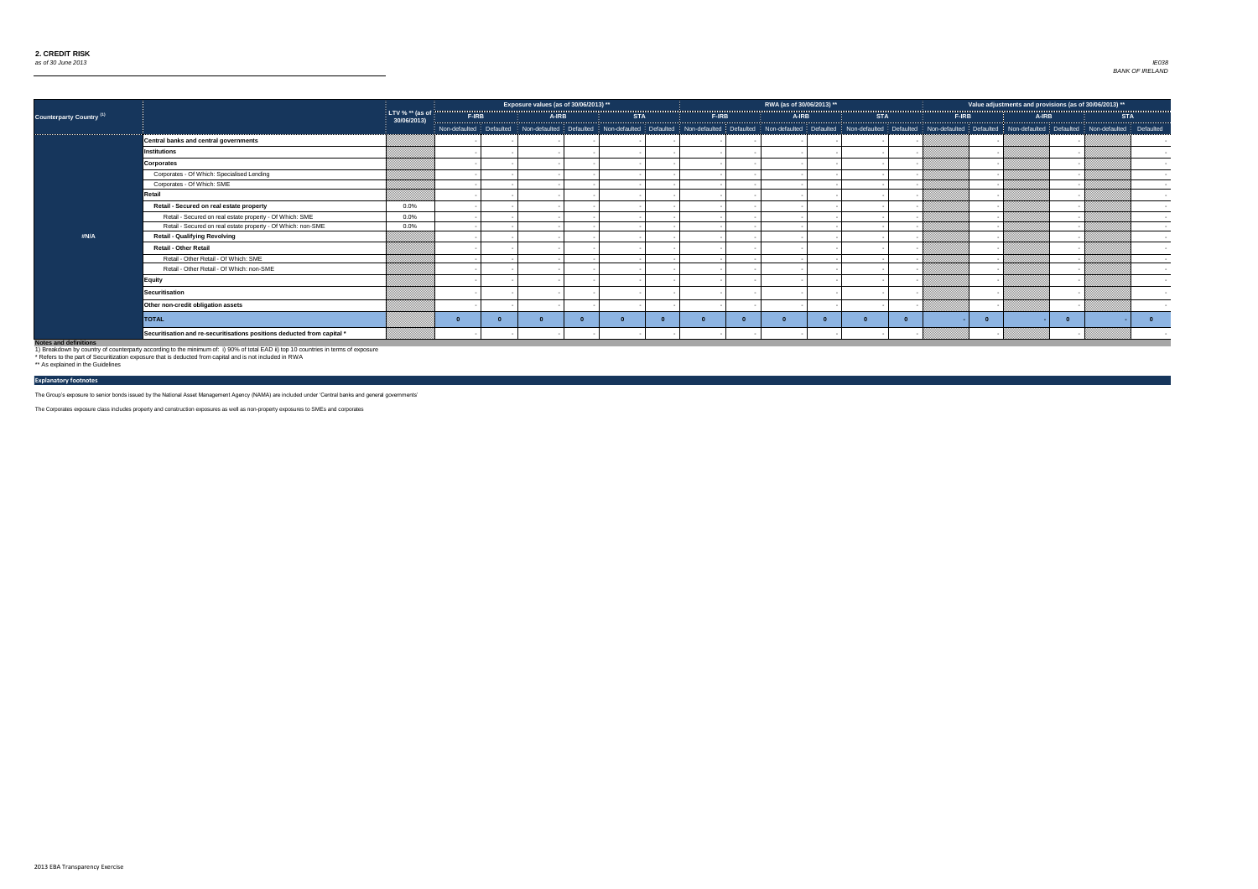

|                                 |                                                                         |                                          |       | Exposure values (as of 30/06/2013) ** |            |       | RWA (as of 30/06/2013) ** |                                                                                                                                                                                                                                |       |              | Value adjustments and provisions (as of 30/06/2013) ** |        |
|---------------------------------|-------------------------------------------------------------------------|------------------------------------------|-------|---------------------------------------|------------|-------|---------------------------|--------------------------------------------------------------------------------------------------------------------------------------------------------------------------------------------------------------------------------|-------|--------------|--------------------------------------------------------|--------|
| <b>Counterparty Country (1)</b> |                                                                         | LTV % $**$ (as of $\vert$<br>30/06/2013) | F-IRB | <b>A-IRB</b>                          | <b>STA</b> | F-IRB | <b>A-IRB</b>              | <b>STA</b>                                                                                                                                                                                                                     | F-IRB | <b>A-IRB</b> | <b>STA</b>                                             |        |
|                                 |                                                                         |                                          |       |                                       |            |       |                           | Non-defaulted Defaulted Non-defaulted Defaulted Non-defaulted Defaulted Non-defaulted Defaulted Non-defaulted Defaulted Non-defaulted Defaulted Non-defaulted Non-defaulted Non-defaulted Non-defaulted Non-defaulted Defaulte |       |              |                                                        |        |
|                                 | Central banks and central governments                                   |                                          |       |                                       |            |       |                           |                                                                                                                                                                                                                                |       |              |                                                        |        |
|                                 | <b>Institutions</b>                                                     |                                          |       |                                       |            |       |                           |                                                                                                                                                                                                                                |       |              |                                                        |        |
|                                 | <b>Corporates</b>                                                       |                                          |       |                                       |            |       |                           |                                                                                                                                                                                                                                |       |              |                                                        |        |
|                                 | Corporates - Of Which: Specialised Lending                              |                                          |       |                                       |            |       |                           |                                                                                                                                                                                                                                |       |              |                                                        | $\sim$ |
|                                 | Corporates - Of Which: SME                                              |                                          |       |                                       |            |       |                           |                                                                                                                                                                                                                                |       |              |                                                        | $\sim$ |
|                                 | Retail                                                                  |                                          |       |                                       |            |       |                           |                                                                                                                                                                                                                                |       |              |                                                        | $\sim$ |
|                                 | Retail - Secured on real estate property                                | $0.0\%$                                  |       |                                       |            |       |                           |                                                                                                                                                                                                                                |       |              |                                                        |        |
|                                 | Retail - Secured on real estate property - Of Which: SME                | $0.0\%$                                  |       |                                       |            |       |                           |                                                                                                                                                                                                                                |       |              |                                                        |        |
|                                 | Retail - Secured on real estate property - Of Which: non-SME            | $0.0\%$                                  |       |                                       |            |       |                           |                                                                                                                                                                                                                                |       |              |                                                        |        |
| #N/A                            | <b>Retail - Qualifying Revolving</b>                                    |                                          |       |                                       |            |       |                           |                                                                                                                                                                                                                                |       |              |                                                        |        |
|                                 | <b>Retail - Other Retail</b>                                            |                                          |       |                                       |            |       |                           |                                                                                                                                                                                                                                |       |              |                                                        |        |
|                                 | Retail - Other Retail - Of Which: SME                                   |                                          |       |                                       |            |       |                           |                                                                                                                                                                                                                                |       |              |                                                        | $\sim$ |
|                                 | Retail - Other Retail - Of Which: non-SME                               |                                          |       |                                       |            |       |                           |                                                                                                                                                                                                                                |       |              |                                                        | $\sim$ |
|                                 | <b>Equity</b>                                                           |                                          |       |                                       |            |       |                           |                                                                                                                                                                                                                                |       |              |                                                        |        |
|                                 | Securitisation                                                          |                                          |       |                                       |            |       |                           |                                                                                                                                                                                                                                |       |              |                                                        |        |
|                                 | Other non-credit obligation assets                                      |                                          |       |                                       |            |       |                           |                                                                                                                                                                                                                                |       |              |                                                        |        |
|                                 | <b>TOTAL</b>                                                            |                                          |       |                                       |            |       |                           |                                                                                                                                                                                                                                |       |              | $\Omega$                                               |        |
|                                 | Securitisation and re-securitisations positions deducted from capital * |                                          |       |                                       |            |       |                           |                                                                                                                                                                                                                                |       |              |                                                        |        |

The Group's exposure to senior bonds issued by the National Asset Management Agency (NAMA) are included under 'Central banks and general governments'

The Corporates exposure class includes property and construction exposures as well as non-property exposures to SMEs and corporates

## **Explanatory footnotes**

1) Breakdown by country of counterparty according to the minimum of: i) 90% of total EAD ii) top 10 countries in terms of exposure

\* Refers to the part of Securitization exposure that is deducted from capital and is not included in RWA \*\* As explained in the Guidelines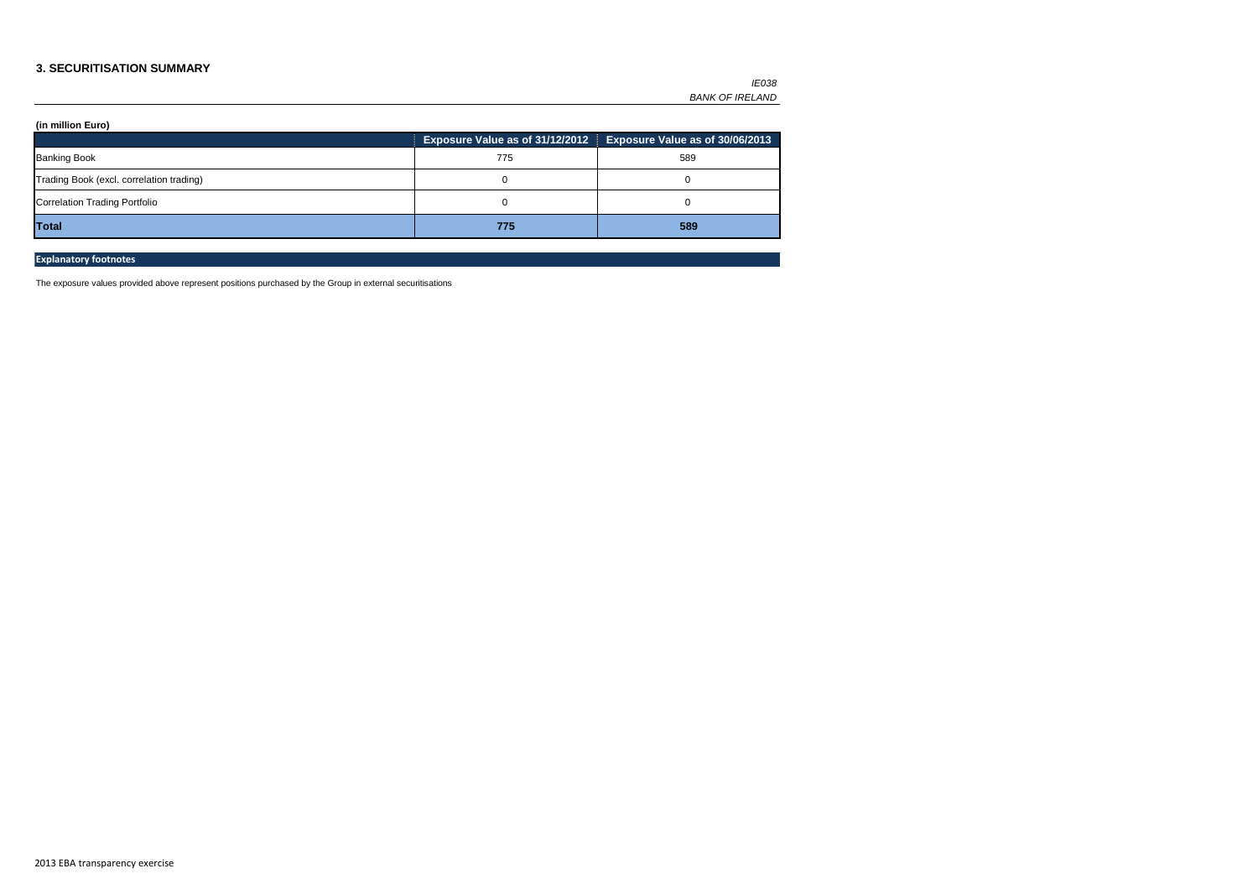### **3. SECURITISATION SUMMARY**

**(in million Euro)** 

|                                          |     | Exposure Value as of 31/12/2012 Exposure Value as of 30/06/2013 |
|------------------------------------------|-----|-----------------------------------------------------------------|
| <b>Banking Book</b>                      | 775 | 589                                                             |
| Trading Book (excl. correlation trading) |     |                                                                 |
| <b>Correlation Trading Portfolio</b>     |     |                                                                 |
| Total                                    | 775 | 589                                                             |

## **Explanatory footnotes**

The exposure values provided above represent positions purchased by the Group in external securitisations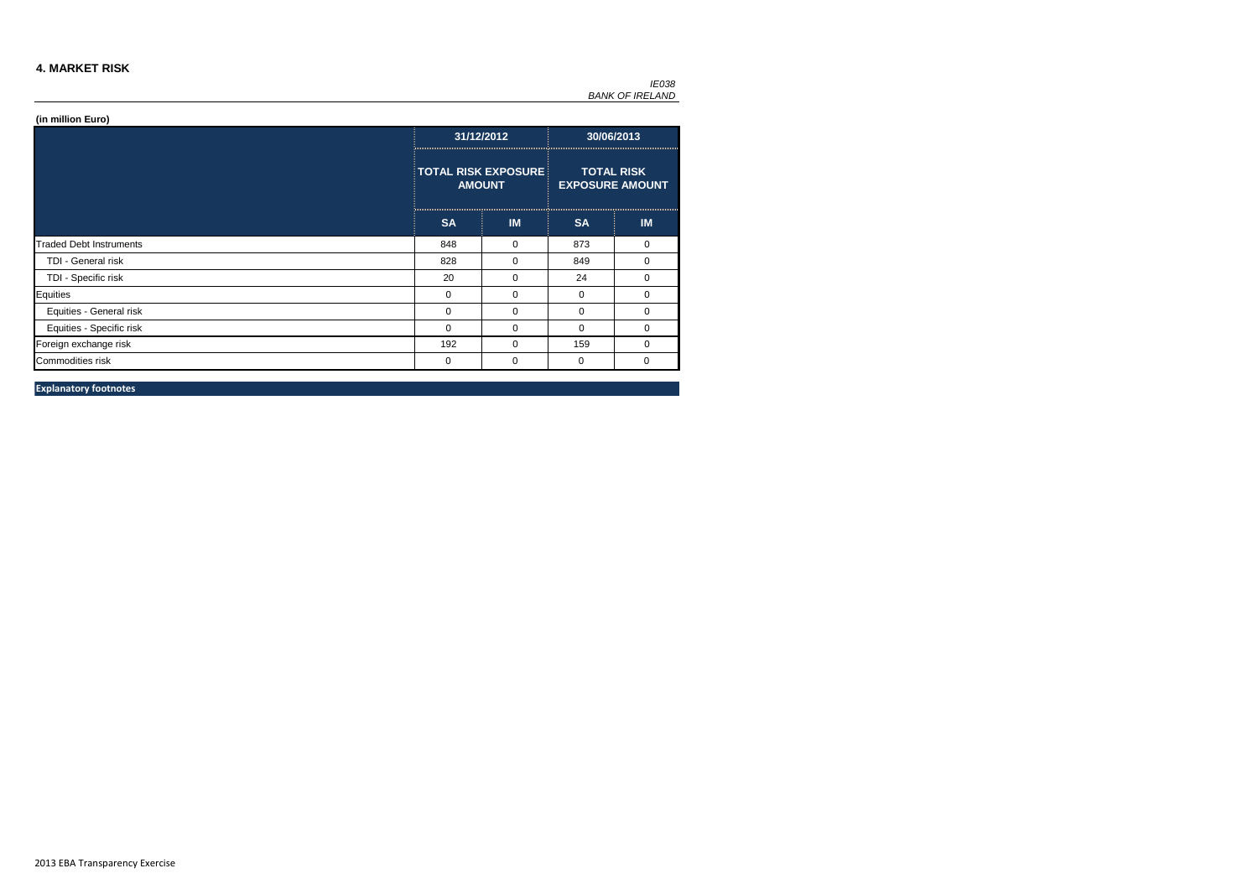### **4. MARKET RISK**

|                                |              | 31/12/2012                                  |           | 30/06/2013                                  |
|--------------------------------|--------------|---------------------------------------------|-----------|---------------------------------------------|
|                                |              | <b>TOTAL RISK EXPOSURE</b><br><b>AMOUNT</b> |           | <b>TOTAL RISK</b><br><b>EXPOSURE AMOUNT</b> |
|                                | <b>SA</b>    | IM                                          | <b>SA</b> | <b>IM</b>                                   |
| <b>Traded Debt Instruments</b> | 848          | 0                                           | 873       | 0                                           |
| TDI - General risk             | 828          | 0                                           | 849       | 0                                           |
| TDI - Specific risk            | 20           | 0                                           | 24        | 0                                           |
| Equities                       | $\mathbf{0}$ | 0                                           | $\Omega$  | 0                                           |
| Equities - General risk        | $\mathbf{0}$ | $\Omega$                                    | $\Omega$  | 0                                           |
| Equities - Specific risk       | $\mathbf{0}$ | 0                                           | 0         | 0                                           |
| Foreign exchange risk          | 192          | 0                                           | 159       | 0                                           |
| Commodities risk               | 0            | 0                                           | 0         | 0                                           |

**Explanatory footnotes**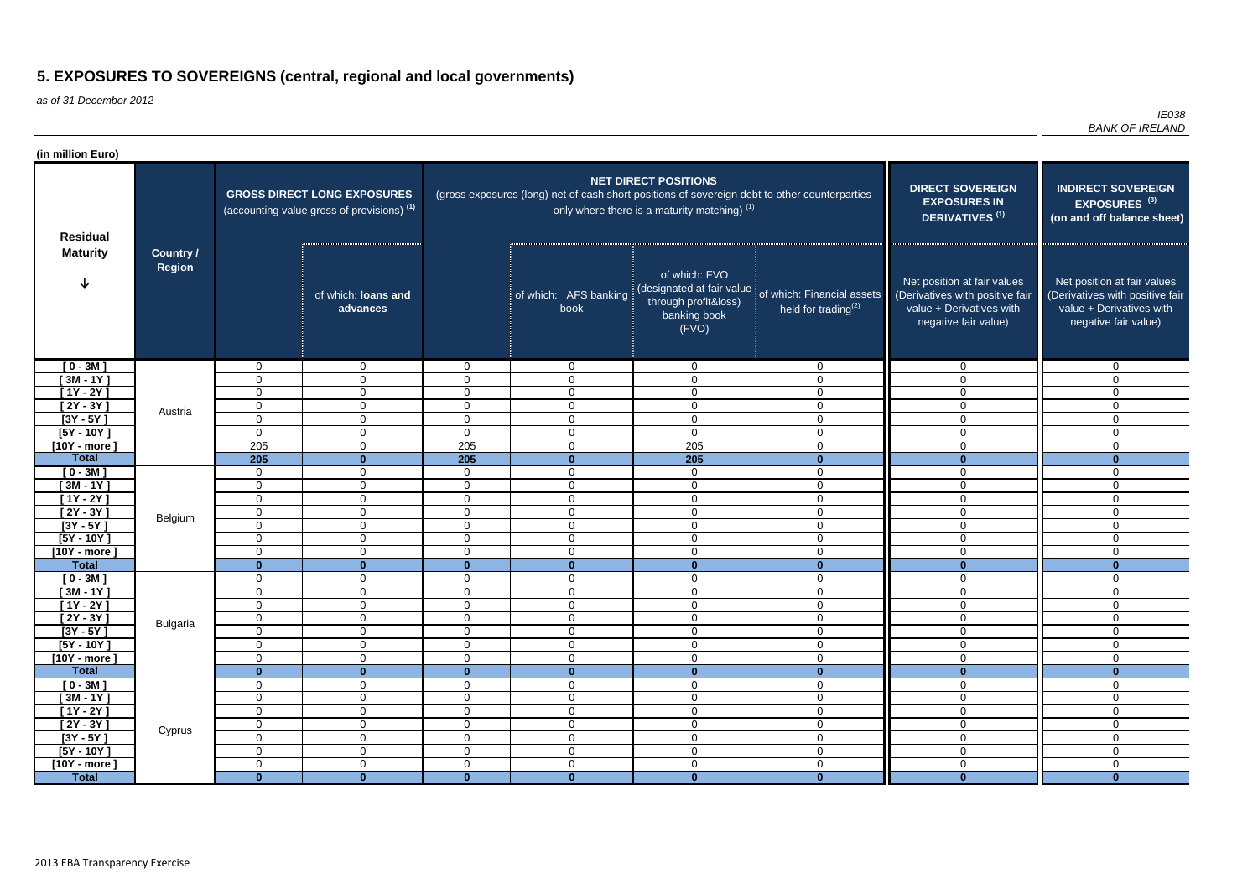as of 31 December 2012

| (in million Euro)           |                                   |                            |                                                                                             |                                  |                                                                                               |                                                                             |                                                                                |                                                                                                                    |                                                                                                                    |
|-----------------------------|-----------------------------------|----------------------------|---------------------------------------------------------------------------------------------|----------------------------------|-----------------------------------------------------------------------------------------------|-----------------------------------------------------------------------------|--------------------------------------------------------------------------------|--------------------------------------------------------------------------------------------------------------------|--------------------------------------------------------------------------------------------------------------------|
| <b>Residual</b>             |                                   |                            | <b>GROSS DIRECT LONG EXPOSURES</b><br>(accounting value gross of provisions) <sup>(1)</sup> |                                  | (gross exposures (long) net of cash short positions of sovereign debt to other counterparties | <b>NET DIRECT POSITIONS</b><br>only where there is a maturity matching) (1) |                                                                                | <b>DIRECT SOVEREIGN</b><br><b>EXPOSURES IN</b><br>DERIVATIVES <sup>(1)</sup>                                       | <b>INDIRECT SOVEREIGN</b><br>EXPOSURES <sup>(3)</sup><br>(on and off balance sheet)                                |
| <b>Maturity</b>             | <b>Country /</b><br><b>Region</b> |                            | of which: loans and<br>advances                                                             |                                  | of which: AFS banking<br>book                                                                 | of which: FVO<br>through profit&loss)<br>banking book<br>(FVO)              | (designated at fair value of which: Financial assets<br>held for trading $(2)$ | Net position at fair values<br>(Derivatives with positive fair<br>value + Derivatives with<br>negative fair value) | Net position at fair values<br>(Derivatives with positive fair<br>value + Derivatives with<br>negative fair value) |
| $[0 - 3M]$                  |                                   | $\mathbf 0$                | $\mathbf 0$                                                                                 | $\mathbf 0$                      | $\mathbf 0$                                                                                   | $\mathbf 0$                                                                 | $\mathbf 0$                                                                    | $\mathbf 0$                                                                                                        | $\mathbf 0$                                                                                                        |
| $[3M - 1Y]$                 |                                   | $\mathbf 0$                | $\overline{0}$                                                                              | $\mathbf 0$                      | $\mathbf 0$                                                                                   | $\mathbf 0$                                                                 | $\mathbf 0$                                                                    | $\Omega$                                                                                                           | $\mathbf 0$                                                                                                        |
| $[1Y - 2Y]$                 |                                   | $\mathbf 0$                | $\overline{0}$                                                                              | $\overline{0}$                   | $\overline{0}$                                                                                | $\mathbf 0$                                                                 | $\mathbf 0$                                                                    | $\Omega$                                                                                                           | $\mathbf 0$                                                                                                        |
| $[2Y - 3Y]$                 | Austria                           | $\mathbf 0$                | $\overline{0}$                                                                              | $\mathbf 0$                      | $\overline{0}$                                                                                | $\mathbf 0$                                                                 | $\overline{0}$                                                                 | 0                                                                                                                  | $\mathbf 0$                                                                                                        |
| $[3Y - 5Y]$<br>$[5Y - 10Y]$ |                                   | $\mathbf 0$<br>$\mathbf 0$ | $\mathbf 0$<br>$\mathbf 0$                                                                  | $\mathbf 0$<br>$\overline{0}$    | $\mathbf 0$<br>$\overline{0}$                                                                 | $\mathbf 0$<br>$\mathbf 0$                                                  | $\overline{0}$<br>$\overline{0}$                                               | $\Omega$<br>$\Omega$                                                                                               | $\overline{0}$<br>$\mathbf 0$                                                                                      |
| $[10Y - more]$              |                                   | 205                        | $\mathbf 0$                                                                                 | $\overline{205}$                 | $\mathbf 0$                                                                                   | 205                                                                         | $\overline{0}$                                                                 | $\Omega$                                                                                                           | $\overline{0}$                                                                                                     |
| <b>Total</b>                |                                   | 205                        | $\mathbf{0}$                                                                                | 205                              | $\mathbf{0}$                                                                                  | 205                                                                         | $\mathbf{0}$                                                                   | $\Omega$                                                                                                           | $\mathbf{0}$                                                                                                       |
| $[0 - 3M]$                  |                                   | $\mathbf 0$                | $\mathbf 0$                                                                                 | $\overline{0}$                   | $\overline{0}$                                                                                | $\mathbf 0$                                                                 | $\mathbf 0$                                                                    | $\Omega$                                                                                                           | $\overline{0}$                                                                                                     |
| $[3M - 1Y]$                 |                                   | $\mathbf 0$                | $\overline{0}$                                                                              | $\overline{0}$                   | $\overline{0}$                                                                                | $\mathbf 0$                                                                 | $\mathbf 0$                                                                    | $\Omega$                                                                                                           | $\overline{0}$                                                                                                     |
| $[1Y - 2Y]$                 |                                   | $\mathbf 0$                | $\overline{0}$                                                                              | $\mathbf 0$                      | $\mathbf 0$                                                                                   | $\mathbf 0$                                                                 | $\mathbf 0$                                                                    | $\Omega$                                                                                                           | $\overline{0}$                                                                                                     |
| $[2Y - 3Y]$                 | Belgium                           | $\mathbf 0$                | $\overline{0}$                                                                              | $\overline{0}$                   | $\overline{0}$                                                                                | $\mathbf 0$                                                                 | $\mathbf 0$                                                                    | $\Omega$                                                                                                           | $\mathbf 0$                                                                                                        |
| $[3Y - 5Y]$                 |                                   | $\mathbf 0$                | 0                                                                                           | $\overline{0}$                   | $\mathbf 0$                                                                                   | $\mathbf 0$                                                                 | $\mathbf 0$                                                                    | $\Omega$                                                                                                           | $\mathbf 0$                                                                                                        |
| $[5Y - 10Y]$                |                                   | $\mathbf 0$                | 0                                                                                           | $\mathbf 0$                      | $\mathbf 0$                                                                                   | $\mathbf 0$                                                                 | $\mathbf 0$                                                                    | $\Omega$                                                                                                           | $\mathbf 0$                                                                                                        |
| $[10Y - more]$              |                                   | $\mathbf 0$                | 0                                                                                           | 0                                | $\mathbf 0$                                                                                   | $\overline{0}$                                                              | $\mathbf 0$                                                                    | $\Omega$                                                                                                           | $\mathbf 0$                                                                                                        |
| <b>Total</b><br>$[0 - 3M]$  |                                   | $\bf{0}$<br>$\mathbf 0$    | $\mathbf{0}$<br>$\mathbf 0$                                                                 | $\mathbf{0}$<br>$\overline{0}$   | $\mathbf{0}$<br>$\mathbf 0$                                                                   | $\mathbf 0$<br>$\mathbf 0$                                                  | $\mathbf{0}$<br>$\overline{0}$                                                 | $\Omega$<br>$\Omega$                                                                                               | $\mathbf{0}$<br>$\mathbf 0$                                                                                        |
| $[3M - 1Y]$                 |                                   | $\mathbf 0$                | $\overline{0}$                                                                              | $\overline{0}$                   | $\mathbf 0$                                                                                   | $\mathbf 0$                                                                 | $\mathbf 0$                                                                    | $\Omega$                                                                                                           | $\mathbf 0$                                                                                                        |
| $[1Y - 2Y]$                 |                                   | $\mathbf 0$                | $\overline{0}$                                                                              | $\overline{0}$                   | $\overline{0}$                                                                                | $\mathbf 0$                                                                 | $\mathbf 0$                                                                    | $\mathbf{0}$                                                                                                       | $\mathbf 0$                                                                                                        |
| $[2Y - 3Y]$                 |                                   | $\mathbf 0$                | $\overline{0}$                                                                              | $\overline{0}$                   | $\mathbf 0$                                                                                   | $\mathbf 0$                                                                 | $\mathbf 0$                                                                    | $\Omega$                                                                                                           | $\mathbf 0$                                                                                                        |
| $[3Y - 5Y]$                 | Bulgaria                          | $\boldsymbol{0}$           | $\overline{0}$                                                                              | $\mathbf 0$                      | $\overline{0}$                                                                                | $\mathbf 0$                                                                 | $\mathbf 0$                                                                    | $\mathbf 0$                                                                                                        | $\overline{0}$                                                                                                     |
| $[5Y - 10Y]$                |                                   | $\mathbf 0$                | $\overline{0}$                                                                              | $\overline{0}$                   | $\overline{0}$                                                                                | $\overline{0}$                                                              | $\mathbf 0$                                                                    | 0                                                                                                                  | $\overline{0}$                                                                                                     |
| $[10Y - more]$              |                                   | $\mathbf 0$                | $\mathbf 0$                                                                                 | $\overline{0}$                   | $\overline{0}$                                                                                | $\overline{0}$                                                              | $\overline{0}$                                                                 | $\mathbf 0$                                                                                                        | $\overline{0}$                                                                                                     |
| <b>Total</b>                |                                   | $\overline{\mathbf{0}}$    | $\mathbf{0}$                                                                                | $\mathbf{0}$                     | $\mathbf{0}$                                                                                  | $\overline{\mathbf{0}}$                                                     | $\mathbf{0}$                                                                   | $\mathbf{0}$                                                                                                       | $\mathbf{0}$                                                                                                       |
| $[0 - 3M]$                  |                                   | $\boldsymbol{0}$           | $\overline{0}$                                                                              | $\overline{0}$                   | $\overline{0}$                                                                                | $\mathbf 0$                                                                 | $\overline{0}$                                                                 | $\mathbf 0$                                                                                                        | $\overline{0}$                                                                                                     |
| $[3M - 1Y]$                 |                                   | $\boldsymbol{0}$           | $\overline{0}$                                                                              | $\overline{0}$                   | $\overline{0}$                                                                                | $\boldsymbol{0}$                                                            | $\boldsymbol{0}$                                                               | $\overline{0}$                                                                                                     | $\overline{0}$                                                                                                     |
| $[1Y - 2Y]$<br>$[2Y - 3Y]$  |                                   | $\mathbf 0$<br>$\mathbf 0$ | $\overline{0}$<br>$\overline{0}$                                                            | $\overline{0}$<br>$\overline{0}$ | $\overline{0}$<br>$\overline{0}$                                                              | $\mathbf 0$<br>$\mathbf 0$                                                  | $\boldsymbol{0}$<br>$\mathbf 0$                                                | $\mathsf{O}\xspace$<br>$\mathbf 0$                                                                                 | $\boldsymbol{0}$<br>$\overline{0}$                                                                                 |
| $[3Y - 5Y]$                 | Cyprus                            | $\mathbf 0$                | $\overline{0}$                                                                              | $\overline{0}$                   | $\overline{0}$                                                                                | $\mathbf 0$                                                                 | $\mathbf 0$                                                                    | $\mathbf 0$                                                                                                        | $\mathbf 0$                                                                                                        |
| $[5Y - 10Y]$                |                                   | $\mathbf 0$                | $\overline{0}$                                                                              | $\overline{0}$                   | $\overline{0}$                                                                                | $\mathbf 0$                                                                 | $\mathbf 0$                                                                    | $\mathbf 0$                                                                                                        | $\mathbf 0$                                                                                                        |
| $[10Y - more]$              |                                   | $\mathbf 0$                | 0                                                                                           | $\overline{0}$                   | $\overline{0}$                                                                                | $\mathbf 0$                                                                 | $\mathbf 0$                                                                    | $\mathbf 0$                                                                                                        | $\mathbf 0$                                                                                                        |
| <b>Total</b>                |                                   | $\mathbf{0}$               | $\mathbf{0}$                                                                                | $\mathbf{0}$                     | $\mathbf{0}$                                                                                  | $\mathbf{0}$                                                                | $\mathbf{0}$                                                                   | $\mathbf{0}$                                                                                                       | $\mathbf{0}$                                                                                                       |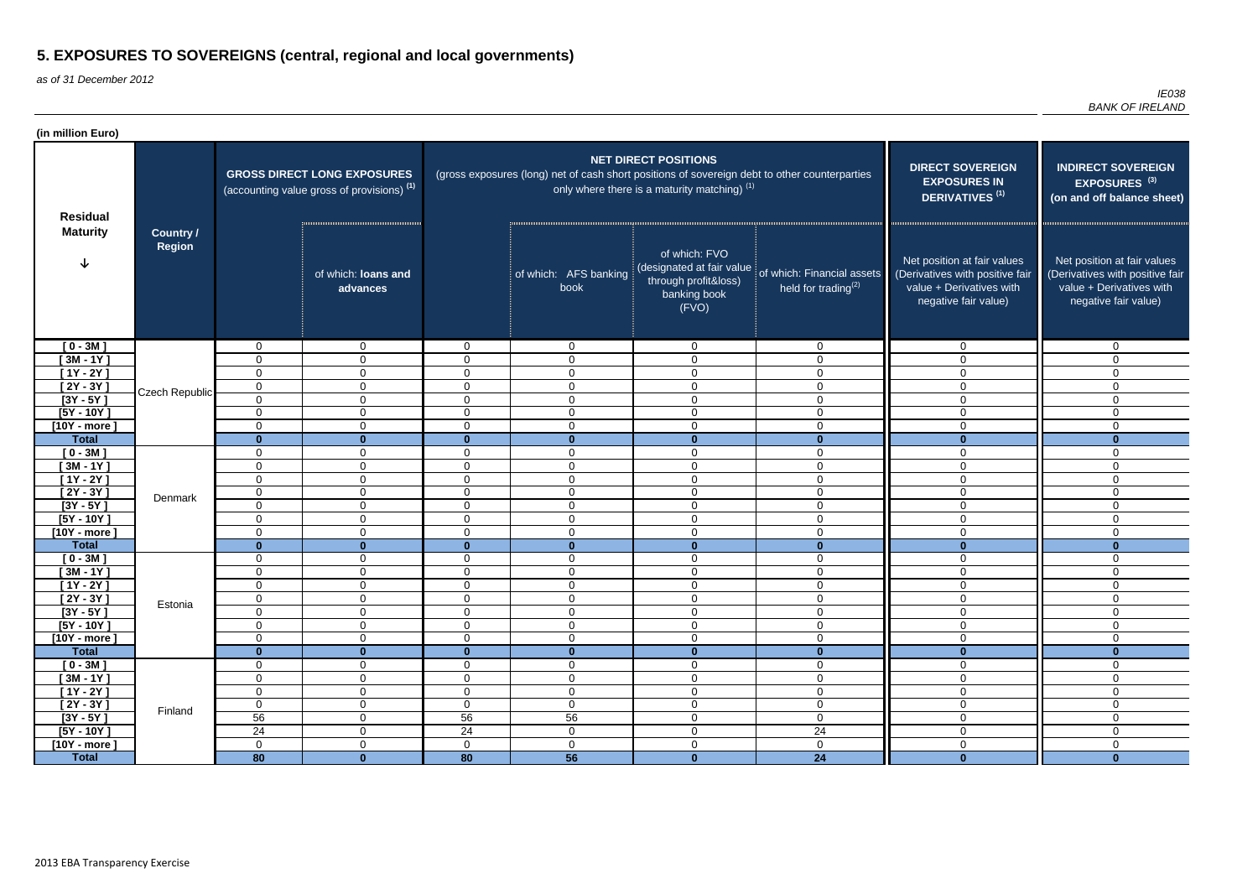as of 31 December 2012

| (in million Euro)              |                                   |                            |                                                                                             |                                  |                                                                                               |                                                                                             |                                                               |                                                                                                                    |                                                                                                                    |
|--------------------------------|-----------------------------------|----------------------------|---------------------------------------------------------------------------------------------|----------------------------------|-----------------------------------------------------------------------------------------------|---------------------------------------------------------------------------------------------|---------------------------------------------------------------|--------------------------------------------------------------------------------------------------------------------|--------------------------------------------------------------------------------------------------------------------|
| <b>Residual</b>                |                                   |                            | <b>GROSS DIRECT LONG EXPOSURES</b><br>(accounting value gross of provisions) <sup>(1)</sup> |                                  | (gross exposures (long) net of cash short positions of sovereign debt to other counterparties | <b>NET DIRECT POSITIONS</b><br>only where there is a maturity matching) $(1)$               |                                                               | <b>DIRECT SOVEREIGN</b><br><b>EXPOSURES IN</b><br><b>DERIVATIVES<sup>(1)</sup></b>                                 | <b>INDIRECT SOVEREIGN</b><br>EXPOSURES <sup>(3)</sup><br>(on and off balance sheet)                                |
| <b>Maturity</b>                | <b>Country /</b><br><b>Region</b> |                            | of which: loans and<br>advances                                                             |                                  | of which: AFS banking<br>book                                                                 | of which: FVO<br>(designated at fair value<br>through profit&loss)<br>banking book<br>(FVO) | of which: Financial assets<br>held for trading <sup>(2)</sup> | Net position at fair values<br>(Derivatives with positive fair<br>value + Derivatives with<br>negative fair value) | Net position at fair values<br>(Derivatives with positive fair<br>value + Derivatives with<br>negative fair value) |
| $[0 - 3M]$                     |                                   | $\mathbf 0$                | $\overline{0}$                                                                              | $\mathbf 0$                      | $\overline{0}$                                                                                | $\overline{0}$                                                                              | $\mathbf 0$                                                   | $\mathbf 0$                                                                                                        | $\Omega$                                                                                                           |
| $[3M - 1Y]$                    |                                   | $\mathbf 0$                | $\mathbf 0$                                                                                 | $\overline{0}$                   | $\Omega$                                                                                      | $\mathbf 0$                                                                                 | 0                                                             | $\Omega$                                                                                                           | $\Omega$                                                                                                           |
| $[1Y - 2Y]$                    |                                   | 0                          | $\mathbf 0$                                                                                 | $\overline{0}$                   | $\Omega$                                                                                      | $\mathbf 0$                                                                                 | $\mathbf 0$                                                   | 0                                                                                                                  | $\Omega$                                                                                                           |
| $[2Y - 3Y]$                    | Czech Republic                    | $\mathbf 0$                | $\mathbf{0}$                                                                                | $\mathbf 0$                      | 0                                                                                             | $\mathbf 0$                                                                                 | $\mathbf 0$                                                   | 0                                                                                                                  | $\Omega$                                                                                                           |
| $[3Y - 5Y]$                    |                                   | $\mathbf 0$                | $\mathbf 0$                                                                                 | $\overline{0}$                   | $\mathbf 0$                                                                                   | $\mathbf 0$                                                                                 | $\mathbf 0$                                                   | $\overline{0}$                                                                                                     | $\Omega$                                                                                                           |
| $[5Y - 10Y]$                   |                                   | $\mathbf 0$                | $\mathbf 0$                                                                                 | $\overline{0}$                   | $\mathbf 0$                                                                                   | $\overline{0}$                                                                              | $\overline{0}$                                                | $\mathbf 0$                                                                                                        | $\Omega$                                                                                                           |
| $[10Y - more]$                 |                                   | 0                          | $\mathbf 0$                                                                                 | $\mathbf 0$                      | $\mathbf 0$                                                                                   | $\mathbf 0$                                                                                 | $\mathbf 0$                                                   | 0                                                                                                                  | $\Omega$                                                                                                           |
| <b>Total</b>                   |                                   | $\mathbf{0}$               | $\bf{0}$                                                                                    | $\mathbf{0}$                     | $\bf{0}$                                                                                      | $\mathbf{0}$                                                                                | $\mathbf{0}$                                                  | $\mathbf{0}$                                                                                                       | $\bf{0}$                                                                                                           |
| $[0 - 3M]$                     |                                   | $\mathbf 0$                | $\overline{0}$                                                                              | $\overline{0}$                   | $\mathbf 0$                                                                                   | $\mathbf 0$                                                                                 | $\mathbf 0$                                                   | $\mathbf 0$                                                                                                        | $\mathbf{0}$                                                                                                       |
| $[3M - 1Y]$                    |                                   | $\mathbf 0$                | $\mathbf 0$                                                                                 | $\overline{0}$                   | $\mathbf 0$                                                                                   | $\mathbf 0$                                                                                 | $\mathbf 0$                                                   | $\mathbf 0$                                                                                                        | $\Omega$                                                                                                           |
| $[1Y - 2Y]$<br>$[2Y - 3Y]$     |                                   | $\mathbf 0$<br>$\mathbf 0$ | $\mathbf{0}$<br>$\mathbf 0$                                                                 | $\overline{0}$<br>$\overline{0}$ | $\overline{0}$<br>$\mathbf 0$                                                                 | $\overline{0}$<br>$\mathbf 0$                                                               | $\mathbf{0}$<br>$\mathbf 0$                                   | $\mathbf 0$<br>0                                                                                                   | $\Omega$<br>$\Omega$                                                                                               |
| $[3Y - 5Y]$                    | Denmark                           | $\mathbf 0$                | $\mathbf 0$                                                                                 | $\overline{0}$                   | $\overline{0}$                                                                                | $\overline{0}$                                                                              | $\overline{0}$                                                | 0                                                                                                                  | $\Omega$                                                                                                           |
| $[5Y - 10Y]$                   |                                   | $\mathbf 0$                | $\mathbf 0$                                                                                 | $\overline{0}$                   | $\overline{0}$                                                                                | $\overline{0}$                                                                              | $\overline{0}$                                                | $\mathbf 0$                                                                                                        | $\Omega$                                                                                                           |
| $[10Y - more]$                 |                                   | $\mathbf 0$                | $\mathbf{0}$                                                                                | $\overline{0}$                   | $\mathbf 0$                                                                                   | $\overline{0}$                                                                              | $\mathbf{0}$                                                  | $\mathbf 0$                                                                                                        | $\Omega$                                                                                                           |
| <b>Total</b>                   |                                   | $\mathbf{0}$               | $\bf{0}$                                                                                    | $\mathbf{0}$                     | $\bf{0}$                                                                                      | $\mathbf{0}$                                                                                | $\mathbf{0}$                                                  | $\mathbf{0}$                                                                                                       | $\bf{0}$                                                                                                           |
| $[0 - 3M]$                     |                                   | 0                          | $\mathbf 0$                                                                                 | $\mathbf 0$                      | $\mathbf 0$                                                                                   | $\mathbf 0$                                                                                 | $\overline{0}$                                                | $\overline{0}$                                                                                                     | $\mathbf{0}$                                                                                                       |
| $[3M - 1Y]$                    |                                   | $\mathbf 0$                | $\mathbf 0$                                                                                 | $\overline{0}$                   | $\mathbf 0$                                                                                   | $\mathbf 0$                                                                                 | $\mathbf 0$                                                   | $\overline{0}$                                                                                                     | 0                                                                                                                  |
| $[1Y - 2Y]$                    |                                   | $\mathbf 0$                | $\mathbf 0$                                                                                 | 0                                | $\mathbf 0$                                                                                   | $\mathbf 0$                                                                                 | 0                                                             | $\mathbf 0$                                                                                                        | 0                                                                                                                  |
| $[2Y - 3Y]$                    | Estonia                           | $\mathbf 0$                | 0                                                                                           | $\overline{0}$                   | $\overline{0}$                                                                                | $\mathbf 0$                                                                                 | 0                                                             | $\mathbf 0$                                                                                                        | $\Omega$                                                                                                           |
| $[3Y - 5Y]$                    |                                   | $\mathbf 0$                | $\mathbf 0$                                                                                 | $\mathbf 0$                      | 0                                                                                             | $\mathbf 0$                                                                                 | $\mathbf 0$                                                   | 0                                                                                                                  | 0                                                                                                                  |
| $[5Y - 10Y]$                   |                                   | $\mathbf 0$                | $\overline{0}$                                                                              | $\overline{0}$                   | $\overline{0}$                                                                                | $\overline{0}$                                                                              | $\mathbf 0$                                                   | $\overline{0}$                                                                                                     | $\Omega$                                                                                                           |
| $[10Y - more]$                 |                                   | $\mathbf 0$                | $\overline{0}$                                                                              | $\overline{0}$                   | $\overline{0}$                                                                                | $\overline{0}$                                                                              | $\mathbf 0$                                                   | $\mathbf 0$                                                                                                        | $\mathbf 0$                                                                                                        |
| <b>Total</b>                   |                                   | $\mathbf{0}$               | $\mathbf{0}$                                                                                | $\mathbf{0}$                     | $\mathbf{0}$                                                                                  | $\mathbf 0$                                                                                 | $\mathbf{0}$                                                  | $\mathbf{0}$                                                                                                       | $\bf{0}$                                                                                                           |
| $[0 - 3M]$                     |                                   | $\mathbf 0$                | $\mathbf 0$                                                                                 | $\overline{0}$                   | $\overline{0}$                                                                                | $\overline{0}$                                                                              | $\mathbf 0$                                                   | $\overline{0}$                                                                                                     | 0                                                                                                                  |
| $[3M - 1Y]$                    |                                   | $\mathbf 0$                | $\overline{0}$                                                                              | $\overline{0}$                   | $\overline{0}$                                                                                | $\overline{0}$                                                                              | $\mathbf 0$                                                   | $\overline{0}$                                                                                                     | $\mathbf 0$                                                                                                        |
| $[1Y - 2Y]$                    |                                   | $\mathbf 0$                | $\overline{0}$                                                                              | $\mathbf 0$                      | $\overline{0}$                                                                                | $\overline{0}$                                                                              | $\overline{0}$                                                | $\mathbf 0$                                                                                                        | $\mathbf 0$                                                                                                        |
| $[2Y - 3Y]$                    | $\mathbf 0$<br>Finland            |                            | $\mathbf 0$                                                                                 | $\overline{0}$                   | $\overline{0}$                                                                                | $\overline{0}$                                                                              | $\overline{0}$                                                | $\mathbf 0$                                                                                                        | $\mathbf 0$                                                                                                        |
| $[3Y - 5Y]$                    |                                   | 56                         | $\overline{0}$                                                                              | 56                               | 56                                                                                            | $\boldsymbol{0}$                                                                            | $\mathbf 0$<br>24                                             | $\mathbf 0$                                                                                                        | $\overline{0}$<br>$\Omega$                                                                                         |
| $[5Y - 10Y]$<br>$[10Y - more]$ |                                   | 24<br>$\overline{0}$       | $\overline{0}$<br>$\mathbf 0$                                                               | 24<br>$\overline{0}$             | $\overline{0}$<br>$\overline{0}$                                                              | $\overline{0}$<br>$\overline{0}$                                                            | $\mathbf 0$                                                   | $\overline{0}$<br>$\overline{0}$                                                                                   | $\mathbf 0$                                                                                                        |
| <b>Total</b>                   |                                   | $\overline{80}$            | $\mathbf{0}$                                                                                | 80                               | 56                                                                                            | $\mathbf{0}$                                                                                | 24                                                            | $\mathbf{0}$                                                                                                       | $\mathbf{0}$                                                                                                       |
|                                |                                   |                            |                                                                                             |                                  |                                                                                               |                                                                                             |                                                               |                                                                                                                    |                                                                                                                    |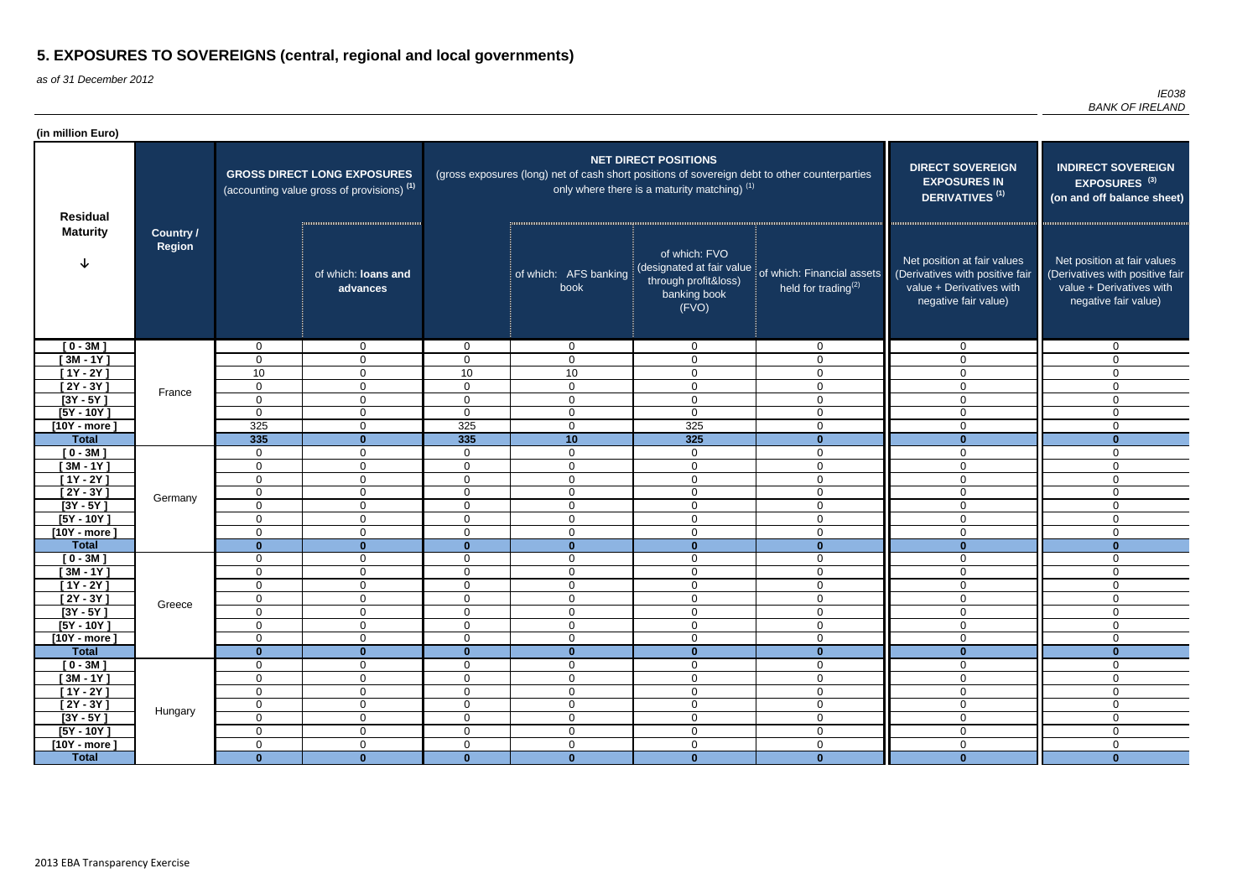as of 31 December 2012

| (in million Euro)          |                                   |                            |                                                                                             |                                  |                                                                                               |                                                                                            |                                                                                    |                                                                                                                    |                                                                                                                    |
|----------------------------|-----------------------------------|----------------------------|---------------------------------------------------------------------------------------------|----------------------------------|-----------------------------------------------------------------------------------------------|--------------------------------------------------------------------------------------------|------------------------------------------------------------------------------------|--------------------------------------------------------------------------------------------------------------------|--------------------------------------------------------------------------------------------------------------------|
| <b>Residual</b>            |                                   |                            | <b>GROSS DIRECT LONG EXPOSURES</b><br>(accounting value gross of provisions) <sup>(1)</sup> |                                  | (gross exposures (long) net of cash short positions of sovereign debt to other counterparties | <b>NET DIRECT POSITIONS</b><br>only where there is a maturity matching) <sup>(1)</sup>     | <b>DIRECT SOVEREIGN</b><br><b>EXPOSURES IN</b><br><b>DERIVATIVES<sup>(1)</sup></b> | <b>INDIRECT SOVEREIGN</b><br>EXPOSURES <sup>(3)</sup><br>(on and off balance sheet)                                |                                                                                                                    |
| <b>Maturity</b>            | <b>Country /</b><br><b>Region</b> |                            | of which: loans and<br>advances                                                             |                                  | of which: AFS banking<br>book                                                                 | of which: FVO<br>designated at fair value<br>through profit&loss)<br>banking book<br>(FVO) | of which: Financial assets<br>held for trading $(2)$                               | Net position at fair values<br>(Derivatives with positive fair<br>value + Derivatives with<br>negative fair value) | Net position at fair values<br>(Derivatives with positive fair<br>value + Derivatives with<br>negative fair value) |
| $[0 - 3M]$                 |                                   | $\mathbf{0}$               | $\mathbf{0}$                                                                                | $\overline{0}$                   | $\mathbf{0}$                                                                                  | $\overline{0}$                                                                             | $\overline{0}$                                                                     | 0                                                                                                                  | $\Omega$                                                                                                           |
| $[3M - 1Y]$                |                                   | $\mathbf 0$                | $\mathbf 0$                                                                                 | $\overline{0}$                   | $\mathbf 0$                                                                                   | $\mathbf 0$                                                                                | $\mathbf 0$                                                                        | $\overline{0}$                                                                                                     | 0                                                                                                                  |
| $[1Y - 2Y]$                |                                   | 10                         | $\overline{0}$                                                                              | 10                               | 10                                                                                            | $\mathbf 0$                                                                                | $\mathbf 0$                                                                        | $\mathbf 0$                                                                                                        | $\mathbf{0}$                                                                                                       |
| $[2Y - 3Y]$                | France                            | $\mathbf 0$                | $\mathbf 0$                                                                                 | $\overline{0}$                   | $\overline{0}$                                                                                | $\mathbf 0$                                                                                | $\mathbf 0$                                                                        | 0                                                                                                                  | $\Omega$                                                                                                           |
| $[3Y - 5Y]$                |                                   | $\mathbf 0$                | 0                                                                                           | $\mathbf 0$                      | $\overline{0}$                                                                                | $\mathbf 0$                                                                                | $\mathbf 0$                                                                        | 0                                                                                                                  | $\Omega$                                                                                                           |
| $[5Y - 10Y]$               |                                   | 0                          | $\mathbf 0$                                                                                 | $\overline{0}$                   | $\mathbf 0$                                                                                   | $\overline{0}$                                                                             | $\mathbf 0$                                                                        | $\mathbf 0$                                                                                                        | $\Omega$                                                                                                           |
| $[10Y - more]$             |                                   | 325                        | $\mathbf 0$                                                                                 | 325                              | $\overline{0}$                                                                                | 325                                                                                        | $\mathbf 0$                                                                        | $\Omega$                                                                                                           | $\Omega$                                                                                                           |
| <b>Total</b>               |                                   | 335<br>$\mathbf 0$         | $\mathbf{0}$<br>$\overline{0}$                                                              | 335<br>$\overline{0}$            | 10<br>$\mathbf 0$                                                                             | $\overline{325}$<br>$\mathbf 0$                                                            | $\mathbf{0}$<br>$\Omega$                                                           | $\mathbf{0}$                                                                                                       | $\Omega$<br>$\Omega$                                                                                               |
| $[0 - 3M]$<br>$[3M - 1Y]$  |                                   | $\mathbf 0$                | $\overline{0}$                                                                              | $\overline{0}$                   | $\mathbf 0$                                                                                   | $\mathbf 0$                                                                                | $\mathbf 0$                                                                        | 0<br>$\mathbf 0$                                                                                                   | $\Omega$                                                                                                           |
| $[1Y - 2Y]$                |                                   | $\mathbf 0$                | $\mathbf 0$                                                                                 | $\overline{0}$                   | $\mathbf 0$                                                                                   | $\mathbf 0$                                                                                | $\overline{0}$                                                                     | 0                                                                                                                  | $\mathbf{0}$                                                                                                       |
| $[2Y - 3Y]$                |                                   | $\mathbf 0$                | $\overline{0}$                                                                              | $\overline{0}$                   | $\mathbf 0$                                                                                   | $\mathbf 0$                                                                                | $\mathbf 0$                                                                        | $\mathbf 0$                                                                                                        | $\Omega$                                                                                                           |
| $[3Y - 5Y]$                | Germany                           | $\mathbf 0$                | $\mathbf 0$                                                                                 | $\overline{0}$                   | $\mathbf 0$                                                                                   | $\mathbf 0$                                                                                | 0                                                                                  | $\Omega$                                                                                                           | $\Omega$                                                                                                           |
| $[5Y - 10Y]$               |                                   | 0                          | $\mathbf 0$                                                                                 | $\overline{0}$                   | $\overline{0}$                                                                                | $\mathbf 0$                                                                                | $\mathbf{0}$                                                                       | 0                                                                                                                  | $\Omega$                                                                                                           |
| $[10Y - more]$             |                                   | $\mathbf 0$                | $\mathbf{0}$                                                                                | $\mathbf 0$                      | $\mathbf 0$                                                                                   | $\overline{0}$                                                                             | $\mathbf{0}$                                                                       | 0                                                                                                                  | $\Omega$                                                                                                           |
| <b>Total</b>               |                                   | $\mathbf{0}$               | $\bf{0}$                                                                                    | $\mathbf{0}$                     | $\bf{0}$                                                                                      | $\mathbf{0}$                                                                               | $\bf{0}$                                                                           | $\mathbf{0}$                                                                                                       | $\bf{0}$                                                                                                           |
| $[0 - 3M]$                 |                                   | $\mathbf 0$                | $\mathbf 0$                                                                                 | $\overline{0}$                   | $\overline{0}$                                                                                | $\overline{0}$                                                                             | $\overline{0}$                                                                     | $\overline{0}$                                                                                                     | $\mathbf{0}$                                                                                                       |
| $[3M - 1Y]$                |                                   | $\mathbf 0$                | $\mathbf 0$                                                                                 | $\overline{0}$                   | $\overline{0}$                                                                                | $\overline{0}$                                                                             | $\overline{0}$                                                                     | $\overline{0}$                                                                                                     | $\Omega$                                                                                                           |
| $[1Y - 2Y]$                |                                   | $\mathbf 0$                | 0                                                                                           | $\overline{0}$                   | $\mathbf 0$                                                                                   | $\mathbf 0$                                                                                | 0                                                                                  | $\mathbf 0$                                                                                                        | 0                                                                                                                  |
| $[2Y - 3Y]$                | Greece                            | $\mathbf 0$                | $\Omega$                                                                                    | $\overline{0}$                   | $\Omega$                                                                                      | $\boldsymbol{0}$                                                                           | $\Omega$                                                                           | $\Omega$                                                                                                           | $\Omega$                                                                                                           |
| $[3Y - 5Y]$                |                                   | 0                          | $\overline{0}$                                                                              | $\overline{0}$                   | $\overline{0}$                                                                                | $\mathbf 0$                                                                                | $\mathbf 0$                                                                        | $\mathbf 0$                                                                                                        | $\Omega$                                                                                                           |
| $[5Y - 10Y]$               |                                   | $\mathbf 0$                | $\overline{0}$                                                                              | $\overline{0}$                   | $\overline{0}$                                                                                | $\mathbf 0$                                                                                | $\mathbf 0$                                                                        | $\overline{0}$                                                                                                     | 0                                                                                                                  |
| $[10Y - more]$             |                                   | $\mathbf 0$                | $\overline{0}$                                                                              | $\overline{0}$                   | $\overline{0}$                                                                                | $\boldsymbol{0}$                                                                           | $\overline{0}$                                                                     | $\mathbf 0$                                                                                                        | $\mathbf 0$                                                                                                        |
| <b>Total</b>               |                                   | $\mathbf{0}$               | $\mathbf{0}$                                                                                | $\mathbf{0}$                     | $\bf{0}$                                                                                      | $\mathbf 0$                                                                                | $\mathbf{0}$                                                                       | $\mathbf{0}$                                                                                                       | $\bf{0}$                                                                                                           |
| $[0 - 3M]$                 |                                   | $\mathbf 0$                | $\overline{0}$                                                                              | $\overline{0}$                   | $\overline{0}$                                                                                | $\overline{0}$                                                                             | $\overline{0}$                                                                     | $\overline{0}$                                                                                                     | $\mathbf{0}$                                                                                                       |
| $[3M - 1Y]$<br>$[1Y - 2Y]$ |                                   | $\mathbf 0$<br>$\mathbf 0$ | $\overline{0}$<br>$\overline{0}$                                                            | $\overline{0}$<br>$\overline{0}$ | $\overline{0}$<br>$\overline{0}$                                                              | $\overline{0}$<br>$\overline{0}$                                                           | $\overline{0}$<br>$\overline{0}$                                                   | $\overline{0}$<br>$\overline{0}$                                                                                   | 0<br>$\mathbf 0$                                                                                                   |
| $[2Y - 3Y]$                |                                   | $\mathbf 0$                | $\overline{0}$                                                                              | $\overline{0}$                   | $\overline{0}$                                                                                | $\boldsymbol{0}$                                                                           | $\overline{0}$                                                                     | $\overline{0}$                                                                                                     | $\mathbf 0$                                                                                                        |
| $[3Y - 5Y]$                | Hungary                           | $\mathbf 0$                | $\overline{0}$                                                                              | $\overline{0}$                   | $\overline{0}$                                                                                | $\overline{0}$                                                                             | $\overline{0}$                                                                     | $\overline{0}$                                                                                                     | $\mathbf 0$                                                                                                        |
| $[5Y - 10Y]$               |                                   | $\mathbf 0$                | $\mathbf 0$                                                                                 | $\overline{0}$                   | $\mathbf 0$                                                                                   | $\overline{0}$                                                                             | $\overline{0}$                                                                     | $\mathbf 0$                                                                                                        | $\mathbf 0$                                                                                                        |
| $[10Y - more]$             |                                   | $\mathbf 0$                | $\overline{0}$                                                                              | $\overline{0}$                   | $\mathbf 0$                                                                                   | $\boldsymbol{0}$                                                                           | $\mathbf 0$                                                                        | $\mathbf 0$                                                                                                        | 0                                                                                                                  |
| <b>Total</b>               |                                   | $\mathbf{0}$               | $\mathbf{0}$                                                                                | $\mathbf{0}$                     | $\mathbf{0}$                                                                                  | $\mathbf{0}$                                                                               | $\mathbf{0}$                                                                       | $\mathbf{0}$                                                                                                       | $\mathbf{0}$                                                                                                       |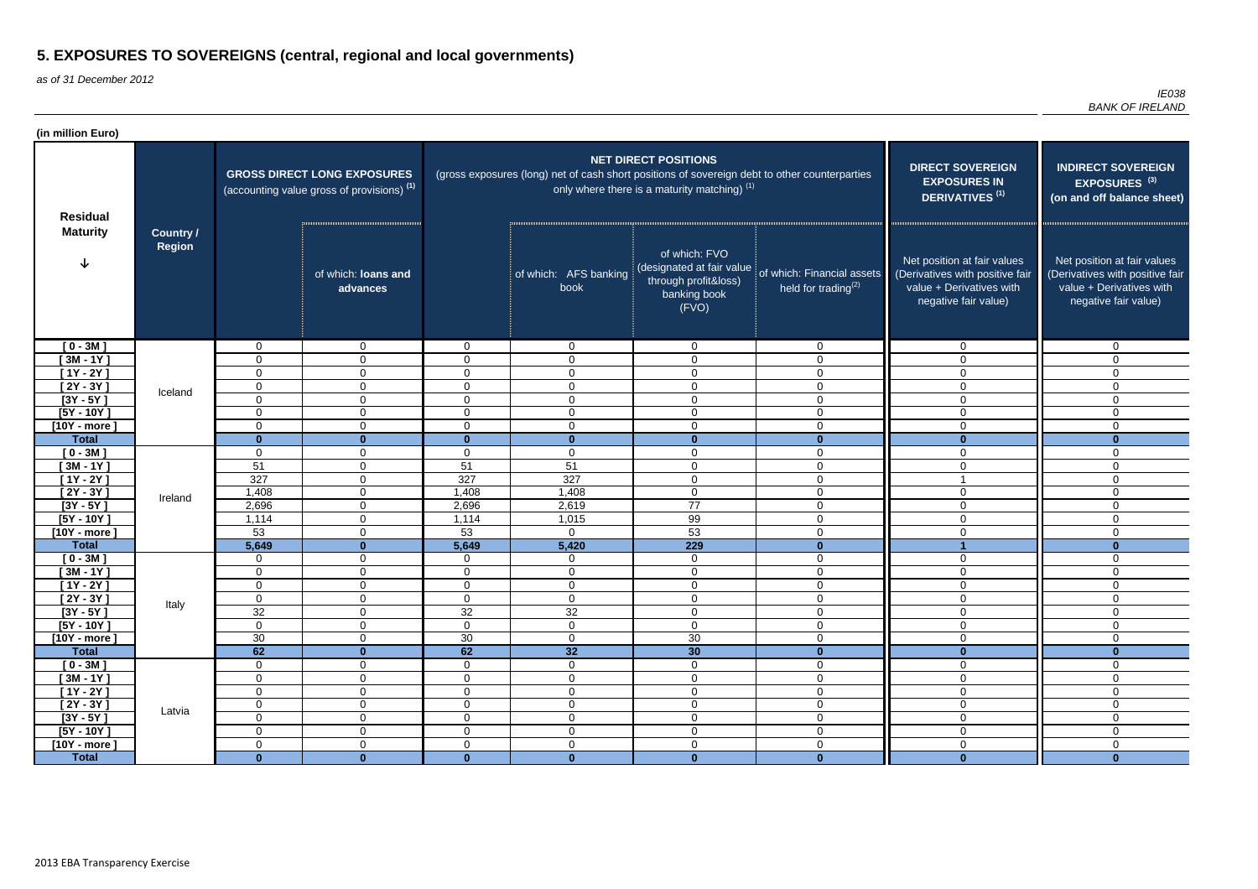as of 31 December 2012

| (in million Euro)         |                                   |                      |                                                                                             |                |                                                                                               |                                                                                            |                                                                                    |                                                                                                                    |                                                                                                                    |
|---------------------------|-----------------------------------|----------------------|---------------------------------------------------------------------------------------------|----------------|-----------------------------------------------------------------------------------------------|--------------------------------------------------------------------------------------------|------------------------------------------------------------------------------------|--------------------------------------------------------------------------------------------------------------------|--------------------------------------------------------------------------------------------------------------------|
| <b>Residual</b>           |                                   |                      | <b>GROSS DIRECT LONG EXPOSURES</b><br>(accounting value gross of provisions) <sup>(1)</sup> |                | (gross exposures (long) net of cash short positions of sovereign debt to other counterparties | <b>NET DIRECT POSITIONS</b><br>only where there is a maturity matching) $(1)$              | <b>DIRECT SOVEREIGN</b><br><b>EXPOSURES IN</b><br><b>DERIVATIVES<sup>(1)</sup></b> | <b>INDIRECT SOVEREIGN</b><br>EXPOSURES <sup>(3)</sup><br>(on and off balance sheet)                                |                                                                                                                    |
| <b>Maturity</b>           | <b>Country /</b><br><b>Region</b> |                      | of which: loans and<br>advances                                                             |                | of which: AFS banking<br>book                                                                 | of which: FVO<br>designated at fair value<br>through profit&loss)<br>banking book<br>(FVO) | of which: Financial assets<br>held for trading <sup>(2)</sup>                      | Net position at fair values<br>(Derivatives with positive fair<br>value + Derivatives with<br>negative fair value) | Net position at fair values<br>(Derivatives with positive fair<br>value + Derivatives with<br>negative fair value) |
| $[0 - 3M]$                |                                   | 0                    | $\overline{0}$                                                                              | $\overline{0}$ | $\overline{0}$                                                                                | $\mathbf{0}$                                                                               | $\overline{0}$                                                                     | 0                                                                                                                  | $\mathbf 0$                                                                                                        |
| $[3M - 1Y]$               |                                   | 0                    | $\overline{0}$                                                                              | $\mathbf 0$    | $\mathbf 0$                                                                                   | $\mathbf 0$                                                                                | $\mathbf 0$                                                                        | $\overline{0}$                                                                                                     | 0                                                                                                                  |
| $[1Y - 2Y]$               |                                   | $\mathbf 0$          | $\mathbf 0$                                                                                 | $\overline{0}$ | $\mathbf 0$                                                                                   | $\mathbf 0$                                                                                | $\overline{0}$                                                                     | $\mathbf 0$                                                                                                        | $\mathbf{0}$                                                                                                       |
| $[2Y - 3Y]$               | Iceland                           | $\mathbf 0$          | 0                                                                                           | 0              | $\mathbf 0$                                                                                   | $\mathbf 0$                                                                                | $\mathbf 0$                                                                        | 0                                                                                                                  | $\Omega$                                                                                                           |
| $[3Y - 5Y]$               |                                   | $\Omega$             | 0                                                                                           | $\mathbf{0}$   | 0                                                                                             | $\mathbf 0$                                                                                | $\mathbf{0}$                                                                       | 0                                                                                                                  | $\Omega$                                                                                                           |
| $[5Y - 10Y]$              |                                   | $\Omega$             | $\mathbf 0$                                                                                 | $\mathbf{0}$   | $\mathbf 0$                                                                                   | $\mathbf 0$                                                                                | $\mathbf 0$                                                                        | $\mathbf 0$                                                                                                        | $\Omega$                                                                                                           |
| $[10Y - more]$            |                                   | $\Omega$             | 0                                                                                           | $\mathbf{0}$   | 0                                                                                             | $\mathbf 0$                                                                                | $\mathbf 0$                                                                        | 0                                                                                                                  | $\Omega$                                                                                                           |
| <b>Total</b>              |                                   | $\mathbf{0}$         | $\mathbf{0}$                                                                                | $\mathbf{0}$   | $\bf{0}$                                                                                      | $\mathbf{0}$                                                                               | $\mathbf{0}$                                                                       | $\mathbf{0}$                                                                                                       | $\Omega$<br>$\Omega$                                                                                               |
| $[0 - 3M]$<br>$[3M - 1Y]$ |                                   | $\overline{0}$<br>51 | $\Omega$<br>$\overline{0}$                                                                  | 0<br>51        | $\Omega$<br>51                                                                                | $\mathbf 0$<br>$\mathbf 0$                                                                 | 0<br>$\overline{0}$                                                                | 0<br>0                                                                                                             | $\Omega$                                                                                                           |
| $[1Y - 2Y]$               |                                   | 327                  | $\overline{0}$                                                                              | 327            | 327                                                                                           | $\mathbf 0$                                                                                | $\mathbf 0$                                                                        |                                                                                                                    | $\mathbf{0}$                                                                                                       |
| $[2Y - 3Y]$               |                                   | 1,408                | $\overline{0}$                                                                              | 1,408          | 1,408                                                                                         | $\overline{0}$                                                                             | $\overline{0}$                                                                     | $\mathbf 0$                                                                                                        | $\Omega$                                                                                                           |
| $[3Y - 5Y]$               | Ireland                           | 2,696                | $\mathbf 0$                                                                                 | 2,696          | 2,619                                                                                         | 77                                                                                         | $\mathbf 0$                                                                        | 0                                                                                                                  | $\Omega$                                                                                                           |
| $[5Y - 10Y]$              |                                   | 1,114                | 0                                                                                           | 1,114          | 1,015                                                                                         | 99                                                                                         | $\mathbf 0$                                                                        | 0                                                                                                                  | $\Omega$                                                                                                           |
| $[10Y - more]$            |                                   | 53                   | $\overline{0}$                                                                              | 53             | $\mathbf{0}$                                                                                  | 53                                                                                         | $\mathbf 0$                                                                        | 0                                                                                                                  | $\Omega$                                                                                                           |
| <b>Total</b>              |                                   | 5,649                | $\mathbf{0}$                                                                                | 5,649          | 5,420                                                                                         | 229                                                                                        | $\mathbf{0}$                                                                       |                                                                                                                    | $\mathbf{0}$                                                                                                       |
| $[0 - 3M]$                |                                   | $\mathbf 0$          | $\overline{0}$                                                                              | $\mathbf{0}$   | $\overline{0}$                                                                                | $\overline{0}$                                                                             | $\mathbf 0$                                                                        | $\overline{0}$                                                                                                     | $\mathbf{0}$                                                                                                       |
| $[3M - 1Y]$               |                                   | $\mathbf 0$          | 0                                                                                           | 0              | $\mathbf 0$                                                                                   | $\overline{0}$                                                                             | $\mathbf 0$                                                                        | $\overline{0}$                                                                                                     | $\Omega$                                                                                                           |
| $[1Y - 2Y]$               |                                   | $\mathbf 0$          | 0                                                                                           | $\mathbf{0}$   | $\mathbf 0$                                                                                   | $\mathbf 0$                                                                                | 0                                                                                  | $\mathbf 0$                                                                                                        | 0                                                                                                                  |
| $[2Y - 3Y]$               |                                   | $\pmb{0}$            | 0                                                                                           | 0              | $\overline{0}$                                                                                | $\mathbf 0$                                                                                | $\Omega$                                                                           | $\Omega$                                                                                                           | $\Omega$                                                                                                           |
| $[3Y - 5Y]$               | Italy                             | 32                   | $\mathbf 0$                                                                                 | 32             | 32                                                                                            | $\mathbf 0$                                                                                | $\overline{0}$                                                                     | $\mathbf 0$                                                                                                        | $\Omega$                                                                                                           |
| $[5Y - 10Y]$              |                                   | $\mathbf 0$          | $\overline{0}$                                                                              | $\overline{0}$ | $\overline{0}$                                                                                | $\overline{0}$                                                                             | $\overline{0}$                                                                     | $\overline{0}$                                                                                                     | $\overline{0}$                                                                                                     |
| $[10Y - more]$            |                                   | $30\,$               | $\overline{0}$                                                                              | 30             | $\overline{0}$                                                                                | $30\,$                                                                                     | $\mathbf 0$                                                                        | $\mathbf 0$                                                                                                        | $\mathbf 0$                                                                                                        |
| <b>Total</b>              |                                   | 62                   | $\mathbf{0}$                                                                                | 62             | 32                                                                                            | 30                                                                                         | $\mathbf{0}$                                                                       | $\mathbf{0}$                                                                                                       | $\mathbf{0}$                                                                                                       |
| $[0 - 3M]$                |                                   | $\mathbf 0$          | $\overline{0}$                                                                              | $\overline{0}$ | $\overline{0}$                                                                                | $\overline{0}$                                                                             | $\mathbf 0$                                                                        | $\overline{0}$                                                                                                     | 0                                                                                                                  |
| $[3M - 1Y]$               |                                   | $\mathbf 0$          | $\overline{0}$                                                                              | $\overline{0}$ | $\overline{0}$                                                                                | $\mathbf 0$                                                                                | $\overline{0}$                                                                     | $\overline{0}$                                                                                                     | $\mathbf 0$                                                                                                        |
| $[1Y - 2Y]$               |                                   | $\mathbf 0$          | $\overline{0}$                                                                              | $\mathbf 0$    | $\overline{0}$                                                                                | $\overline{0}$                                                                             | $\mathbf 0$                                                                        | $\overline{0}$                                                                                                     | $\mathbf 0$                                                                                                        |
| $[2Y - 3Y]$               | Latvia                            | $\mathbf 0$          | $\overline{0}$                                                                              | $\mathbf{0}$   | $\overline{0}$                                                                                | $\boldsymbol{0}$                                                                           | $\mathbf 0$                                                                        | $\overline{0}$                                                                                                     | $\mathbf 0$                                                                                                        |
| $[3Y - 5Y]$               |                                   | $\mathbf 0$          | $\overline{0}$                                                                              | $\mathbf 0$    | $\overline{0}$                                                                                | $\mathbf 0$                                                                                | $\mathbf 0$                                                                        | $\overline{0}$                                                                                                     | $\mathbf 0$                                                                                                        |
| $[5Y - 10Y]$              |                                   | $\mathsf 0$          | $\overline{0}$                                                                              | 0              | $\overline{0}$                                                                                | $\mathbf 0$                                                                                | $\overline{0}$                                                                     | $\overline{0}$                                                                                                     | $\mathbf 0$                                                                                                        |
| $[10Y - more]$            |                                   | $\mathbf 0$          | $\overline{0}$                                                                              | $\mathbf{0}$   | 0                                                                                             | $\mathbf 0$                                                                                | $\mathbf 0$                                                                        | $\mathbf 0$                                                                                                        | 0                                                                                                                  |
| <b>Total</b>              |                                   | $\mathbf{0}$         | $\mathbf{0}$                                                                                | $\mathbf{0}$   | $\mathbf{0}$                                                                                  | $\mathbf{0}$                                                                               | $\mathbf{0}$                                                                       | $\mathbf{0}$                                                                                                       | $\mathbf{0}$                                                                                                       |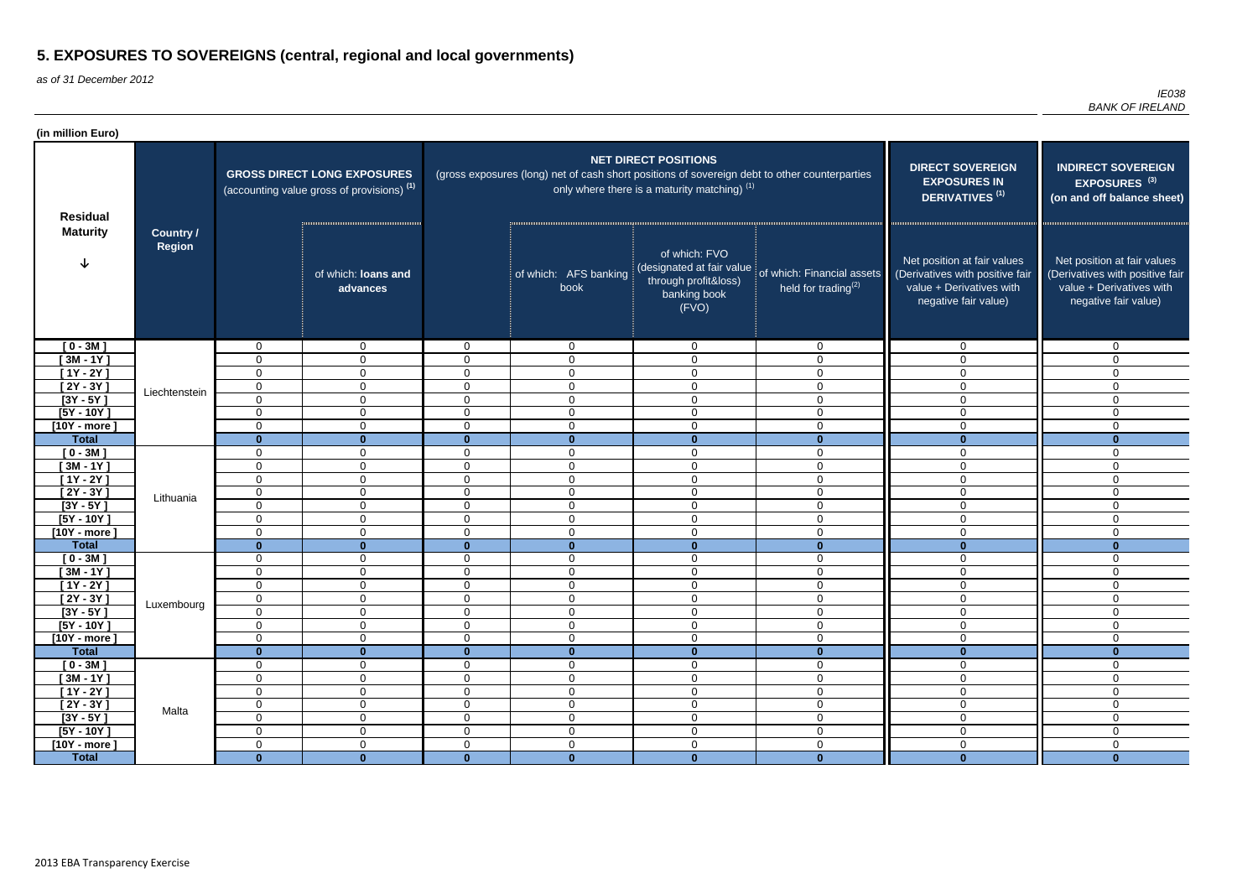as of 31 December 2012

| (in million Euro)          |               |                  |                                                                                             |                                  |                                                                                               |                                                                                             |                                                                                    |                                                                                                                    |                                                                                                                    |
|----------------------------|---------------|------------------|---------------------------------------------------------------------------------------------|----------------------------------|-----------------------------------------------------------------------------------------------|---------------------------------------------------------------------------------------------|------------------------------------------------------------------------------------|--------------------------------------------------------------------------------------------------------------------|--------------------------------------------------------------------------------------------------------------------|
| <b>Residual</b>            | Country /     |                  | <b>GROSS DIRECT LONG EXPOSURES</b><br>(accounting value gross of provisions) <sup>(1)</sup> |                                  | (gross exposures (long) net of cash short positions of sovereign debt to other counterparties | <b>NET DIRECT POSITIONS</b><br>only where there is a maturity matching) $(1)$               | <b>DIRECT SOVEREIGN</b><br><b>EXPOSURES IN</b><br><b>DERIVATIVES<sup>(1)</sup></b> | <b>INDIRECT SOVEREIGN</b><br>EXPOSURES <sup>(3)</sup><br>(on and off balance sheet)                                |                                                                                                                    |
| <b>Maturity</b>            | <b>Region</b> |                  | of which: loans and<br>advances                                                             |                                  | of which: AFS banking<br>book                                                                 | of which: FVO<br>(designated at fair value<br>through profit&loss)<br>banking book<br>(FVO) | of which: Financial assets<br>held for trading $(2)$                               | Net position at fair values<br>(Derivatives with positive fair<br>value + Derivatives with<br>negative fair value) | Net position at fair values<br>(Derivatives with positive fair<br>value + Derivatives with<br>negative fair value) |
| $[0 - 3M]$                 |               | 0                | $\overline{0}$                                                                              | $\overline{0}$                   | $\overline{0}$                                                                                | $\overline{0}$                                                                              | $\overline{0}$                                                                     | $\mathbf 0$                                                                                                        | $\Omega$                                                                                                           |
| [ 3M - 1Y ]                |               | $\Omega$         | $\mathbf 0$                                                                                 | $\overline{0}$                   | $\mathbf 0$                                                                                   | $\mathbf 0$                                                                                 | $\Omega$                                                                           | 0                                                                                                                  | $\Omega$                                                                                                           |
| $[1Y - 2Y]$                |               | $\Omega$         | $\mathbf{0}$                                                                                | $\overline{0}$                   | $\mathbf 0$                                                                                   | $\mathbf 0$                                                                                 | 0                                                                                  | $\Omega$                                                                                                           | $\Omega$                                                                                                           |
| [ $2Y - 3Y$ ]              | Liechtenstein | $\mathbf 0$      | $\mathbf{0}$                                                                                | $\mathbf 0$                      | $\overline{0}$                                                                                | $\mathbf 0$                                                                                 | 0                                                                                  | $\Omega$                                                                                                           | $\Omega$                                                                                                           |
| $[3Y - 5Y]$                |               | $\overline{0}$   | $\overline{0}$                                                                              | $\mathbf 0$                      | $\mathbf 0$                                                                                   | $\mathbf 0$                                                                                 | 0                                                                                  | $\Omega$                                                                                                           | $\Omega$                                                                                                           |
| $[5Y - 10Y]$               |               | $\Omega$         | $\overline{0}$                                                                              | $\overline{0}$                   | $\mathbf 0$                                                                                   | $\mathbf 0$                                                                                 | $\mathbf 0$                                                                        | $\Omega$                                                                                                           | $\Omega$                                                                                                           |
| $[10Y - more]$             |               | $\mathbf 0$      | $\overline{0}$                                                                              | $\overline{0}$                   | $\overline{0}$                                                                                | $\mathbf 0$                                                                                 | $\mathbf 0$                                                                        | 0                                                                                                                  | $\Omega$                                                                                                           |
| <b>Total</b>               |               | $\bf{0}$         | $\mathbf{0}$                                                                                | $\mathbf{0}$                     | $\bf{0}$                                                                                      | $\mathbf{0}$                                                                                | $\bf{0}$                                                                           | $\mathbf{0}$                                                                                                       | $\bf{0}$                                                                                                           |
| $[0 - 3M]$                 |               | 0                | $\overline{0}$                                                                              | $\overline{0}$                   | $\overline{0}$                                                                                | $\mathbf 0$                                                                                 | $\mathbf 0$                                                                        | 0                                                                                                                  | $\mathbf{0}$                                                                                                       |
| $[3M - 1Y]$                |               | $\Omega$         | $\overline{0}$                                                                              | $\overline{0}$<br>$\overline{0}$ | $\overline{0}$                                                                                | $\mathbf 0$                                                                                 | 0                                                                                  | 0                                                                                                                  | $\Omega$<br>$\Omega$                                                                                               |
| $[1Y - 2Y]$<br>$[2Y - 3Y]$ |               | $\mathbf 0$<br>0 | $\overline{0}$<br>$\overline{0}$                                                            | $\overline{0}$                   | $\overline{0}$<br>$\overline{0}$                                                              | $\mathbf 0$<br>$\mathbf 0$                                                                  | 0<br>$\mathbf 0$                                                                   | 0<br>$\Omega$                                                                                                      | $\Omega$                                                                                                           |
| $[3Y - 5Y]$                | Lithuania     | $\Omega$         | $\overline{0}$                                                                              | $\overline{0}$                   | $\overline{0}$                                                                                | $\mathbf 0$                                                                                 | $\mathbf{0}$                                                                       | $\Omega$                                                                                                           | $\Omega$                                                                                                           |
| $[5Y - 10Y]$               |               | $\Omega$         | $\mathbf 0$                                                                                 | $\overline{0}$                   | $\overline{0}$                                                                                | $\overline{0}$                                                                              | $\overline{0}$                                                                     | $\mathbf 0$                                                                                                        | $\Omega$                                                                                                           |
| $[10Y - more]$             |               | $\Omega$         | $\mathbf{0}$                                                                                | $\overline{0}$                   | $\overline{0}$                                                                                | $\overline{0}$                                                                              | $\mathbf{0}$                                                                       | 0                                                                                                                  | $\Omega$                                                                                                           |
| <b>Total</b>               |               | $\bf{0}$         | $\bf{0}$                                                                                    | $\mathbf{0}$                     | $\mathbf{0}$                                                                                  | $\mathbf{0}$                                                                                | $\bf{0}$                                                                           | $\mathbf{0}$                                                                                                       | $\bf{0}$                                                                                                           |
| $[0 - 3M]$                 |               | 0                | $\mathbf{0}$                                                                                | $\overline{0}$                   | $\overline{0}$                                                                                | $\mathbf 0$                                                                                 | $\mathbf 0$                                                                        | $\mathbf 0$                                                                                                        | $\mathbf{0}$                                                                                                       |
| $[3M - 1Y]$                |               | 0                | $\overline{0}$                                                                              | $\overline{0}$                   | $\overline{0}$                                                                                | $\mathbf 0$                                                                                 | $\mathbf 0$                                                                        | $\overline{0}$                                                                                                     | 0                                                                                                                  |
| $[1Y - 2Y]$                |               | $\overline{0}$   | $\overline{0}$                                                                              | $\overline{0}$                   | $\mathbf 0$                                                                                   | $\mathbf 0$                                                                                 | 0                                                                                  | $\mathbf 0$                                                                                                        | 0                                                                                                                  |
| $[2Y - 3Y]$                |               | $\cap$<br>◡      | $\overline{0}$                                                                              | $\overline{0}$                   | $\overline{0}$                                                                                | $\mathbf 0$                                                                                 | $\Omega$<br>ັ                                                                      | $\mathbf 0$                                                                                                        | $\Omega$                                                                                                           |
| $[3Y - 5Y]$                | Luxembourg    | $\mathbf 0$      | $\overline{0}$                                                                              | $\overline{0}$                   | $\mathbf 0$                                                                                   | $\mathbf 0$                                                                                 | 0                                                                                  | 0                                                                                                                  | 0                                                                                                                  |
| $[5Y - 10Y]$               |               | 0                | $\overline{0}$                                                                              | $\overline{0}$                   | $\overline{0}$                                                                                | $\mathbf 0$                                                                                 | $\mathbf 0$                                                                        | $\overline{0}$                                                                                                     | $\overline{0}$                                                                                                     |
| $[10Y - more]$             |               | $\mathbf 0$      | $\overline{0}$                                                                              | $\overline{0}$                   | $\mathbf 0$                                                                                   | $\boldsymbol{0}$                                                                            | $\mathbf 0$                                                                        | $\mathbf 0$                                                                                                        | $\mathbf 0$                                                                                                        |
| <b>Total</b>               |               | $\mathbf{0}$     | $\mathbf{0}$                                                                                | $\mathbf{0}$                     | $\mathbf{0}$                                                                                  | $\mathbf 0$                                                                                 | $\mathbf{0}$                                                                       | $\mathbf{0}$                                                                                                       | $\bf{0}$                                                                                                           |
| $[0 - 3M]$                 |               | 0                | $\overline{0}$                                                                              | $\overline{0}$                   | $\overline{0}$                                                                                | $\mathbf 0$                                                                                 | $\mathbf 0$                                                                        | $\mathbf 0$                                                                                                        | 0                                                                                                                  |
| $[3M - 1Y]$                |               | 0                | $\overline{0}$                                                                              | $\overline{0}$                   | $\overline{0}$                                                                                | $\boldsymbol{0}$                                                                            | $\mathbf 0$                                                                        | $\mathbf 0$                                                                                                        | $\mathbf 0$                                                                                                        |
| $[1Y - 2Y]$                |               | $\mathbf 0$      | $\overline{0}$                                                                              | $\overline{0}$                   | $\overline{0}$                                                                                | $\boldsymbol{0}$                                                                            | $\mathbf 0$                                                                        | $\mathbf 0$                                                                                                        | $\mathbf 0$                                                                                                        |
| $[2Y - 3Y]$                | Malta         | $\mathbf 0$      | $\overline{0}$                                                                              | $\overline{0}$                   | $\boldsymbol{0}$                                                                              | $\boldsymbol{0}$                                                                            | $\mathbf 0$                                                                        | $\mathbf 0$                                                                                                        | $\mathbf 0$                                                                                                        |
| $[3Y - 5Y]$                |               | $\mathbf 0$      | $\overline{0}$                                                                              | $\overline{0}$                   | $\boldsymbol{0}$                                                                              | $\boldsymbol{0}$                                                                            | $\mathbf 0$                                                                        | $\mathbf 0$                                                                                                        | $\mathbf 0$                                                                                                        |
| $[5Y - 10Y]$               |               | 0                | $\mathbf 0$                                                                                 | $\overline{0}$                   | $\overline{0}$                                                                                | $\overline{0}$                                                                              | $\mathbf 0$                                                                        | $\mathbf 0$                                                                                                        | $\Omega$                                                                                                           |
| $[10Y - more]$             |               | $\mathbf 0$      | $\mathbf 0$                                                                                 | $\overline{0}$                   | $\mathbf 0$                                                                                   | $\overline{0}$                                                                              | $\mathbf 0$                                                                        | $\mathbf 0$                                                                                                        | $\mathbf 0$                                                                                                        |
| <b>Total</b>               |               | $\mathbf{0}$     | $\mathbf{0}$                                                                                | $\mathbf{0}$                     | $\mathbf{0}$                                                                                  | $\mathbf{0}$                                                                                | $\mathbf{0}$                                                                       | $\mathbf{0}$                                                                                                       | $\mathbf{0}$                                                                                                       |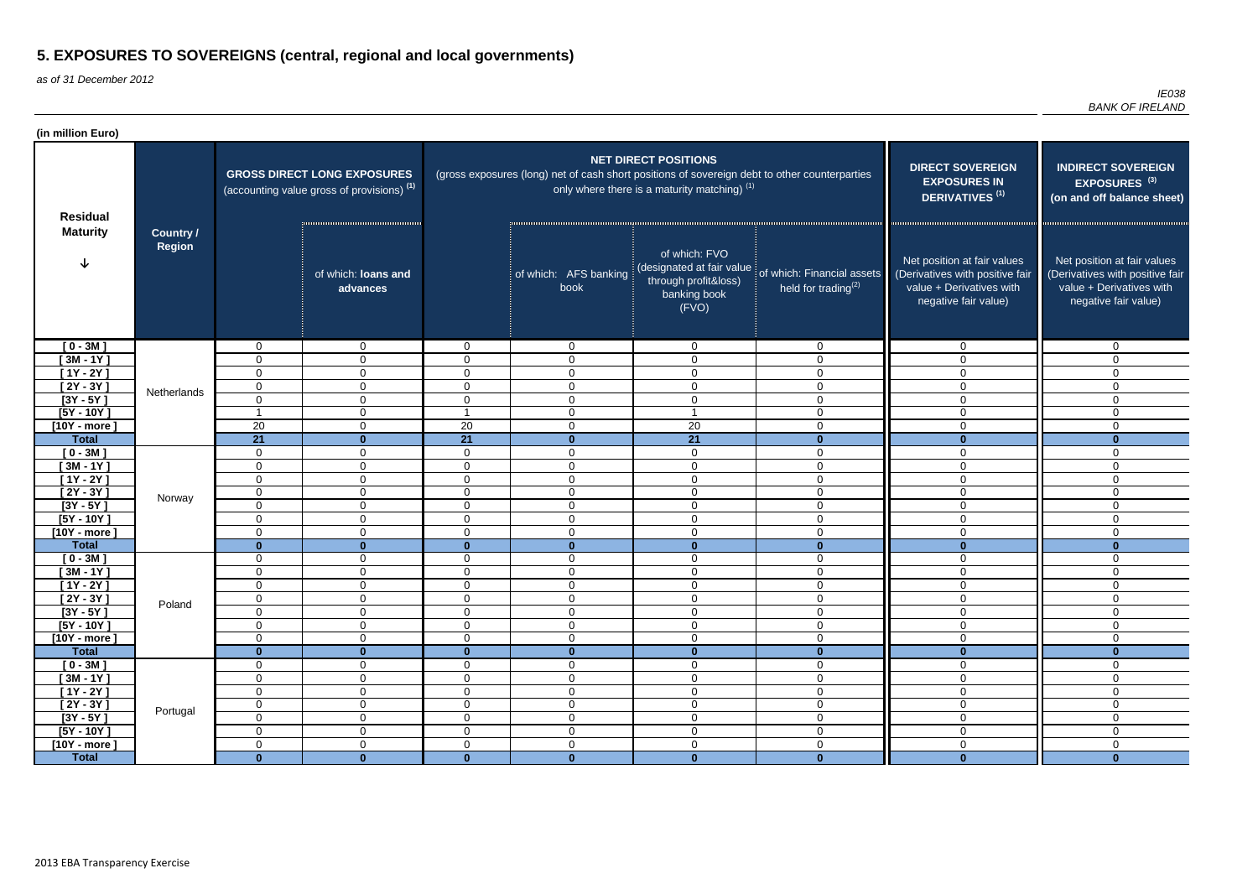as of 31 December 2012

| (in million Euro)                  |                            |                   |                                                                                             |                                  |                                                                                               |                                                                                             |                                                                                    |                                                                                                                    |                                                                                                                    |
|------------------------------------|----------------------------|-------------------|---------------------------------------------------------------------------------------------|----------------------------------|-----------------------------------------------------------------------------------------------|---------------------------------------------------------------------------------------------|------------------------------------------------------------------------------------|--------------------------------------------------------------------------------------------------------------------|--------------------------------------------------------------------------------------------------------------------|
| <b>Residual</b><br><b>Maturity</b> |                            |                   | <b>GROSS DIRECT LONG EXPOSURES</b><br>(accounting value gross of provisions) <sup>(1)</sup> |                                  | (gross exposures (long) net of cash short positions of sovereign debt to other counterparties | <b>NET DIRECT POSITIONS</b><br>only where there is a maturity matching) $(1)$               | <b>DIRECT SOVEREIGN</b><br><b>EXPOSURES IN</b><br><b>DERIVATIVES<sup>(1)</sup></b> | <b>INDIRECT SOVEREIGN</b><br>EXPOSURES <sup>(3)</sup><br>(on and off balance sheet)                                |                                                                                                                    |
|                                    | Country /<br><b>Region</b> |                   | of which: loans and<br>advances                                                             |                                  | of which: AFS banking<br>book                                                                 | of which: FVO<br>(designated at fair value<br>through profit&loss)<br>banking book<br>(FVO) | of which: Financial assets<br>held for trading $(2)$                               | Net position at fair values<br>(Derivatives with positive fair<br>value + Derivatives with<br>negative fair value) | Net position at fair values<br>(Derivatives with positive fair<br>value + Derivatives with<br>negative fair value) |
| $[0 - 3M]$                         |                            | 0                 | $\overline{0}$                                                                              | $\overline{0}$                   | $\overline{0}$                                                                                | $\overline{0}$                                                                              | $\overline{0}$                                                                     | $\mathbf 0$                                                                                                        | $\Omega$                                                                                                           |
| [ 3M - 1Y ]                        |                            | $\Omega$          | $\mathbf 0$                                                                                 | $\overline{0}$                   | $\mathbf 0$                                                                                   | $\mathbf 0$                                                                                 | $\Omega$                                                                           | 0                                                                                                                  | $\Omega$                                                                                                           |
| $[1Y - 2Y]$                        |                            | $\Omega$          | $\mathbf{0}$                                                                                | $\overline{0}$                   | $\mathbf 0$                                                                                   | $\mathbf 0$                                                                                 | 0                                                                                  | $\Omega$                                                                                                           | $\Omega$                                                                                                           |
| [ $2Y - 3Y$ ]                      | Netherlands                | 0                 | $\mathbf{0}$                                                                                | $\mathbf 0$                      | $\mathbf 0$                                                                                   | $\mathbf 0$                                                                                 | 0                                                                                  | $\Omega$                                                                                                           | $\Omega$                                                                                                           |
| $[3Y - 5Y]$                        |                            | $\overline{0}$    | $\overline{0}$                                                                              | $\mathbf 0$                      | $\mathbf 0$                                                                                   | $\mathbf 0$                                                                                 | 0                                                                                  | $\Omega$                                                                                                           | $\Omega$                                                                                                           |
| $[5Y - 10Y]$                       |                            |                   | $\overline{0}$                                                                              |                                  | $\mathbf 0$                                                                                   |                                                                                             | $\mathbf 0$                                                                        | $\Omega$                                                                                                           | $\Omega$                                                                                                           |
| $[10Y - more]$                     |                            | 20                | $\overline{0}$                                                                              | 20                               | $\mathbf 0$                                                                                   | 20                                                                                          | $\mathbf 0$                                                                        | 0                                                                                                                  | $\Omega$                                                                                                           |
| <b>Total</b>                       |                            | 21                | $\mathbf{0}$                                                                                | 21                               | $\mathbf{0}$                                                                                  | 21                                                                                          | $\bf{0}$                                                                           | $\mathbf{0}$                                                                                                       | $\bf{0}$                                                                                                           |
| $[0 - 3M]$                         |                            | 0                 | $\overline{0}$                                                                              | $\overline{0}$                   | $\mathbf 0$                                                                                   | $\mathbf 0$                                                                                 | $\mathbf 0$                                                                        | 0                                                                                                                  | $\mathbf{0}$                                                                                                       |
| $[3M - 1Y]$                        |                            | $\Omega$          | $\overline{0}$                                                                              | $\overline{0}$<br>$\overline{0}$ | $\overline{0}$                                                                                | $\mathbf 0$                                                                                 | 0                                                                                  | 0                                                                                                                  | $\Omega$<br>$\Omega$                                                                                               |
| $[1Y - 2Y]$<br>$[2Y - 3Y]$         |                            | $\mathbf 0$<br>0  | $\overline{0}$<br>$\overline{0}$                                                            | $\overline{0}$                   | $\overline{0}$<br>$\overline{0}$                                                              | $\mathbf 0$<br>$\mathbf 0$                                                                  | 0<br>$\mathbf 0$                                                                   | 0<br>$\Omega$                                                                                                      | $\Omega$                                                                                                           |
| $[3Y - 5Y]$                        | Norway                     | $\Omega$          | $\overline{0}$                                                                              | $\overline{0}$                   | $\mathbf 0$                                                                                   | $\mathbf 0$                                                                                 | $\mathbf{0}$                                                                       | $\Omega$                                                                                                           | $\Omega$                                                                                                           |
| $[5Y - 10Y]$                       |                            | $\Omega$          | $\overline{0}$                                                                              | $\overline{0}$                   | $\mathbf 0$                                                                                   | $\overline{0}$                                                                              | $\overline{0}$                                                                     | $\mathbf 0$                                                                                                        | $\Omega$                                                                                                           |
| $[10Y - more]$                     |                            | $\Omega$          | $\overline{0}$                                                                              | $\overline{0}$                   | $\mathbf 0$                                                                                   | $\overline{0}$                                                                              | $\mathbf{0}$                                                                       | 0                                                                                                                  | $\Omega$                                                                                                           |
| <b>Total</b>                       |                            | $\bf{0}$          | $\bf{0}$                                                                                    | $\mathbf{0}$                     | $\mathbf{0}$                                                                                  | $\mathbf{0}$                                                                                | $\bf{0}$                                                                           | $\mathbf{0}$                                                                                                       | $\bf{0}$                                                                                                           |
| $[0 - 3M]$                         |                            | 0                 | $\overline{0}$                                                                              | $\overline{0}$                   | $\overline{0}$                                                                                | $\mathbf 0$                                                                                 | $\mathbf 0$                                                                        | $\mathbf 0$                                                                                                        | $\mathbf{0}$                                                                                                       |
| $[3M - 1Y]$                        |                            | 0                 | $\overline{0}$                                                                              | $\overline{0}$                   | $\mathbf 0$                                                                                   | $\mathbf 0$                                                                                 | $\mathbf 0$                                                                        | $\overline{0}$                                                                                                     | 0                                                                                                                  |
| $[1Y - 2Y]$                        |                            | $\overline{0}$    | $\overline{0}$                                                                              | $\overline{0}$                   | $\mathbf 0$                                                                                   | $\mathbf 0$                                                                                 | 0                                                                                  | $\mathbf 0$                                                                                                        | 0                                                                                                                  |
| $[2Y - 3Y]$                        | Poland                     | $\cap$<br>ັ       | $\overline{0}$                                                                              | $\overline{0}$                   | $\overline{0}$                                                                                | $\mathbf 0$                                                                                 | $\Omega$<br>ັ                                                                      | $\mathbf 0$                                                                                                        | $\Omega$                                                                                                           |
| $[3Y - 5Y]$                        |                            | $\mathbf 0$       | $\overline{0}$                                                                              | $\overline{0}$                   | $\overline{0}$                                                                                | $\mathbf 0$                                                                                 | 0                                                                                  | 0                                                                                                                  | 0                                                                                                                  |
| $[5Y - 10Y]$                       |                            | 0                 | $\overline{0}$                                                                              | $\overline{0}$                   | $\overline{0}$                                                                                | $\mathbf 0$                                                                                 | $\mathbf 0$                                                                        | $\overline{0}$                                                                                                     | $\overline{0}$                                                                                                     |
| $[10Y - more]$                     |                            | $\mathbf 0$       | $\overline{0}$                                                                              | $\overline{0}$                   | $\mathbf 0$                                                                                   | $\boldsymbol{0}$                                                                            | $\mathbf 0$                                                                        | $\mathbf 0$                                                                                                        | $\mathbf 0$                                                                                                        |
| <b>Total</b>                       |                            | $\mathbf{0}$      | $\mathbf{0}$                                                                                | $\mathbf{0}$                     | $\mathbf{0}$                                                                                  | $\mathbf 0$                                                                                 | $\mathbf{0}$                                                                       | $\mathbf{0}$                                                                                                       | $\bf{0}$                                                                                                           |
| $[0 - 3M]$                         |                            | 0                 | $\overline{0}$                                                                              | $\overline{0}$                   | $\overline{0}$                                                                                | $\mathbf 0$                                                                                 | $\mathbf 0$                                                                        | $\overline{0}$                                                                                                     | 0                                                                                                                  |
| $[3M - 1Y]$                        |                            | 0                 | $\overline{0}$                                                                              | $\overline{0}$                   | $\overline{0}$                                                                                | $\boldsymbol{0}$                                                                            | $\overline{0}$                                                                     | $\mathbf 0$                                                                                                        | $\mathbf 0$                                                                                                        |
| $[1Y - 2Y]$                        |                            | $\mathbf 0$       | $\mathbf 0$                                                                                 | $\overline{0}$                   | $\overline{0}$                                                                                | $\boldsymbol{0}$                                                                            | $\mathbf 0$                                                                        | $\mathbf 0$                                                                                                        | $\mathbf 0$                                                                                                        |
| $[2Y - 3Y]$                        | Portugal                   | $\mathbf 0$       | $\mathbf 0$                                                                                 | $\overline{0}$                   | $\boldsymbol{0}$                                                                              | $\boldsymbol{0}$                                                                            | $\mathbf 0$                                                                        | $\mathbf 0$                                                                                                        | $\mathbf 0$                                                                                                        |
| $[3Y - 5Y]$                        |                            | $\mathbf 0$       | $\overline{0}$                                                                              | $\overline{0}$                   | $\boldsymbol{0}$                                                                              | $\boldsymbol{0}$                                                                            | $\mathbf 0$                                                                        | $\mathbf 0$                                                                                                        | $\mathbf 0$                                                                                                        |
| $[5Y - 10Y]$                       |                            | 0                 | $\mathbf 0$                                                                                 | $\overline{0}$                   | $\overline{0}$                                                                                | $\boldsymbol{0}$                                                                            | $\mathbf 0$                                                                        | $\mathbf 0$                                                                                                        | $\Omega$                                                                                                           |
| $[10Y - more]$<br><b>Total</b>     |                            | 0<br>$\mathbf{0}$ | $\mathbf 0$<br>$\mathbf{0}$                                                                 | $\overline{0}$<br>$\mathbf{0}$   | $\mathbf 0$<br>$\mathbf{0}$                                                                   | $\mathbf 0$<br>$\mathbf{0}$                                                                 | $\mathbf 0$<br>$\mathbf{0}$                                                        | $\mathbf 0$<br>$\mathbf{0}$                                                                                        | $\mathbf 0$<br>$\mathbf{0}$                                                                                        |
|                                    |                            |                   |                                                                                             |                                  |                                                                                               |                                                                                             |                                                                                    |                                                                                                                    |                                                                                                                    |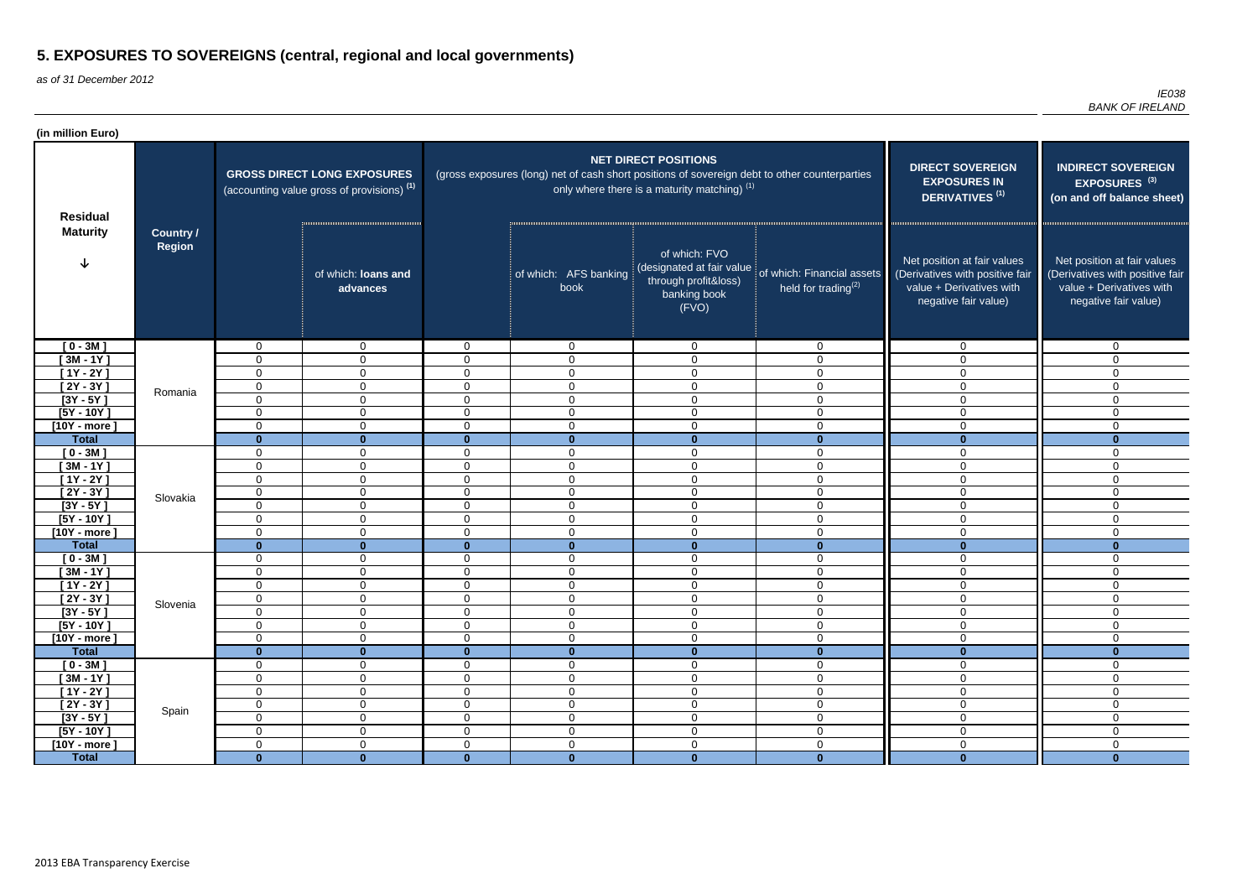as of 31 December 2012

| (in million Euro)         |                            |                |                                                                                             |                                  |                                                                                               |                                                                                             |                                                                                    |                                                                                                                    |                                                                                                                    |
|---------------------------|----------------------------|----------------|---------------------------------------------------------------------------------------------|----------------------------------|-----------------------------------------------------------------------------------------------|---------------------------------------------------------------------------------------------|------------------------------------------------------------------------------------|--------------------------------------------------------------------------------------------------------------------|--------------------------------------------------------------------------------------------------------------------|
| <b>Residual</b>           |                            |                | <b>GROSS DIRECT LONG EXPOSURES</b><br>(accounting value gross of provisions) <sup>(1)</sup> |                                  | (gross exposures (long) net of cash short positions of sovereign debt to other counterparties | <b>NET DIRECT POSITIONS</b><br>only where there is a maturity matching) $(1)$               | <b>DIRECT SOVEREIGN</b><br><b>EXPOSURES IN</b><br><b>DERIVATIVES<sup>(1)</sup></b> | <b>INDIRECT SOVEREIGN</b><br>EXPOSURES <sup>(3)</sup><br>(on and off balance sheet)                                |                                                                                                                    |
| <b>Maturity</b>           | Country /<br><b>Region</b> |                | of which: loans and<br>advances                                                             |                                  | of which: AFS banking<br>book                                                                 | of which: FVO<br>(designated at fair value<br>through profit&loss)<br>banking book<br>(FVO) | of which: Financial assets<br>held for trading $(2)$                               | Net position at fair values<br>(Derivatives with positive fair<br>value + Derivatives with<br>negative fair value) | Net position at fair values<br>(Derivatives with positive fair<br>value + Derivatives with<br>negative fair value) |
| $[0 - 3M]$                |                            | 0              | $\overline{0}$                                                                              | $\overline{0}$                   | $\overline{0}$                                                                                | $\overline{0}$                                                                              | $\overline{0}$                                                                     | $\mathbf 0$                                                                                                        | $\Omega$                                                                                                           |
| [ 3M - 1Y ]               |                            | $\Omega$       | $\mathbf 0$                                                                                 | $\overline{0}$                   | $\mathbf 0$                                                                                   | $\mathbf 0$                                                                                 | $\Omega$                                                                           | 0                                                                                                                  | $\Omega$                                                                                                           |
| $[1Y - 2Y]$               |                            | $\Omega$       | $\mathbf{0}$                                                                                | $\overline{0}$                   | $\mathbf 0$                                                                                   | $\mathbf 0$                                                                                 | 0                                                                                  | $\Omega$                                                                                                           | $\Omega$                                                                                                           |
| [ $2Y - 3Y$ ]             | Romania                    | $\mathbf 0$    | $\mathbf{0}$                                                                                | $\mathbf 0$                      | $\overline{0}$                                                                                | $\mathbf 0$                                                                                 | 0                                                                                  | $\Omega$                                                                                                           | $\Omega$                                                                                                           |
| $[3Y - 5Y]$               |                            | $\Omega$       | $\overline{0}$                                                                              | $\mathbf 0$                      | $\mathbf 0$                                                                                   | $\mathbf 0$                                                                                 | 0                                                                                  | $\Omega$                                                                                                           | $\Omega$                                                                                                           |
| $[5Y - 10Y]$              |                            | $\Omega$       | $\overline{0}$                                                                              | $\overline{0}$                   | $\mathbf 0$                                                                                   | $\mathbf 0$                                                                                 | $\mathbf 0$                                                                        | $\Omega$                                                                                                           | $\Omega$                                                                                                           |
| $[10Y - more]$            |                            | $\mathbf 0$    | $\overline{0}$                                                                              | $\overline{0}$                   | $\mathbf 0$                                                                                   | $\mathbf 0$                                                                                 | $\mathbf 0$                                                                        | 0                                                                                                                  | $\Omega$                                                                                                           |
| <b>Total</b>              |                            | $\bf{0}$       | $\mathbf{0}$                                                                                | $\mathbf{0}$                     | $\bf{0}$                                                                                      | $\mathbf{0}$                                                                                | $\bf{0}$                                                                           | $\mathbf{0}$                                                                                                       | $\bf{0}$                                                                                                           |
| $[0 - 3M]$<br>$[3M - 1Y]$ |                            | 0<br>$\Omega$  | $\overline{0}$<br>$\overline{0}$                                                            | $\overline{0}$<br>$\overline{0}$ | $\mathbf 0$<br>$\overline{0}$                                                                 | $\mathbf 0$<br>$\mathbf 0$                                                                  | $\mathbf 0$<br>0                                                                   | 0<br>0                                                                                                             | $\mathbf{0}$<br>$\Omega$                                                                                           |
| $[1Y - 2Y]$               |                            | $\mathbf 0$    | $\overline{0}$                                                                              | $\overline{0}$                   | $\overline{0}$                                                                                | $\mathbf 0$                                                                                 | 0                                                                                  | 0                                                                                                                  | $\Omega$                                                                                                           |
| $[2Y - 3Y]$               |                            | 0              | $\overline{0}$                                                                              | $\overline{0}$                   | $\overline{0}$                                                                                | $\mathbf 0$                                                                                 | $\mathbf 0$                                                                        | $\Omega$                                                                                                           | $\Omega$                                                                                                           |
| $[3Y - 5Y]$               | Slovakia                   | $\Omega$       | $\overline{0}$                                                                              | $\overline{0}$                   | $\mathbf 0$                                                                                   | $\mathbf 0$                                                                                 | $\mathbf{0}$                                                                       | $\Omega$                                                                                                           | $\Omega$                                                                                                           |
| $[5Y - 10Y]$              |                            | $\Omega$       | $\mathbf 0$                                                                                 | $\overline{0}$                   | $\mathbf 0$                                                                                   | $\overline{0}$                                                                              | $\overline{0}$                                                                     | $\mathbf 0$                                                                                                        | $\Omega$                                                                                                           |
| $[10Y - more]$            |                            | $\Omega$       | $\overline{0}$                                                                              | $\overline{0}$                   | $\mathbf 0$                                                                                   | $\overline{0}$                                                                              | $\mathbf{0}$                                                                       | 0                                                                                                                  | $\Omega$                                                                                                           |
| <b>Total</b>              |                            | $\bf{0}$       | $\bf{0}$                                                                                    | $\mathbf{0}$                     | $\mathbf{0}$                                                                                  | $\mathbf{0}$                                                                                | $\bf{0}$                                                                           | $\mathbf{0}$                                                                                                       | $\bf{0}$                                                                                                           |
| $[0 - 3M]$                |                            | 0              | $\overline{0}$                                                                              | $\overline{0}$                   | $\overline{0}$                                                                                | $\mathbf 0$                                                                                 | $\mathbf 0$                                                                        | $\mathbf 0$                                                                                                        | $\mathbf{0}$                                                                                                       |
| $[3M - 1Y]$               |                            | 0              | $\overline{0}$                                                                              | $\overline{0}$                   | $\mathbf 0$                                                                                   | $\mathbf 0$                                                                                 | $\mathbf 0$                                                                        | $\overline{0}$                                                                                                     | 0                                                                                                                  |
| $[1Y - 2Y]$               |                            | $\overline{0}$ | $\overline{0}$                                                                              | $\overline{0}$                   | $\mathbf 0$                                                                                   | $\mathbf 0$                                                                                 | 0                                                                                  | $\mathbf 0$                                                                                                        | 0                                                                                                                  |
| [2Y - 3Y ]                | Slovenia                   | $\Omega$<br>◡  | $\overline{0}$                                                                              | $\overline{0}$                   | $\overline{0}$                                                                                | $\mathbf 0$                                                                                 | $\Omega$<br>ັ                                                                      | $\mathbf 0$                                                                                                        | $\Omega$                                                                                                           |
| $[3Y - 5Y]$               |                            | $\mathbf 0$    | $\overline{0}$                                                                              | $\overline{0}$                   | $\mathbf 0$                                                                                   | $\mathbf 0$                                                                                 | 0                                                                                  | 0                                                                                                                  | 0                                                                                                                  |
| $[5Y - 10Y]$              |                            | 0              | $\overline{0}$                                                                              | $\overline{0}$                   | $\overline{0}$                                                                                | $\mathbf 0$                                                                                 | $\mathbf 0$                                                                        | $\overline{0}$                                                                                                     | $\overline{0}$                                                                                                     |
| $[10Y - more]$            |                            | $\mathbf 0$    | $\overline{0}$                                                                              | $\overline{0}$                   | $\mathbf 0$                                                                                   | $\boldsymbol{0}$                                                                            | $\mathbf 0$                                                                        | $\mathbf 0$                                                                                                        | $\mathbf 0$                                                                                                        |
| <b>Total</b>              |                            | $\mathbf{0}$   | $\mathbf{0}$                                                                                | $\mathbf{0}$                     | $\mathbf{0}$                                                                                  | $\mathbf 0$                                                                                 | $\mathbf{0}$                                                                       | $\mathbf{0}$                                                                                                       | $\bf{0}$                                                                                                           |
| $[0 - 3M]$                |                            | 0              | $\overline{0}$                                                                              | $\overline{0}$                   | $\overline{0}$                                                                                | $\boldsymbol{0}$                                                                            | $\mathbf 0$                                                                        | $\overline{0}$                                                                                                     | 0                                                                                                                  |
| $[3M - 1Y]$               |                            | 0              | $\overline{0}$                                                                              | $\overline{0}$                   | $\overline{0}$                                                                                | $\boldsymbol{0}$                                                                            | $\mathbf 0$                                                                        | $\overline{0}$                                                                                                     | $\mathbf 0$                                                                                                        |
| $[1Y - 2Y]$               |                            | $\mathbf 0$    | $\overline{0}$                                                                              | $\overline{0}$                   | $\overline{0}$                                                                                | $\boldsymbol{0}$                                                                            | $\mathbf 0$                                                                        | $\mathbf 0$                                                                                                        | $\mathbf 0$                                                                                                        |
| $[2Y - 3Y]$               | Spain                      | $\mathbf 0$    | $\mathbf 0$                                                                                 | $\overline{0}$                   | $\boldsymbol{0}$                                                                              | $\boldsymbol{0}$                                                                            | $\mathbf 0$                                                                        | $\mathbf 0$                                                                                                        | $\mathbf 0$                                                                                                        |
| $[3Y - 5Y]$               |                            | $\mathbf 0$    | $\overline{0}$                                                                              | $\overline{0}$                   | $\boldsymbol{0}$                                                                              | $\boldsymbol{0}$                                                                            | $\mathbf 0$                                                                        | $\mathbf 0$                                                                                                        | $\mathbf 0$                                                                                                        |
| $[5Y - 10Y]$              |                            | 0              | $\overline{0}$                                                                              | $\overline{0}$                   | $\overline{0}$                                                                                | $\boldsymbol{0}$                                                                            | $\mathbf 0$                                                                        | $\mathbf 0$                                                                                                        | $\Omega$                                                                                                           |
| $[10Y - more]$            |                            | 0              | $\mathbf 0$                                                                                 | $\overline{0}$                   | $\mathbf 0$                                                                                   | $\mathbf 0$                                                                                 | $\mathbf 0$                                                                        | $\mathbf 0$                                                                                                        | $\mathbf 0$                                                                                                        |
| <b>Total</b>              |                            | $\mathbf{0}$   | $\mathbf{0}$                                                                                | $\mathbf{0}$                     | $\mathbf{0}$                                                                                  | $\mathbf{0}$                                                                                | $\mathbf{0}$                                                                       | $\mathbf{0}$                                                                                                       | $\mathbf{0}$                                                                                                       |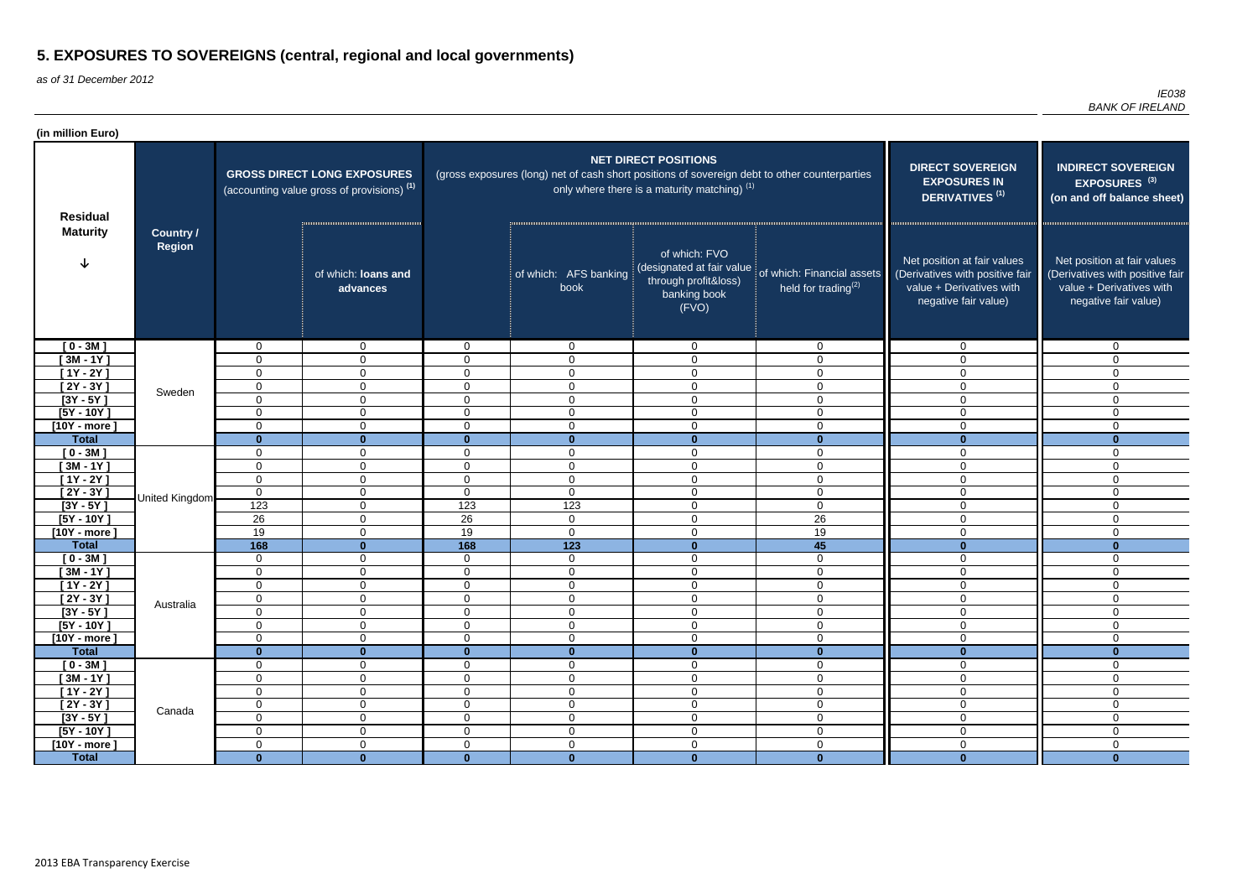as of 31 December 2012

| (in million Euro)          |                                   |                               |                                                                                             |                                  |                                                                                               |                                                                                             |                                                                                    |                                                                                                                    |                                                                                                                    |
|----------------------------|-----------------------------------|-------------------------------|---------------------------------------------------------------------------------------------|----------------------------------|-----------------------------------------------------------------------------------------------|---------------------------------------------------------------------------------------------|------------------------------------------------------------------------------------|--------------------------------------------------------------------------------------------------------------------|--------------------------------------------------------------------------------------------------------------------|
| <b>Residual</b>            |                                   |                               | <b>GROSS DIRECT LONG EXPOSURES</b><br>(accounting value gross of provisions) <sup>(1)</sup> |                                  | (gross exposures (long) net of cash short positions of sovereign debt to other counterparties | <b>NET DIRECT POSITIONS</b><br>only where there is a maturity matching) $(1)$               | <b>DIRECT SOVEREIGN</b><br><b>EXPOSURES IN</b><br><b>DERIVATIVES<sup>(1)</sup></b> | <b>INDIRECT SOVEREIGN</b><br>EXPOSURES <sup>(3)</sup><br>(on and off balance sheet)                                |                                                                                                                    |
| <b>Maturity</b>            | <b>Country /</b><br><b>Region</b> |                               | of which: loans and<br>advances                                                             |                                  | of which: AFS banking<br>book                                                                 | of which: FVO<br>(designated at fair value<br>through profit&loss)<br>banking book<br>(FVO) | of which: Financial assets<br>held for trading <sup>(2)</sup>                      | Net position at fair values<br>(Derivatives with positive fair<br>value + Derivatives with<br>negative fair value) | Net position at fair values<br>(Derivatives with positive fair<br>value + Derivatives with<br>negative fair value) |
| $[0 - 3M]$                 |                                   | $\mathbf 0$                   | $\overline{0}$                                                                              | $\mathbf 0$                      | $\overline{0}$                                                                                | $\overline{0}$                                                                              | $\mathbf 0$                                                                        | $\mathbf 0$                                                                                                        | $\Omega$                                                                                                           |
| $[3M - 1Y]$                |                                   | $\mathbf 0$                   | $\mathbf 0$                                                                                 | $\overline{0}$                   | $\Omega$                                                                                      | $\mathbf 0$                                                                                 | 0                                                                                  | $\Omega$                                                                                                           | $\Omega$                                                                                                           |
| $[1Y - 2Y]$                |                                   | 0                             | 0                                                                                           | $\mathbf 0$                      | $\Omega$                                                                                      | $\mathbf 0$                                                                                 | $\mathbf 0$                                                                        | 0                                                                                                                  | $\Omega$                                                                                                           |
| [ $2Y - 3Y$ ]              | Sweden                            | 0                             | $\mathbf{0}$                                                                                | $\mathbf 0$                      | 0                                                                                             | $\mathbf 0$                                                                                 | $\mathbf 0$                                                                        | 0                                                                                                                  | $\Omega$                                                                                                           |
| $[3Y - 5Y]$                |                                   | $\mathbf 0$                   | $\mathbf 0$                                                                                 | $\overline{0}$                   | $\mathbf 0$                                                                                   | $\mathbf 0$                                                                                 | $\mathbf 0$                                                                        | $\overline{0}$                                                                                                     | $\Omega$                                                                                                           |
| $[5Y - 10Y]$               |                                   | 0                             | $\mathbf 0$                                                                                 | $\mathbf 0$                      | $\mathbf 0$                                                                                   | $\overline{0}$                                                                              | $\overline{0}$                                                                     | $\mathbf 0$                                                                                                        | $\Omega$                                                                                                           |
| $[10Y - more]$             |                                   | 0                             | $\mathbf 0$                                                                                 | $\mathbf 0$                      | $\overline{0}$                                                                                | $\mathbf 0$                                                                                 | $\mathbf 0$                                                                        | 0                                                                                                                  | $\Omega$                                                                                                           |
| <b>Total</b>               |                                   | $\mathbf{0}$                  | $\bf{0}$                                                                                    | $\mathbf{0}$                     | $\bf{0}$                                                                                      | $\mathbf{0}$                                                                                | $\mathbf{0}$                                                                       | $\mathbf{0}$                                                                                                       | $\bf{0}$                                                                                                           |
| $[0 - 3M]$                 |                                   | $\mathbf 0$                   | $\overline{0}$                                                                              | $\overline{0}$                   | $\overline{0}$                                                                                | $\mathbf 0$                                                                                 | $\mathbf 0$                                                                        | $\mathbf 0$                                                                                                        | $\mathbf{0}$                                                                                                       |
| $[3M - 1Y]$                |                                   | $\mathbf 0$                   | $\mathbf 0$                                                                                 | $\overline{0}$                   | $\mathbf 0$                                                                                   | $\mathbf 0$                                                                                 | $\mathbf 0$                                                                        | $\mathbf 0$                                                                                                        | $\Omega$                                                                                                           |
| $[1Y - 2Y]$<br>$[2Y - 3Y]$ |                                   | $\mathbf 0$<br>$\overline{0}$ | $\mathbf{0}$                                                                                | $\overline{0}$<br>$\overline{0}$ | $\overline{0}$                                                                                | $\mathbf 0$<br>$\mathbf 0$                                                                  | $\mathbf{0}$                                                                       | $\mathbf 0$                                                                                                        | $\Omega$<br>$\Omega$                                                                                               |
| $[3Y - 5Y]$                | United Kingdom                    | 123                           | $\mathbf 0$<br>$\mathbf 0$                                                                  | 123                              | $\mathbf 0$<br>123                                                                            | $\overline{0}$                                                                              | $\mathbf 0$<br>$\overline{0}$                                                      | 0<br>0                                                                                                             | $\Omega$                                                                                                           |
| $[5Y - 10Y]$               |                                   | 26                            | $\mathbf 0$                                                                                 | 26                               | $\overline{0}$                                                                                | $\overline{0}$                                                                              | 26                                                                                 | $\mathbf 0$                                                                                                        | $\Omega$                                                                                                           |
| $[10Y - more]$             |                                   | 19                            | $\mathbf{0}$                                                                                | 19                               | $\overline{0}$                                                                                | $\overline{0}$                                                                              | 19                                                                                 | $\mathbf 0$                                                                                                        | $\Omega$                                                                                                           |
| <b>Total</b>               |                                   | 168                           | $\bf{0}$                                                                                    | 168                              | $\overline{123}$                                                                              | $\mathbf{0}$                                                                                | 45                                                                                 | $\mathbf{0}$                                                                                                       | $\bf{0}$                                                                                                           |
| $[0 - 3M]$                 |                                   | $\mathbf 0$                   | $\mathbf 0$                                                                                 | $\mathbf 0$                      | $\mathbf 0$                                                                                   | $\mathbf 0$                                                                                 | $\mathbf 0$                                                                        | $\overline{0}$                                                                                                     | $\mathbf{0}$                                                                                                       |
| $[3M - 1Y]$                |                                   | $\mathbf 0$                   | $\mathbf 0$                                                                                 | $\overline{0}$                   | $\mathbf 0$                                                                                   | $\mathbf 0$                                                                                 | $\mathbf 0$                                                                        | $\overline{0}$                                                                                                     | 0                                                                                                                  |
| $[1Y - 2Y]$                |                                   | $\mathbf 0$                   | $\mathbf 0$                                                                                 | 0                                | $\mathbf 0$                                                                                   | $\mathbf 0$                                                                                 | $\mathbf 0$                                                                        | $\mathbf 0$                                                                                                        | 0                                                                                                                  |
| $[2Y - 3Y]$                |                                   | $\mathbf 0$                   | 0                                                                                           | $\overline{0}$                   | $\overline{0}$                                                                                | $\mathbf 0$                                                                                 | 0                                                                                  | $\mathbf 0$                                                                                                        | $\Omega$                                                                                                           |
| $[3Y - 5Y]$                | Australia                         | $\mathbf 0$                   | $\mathbf 0$                                                                                 | $\overline{0}$                   | 0                                                                                             | $\mathbf 0$                                                                                 | $\mathbf 0$                                                                        | 0                                                                                                                  | 0                                                                                                                  |
| $[5Y - 10Y]$               |                                   | $\mathbf 0$                   | $\overline{0}$                                                                              | $\overline{0}$                   | $\overline{0}$                                                                                | $\boldsymbol{0}$                                                                            | $\mathbf 0$                                                                        | $\overline{0}$                                                                                                     | $\Omega$                                                                                                           |
| $[10Y - more]$             |                                   | $\mathbf 0$                   | $\overline{0}$                                                                              | $\overline{0}$                   | $\overline{0}$                                                                                | $\overline{0}$                                                                              | $\overline{0}$                                                                     | $\mathbf 0$                                                                                                        | $\mathbf 0$                                                                                                        |
| <b>Total</b>               |                                   | $\mathbf{0}$                  | $\mathbf{0}$                                                                                | $\mathbf{0}$                     | $\mathbf{0}$                                                                                  | $\mathbf 0$                                                                                 | $\mathbf{0}$                                                                       | $\mathbf{0}$                                                                                                       | $\bf{0}$                                                                                                           |
| $[0 - 3M]$                 |                                   | $\mathbf 0$                   | $\overline{0}$                                                                              | $\overline{0}$                   | $\overline{0}$                                                                                | $\overline{0}$                                                                              | $\mathbf 0$                                                                        | $\overline{0}$                                                                                                     | 0                                                                                                                  |
| $[3M - 1Y]$                |                                   | $\mathbf 0$                   | $\overline{0}$                                                                              | $\overline{0}$                   | $\overline{0}$                                                                                | $\overline{0}$                                                                              | $\overline{0}$                                                                     | $\overline{0}$                                                                                                     | $\mathbf 0$                                                                                                        |
| $[1Y - 2Y]$                |                                   | $\boldsymbol{0}$              | $\overline{0}$                                                                              | $\mathbf 0$                      | $\overline{0}$                                                                                | $\overline{0}$                                                                              | $\overline{0}$                                                                     | $\overline{0}$                                                                                                     | $\mathbf 0$                                                                                                        |
| $[2Y - 3Y]$                | Canada                            | $\mathbf 0$                   | $\overline{0}$                                                                              | $\mathbf 0$                      | $\mathbf 0$                                                                                   | $\overline{0}$                                                                              | $\mathbf 0$                                                                        | $\overline{0}$                                                                                                     | $\mathbf 0$                                                                                                        |
| $[3Y - 5Y]$                |                                   | $\mathbf 0$                   | $\mathbf 0$                                                                                 | $\mathbf 0$                      | $\mathbf 0$                                                                                   | $\boldsymbol{0}$                                                                            | $\overline{0}$                                                                     | $\mathbf 0$                                                                                                        | $\overline{0}$                                                                                                     |
| $[5Y - 10Y]$               |                                   | $\mathbf 0$                   | $\overline{0}$                                                                              | $\mathbf 0$                      | $\overline{0}$                                                                                | $\overline{0}$                                                                              | $\mathbf 0$                                                                        | $\overline{0}$                                                                                                     | $\Omega$                                                                                                           |
| $[10Y - more]$             |                                   | $\mathbf 0$                   | $\mathbf 0$                                                                                 | $\overline{0}$                   | $\mathbf 0$                                                                                   | $\overline{0}$                                                                              | $\mathbf 0$                                                                        | $\overline{0}$                                                                                                     | $\mathbf 0$                                                                                                        |
| <b>Total</b>               |                                   | $\overline{\mathbf{0}}$       | $\mathbf{0}$                                                                                | $\mathbf{0}$                     | $\mathbf{0}$                                                                                  | $\mathbf{0}$                                                                                | $\mathbf{0}$                                                                       | $\mathbf{0}$                                                                                                       | $\mathbf{0}$                                                                                                       |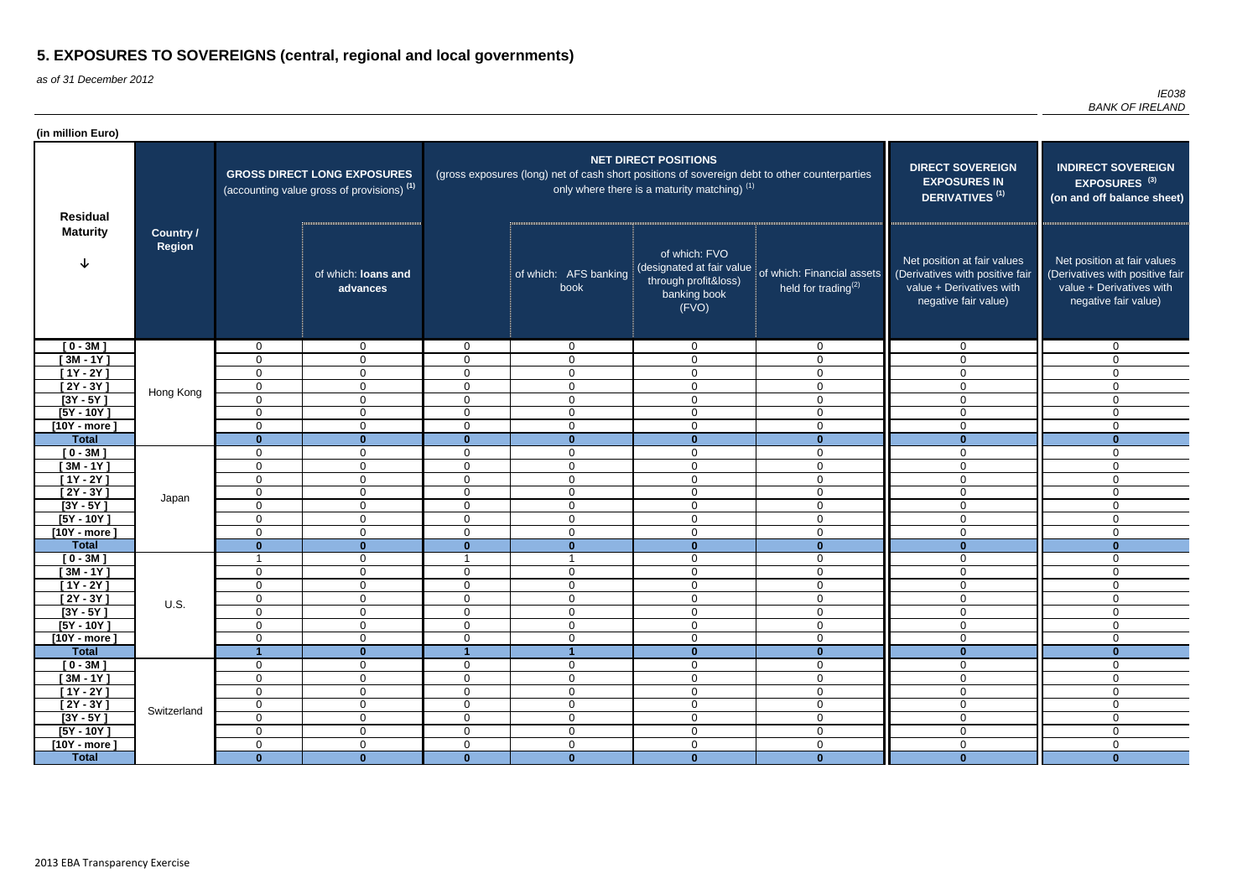as of 31 December 2012

| (in million Euro)                  |                            |                         |                                                                                             |                                  |                                                                                               |                                                                                             |                                                                                    |                                                                                                                    |                                                                                                                    |
|------------------------------------|----------------------------|-------------------------|---------------------------------------------------------------------------------------------|----------------------------------|-----------------------------------------------------------------------------------------------|---------------------------------------------------------------------------------------------|------------------------------------------------------------------------------------|--------------------------------------------------------------------------------------------------------------------|--------------------------------------------------------------------------------------------------------------------|
| <b>Residual</b><br><b>Maturity</b> |                            |                         | <b>GROSS DIRECT LONG EXPOSURES</b><br>(accounting value gross of provisions) <sup>(1)</sup> |                                  | (gross exposures (long) net of cash short positions of sovereign debt to other counterparties | <b>NET DIRECT POSITIONS</b><br>only where there is a maturity matching) $(1)$               | <b>DIRECT SOVEREIGN</b><br><b>EXPOSURES IN</b><br><b>DERIVATIVES<sup>(1)</sup></b> | <b>INDIRECT SOVEREIGN</b><br>EXPOSURES <sup>(3)</sup><br>(on and off balance sheet)                                |                                                                                                                    |
|                                    | Country /<br><b>Region</b> |                         | of which: loans and<br>advances                                                             |                                  | of which: AFS banking<br>book                                                                 | of which: FVO<br>(designated at fair value<br>through profit&loss)<br>banking book<br>(FVO) | of which: Financial assets<br>held for trading $(2)$                               | Net position at fair values<br>(Derivatives with positive fair<br>value + Derivatives with<br>negative fair value) | Net position at fair values<br>(Derivatives with positive fair<br>value + Derivatives with<br>negative fair value) |
| $[0 - 3M]$                         |                            | 0                       | $\overline{0}$                                                                              | $\overline{0}$                   | $\overline{0}$                                                                                | $\overline{0}$                                                                              | $\overline{0}$                                                                     | $\mathbf 0$                                                                                                        | $\Omega$                                                                                                           |
| $[3M - 1Y]$                        |                            | $\Omega$                | $\mathbf 0$                                                                                 | $\overline{0}$                   | $\mathbf 0$                                                                                   | $\mathbf 0$                                                                                 | $\Omega$                                                                           | 0                                                                                                                  | $\Omega$                                                                                                           |
| $[1Y - 2Y]$                        |                            | $\Omega$                | $\mathbf{0}$                                                                                | $\overline{0}$                   | $\mathbf 0$                                                                                   | $\mathbf 0$                                                                                 | 0                                                                                  | $\Omega$                                                                                                           | $\Omega$                                                                                                           |
| [ $2Y - 3Y$ ]                      | Hong Kong                  | $\mathbf 0$             | $\mathbf{0}$                                                                                | $\mathbf 0$                      | $\mathbf 0$                                                                                   | $\mathbf 0$                                                                                 | 0                                                                                  | $\Omega$                                                                                                           | $\Omega$                                                                                                           |
| $[3Y - 5Y]$                        |                            | $\overline{0}$          | $\overline{0}$                                                                              | $\mathbf 0$                      | $\mathbf 0$                                                                                   | $\mathbf 0$                                                                                 | 0                                                                                  | $\Omega$                                                                                                           | $\Omega$                                                                                                           |
| $[5Y - 10Y]$                       |                            | $\Omega$                | $\overline{0}$                                                                              | $\overline{0}$                   | $\mathbf 0$                                                                                   | $\mathbf 0$                                                                                 | $\mathbf 0$                                                                        | $\Omega$                                                                                                           | $\Omega$                                                                                                           |
| $[10Y - more]$                     |                            | $\mathbf 0$             | $\overline{0}$                                                                              | $\overline{0}$                   | $\mathbf 0$                                                                                   | $\mathbf 0$                                                                                 | $\mathbf 0$                                                                        | 0                                                                                                                  | $\Omega$                                                                                                           |
| <b>Total</b>                       |                            | $\bf{0}$                | $\mathbf{0}$                                                                                | $\mathbf{0}$                     | $\bf{0}$                                                                                      | $\mathbf{0}$                                                                                | $\bf{0}$                                                                           | $\mathbf{0}$                                                                                                       | $\bf{0}$                                                                                                           |
| $[0 - 3M]$                         |                            | 0                       | $\overline{0}$                                                                              | $\overline{0}$                   | $\mathbf 0$                                                                                   | $\mathbf 0$                                                                                 | $\mathbf 0$                                                                        | 0                                                                                                                  | $\mathbf{0}$                                                                                                       |
| $[3M - 1Y]$                        |                            | $\Omega$<br>$\mathbf 0$ | $\overline{0}$<br>$\overline{0}$                                                            | $\overline{0}$<br>$\overline{0}$ | $\overline{0}$<br>$\overline{0}$                                                              | $\mathbf 0$<br>$\mathbf 0$                                                                  | 0<br>0                                                                             | 0<br>0                                                                                                             | $\Omega$<br>$\Omega$                                                                                               |
| $[1Y - 2Y]$<br>$[2Y - 3Y]$         |                            | 0                       | $\overline{0}$                                                                              | $\overline{0}$                   | $\overline{0}$                                                                                | $\mathbf 0$                                                                                 | $\mathbf 0$                                                                        | $\Omega$                                                                                                           | $\Omega$                                                                                                           |
| $[3Y - 5Y]$                        | Japan                      | $\Omega$                | $\overline{0}$                                                                              | $\overline{0}$                   | $\mathbf 0$                                                                                   | $\mathbf 0$                                                                                 | $\mathbf{0}$                                                                       | 0                                                                                                                  | $\Omega$                                                                                                           |
| $[5Y - 10Y]$                       |                            | $\Omega$                | $\overline{0}$                                                                              | $\overline{0}$                   | $\mathbf 0$                                                                                   | $\overline{0}$                                                                              | $\overline{0}$                                                                     | $\mathbf 0$                                                                                                        | $\Omega$                                                                                                           |
| $[10Y - more]$                     |                            | $\Omega$                | $\overline{0}$                                                                              | $\overline{0}$                   | $\mathbf 0$                                                                                   | $\overline{0}$                                                                              | $\mathbf{0}$                                                                       | 0                                                                                                                  | $\Omega$                                                                                                           |
| <b>Total</b>                       |                            | $\bf{0}$                | $\bf{0}$                                                                                    | $\bf{0}$                         | $\bf{0}$                                                                                      | $\mathbf{0}$                                                                                | $\bf{0}$                                                                           | $\mathbf{0}$                                                                                                       | $\bf{0}$                                                                                                           |
| $[0 - 3M]$                         |                            | -1                      | $\mathbf{0}$                                                                                |                                  |                                                                                               | $\mathbf 0$                                                                                 | $\mathbf 0$                                                                        | $\mathbf 0$                                                                                                        | $\mathbf{0}$                                                                                                       |
| $[3M - 1Y]$                        |                            | 0                       | $\overline{0}$                                                                              | $\overline{0}$                   | $\mathbf 0$                                                                                   | $\mathbf 0$                                                                                 | $\mathbf 0$                                                                        | $\overline{0}$                                                                                                     | 0                                                                                                                  |
| $[1Y - 2Y]$                        |                            | $\Omega$                | $\overline{0}$                                                                              | $\overline{0}$                   | $\mathbf 0$                                                                                   | $\mathbf 0$                                                                                 | 0                                                                                  | $\mathbf 0$                                                                                                        | 0                                                                                                                  |
| [2Y - 3Y ]                         |                            | $\cap$<br>◡             | $\overline{0}$                                                                              | $\overline{0}$                   | $\overline{0}$                                                                                | $\overline{0}$                                                                              | $\Omega$<br>ັ                                                                      | 0                                                                                                                  | $\Omega$                                                                                                           |
| $[3Y - 5Y]$                        | U.S.                       | $\mathbf 0$             | $\overline{0}$                                                                              | $\overline{0}$                   | $\mathbf 0$                                                                                   | $\mathbf 0$                                                                                 | 0                                                                                  | 0                                                                                                                  | 0                                                                                                                  |
| $[5Y - 10Y]$                       |                            | 0                       | $\overline{0}$                                                                              | $\overline{0}$                   | $\overline{0}$                                                                                | $\mathbf 0$                                                                                 | $\mathbf 0$                                                                        | $\overline{0}$                                                                                                     | $\Omega$                                                                                                           |
| $[10Y - more]$                     |                            | $\mathbf 0$             | $\overline{0}$                                                                              | $\overline{0}$                   | $\overline{0}$                                                                                | $\boldsymbol{0}$                                                                            | $\overline{0}$                                                                     | $\mathbf 0$                                                                                                        | $\mathbf{0}$                                                                                                       |
| <b>Total</b>                       |                            |                         | $\mathbf{0}$                                                                                |                                  |                                                                                               | $\mathbf 0$                                                                                 | $\mathbf{0}$                                                                       | $\mathbf{0}$                                                                                                       | $\bf{0}$                                                                                                           |
| $[0 - 3M]$                         |                            | 0                       | $\overline{0}$                                                                              | $\overline{0}$                   | $\mathbf 0$                                                                                   | $\boldsymbol{0}$                                                                            | $\mathbf 0$                                                                        | $\overline{0}$                                                                                                     | 0                                                                                                                  |
| $[3M - 1Y]$                        |                            | 0                       | $\overline{0}$                                                                              | $\overline{0}$                   | $\overline{0}$                                                                                | $\boldsymbol{0}$                                                                            | $\overline{0}$                                                                     | $\overline{0}$                                                                                                     | $\mathbf 0$                                                                                                        |
| $[1Y - 2Y]$                        |                            | $\mathbf 0$             | $\overline{0}$                                                                              | $\overline{0}$                   | $\overline{0}$                                                                                | $\boldsymbol{0}$                                                                            | $\overline{0}$                                                                     | $\mathbf 0$                                                                                                        | $\mathbf 0$                                                                                                        |
| $[2Y - 3Y]$                        | Switzerland                | $\mathbf 0$             | $\overline{0}$                                                                              | $\overline{0}$                   | $\boldsymbol{0}$                                                                              | $\boldsymbol{0}$                                                                            | $\mathbf 0$                                                                        | $\mathbf 0$                                                                                                        | $\mathbf 0$                                                                                                        |
| $[3Y - 5Y]$                        |                            | $\mathbf 0$             | $\overline{0}$                                                                              | $\overline{0}$                   | $\boldsymbol{0}$                                                                              | $\boldsymbol{0}$                                                                            | $\mathbf 0$                                                                        | $\mathbf 0$                                                                                                        | $\overline{0}$                                                                                                     |
| $[5Y - 10Y]$                       |                            | 0                       | $\overline{0}$                                                                              | $\overline{0}$                   | $\overline{0}$                                                                                | $\overline{0}$                                                                              | $\mathbf 0$                                                                        | $\overline{0}$                                                                                                     | $\Omega$                                                                                                           |
| $[10Y - more]$                     |                            | $\mathbf 0$             | $\mathbf 0$                                                                                 | $\overline{0}$                   | $\mathbf 0$                                                                                   | $\overline{0}$                                                                              | $\mathbf 0$                                                                        | $\mathbf 0$                                                                                                        | $\mathbf 0$                                                                                                        |
| <b>Total</b>                       |                            | $\mathbf{0}$            | $\mathbf{0}$                                                                                | $\mathbf{0}$                     | $\mathbf{0}$                                                                                  | $\mathbf{0}$                                                                                | $\mathbf{0}$                                                                       | $\mathbf{0}$                                                                                                       | $\mathbf{0}$                                                                                                       |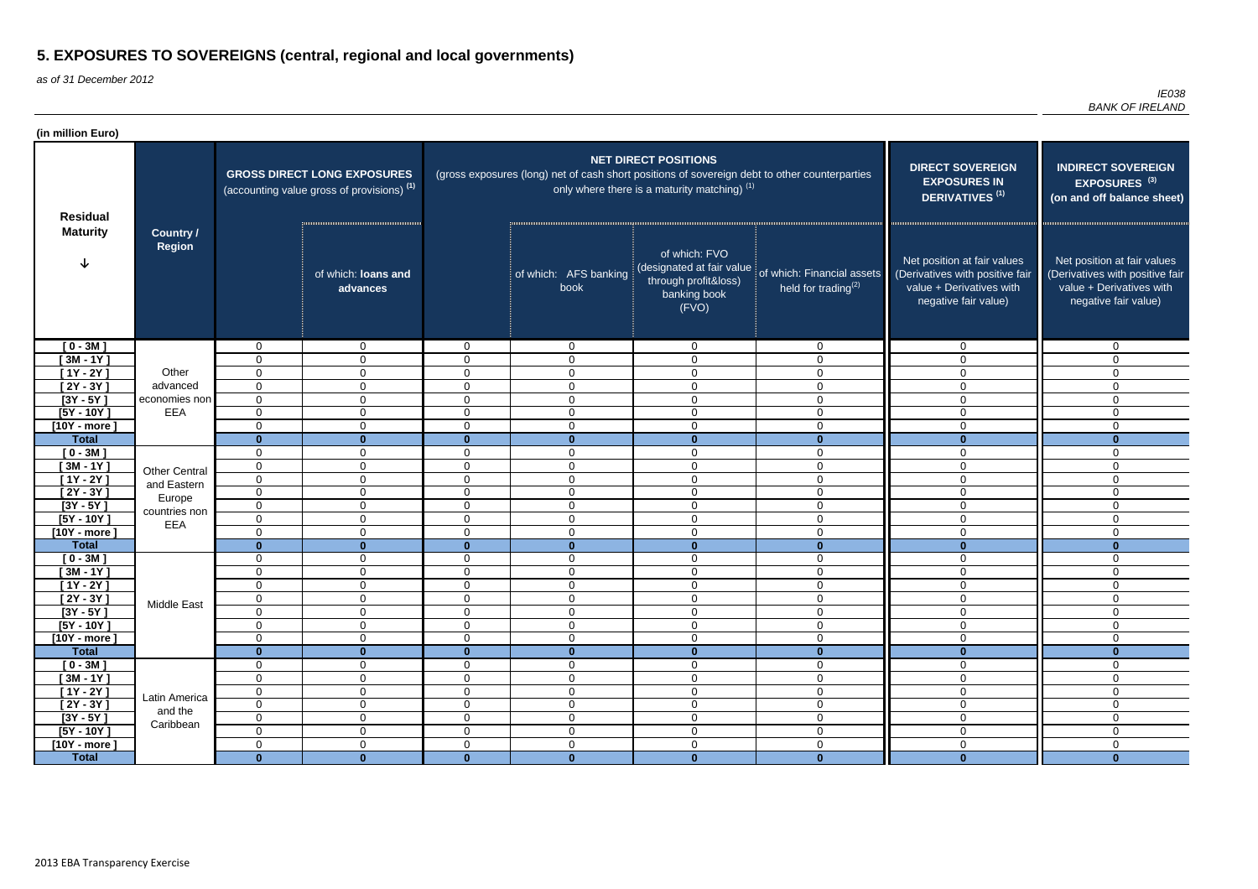as of 31 December 2012

| (in million Euro)         |                                   |                         |                                                                                             |                                |                                                                                               |                                                                                             |                                                                                    |                                                                                                                    |                                                                                                                    |
|---------------------------|-----------------------------------|-------------------------|---------------------------------------------------------------------------------------------|--------------------------------|-----------------------------------------------------------------------------------------------|---------------------------------------------------------------------------------------------|------------------------------------------------------------------------------------|--------------------------------------------------------------------------------------------------------------------|--------------------------------------------------------------------------------------------------------------------|
| <b>Residual</b>           |                                   |                         | <b>GROSS DIRECT LONG EXPOSURES</b><br>(accounting value gross of provisions) <sup>(1)</sup> |                                | (gross exposures (long) net of cash short positions of sovereign debt to other counterparties | <b>NET DIRECT POSITIONS</b><br>only where there is a maturity matching) $(1)$               | <b>DIRECT SOVEREIGN</b><br><b>EXPOSURES IN</b><br><b>DERIVATIVES<sup>(1)</sup></b> | <b>INDIRECT SOVEREIGN</b><br>EXPOSURES <sup>(3)</sup><br>(on and off balance sheet)                                |                                                                                                                    |
| <b>Maturity</b>           | <b>Country /</b><br><b>Region</b> |                         | of which: loans and<br>advances                                                             |                                | of which: AFS banking<br>book                                                                 | of which: FVO<br>(designated at fair value<br>through profit&loss)<br>banking book<br>(FVO) | of which: Financial assets<br>held for trading $(2)$                               | Net position at fair values<br>(Derivatives with positive fair<br>value + Derivatives with<br>negative fair value) | Net position at fair values<br>(Derivatives with positive fair<br>value + Derivatives with<br>negative fair value) |
| $[0 - 3M]$                |                                   | 0                       | $\overline{0}$                                                                              | $\overline{0}$                 | $\overline{0}$                                                                                | $\overline{0}$                                                                              | $\overline{0}$                                                                     | $\mathbf 0$                                                                                                        | $\Omega$                                                                                                           |
| $[3M - 1Y]$               |                                   | $\Omega$                | $\mathbf 0$                                                                                 | $\overline{0}$                 | $\mathbf 0$                                                                                   | $\mathbf 0$                                                                                 | $\Omega$                                                                           | 0                                                                                                                  | $\Omega$                                                                                                           |
| $[1Y - 2Y]$               | Other                             | $\Omega$                | $\mathbf{0}$                                                                                | $\overline{0}$                 | $\mathbf 0$                                                                                   | $\mathbf 0$                                                                                 | 0                                                                                  | $\Omega$                                                                                                           | $\Omega$                                                                                                           |
| [ 2Y - 3Y ]               | advanced                          | $\Omega$                | $\mathbf{0}$                                                                                | $\mathbf 0$                    | $\mathbf 0$                                                                                   | $\mathbf 0$                                                                                 | 0                                                                                  | $\Omega$                                                                                                           | $\Omega$                                                                                                           |
| $\overline{[3Y - 5Y]}$    | economies non                     | $\mathbf 0$             | $\overline{0}$                                                                              | $\mathbf 0$                    | $\mathbf 0$                                                                                   | $\mathbf 0$                                                                                 | 0                                                                                  | $\Omega$                                                                                                           | $\Omega$                                                                                                           |
| $[5Y - 10Y]$              | EEA                               | $\overline{0}$          | $\overline{0}$                                                                              | $\overline{0}$                 | $\mathbf 0$                                                                                   | $\mathbf 0$                                                                                 | $\mathbf 0$                                                                        | $\Omega$                                                                                                           | $\Omega$                                                                                                           |
| [10Y - more $\,$          |                                   | $\mathbf 0$             | $\overline{0}$                                                                              | $\overline{0}$                 | $\mathbf 0$                                                                                   | $\mathbf 0$                                                                                 | $\mathbf{0}$                                                                       | 0                                                                                                                  | $\Omega$                                                                                                           |
| <b>Total</b>              |                                   | $\bf{0}$<br>$\mathbf 0$ | $\mathbf{0}$<br>$\overline{0}$                                                              | $\mathbf{0}$<br>$\overline{0}$ | $\Omega$<br>$\mathbf 0$                                                                       | $\mathbf{0}$<br>$\mathbf 0$                                                                 | $\bf{0}$<br>$\mathbf 0$                                                            | $\mathbf{0}$<br>0                                                                                                  | $\bf{0}$<br>$\mathbf{0}$                                                                                           |
| $[0 - 3M]$<br>$[3M - 1Y]$ |                                   | $\mathbf 0$             | $\overline{0}$                                                                              | $\overline{0}$                 | $\overline{0}$                                                                                | $\mathbf 0$                                                                                 | 0                                                                                  | 0                                                                                                                  | $\Omega$                                                                                                           |
| $[1Y - 2Y]$               | <b>Other Central</b>              | 0                       | $\overline{0}$                                                                              | $\overline{0}$                 | $\overline{0}$                                                                                | $\mathbf 0$                                                                                 | 0                                                                                  | 0                                                                                                                  | $\Omega$                                                                                                           |
| $[2Y - 3Y]$               | and Eastern                       | $\mathbf 0$             | $\overline{0}$                                                                              | $\overline{0}$                 | $\mathbf 0$                                                                                   | $\mathbf 0$                                                                                 | $\mathbf 0$                                                                        | $\Omega$                                                                                                           | $\Omega$                                                                                                           |
| $[3Y - 5Y]$               | Europe                            | $\mathbf 0$             | $\overline{0}$                                                                              | $\overline{0}$                 | $\mathbf 0$                                                                                   | $\mathbf 0$                                                                                 | $\mathbf{0}$                                                                       | $\Omega$                                                                                                           | $\Omega$                                                                                                           |
| $[5Y - 10Y]$              | countries non                     | $\mathbf 0$             | $\overline{0}$                                                                              | $\overline{0}$                 | $\mathbf 0$                                                                                   | $\overline{0}$                                                                              | $\overline{0}$                                                                     | $\mathbf 0$                                                                                                        | $\Omega$                                                                                                           |
| [10Y - more $\,$          | <b>EEA</b>                        | $\Omega$                | $\overline{0}$                                                                              | $\overline{0}$                 | $\mathbf 0$                                                                                   | $\overline{0}$                                                                              | $\mathbf{0}$                                                                       | 0                                                                                                                  | $\Omega$                                                                                                           |
| <b>Total</b>              |                                   | $\bf{0}$                | $\bf{0}$                                                                                    | $\mathbf{0}$                   | $\mathbf{0}$                                                                                  | $\mathbf{0}$                                                                                | $\bf{0}$                                                                           | $\mathbf{0}$                                                                                                       | $\bf{0}$                                                                                                           |
| $[0 - 3M]$                |                                   | 0                       | $\mathbf{0}$                                                                                | $\overline{0}$                 | $\overline{0}$                                                                                | $\mathbf 0$                                                                                 | $\mathbf 0$                                                                        | $\mathbf 0$                                                                                                        | $\mathbf{0}$                                                                                                       |
| $[3M - 1Y]$               |                                   | 0                       | $\overline{0}$                                                                              | $\overline{0}$                 | $\mathbf 0$                                                                                   | $\mathbf 0$                                                                                 | $\mathbf 0$                                                                        | $\mathbf 0$                                                                                                        | 0                                                                                                                  |
| $[1Y - 2Y]$               |                                   | $\Omega$                | $\overline{0}$                                                                              | $\overline{0}$                 | $\mathbf 0$                                                                                   | $\mathbf 0$                                                                                 | 0                                                                                  | $\mathbf 0$                                                                                                        | 0                                                                                                                  |
| $\overline{[2Y-3Y]}$      | Middle East                       | $\Omega$<br>◡           | $\overline{0}$                                                                              | $\overline{0}$                 | $\overline{0}$                                                                                | $\overline{0}$                                                                              | $\Omega$<br>ັ                                                                      | 0                                                                                                                  | $\Omega$                                                                                                           |
| $[3Y - 5Y]$               |                                   | $\mathbf 0$             | $\overline{0}$                                                                              | $\overline{0}$                 | $\mathbf 0$                                                                                   | $\mathbf 0$                                                                                 | 0                                                                                  | 0                                                                                                                  | 0                                                                                                                  |
| $[5Y - 10Y]$              |                                   | 0                       | $\overline{0}$                                                                              | $\overline{0}$                 | $\overline{0}$                                                                                | $\mathbf 0$                                                                                 | $\mathbf 0$                                                                        | $\overline{0}$                                                                                                     | $\Omega$                                                                                                           |
| $[10Y - more]$            |                                   | $\mathbf 0$             | $\overline{0}$                                                                              | $\overline{0}$                 | $\mathbf 0$                                                                                   | $\boldsymbol{0}$                                                                            | $\mathbf 0$                                                                        | $\mathbf 0$                                                                                                        | $\mathbf 0$                                                                                                        |
| <b>Total</b>              |                                   | $\mathbf{0}$            | $\mathbf{0}$                                                                                | $\mathbf{0}$                   | $\mathbf{0}$                                                                                  | $\mathbf 0$                                                                                 | $\mathbf{0}$                                                                       | $\mathbf{0}$                                                                                                       | $\bf{0}$                                                                                                           |
| $[0 - 3M]$                |                                   | 0                       | $\overline{0}$                                                                              | $\overline{0}$                 | $\overline{0}$                                                                                | $\mathbf 0$                                                                                 | $\mathbf 0$                                                                        | $\overline{0}$                                                                                                     | 0                                                                                                                  |
| [ 3M - 1 $\overline{Y}$ ] |                                   | $\mathbf 0$             | $\overline{0}$                                                                              | $\overline{0}$                 | $\overline{0}$                                                                                | $\boldsymbol{0}$                                                                            | $\mathbf 0$                                                                        | $\overline{0}$                                                                                                     | $\mathbf 0$                                                                                                        |
| $[1Y - 2Y]$               | Latin America                     | $\mathbf 0$             | $\overline{0}$                                                                              | $\overline{0}$                 | $\overline{0}$                                                                                | $\boldsymbol{0}$                                                                            | $\mathbf 0$                                                                        | $\mathbf 0$                                                                                                        | $\mathbf 0$                                                                                                        |
| $[2Y - 3Y]$               | and the                           | $\mathbf 0$             | $\overline{0}$                                                                              | $\overline{0}$                 | $\boldsymbol{0}$                                                                              | $\boldsymbol{0}$                                                                            | $\mathbf 0$                                                                        | $\mathbf 0$                                                                                                        | $\mathbf 0$                                                                                                        |
| $[3Y - 5Y]$               | Caribbean                         | $\mathbf 0$             | $\overline{0}$                                                                              | $\overline{0}$                 | $\boldsymbol{0}$                                                                              | $\boldsymbol{0}$                                                                            | $\mathbf 0$                                                                        | $\mathbf 0$                                                                                                        | $\mathbf 0$                                                                                                        |
| $[5Y - 10Y]$              |                                   | $\mathbf 0$             | $\overline{0}$                                                                              | $\overline{0}$                 | $\overline{0}$                                                                                | $\boldsymbol{0}$                                                                            | $\mathbf 0$                                                                        | $\overline{0}$                                                                                                     | 0                                                                                                                  |
| $[10Y - more]$            |                                   | $\mathbf 0$             | $\overline{0}$                                                                              | $\overline{0}$                 | $\mathbf 0$                                                                                   | $\overline{0}$                                                                              | $\mathbf 0$                                                                        | $\overline{0}$                                                                                                     | $\mathbf 0$                                                                                                        |
| <b>Total</b>              |                                   | $\mathbf{0}$            | $\mathbf{0}$                                                                                | $\mathbf{0}$                   | $\mathbf{0}$                                                                                  | $\mathbf{0}$                                                                                | $\mathbf{0}$                                                                       | $\mathbf{0}$                                                                                                       | $\mathbf{0}$                                                                                                       |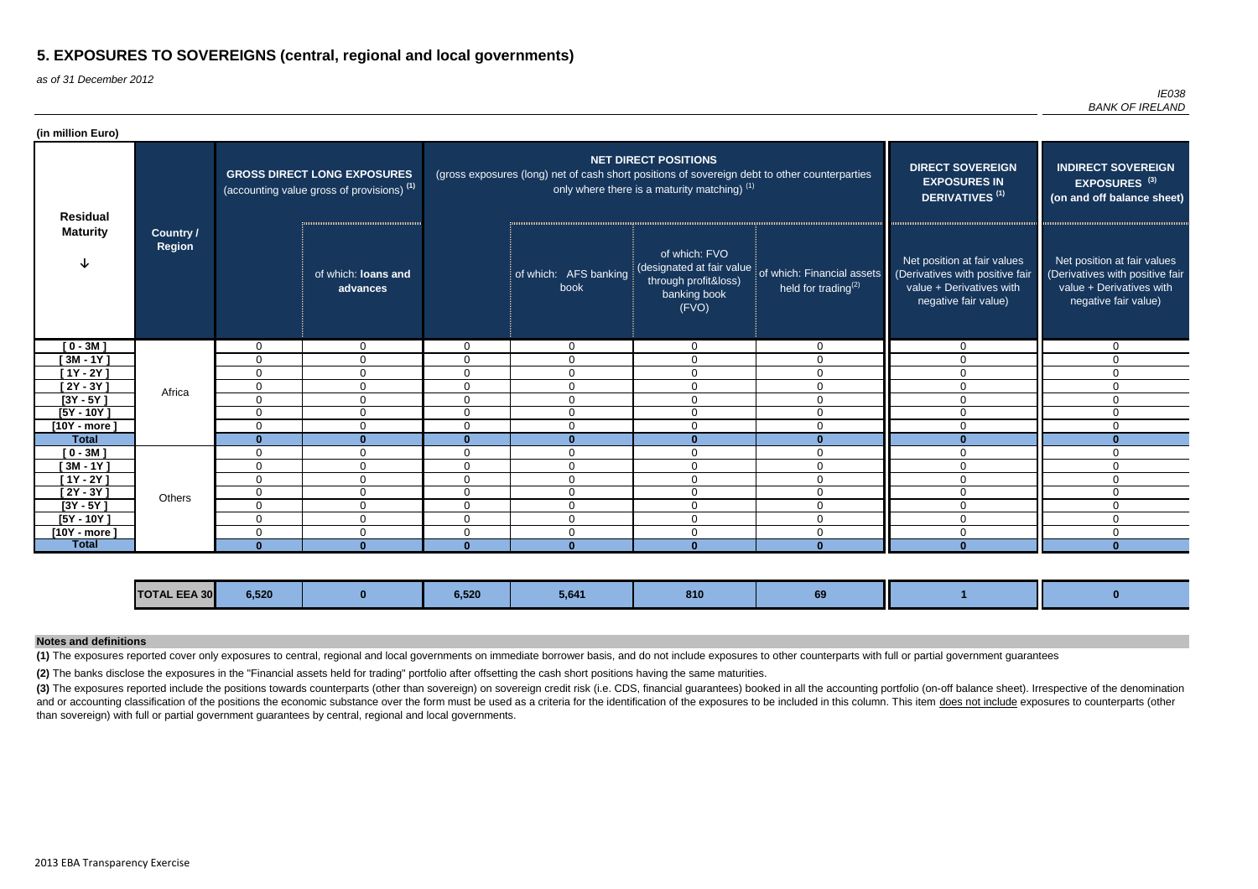as of 31 December 2012

*IE038 BANK OF IRELAND*

(3) The exposures reported include the positions towards counterparts (other than sovereign) on sovereign credit risk (i.e. CDS, financial guarantees) booked in all the accounting portfolio (on-off balance sheet). Irrespec and or accounting classification of the positions the economic substance over the form must be used as a criteria for the identification of the exposures to be included in this column. This item does not include exposures than sovereign) with full or partial government guarantees by central, regional and local governments.

| (in million Euro) |                                   |              |                                                                                             |                |                                                                                               |                                                                               |                                                                                |                                                                                                                    |                                                                                                                    |
|-------------------|-----------------------------------|--------------|---------------------------------------------------------------------------------------------|----------------|-----------------------------------------------------------------------------------------------|-------------------------------------------------------------------------------|--------------------------------------------------------------------------------|--------------------------------------------------------------------------------------------------------------------|--------------------------------------------------------------------------------------------------------------------|
| <b>Residual</b>   |                                   |              | <b>GROSS DIRECT LONG EXPOSURES</b><br>(accounting value gross of provisions) <sup>(1)</sup> |                | (gross exposures (long) net of cash short positions of sovereign debt to other counterparties | <b>NET DIRECT POSITIONS</b><br>only where there is a maturity matching) $(1)$ |                                                                                | <b>DIRECT SOVEREIGN</b><br><b>EXPOSURES IN</b><br>DERIVATIVES <sup>(1)</sup>                                       | <b>INDIRECT SOVEREIGN</b><br>EXPOSURES <sup>(3)</sup><br>(on and off balance sheet)                                |
| <b>Maturity</b>   | <b>Country /</b><br><b>Region</b> |              | of which: loans and<br>advances                                                             |                | of which: AFS banking<br>book                                                                 | of which: FVO<br>through profit&loss)<br>banking book<br>(FVO)                | (designated at fair value of which: Financial assets<br>held for trading $(2)$ | Net position at fair values<br>(Derivatives with positive fair<br>value + Derivatives with<br>negative fair value) | Net position at fair values<br>(Derivatives with positive fair<br>value + Derivatives with<br>negative fair value) |
| $[0 - 3M]$        |                                   | $\Omega$     | $\mathbf 0$                                                                                 | $\Omega$       | $\overline{0}$                                                                                | $\overline{0}$                                                                | $\overline{0}$                                                                 | $\Omega$                                                                                                           | $\Omega$                                                                                                           |
| $[3M - 1Y]$       |                                   | $\mathbf{0}$ | $\Omega$                                                                                    | $\Omega$       | $\Omega$                                                                                      | $\Omega$                                                                      | $\Omega$                                                                       | $\Omega$                                                                                                           | 0                                                                                                                  |
| $[1Y - 2Y]$       |                                   | $\mathbf 0$  | $\mathbf 0$                                                                                 | $\Omega$       | $\Omega$                                                                                      | $\mathbf 0$                                                                   | $\overline{0}$                                                                 | $\Omega$                                                                                                           | $\Omega$                                                                                                           |
| [2Y - 3Y ]        | Africa                            | 0            | 0                                                                                           | 0              | $\overline{0}$                                                                                | 0                                                                             | $\Omega$                                                                       | $\Omega$                                                                                                           | $\Omega$                                                                                                           |
| $[3Y - 5Y]$       |                                   | $\mathbf 0$  | $\mathbf 0$                                                                                 | 0              | $\mathbf 0$                                                                                   | $\mathbf 0$                                                                   | $\mathbf 0$                                                                    | $\Omega$                                                                                                           | 0                                                                                                                  |
| $[5Y - 10Y]$      |                                   | $\mathbf 0$  | $\Omega$                                                                                    | $\Omega$       | $\Omega$                                                                                      | $\Omega$                                                                      | $\Omega$                                                                       | $\Omega$                                                                                                           | $\Omega$                                                                                                           |
| $[10Y - more]$    |                                   | $\mathbf 0$  | $\mathbf 0$                                                                                 | $\overline{0}$ | $\mathbf 0$                                                                                   | $\mathbf 0$                                                                   | $\overline{0}$                                                                 | $\Omega$                                                                                                           | $\Omega$                                                                                                           |
| <b>Total</b>      |                                   | $\bf{0}$     | $\bf{0}$                                                                                    | $\Omega$       | $\bf{0}$                                                                                      | $\Omega$                                                                      | $\Omega$                                                                       | $\mathbf{0}$                                                                                                       | Λ                                                                                                                  |
| $[0 - 3M]$        |                                   | $\mathbf{0}$ | $\mathbf 0$                                                                                 | $\Omega$       | $\Omega$                                                                                      | $\mathbf 0$                                                                   | $\Omega$                                                                       | $\Omega$                                                                                                           | 0                                                                                                                  |
| $[3M - 1Y]$       |                                   | $\mathbf 0$  | 0                                                                                           | $\Omega$       | $\mathbf 0$                                                                                   | $\Omega$                                                                      | $\Omega$                                                                       | $\Omega$                                                                                                           | 0                                                                                                                  |
| $[1Y - 2Y]$       |                                   | $\mathbf 0$  | $\mathbf 0$                                                                                 | 0              | $\Omega$                                                                                      | $\Omega$                                                                      | $\Omega$                                                                       | $\Omega$                                                                                                           | 0                                                                                                                  |
| $[2Y - 3Y]$       | Others                            | 0            | 0                                                                                           | 0              | $\Omega$                                                                                      | $\Omega$                                                                      | $\Omega$                                                                       | $\Omega$                                                                                                           | 0                                                                                                                  |
| $[3Y - 5Y]$       |                                   | $\mathbf{0}$ | 0                                                                                           | $\Omega$       | $\Omega$                                                                                      | $\overline{0}$                                                                | $\Omega$                                                                       | $\Omega$                                                                                                           | 0                                                                                                                  |
| $[5Y - 10Y]$      |                                   | 0            | 0                                                                                           | 0              | $\mathbf{0}$                                                                                  | 0                                                                             | $\mathbf 0$                                                                    | $\Omega$                                                                                                           | 0                                                                                                                  |
| [10Y - more ]     |                                   | $\mathbf{0}$ | 0                                                                                           | 0              | $\Omega$                                                                                      | $\Omega$                                                                      | $\Omega$                                                                       | $\Omega$                                                                                                           | 0                                                                                                                  |
| <b>Total</b>      |                                   | $\Omega$     | $\Omega$                                                                                    | U              | $\Omega$                                                                                      |                                                                               |                                                                                |                                                                                                                    |                                                                                                                    |

| <b>TOTAL EEA 30</b> | $C$ $F$ $O$<br>J.JZU | $\sim$ ran<br>O.SZU | ---<br>$-5,0$ | <b>OTU</b> | --<br>$\ddot{\phantom{0}}$ |  |
|---------------------|----------------------|---------------------|---------------|------------|----------------------------|--|
|                     |                      |                     |               |            |                            |  |

**(2)** The banks disclose the exposures in the "Financial assets held for trading" portfolio after offsetting the cash short positions having the same maturities.

### **Notes and definitions**

**(1)** The exposures reported cover only exposures to central, regional and local governments on immediate borrower basis, and do not include exposures to other counterparts with full or partial government guarantees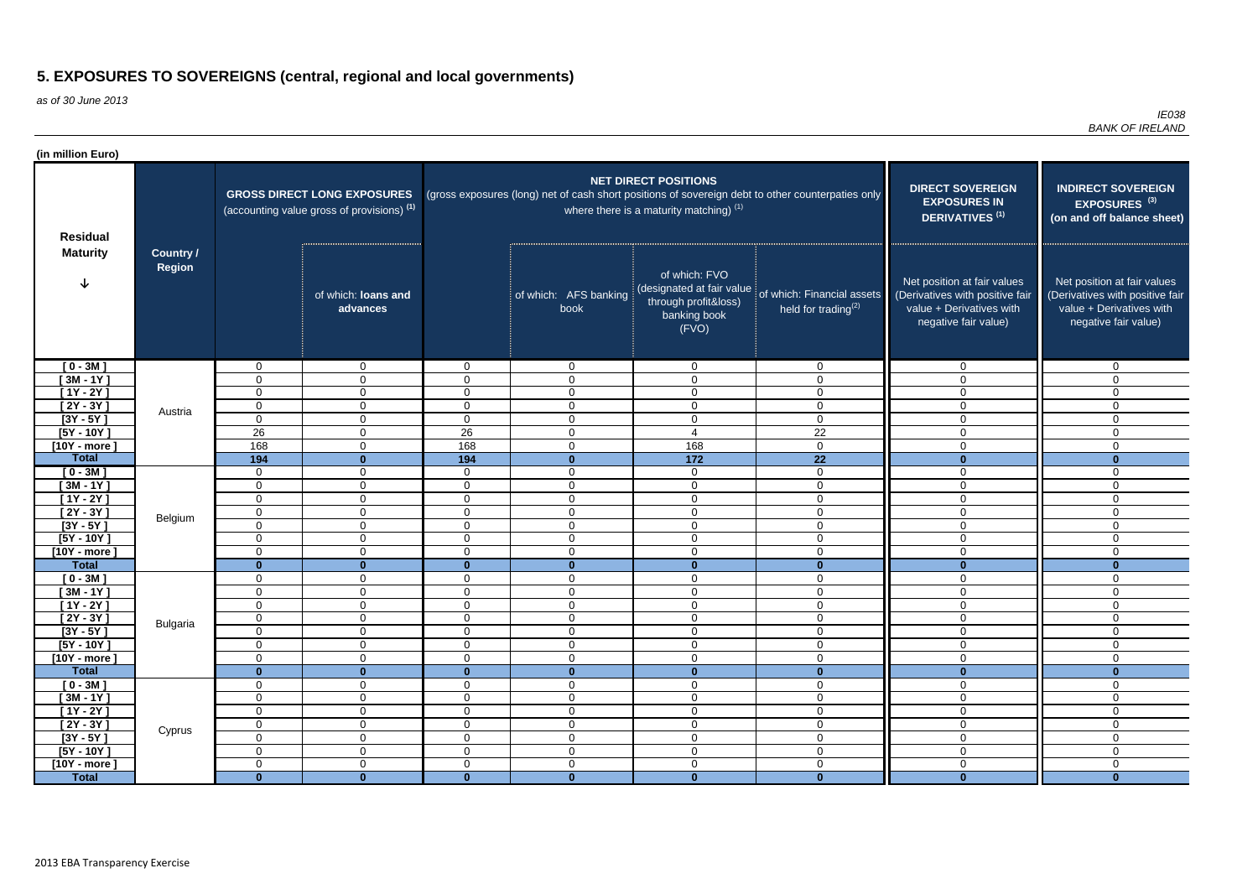as of 30 June 2013

| (in million Euro)                  |                  |                                 |                                                                                  |                                  |                                                                                                   |                                                                                             |                                                                                    |                                                                                                                    |                                                                                                                    |  |
|------------------------------------|------------------|---------------------------------|----------------------------------------------------------------------------------|----------------------------------|---------------------------------------------------------------------------------------------------|---------------------------------------------------------------------------------------------|------------------------------------------------------------------------------------|--------------------------------------------------------------------------------------------------------------------|--------------------------------------------------------------------------------------------------------------------|--|
| <b>Residual</b><br><b>Maturity</b> | <b>Country /</b> |                                 | <b>GROSS DIRECT LONG EXPOSURES</b><br>(accounting value gross of provisions) (1) |                                  | (gross exposures (long) net of cash short positions of sovereign debt to other counterpaties only | <b>NET DIRECT POSITIONS</b><br>where there is a maturity matching) $(1)$                    | <b>DIRECT SOVEREIGN</b><br><b>EXPOSURES IN</b><br><b>DERIVATIVES<sup>(1)</sup></b> | <b>INDIRECT SOVEREIGN</b><br><b>EXPOSURES<sup>(3)</sup></b><br>(on and off balance sheet)                          |                                                                                                                    |  |
|                                    | Region           |                                 | of which: loans and<br>advances                                                  |                                  | of which: AFS banking<br>book                                                                     | of which: FVO<br>(designated at fair value<br>through profit&loss)<br>banking book<br>(FVO) | of which: Financial assets<br>held for trading $(2)$                               | Net position at fair values<br>(Derivatives with positive fair<br>value + Derivatives with<br>negative fair value) | Net position at fair values<br>(Derivatives with positive fair<br>value + Derivatives with<br>negative fair value) |  |
| $[0 - 3M]$                         |                  | $\mathbf{0}$                    | $\mathbf 0$                                                                      | $\overline{0}$                   | $\overline{0}$                                                                                    | $\mathbf 0$                                                                                 | $\overline{0}$                                                                     | $\mathbf 0$                                                                                                        | $\overline{0}$                                                                                                     |  |
| $[3M - 1Y]$                        |                  | $\mathbf 0$                     | $\overline{0}$                                                                   | $\overline{0}$                   | $\overline{0}$                                                                                    | $\overline{0}$                                                                              | $\overline{0}$                                                                     | $\overline{0}$                                                                                                     | $\overline{0}$                                                                                                     |  |
| $[1Y - 2Y]$                        |                  | $\mathbf 0$                     | $\overline{0}$                                                                   | $\overline{0}$                   | $\overline{0}$                                                                                    | $\overline{0}$                                                                              | $\mathbf 0$                                                                        | $\mathbf 0$                                                                                                        | $\overline{0}$                                                                                                     |  |
| $[2Y - 3Y]$                        | Austria          | $\mathbf 0$                     | $\mathbf 0$                                                                      | $\overline{0}$                   | $\overline{0}$                                                                                    | $\overline{0}$                                                                              | $\mathbf 0$                                                                        | $\Omega$                                                                                                           | $\overline{0}$                                                                                                     |  |
| $[3Y - 5Y]$                        |                  | $\mathbf 0$<br>26               | 0                                                                                | $\mathbf 0$<br>26                | $\mathbf 0$                                                                                       | $\mathbf 0$<br>$\overline{4}$                                                               | $\mathbf 0$                                                                        | $\Omega$                                                                                                           | $\mathbf 0$                                                                                                        |  |
| $[5Y - 10Y]$<br>$[10Y - more]$     |                  | 168                             | 0<br>$\mathbf 0$                                                                 | 168                              | $\overline{0}$<br>$\mathbf 0$                                                                     | 168                                                                                         | 22<br>$\overline{0}$                                                               | 0<br>$\Omega$                                                                                                      | $\overline{0}$<br>$\mathbf 0$                                                                                      |  |
| <b>Total</b>                       |                  | 194                             | $\mathbf{0}$                                                                     | 194                              | $\mathbf{0}$                                                                                      | $\overline{172}$                                                                            | $\overline{22}$                                                                    | $\Omega$                                                                                                           | $\mathbf{0}$                                                                                                       |  |
| $[0 - 3M]$                         |                  | $\mathbf 0$                     | $\overline{0}$                                                                   | $\overline{0}$                   | $\overline{0}$                                                                                    | $\overline{0}$                                                                              | $\overline{0}$                                                                     | $\mathbf 0$                                                                                                        | $\mathbf 0$                                                                                                        |  |
| $[3M - 1Y]$                        |                  | $\mathbf 0$                     | $\mathbf 0$                                                                      | $\overline{0}$                   | $\overline{0}$                                                                                    | $\overline{0}$                                                                              | $\mathbf 0$                                                                        | $\mathbf 0$                                                                                                        | $\overline{0}$                                                                                                     |  |
| $[1Y - 2Y]$                        |                  | $\mathbf 0$                     | $\overline{0}$                                                                   | $\overline{0}$                   | $\overline{0}$                                                                                    | $\overline{0}$                                                                              | $\overline{0}$                                                                     | $\mathbf 0$                                                                                                        | $\overline{0}$                                                                                                     |  |
| $[2Y - 3Y]$                        | Belgium          | $\mathbf 0$                     | $\mathbf 0$                                                                      | $\overline{0}$                   | $\mathbf 0$                                                                                       | $\overline{0}$                                                                              | $\mathbf 0$                                                                        | $\overline{0}$                                                                                                     | $\mathbf 0$                                                                                                        |  |
| $[3Y - 5Y]$                        |                  | $\mathbf 0$                     | 0                                                                                | $\overline{0}$                   | $\mathbf 0$                                                                                       | $\mathbf 0$                                                                                 | $\mathbf 0$                                                                        | $\mathbf 0$                                                                                                        | $\mathbf 0$                                                                                                        |  |
| $[5Y - 10Y]$                       |                  | $\mathbf 0$                     | 0                                                                                | 0                                | $\mathbf 0$                                                                                       | $\mathbf 0$                                                                                 | $\mathbf 0$                                                                        | $\Omega$                                                                                                           | $\mathbf 0$                                                                                                        |  |
| $[10Y - more]$                     |                  | $\mathbf 0$                     | 0                                                                                | 0                                | $\mathbf 0$                                                                                       | $\mathbf 0$                                                                                 | $\mathbf 0$                                                                        | $\Omega$                                                                                                           | $\mathbf 0$                                                                                                        |  |
| <b>Total</b>                       |                  | $\mathbf{0}$                    | $\mathbf{0}$                                                                     | $\mathbf{0}$                     | $\mathbf{0}$                                                                                      | $\bf{0}$                                                                                    | $\mathbf{0}$                                                                       | $\mathbf{0}$                                                                                                       | $\Omega$                                                                                                           |  |
| $[0 - 3M]$                         |                  | $\mathbf 0$                     | $\mathbf 0$                                                                      | $\overline{0}$                   | $\mathbf 0$                                                                                       | $\overline{0}$                                                                              | $\mathbf 0$                                                                        | $\Omega$                                                                                                           | $\mathbf 0$                                                                                                        |  |
| $[3M - 1Y]$<br>$[1Y - 2Y]$         |                  | $\mathbf 0$<br>$\mathbf 0$      | 0<br>$\overline{0}$                                                              | $\overline{0}$<br>$\overline{0}$ | $\mathbf 0$<br>$\overline{0}$                                                                     | $\mathbf 0$<br>$\mathbf 0$                                                                  | $\mathbf 0$<br>$\mathbf 0$                                                         | $\mathbf 0$<br>$\mathbf 0$                                                                                         | $\mathbf 0$<br>$\mathbf 0$                                                                                         |  |
| $[2Y - 3Y]$                        |                  | $\mathbf 0$                     | $\overline{0}$                                                                   | $\overline{0}$                   | $\mathbf 0$                                                                                       | $\overline{0}$                                                                              | $\mathbf 0$                                                                        | $\mathbf 0$                                                                                                        | $\mathbf 0$                                                                                                        |  |
| $[3Y - 5Y]$                        | <b>Bulgaria</b>  | $\mathbf 0$                     | $\overline{0}$                                                                   | $\overline{0}$                   | $\overline{0}$                                                                                    | $\mathbf 0$                                                                                 | $\mathbf 0$                                                                        | $\mathbf 0$                                                                                                        | $\mathbf 0$                                                                                                        |  |
| $[5Y - 10Y]$                       |                  | $\mathbf 0$                     | $\overline{0}$                                                                   | $\overline{0}$                   | $\overline{0}$                                                                                    | $\overline{0}$                                                                              | $\overline{0}$                                                                     | $\overline{0}$                                                                                                     | $\overline{0}$                                                                                                     |  |
| $[10Y - more]$                     |                  | $\mathbf 0$                     | $\overline{0}$                                                                   | $\overline{0}$                   | $\overline{0}$                                                                                    | $\boldsymbol{0}$                                                                            | $\overline{0}$                                                                     | $\mathbf 0$                                                                                                        | $\mathbf 0$                                                                                                        |  |
| <b>Total</b>                       |                  | $\mathbf{0}$                    | $\mathbf{0}$                                                                     | $\mathbf{0}$                     | $\bf{0}$                                                                                          | $\mathbf{0}$                                                                                | $\mathbf{0}$                                                                       | $\mathbf{0}$                                                                                                       | $\bf{0}$                                                                                                           |  |
| $[0 - 3M]$                         |                  | $\boldsymbol{0}$                | $\overline{0}$                                                                   | $\overline{0}$                   | $\overline{0}$                                                                                    | $\mathbf 0$                                                                                 | $\overline{0}$                                                                     | $\mathbf 0$                                                                                                        | $\overline{0}$                                                                                                     |  |
| $[3M - 1Y]$                        |                  | $\mathbf 0$                     | $\overline{0}$                                                                   | $\overline{0}$                   | $\overline{0}$                                                                                    | $\mathbf 0$                                                                                 | $\mathbf 0$                                                                        | $\overline{0}$                                                                                                     | $\overline{0}$                                                                                                     |  |
| $[1Y - 2Y]$                        |                  | $\boldsymbol{0}$                | $\overline{0}$                                                                   | $\overline{0}$                   | $\mathbf 0$                                                                                       | $\boldsymbol{0}$                                                                            | $\mathbf 0$                                                                        | $\mathbf 0$                                                                                                        | $\overline{0}$                                                                                                     |  |
| $[2Y - 3Y]$                        | Cyprus           | $\mathbf 0$                     | $\overline{0}$                                                                   | $\overline{0}$                   | $\mathbf 0$                                                                                       | $\mathbf 0$                                                                                 | $\mathbf 0$                                                                        | $\overline{0}$                                                                                                     | $\overline{0}$                                                                                                     |  |
| $[3Y - 5Y]$                        |                  | $\boldsymbol{0}$<br>$\mathbf 0$ | $\overline{0}$                                                                   | $\overline{0}$<br>$\overline{0}$ | $\overline{0}$                                                                                    | $\boldsymbol{0}$<br>$\mathbf 0$                                                             | $\mathbf 0$                                                                        | $\mathbf 0$                                                                                                        | $\overline{0}$                                                                                                     |  |
| $[5Y - 10Y]$<br>$[10Y - more]$     |                  | $\mathbf 0$                     | $\overline{0}$<br>$\overline{0}$                                                 | $\overline{0}$                   | $\overline{0}$<br>$\overline{0}$                                                                  | $\mathbf 0$                                                                                 | $\overline{0}$<br>$\mathbf 0$                                                      | $\mathbf 0$<br>$\mathbf 0$                                                                                         | $\overline{0}$<br>$\mathbf 0$                                                                                      |  |
| <b>Total</b>                       |                  | $\mathbf{0}$                    | $\bf{0}$                                                                         | $\mathbf{0}$                     | $\mathbf{0}$                                                                                      | $\mathbf{0}$                                                                                | $\mathbf{0}$                                                                       | $\mathbf{0}$                                                                                                       | $\mathbf{0}$                                                                                                       |  |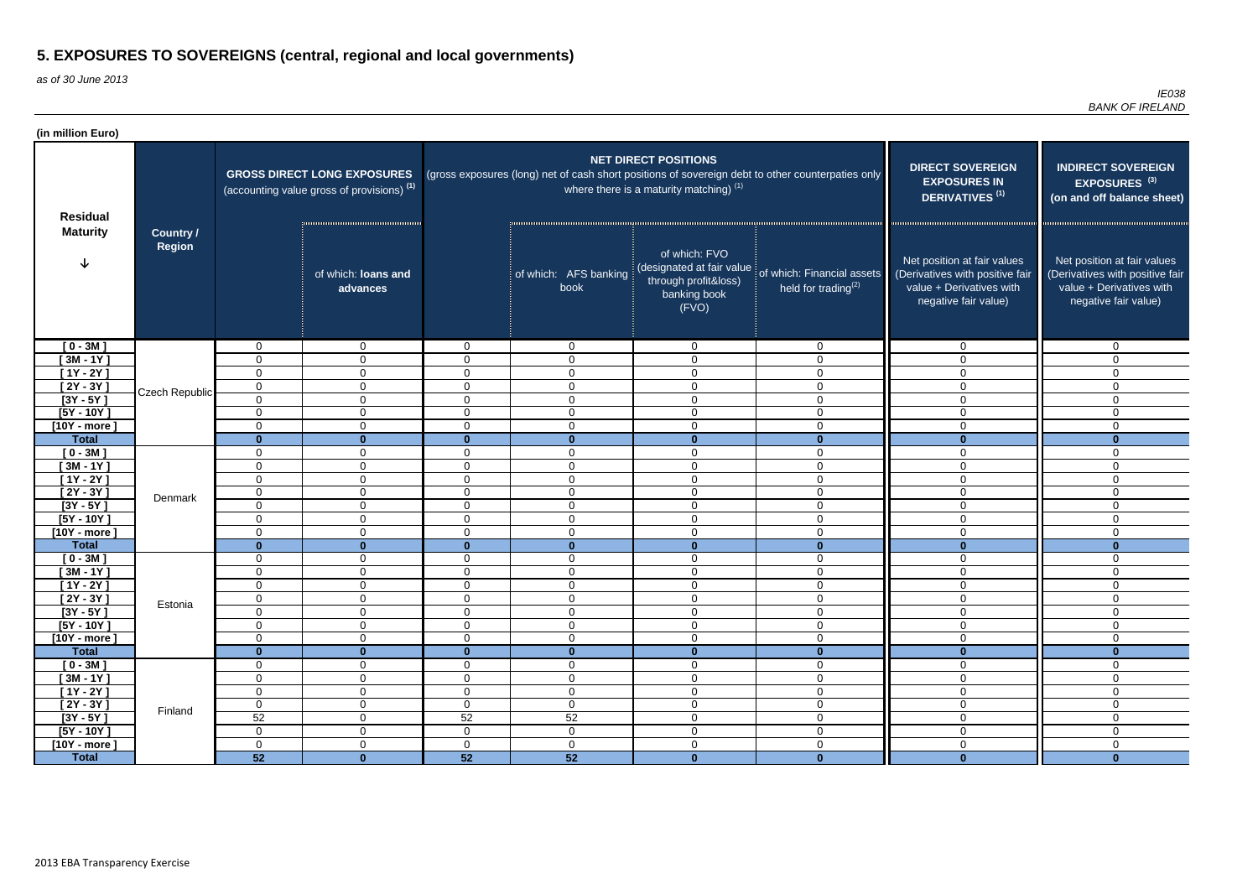as of 30 June 2013

| <b>NET DIRECT POSITIONS</b><br><b>DIRECT SOVEREIGN</b><br><b>INDIRECT SOVEREIGN</b><br>(gross exposures (long) net of cash short positions of sovereign debt to other counterpaties only<br><b>GROSS DIRECT LONG EXPOSURES</b><br><b>EXPOSURES IN</b><br>EXPOSURES <sup>(3)</sup><br>where there is a maturity matching) <sup>(1)</sup><br>(accounting value gross of provisions) <sup>(1)</sup><br>DERIVATIVES <sup>(1)</sup><br><b>Residual</b><br><b>Maturity</b><br><b>Country /</b><br>Region<br>of which: FVO<br>Net position at fair values<br>Net position at fair values<br>(designated at fair value<br>of which: Financial assets<br>of which: loans and<br>of which: AFS banking<br>(Derivatives with positive fair<br>through profit&loss)<br>held for trading $(2)$<br>value + Derivatives with<br>value + Derivatives with<br>book<br>advances<br>banking book<br>negative fair value)<br>negative fair value)<br>(FVO)<br>$[0 - 3M]$<br>$\mathbf{0}$<br>$\overline{0}$<br>$\overline{0}$<br>$\mathbf 0$<br>$\mathbf 0$<br>$\overline{0}$<br>$\mathbf 0$<br>$\mathbf{0}$<br>$[3M - 1Y]$<br>0<br>$\mathbf{0}$<br>$\Omega$<br>$\mathbf 0$<br>$\mathbf 0$<br>$\mathbf 0$<br>$\Omega$<br>$\Omega$<br>$[1Y - 2Y]$<br>$\mathbf 0$<br>$\overline{0}$<br>$\mathbf 0$<br>$\mathbf 0$<br>$\mathbf 0$<br>$\mathbf 0$<br>$\Omega$<br>$\Omega$<br>$[2Y - 3Y]$<br>$\mathbf 0$<br>$\overline{0}$<br>$\mathbf 0$<br>$\mathbf 0$<br>$\mathbf 0$<br>$\overline{0}$<br>$\Omega$<br>$\Omega$<br>Czech Republic<br>$[3Y - 5Y]$<br>$\mathbf 0$<br>$\overline{0}$<br>$\mathbf 0$<br>$\mathbf 0$<br>$\mathbf 0$<br>$\overline{0}$<br>$\mathbf 0$<br>0<br>$[5Y - 10Y]$<br>$\overline{0}$<br>$\mathbf 0$<br>$\overline{0}$<br>$\mathbf 0$<br>$\mathbf 0$<br>$\mathbf 0$<br>$\overline{0}$<br>$\mathbf 0$<br>$\mathbf 0$<br>$[10Y - more]$<br>$\mathbf 0$<br>$\overline{0}$<br>$\mathbf 0$<br>$\mathbf 0$<br>$\mathbf 0$<br>$\mathbf 0$<br>$\mathbf 0$<br><b>Total</b><br>$\mathbf{0}$<br>$\mathbf{0}$<br>$\mathbf{0}$<br>$\mathbf{0}$<br>$\mathbf{0}$<br>$\mathbf{0}$<br>$\mathbf{0}$<br>$\mathbf{0}$<br>$[0 - 3M]$<br>$\mathbf 0$<br>$\mathbf 0$<br>$\mathbf 0$<br>$\mathbf 0$<br>$\overline{0}$<br>$\Omega$<br>0<br>0<br>$[3M - 1Y]$<br>0<br>$\mathbf{0}$<br>$\Omega$<br>$\mathbf 0$<br>$\mathbf 0$<br>$\mathbf 0$<br>$\mathbf{0}$<br>0<br>$[1Y - 2Y]$<br>$\mathbf 0$<br>$\overline{0}$<br>$\Omega$<br>$\mathbf 0$<br>$\mathbf 0$<br>$\mathbf 0$<br>$\overline{0}$<br>$\overline{0}$<br>$[2Y - 3Y]$<br>$\mathbf 0$<br>$\mathbf 0$<br>$\mathsf 0$<br>$\overline{0}$<br>$\mathbf 0$<br>$\overline{0}$<br>$\Omega$<br>$\mathbf 0$<br>Denmark<br>$[3Y - 5Y]$<br>$\mathbf 0$<br>$\mathbf 0$<br>$\mathbf 0$<br>$\mathbf 0$<br>$\mathbf 0$<br>$\mathbf{0}$<br>$\Omega$<br>$\mathbf 0$<br>$[5Y - 10Y]$<br>$\mathbf 0$<br>$\mathbf 0$<br>$\mathbf 0$<br>$\mathbf 0$<br>0<br>$\mathbf{0}$<br>$\Omega$<br>$\mathbf 0$<br>$\mathbf 0$<br>$[10Y - more]$<br>0<br>$\overline{0}$<br>$\Omega$<br>$\overline{0}$<br>$\mathbf 0$<br>$\overline{0}$<br>$\mathbf 0$<br>$\mathbf{0}$<br>$\mathbf{0}$<br><b>Total</b><br>$\mathbf{0}$<br>$\mathbf{0}$<br>$\mathbf{0}$<br>$\mathbf{0}$<br>$\mathbf{0}$<br>$\bf{0}$<br>$[0 - 3M]$<br>$\mathbf 0$<br>$\mathbf 0$<br>$\mathbf 0$<br>$\overline{0}$<br>0<br>$\mathbf 0$<br>$\mathbf 0$<br>$\mathbf{0}$<br>$[3M - 1Y]$<br>$\mathbf 0$<br>$\mathbf 0$<br>$\overline{0}$<br>$\mathbf 0$<br>$\mathbf 0$<br>$\overline{0}$<br>$\overline{0}$<br>0<br>$[1Y - 2Y]$<br>$\mathbf 0$<br>$\overline{0}$<br>$\mathbf 0$<br>$\overline{0}$<br>0<br>0<br>$\mathbf{0}$<br>0<br>$[2Y - 3Y]$<br>0<br>$\mathbf 0$<br>$\mathbf 0$<br>$\mathbf 0$<br>$\mathbf 0$<br>$\mathbf 0$<br>$\mathbf 0$<br>$\mathbf 0$<br>Estonia<br>$[3Y - 5Y]$<br>$\mathbf 0$<br>$\mathbf 0$<br>$\overline{0}$<br>$\mathbf 0$<br>$\mathbf 0$<br>$\mathbf 0$<br>$\mathbf 0$<br>$\mathbf{0}$<br>$\overline{0}$<br>$\mathbf 0$<br>$\mathbf 0$<br>$\mathsf 0$<br>$\mathbf 0$<br>$\mathbf 0$<br>$[5Y - 10Y]$<br>$\mathbf 0$<br>$\mathbf 0$<br>$\overline{0}$<br>$\mathbf 0$<br>$\boldsymbol{0}$<br>$\mathbf 0$<br>$\mathbf 0$<br>$\mathbf 0$<br>$\mathbf 0$<br>$[10Y - more]$<br>0<br>$\mathbf{0}$<br><b>Total</b><br>$\mathbf{0}$<br>$\mathbf{0}$<br>$\mathbf{0}$<br>$\mathbf{0}$<br>$\mathbf{0}$<br>$\bullet$<br>$\bf{0}$<br>$[0 - 3M]$<br>$\mathbf 0$<br>$\overline{0}$<br>$\overline{0}$<br>$\overline{0}$<br>$\mathbf 0$<br>$\overline{0}$<br>$\overline{0}$<br>$\mathbf 0$<br>$\overline{0}$<br>$\mathbf 0$<br>$[3M - 1Y]$<br>$\mathbf 0$<br>$\mathbf 0$<br>$\mathbf 0$<br>$\mathbf 0$<br>$\overline{0}$<br>0<br>$[1Y - 2Y]$<br>$\overline{0}$<br>$\mathbf 0$<br>$\mathbf 0$<br>$\mathbf 0$<br>$\mathbf 0$<br>$\mathbf 0$<br>$\overline{0}$<br>0<br>$\mathsf{O}\xspace$<br>$\mathbf 0$<br>$\mathbf 0$<br>$\boldsymbol{0}$<br>$\mathbf 0$<br>$\mathbf 0$<br>$\mathbf 0$<br>$[2Y - 3Y]$<br>$\mathbf 0$ | (in million Euro) |         |  |  |  |                            |                                 |
|-------------------------------------------------------------------------------------------------------------------------------------------------------------------------------------------------------------------------------------------------------------------------------------------------------------------------------------------------------------------------------------------------------------------------------------------------------------------------------------------------------------------------------------------------------------------------------------------------------------------------------------------------------------------------------------------------------------------------------------------------------------------------------------------------------------------------------------------------------------------------------------------------------------------------------------------------------------------------------------------------------------------------------------------------------------------------------------------------------------------------------------------------------------------------------------------------------------------------------------------------------------------------------------------------------------------------------------------------------------------------------------------------------------------------------------------------------------------------------------------------------------------------------------------------------------------------------------------------------------------------------------------------------------------------------------------------------------------------------------------------------------------------------------------------------------------------------------------------------------------------------------------------------------------------------------------------------------------------------------------------------------------------------------------------------------------------------------------------------------------------------------------------------------------------------------------------------------------------------------------------------------------------------------------------------------------------------------------------------------------------------------------------------------------------------------------------------------------------------------------------------------------------------------------------------------------------------------------------------------------------------------------------------------------------------------------------------------------------------------------------------------------------------------------------------------------------------------------------------------------------------------------------------------------------------------------------------------------------------------------------------------------------------------------------------------------------------------------------------------------------------------------------------------------------------------------------------------------------------------------------------------------------------------------------------------------------------------------------------------------------------------------------------------------------------------------------------------------------------------------------------------------------------------------------------------------------------------------------------------------------------------------------------------------------------------------------------------------------------------------------------------------------------------------------------------------------------------------------------------------------------------------------------------------------------------------------------------------------------------------------------------------------------------------------------------------------------------------------------------------------------------------------------------------------------------------------------------------------------------------------------------------------------------------------------------------------------------------------------------------------------------------------------------------------------------------------------------------------------------------------------------------------------------------------------------------------------------------------------------------------------------------------------------------------------------------------------------------------------------------------------------------------------------------------------------------------------------------------------------------------|-------------------|---------|--|--|--|----------------------------|---------------------------------|
|                                                                                                                                                                                                                                                                                                                                                                                                                                                                                                                                                                                                                                                                                                                                                                                                                                                                                                                                                                                                                                                                                                                                                                                                                                                                                                                                                                                                                                                                                                                                                                                                                                                                                                                                                                                                                                                                                                                                                                                                                                                                                                                                                                                                                                                                                                                                                                                                                                                                                                                                                                                                                                                                                                                                                                                                                                                                                                                                                                                                                                                                                                                                                                                                                                                                                                                                                                                                                                                                                                                                                                                                                                                                                                                                                                                                                                                                                                                                                                                                                                                                                                                                                                                                                                                                                                                                                                                                                                                                                                                                                                                                                                                                                                                                                                                                                                                                         |                   |         |  |  |  | (on and off balance sheet) |                                 |
|                                                                                                                                                                                                                                                                                                                                                                                                                                                                                                                                                                                                                                                                                                                                                                                                                                                                                                                                                                                                                                                                                                                                                                                                                                                                                                                                                                                                                                                                                                                                                                                                                                                                                                                                                                                                                                                                                                                                                                                                                                                                                                                                                                                                                                                                                                                                                                                                                                                                                                                                                                                                                                                                                                                                                                                                                                                                                                                                                                                                                                                                                                                                                                                                                                                                                                                                                                                                                                                                                                                                                                                                                                                                                                                                                                                                                                                                                                                                                                                                                                                                                                                                                                                                                                                                                                                                                                                                                                                                                                                                                                                                                                                                                                                                                                                                                                                                         |                   |         |  |  |  |                            | (Derivatives with positive fair |
|                                                                                                                                                                                                                                                                                                                                                                                                                                                                                                                                                                                                                                                                                                                                                                                                                                                                                                                                                                                                                                                                                                                                                                                                                                                                                                                                                                                                                                                                                                                                                                                                                                                                                                                                                                                                                                                                                                                                                                                                                                                                                                                                                                                                                                                                                                                                                                                                                                                                                                                                                                                                                                                                                                                                                                                                                                                                                                                                                                                                                                                                                                                                                                                                                                                                                                                                                                                                                                                                                                                                                                                                                                                                                                                                                                                                                                                                                                                                                                                                                                                                                                                                                                                                                                                                                                                                                                                                                                                                                                                                                                                                                                                                                                                                                                                                                                                                         |                   |         |  |  |  |                            |                                 |
|                                                                                                                                                                                                                                                                                                                                                                                                                                                                                                                                                                                                                                                                                                                                                                                                                                                                                                                                                                                                                                                                                                                                                                                                                                                                                                                                                                                                                                                                                                                                                                                                                                                                                                                                                                                                                                                                                                                                                                                                                                                                                                                                                                                                                                                                                                                                                                                                                                                                                                                                                                                                                                                                                                                                                                                                                                                                                                                                                                                                                                                                                                                                                                                                                                                                                                                                                                                                                                                                                                                                                                                                                                                                                                                                                                                                                                                                                                                                                                                                                                                                                                                                                                                                                                                                                                                                                                                                                                                                                                                                                                                                                                                                                                                                                                                                                                                                         |                   |         |  |  |  |                            |                                 |
|                                                                                                                                                                                                                                                                                                                                                                                                                                                                                                                                                                                                                                                                                                                                                                                                                                                                                                                                                                                                                                                                                                                                                                                                                                                                                                                                                                                                                                                                                                                                                                                                                                                                                                                                                                                                                                                                                                                                                                                                                                                                                                                                                                                                                                                                                                                                                                                                                                                                                                                                                                                                                                                                                                                                                                                                                                                                                                                                                                                                                                                                                                                                                                                                                                                                                                                                                                                                                                                                                                                                                                                                                                                                                                                                                                                                                                                                                                                                                                                                                                                                                                                                                                                                                                                                                                                                                                                                                                                                                                                                                                                                                                                                                                                                                                                                                                                                         |                   |         |  |  |  |                            |                                 |
|                                                                                                                                                                                                                                                                                                                                                                                                                                                                                                                                                                                                                                                                                                                                                                                                                                                                                                                                                                                                                                                                                                                                                                                                                                                                                                                                                                                                                                                                                                                                                                                                                                                                                                                                                                                                                                                                                                                                                                                                                                                                                                                                                                                                                                                                                                                                                                                                                                                                                                                                                                                                                                                                                                                                                                                                                                                                                                                                                                                                                                                                                                                                                                                                                                                                                                                                                                                                                                                                                                                                                                                                                                                                                                                                                                                                                                                                                                                                                                                                                                                                                                                                                                                                                                                                                                                                                                                                                                                                                                                                                                                                                                                                                                                                                                                                                                                                         |                   |         |  |  |  |                            |                                 |
|                                                                                                                                                                                                                                                                                                                                                                                                                                                                                                                                                                                                                                                                                                                                                                                                                                                                                                                                                                                                                                                                                                                                                                                                                                                                                                                                                                                                                                                                                                                                                                                                                                                                                                                                                                                                                                                                                                                                                                                                                                                                                                                                                                                                                                                                                                                                                                                                                                                                                                                                                                                                                                                                                                                                                                                                                                                                                                                                                                                                                                                                                                                                                                                                                                                                                                                                                                                                                                                                                                                                                                                                                                                                                                                                                                                                                                                                                                                                                                                                                                                                                                                                                                                                                                                                                                                                                                                                                                                                                                                                                                                                                                                                                                                                                                                                                                                                         |                   |         |  |  |  |                            |                                 |
|                                                                                                                                                                                                                                                                                                                                                                                                                                                                                                                                                                                                                                                                                                                                                                                                                                                                                                                                                                                                                                                                                                                                                                                                                                                                                                                                                                                                                                                                                                                                                                                                                                                                                                                                                                                                                                                                                                                                                                                                                                                                                                                                                                                                                                                                                                                                                                                                                                                                                                                                                                                                                                                                                                                                                                                                                                                                                                                                                                                                                                                                                                                                                                                                                                                                                                                                                                                                                                                                                                                                                                                                                                                                                                                                                                                                                                                                                                                                                                                                                                                                                                                                                                                                                                                                                                                                                                                                                                                                                                                                                                                                                                                                                                                                                                                                                                                                         |                   |         |  |  |  |                            |                                 |
|                                                                                                                                                                                                                                                                                                                                                                                                                                                                                                                                                                                                                                                                                                                                                                                                                                                                                                                                                                                                                                                                                                                                                                                                                                                                                                                                                                                                                                                                                                                                                                                                                                                                                                                                                                                                                                                                                                                                                                                                                                                                                                                                                                                                                                                                                                                                                                                                                                                                                                                                                                                                                                                                                                                                                                                                                                                                                                                                                                                                                                                                                                                                                                                                                                                                                                                                                                                                                                                                                                                                                                                                                                                                                                                                                                                                                                                                                                                                                                                                                                                                                                                                                                                                                                                                                                                                                                                                                                                                                                                                                                                                                                                                                                                                                                                                                                                                         |                   |         |  |  |  |                            |                                 |
|                                                                                                                                                                                                                                                                                                                                                                                                                                                                                                                                                                                                                                                                                                                                                                                                                                                                                                                                                                                                                                                                                                                                                                                                                                                                                                                                                                                                                                                                                                                                                                                                                                                                                                                                                                                                                                                                                                                                                                                                                                                                                                                                                                                                                                                                                                                                                                                                                                                                                                                                                                                                                                                                                                                                                                                                                                                                                                                                                                                                                                                                                                                                                                                                                                                                                                                                                                                                                                                                                                                                                                                                                                                                                                                                                                                                                                                                                                                                                                                                                                                                                                                                                                                                                                                                                                                                                                                                                                                                                                                                                                                                                                                                                                                                                                                                                                                                         |                   |         |  |  |  |                            |                                 |
|                                                                                                                                                                                                                                                                                                                                                                                                                                                                                                                                                                                                                                                                                                                                                                                                                                                                                                                                                                                                                                                                                                                                                                                                                                                                                                                                                                                                                                                                                                                                                                                                                                                                                                                                                                                                                                                                                                                                                                                                                                                                                                                                                                                                                                                                                                                                                                                                                                                                                                                                                                                                                                                                                                                                                                                                                                                                                                                                                                                                                                                                                                                                                                                                                                                                                                                                                                                                                                                                                                                                                                                                                                                                                                                                                                                                                                                                                                                                                                                                                                                                                                                                                                                                                                                                                                                                                                                                                                                                                                                                                                                                                                                                                                                                                                                                                                                                         |                   |         |  |  |  |                            |                                 |
|                                                                                                                                                                                                                                                                                                                                                                                                                                                                                                                                                                                                                                                                                                                                                                                                                                                                                                                                                                                                                                                                                                                                                                                                                                                                                                                                                                                                                                                                                                                                                                                                                                                                                                                                                                                                                                                                                                                                                                                                                                                                                                                                                                                                                                                                                                                                                                                                                                                                                                                                                                                                                                                                                                                                                                                                                                                                                                                                                                                                                                                                                                                                                                                                                                                                                                                                                                                                                                                                                                                                                                                                                                                                                                                                                                                                                                                                                                                                                                                                                                                                                                                                                                                                                                                                                                                                                                                                                                                                                                                                                                                                                                                                                                                                                                                                                                                                         |                   |         |  |  |  |                            |                                 |
|                                                                                                                                                                                                                                                                                                                                                                                                                                                                                                                                                                                                                                                                                                                                                                                                                                                                                                                                                                                                                                                                                                                                                                                                                                                                                                                                                                                                                                                                                                                                                                                                                                                                                                                                                                                                                                                                                                                                                                                                                                                                                                                                                                                                                                                                                                                                                                                                                                                                                                                                                                                                                                                                                                                                                                                                                                                                                                                                                                                                                                                                                                                                                                                                                                                                                                                                                                                                                                                                                                                                                                                                                                                                                                                                                                                                                                                                                                                                                                                                                                                                                                                                                                                                                                                                                                                                                                                                                                                                                                                                                                                                                                                                                                                                                                                                                                                                         |                   |         |  |  |  |                            |                                 |
|                                                                                                                                                                                                                                                                                                                                                                                                                                                                                                                                                                                                                                                                                                                                                                                                                                                                                                                                                                                                                                                                                                                                                                                                                                                                                                                                                                                                                                                                                                                                                                                                                                                                                                                                                                                                                                                                                                                                                                                                                                                                                                                                                                                                                                                                                                                                                                                                                                                                                                                                                                                                                                                                                                                                                                                                                                                                                                                                                                                                                                                                                                                                                                                                                                                                                                                                                                                                                                                                                                                                                                                                                                                                                                                                                                                                                                                                                                                                                                                                                                                                                                                                                                                                                                                                                                                                                                                                                                                                                                                                                                                                                                                                                                                                                                                                                                                                         |                   |         |  |  |  |                            |                                 |
|                                                                                                                                                                                                                                                                                                                                                                                                                                                                                                                                                                                                                                                                                                                                                                                                                                                                                                                                                                                                                                                                                                                                                                                                                                                                                                                                                                                                                                                                                                                                                                                                                                                                                                                                                                                                                                                                                                                                                                                                                                                                                                                                                                                                                                                                                                                                                                                                                                                                                                                                                                                                                                                                                                                                                                                                                                                                                                                                                                                                                                                                                                                                                                                                                                                                                                                                                                                                                                                                                                                                                                                                                                                                                                                                                                                                                                                                                                                                                                                                                                                                                                                                                                                                                                                                                                                                                                                                                                                                                                                                                                                                                                                                                                                                                                                                                                                                         |                   |         |  |  |  |                            |                                 |
|                                                                                                                                                                                                                                                                                                                                                                                                                                                                                                                                                                                                                                                                                                                                                                                                                                                                                                                                                                                                                                                                                                                                                                                                                                                                                                                                                                                                                                                                                                                                                                                                                                                                                                                                                                                                                                                                                                                                                                                                                                                                                                                                                                                                                                                                                                                                                                                                                                                                                                                                                                                                                                                                                                                                                                                                                                                                                                                                                                                                                                                                                                                                                                                                                                                                                                                                                                                                                                                                                                                                                                                                                                                                                                                                                                                                                                                                                                                                                                                                                                                                                                                                                                                                                                                                                                                                                                                                                                                                                                                                                                                                                                                                                                                                                                                                                                                                         |                   |         |  |  |  |                            |                                 |
|                                                                                                                                                                                                                                                                                                                                                                                                                                                                                                                                                                                                                                                                                                                                                                                                                                                                                                                                                                                                                                                                                                                                                                                                                                                                                                                                                                                                                                                                                                                                                                                                                                                                                                                                                                                                                                                                                                                                                                                                                                                                                                                                                                                                                                                                                                                                                                                                                                                                                                                                                                                                                                                                                                                                                                                                                                                                                                                                                                                                                                                                                                                                                                                                                                                                                                                                                                                                                                                                                                                                                                                                                                                                                                                                                                                                                                                                                                                                                                                                                                                                                                                                                                                                                                                                                                                                                                                                                                                                                                                                                                                                                                                                                                                                                                                                                                                                         |                   |         |  |  |  |                            |                                 |
|                                                                                                                                                                                                                                                                                                                                                                                                                                                                                                                                                                                                                                                                                                                                                                                                                                                                                                                                                                                                                                                                                                                                                                                                                                                                                                                                                                                                                                                                                                                                                                                                                                                                                                                                                                                                                                                                                                                                                                                                                                                                                                                                                                                                                                                                                                                                                                                                                                                                                                                                                                                                                                                                                                                                                                                                                                                                                                                                                                                                                                                                                                                                                                                                                                                                                                                                                                                                                                                                                                                                                                                                                                                                                                                                                                                                                                                                                                                                                                                                                                                                                                                                                                                                                                                                                                                                                                                                                                                                                                                                                                                                                                                                                                                                                                                                                                                                         |                   |         |  |  |  |                            |                                 |
|                                                                                                                                                                                                                                                                                                                                                                                                                                                                                                                                                                                                                                                                                                                                                                                                                                                                                                                                                                                                                                                                                                                                                                                                                                                                                                                                                                                                                                                                                                                                                                                                                                                                                                                                                                                                                                                                                                                                                                                                                                                                                                                                                                                                                                                                                                                                                                                                                                                                                                                                                                                                                                                                                                                                                                                                                                                                                                                                                                                                                                                                                                                                                                                                                                                                                                                                                                                                                                                                                                                                                                                                                                                                                                                                                                                                                                                                                                                                                                                                                                                                                                                                                                                                                                                                                                                                                                                                                                                                                                                                                                                                                                                                                                                                                                                                                                                                         |                   |         |  |  |  |                            |                                 |
|                                                                                                                                                                                                                                                                                                                                                                                                                                                                                                                                                                                                                                                                                                                                                                                                                                                                                                                                                                                                                                                                                                                                                                                                                                                                                                                                                                                                                                                                                                                                                                                                                                                                                                                                                                                                                                                                                                                                                                                                                                                                                                                                                                                                                                                                                                                                                                                                                                                                                                                                                                                                                                                                                                                                                                                                                                                                                                                                                                                                                                                                                                                                                                                                                                                                                                                                                                                                                                                                                                                                                                                                                                                                                                                                                                                                                                                                                                                                                                                                                                                                                                                                                                                                                                                                                                                                                                                                                                                                                                                                                                                                                                                                                                                                                                                                                                                                         |                   |         |  |  |  |                            |                                 |
|                                                                                                                                                                                                                                                                                                                                                                                                                                                                                                                                                                                                                                                                                                                                                                                                                                                                                                                                                                                                                                                                                                                                                                                                                                                                                                                                                                                                                                                                                                                                                                                                                                                                                                                                                                                                                                                                                                                                                                                                                                                                                                                                                                                                                                                                                                                                                                                                                                                                                                                                                                                                                                                                                                                                                                                                                                                                                                                                                                                                                                                                                                                                                                                                                                                                                                                                                                                                                                                                                                                                                                                                                                                                                                                                                                                                                                                                                                                                                                                                                                                                                                                                                                                                                                                                                                                                                                                                                                                                                                                                                                                                                                                                                                                                                                                                                                                                         |                   |         |  |  |  |                            |                                 |
|                                                                                                                                                                                                                                                                                                                                                                                                                                                                                                                                                                                                                                                                                                                                                                                                                                                                                                                                                                                                                                                                                                                                                                                                                                                                                                                                                                                                                                                                                                                                                                                                                                                                                                                                                                                                                                                                                                                                                                                                                                                                                                                                                                                                                                                                                                                                                                                                                                                                                                                                                                                                                                                                                                                                                                                                                                                                                                                                                                                                                                                                                                                                                                                                                                                                                                                                                                                                                                                                                                                                                                                                                                                                                                                                                                                                                                                                                                                                                                                                                                                                                                                                                                                                                                                                                                                                                                                                                                                                                                                                                                                                                                                                                                                                                                                                                                                                         |                   |         |  |  |  |                            |                                 |
|                                                                                                                                                                                                                                                                                                                                                                                                                                                                                                                                                                                                                                                                                                                                                                                                                                                                                                                                                                                                                                                                                                                                                                                                                                                                                                                                                                                                                                                                                                                                                                                                                                                                                                                                                                                                                                                                                                                                                                                                                                                                                                                                                                                                                                                                                                                                                                                                                                                                                                                                                                                                                                                                                                                                                                                                                                                                                                                                                                                                                                                                                                                                                                                                                                                                                                                                                                                                                                                                                                                                                                                                                                                                                                                                                                                                                                                                                                                                                                                                                                                                                                                                                                                                                                                                                                                                                                                                                                                                                                                                                                                                                                                                                                                                                                                                                                                                         |                   |         |  |  |  |                            |                                 |
|                                                                                                                                                                                                                                                                                                                                                                                                                                                                                                                                                                                                                                                                                                                                                                                                                                                                                                                                                                                                                                                                                                                                                                                                                                                                                                                                                                                                                                                                                                                                                                                                                                                                                                                                                                                                                                                                                                                                                                                                                                                                                                                                                                                                                                                                                                                                                                                                                                                                                                                                                                                                                                                                                                                                                                                                                                                                                                                                                                                                                                                                                                                                                                                                                                                                                                                                                                                                                                                                                                                                                                                                                                                                                                                                                                                                                                                                                                                                                                                                                                                                                                                                                                                                                                                                                                                                                                                                                                                                                                                                                                                                                                                                                                                                                                                                                                                                         |                   |         |  |  |  |                            |                                 |
|                                                                                                                                                                                                                                                                                                                                                                                                                                                                                                                                                                                                                                                                                                                                                                                                                                                                                                                                                                                                                                                                                                                                                                                                                                                                                                                                                                                                                                                                                                                                                                                                                                                                                                                                                                                                                                                                                                                                                                                                                                                                                                                                                                                                                                                                                                                                                                                                                                                                                                                                                                                                                                                                                                                                                                                                                                                                                                                                                                                                                                                                                                                                                                                                                                                                                                                                                                                                                                                                                                                                                                                                                                                                                                                                                                                                                                                                                                                                                                                                                                                                                                                                                                                                                                                                                                                                                                                                                                                                                                                                                                                                                                                                                                                                                                                                                                                                         |                   |         |  |  |  |                            |                                 |
|                                                                                                                                                                                                                                                                                                                                                                                                                                                                                                                                                                                                                                                                                                                                                                                                                                                                                                                                                                                                                                                                                                                                                                                                                                                                                                                                                                                                                                                                                                                                                                                                                                                                                                                                                                                                                                                                                                                                                                                                                                                                                                                                                                                                                                                                                                                                                                                                                                                                                                                                                                                                                                                                                                                                                                                                                                                                                                                                                                                                                                                                                                                                                                                                                                                                                                                                                                                                                                                                                                                                                                                                                                                                                                                                                                                                                                                                                                                                                                                                                                                                                                                                                                                                                                                                                                                                                                                                                                                                                                                                                                                                                                                                                                                                                                                                                                                                         |                   |         |  |  |  |                            |                                 |
|                                                                                                                                                                                                                                                                                                                                                                                                                                                                                                                                                                                                                                                                                                                                                                                                                                                                                                                                                                                                                                                                                                                                                                                                                                                                                                                                                                                                                                                                                                                                                                                                                                                                                                                                                                                                                                                                                                                                                                                                                                                                                                                                                                                                                                                                                                                                                                                                                                                                                                                                                                                                                                                                                                                                                                                                                                                                                                                                                                                                                                                                                                                                                                                                                                                                                                                                                                                                                                                                                                                                                                                                                                                                                                                                                                                                                                                                                                                                                                                                                                                                                                                                                                                                                                                                                                                                                                                                                                                                                                                                                                                                                                                                                                                                                                                                                                                                         |                   |         |  |  |  |                            |                                 |
|                                                                                                                                                                                                                                                                                                                                                                                                                                                                                                                                                                                                                                                                                                                                                                                                                                                                                                                                                                                                                                                                                                                                                                                                                                                                                                                                                                                                                                                                                                                                                                                                                                                                                                                                                                                                                                                                                                                                                                                                                                                                                                                                                                                                                                                                                                                                                                                                                                                                                                                                                                                                                                                                                                                                                                                                                                                                                                                                                                                                                                                                                                                                                                                                                                                                                                                                                                                                                                                                                                                                                                                                                                                                                                                                                                                                                                                                                                                                                                                                                                                                                                                                                                                                                                                                                                                                                                                                                                                                                                                                                                                                                                                                                                                                                                                                                                                                         |                   |         |  |  |  |                            |                                 |
|                                                                                                                                                                                                                                                                                                                                                                                                                                                                                                                                                                                                                                                                                                                                                                                                                                                                                                                                                                                                                                                                                                                                                                                                                                                                                                                                                                                                                                                                                                                                                                                                                                                                                                                                                                                                                                                                                                                                                                                                                                                                                                                                                                                                                                                                                                                                                                                                                                                                                                                                                                                                                                                                                                                                                                                                                                                                                                                                                                                                                                                                                                                                                                                                                                                                                                                                                                                                                                                                                                                                                                                                                                                                                                                                                                                                                                                                                                                                                                                                                                                                                                                                                                                                                                                                                                                                                                                                                                                                                                                                                                                                                                                                                                                                                                                                                                                                         |                   | Finland |  |  |  |                            |                                 |
| 52<br>52<br>52<br>$[3Y - 5Y]$<br>$\overline{0}$<br>$\mathbf 0$<br>$\mathbf 0$<br>$\overline{0}$<br>$\mathbf 0$<br>$\overline{0}$<br>$\mathbf 0$<br>$\overline{0}$<br>$\boldsymbol{0}$<br>$\mathsf 0$<br>$\mathbf 0$<br>$[5Y - 10Y]$<br>$\mathbf 0$<br>$\mathbf 0$                                                                                                                                                                                                                                                                                                                                                                                                                                                                                                                                                                                                                                                                                                                                                                                                                                                                                                                                                                                                                                                                                                                                                                                                                                                                                                                                                                                                                                                                                                                                                                                                                                                                                                                                                                                                                                                                                                                                                                                                                                                                                                                                                                                                                                                                                                                                                                                                                                                                                                                                                                                                                                                                                                                                                                                                                                                                                                                                                                                                                                                                                                                                                                                                                                                                                                                                                                                                                                                                                                                                                                                                                                                                                                                                                                                                                                                                                                                                                                                                                                                                                                                                                                                                                                                                                                                                                                                                                                                                                                                                                                                                       |                   |         |  |  |  |                            |                                 |
| $\mathbf 0$<br>$\mathbf 0$<br>$\mathbf 0$<br>$\mathsf 0$<br>$\mathbf 0$<br>$\overline{0}$<br>$\mathbf 0$<br>$\mathbf 0$<br>$[10Y - more]$                                                                                                                                                                                                                                                                                                                                                                                                                                                                                                                                                                                                                                                                                                                                                                                                                                                                                                                                                                                                                                                                                                                                                                                                                                                                                                                                                                                                                                                                                                                                                                                                                                                                                                                                                                                                                                                                                                                                                                                                                                                                                                                                                                                                                                                                                                                                                                                                                                                                                                                                                                                                                                                                                                                                                                                                                                                                                                                                                                                                                                                                                                                                                                                                                                                                                                                                                                                                                                                                                                                                                                                                                                                                                                                                                                                                                                                                                                                                                                                                                                                                                                                                                                                                                                                                                                                                                                                                                                                                                                                                                                                                                                                                                                                               |                   |         |  |  |  |                            |                                 |
| 52<br>52<br>52<br>$\mathbf{0}$<br>$\mathbf{0}$<br><b>Total</b><br>$\mathbf{0}$<br>$\mathbf{0}$<br>$\mathbf{0}$                                                                                                                                                                                                                                                                                                                                                                                                                                                                                                                                                                                                                                                                                                                                                                                                                                                                                                                                                                                                                                                                                                                                                                                                                                                                                                                                                                                                                                                                                                                                                                                                                                                                                                                                                                                                                                                                                                                                                                                                                                                                                                                                                                                                                                                                                                                                                                                                                                                                                                                                                                                                                                                                                                                                                                                                                                                                                                                                                                                                                                                                                                                                                                                                                                                                                                                                                                                                                                                                                                                                                                                                                                                                                                                                                                                                                                                                                                                                                                                                                                                                                                                                                                                                                                                                                                                                                                                                                                                                                                                                                                                                                                                                                                                                                          |                   |         |  |  |  |                            |                                 |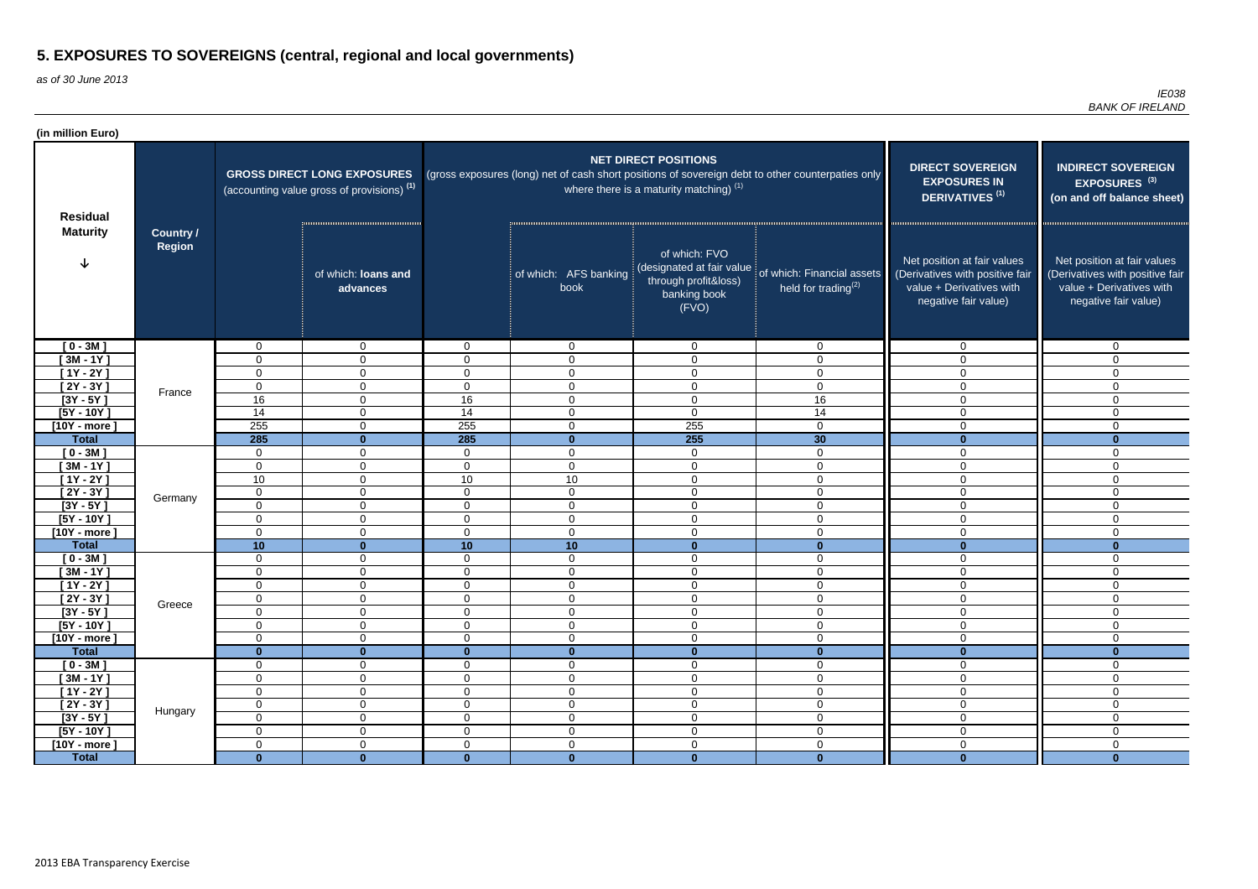as of 30 June 2013

| (in million Euro)          |                            |                   |                                                                                             |                |                               |                                                                          |                                                                                                   |                                                                                                                    |                                                                                                                    |
|----------------------------|----------------------------|-------------------|---------------------------------------------------------------------------------------------|----------------|-------------------------------|--------------------------------------------------------------------------|---------------------------------------------------------------------------------------------------|--------------------------------------------------------------------------------------------------------------------|--------------------------------------------------------------------------------------------------------------------|
| <b>Residual</b>            |                            |                   | <b>GROSS DIRECT LONG EXPOSURES</b><br>(accounting value gross of provisions) <sup>(1)</sup> |                |                               | <b>NET DIRECT POSITIONS</b><br>where there is a maturity matching) $(1)$ | (gross exposures (long) net of cash short positions of sovereign debt to other counterpaties only | <b>DIRECT SOVEREIGN</b><br><b>EXPOSURES IN</b><br>DERIVATIVES <sup>(1)</sup>                                       | <b>INDIRECT SOVEREIGN</b><br>EXPOSURES <sup>(3)</sup><br>(on and off balance sheet)                                |
| <b>Maturity</b>            | <b>Country /</b><br>Region |                   | of which: loans and<br>advances                                                             |                | of which: AFS banking<br>book | of which: FVO<br>through profit&loss)<br>banking book<br>(FVO)           | (designated at fair value of which: Financial assets<br>held for trading $(2)$                    | Net position at fair values<br>(Derivatives with positive fair<br>value + Derivatives with<br>negative fair value) | Net position at fair values<br>(Derivatives with positive fair<br>value + Derivatives with<br>negative fair value) |
| $[0 - 3M]$                 |                            | $\mathbf 0$       | $\overline{0}$                                                                              | $\overline{0}$ | $\overline{0}$                | $\mathbf 0$                                                              | $\mathbf 0$                                                                                       | $\overline{0}$                                                                                                     | $\mathbf{0}$                                                                                                       |
| [ 3M - 1 $\overline{Y}$ ]  |                            | 0                 | $\overline{0}$                                                                              | $\Omega$       | $\overline{0}$                | $\mathbf 0$                                                              | $\overline{0}$                                                                                    | $\Omega$                                                                                                           | $\Omega$                                                                                                           |
| $[1Y - 2Y]$                |                            | 0                 | $\mathbf{0}$                                                                                | $\Omega$       | $\mathbf 0$                   | $\mathbf 0$                                                              | $\mathbf 0$                                                                                       | $\Omega$                                                                                                           | $\Omega$                                                                                                           |
| $\overline{[2Y-3Y]}$       | France                     | $\mathbf 0$       | $\overline{0}$                                                                              | $\overline{0}$ | $\mathbf 0$                   | $\mathbf 0$                                                              | $\mathbf 0$                                                                                       | $\Omega$                                                                                                           | 0                                                                                                                  |
| $[3Y - 5Y]$                |                            | 16                | $\overline{0}$                                                                              | 16             | $\mathbf 0$                   | $\mathbf 0$                                                              | 16                                                                                                | $\Omega$                                                                                                           | $\Omega$                                                                                                           |
| $[5Y - 10Y]$               |                            | 14                | $\overline{0}$                                                                              | 14             | $\mathbf 0$                   | $\mathsf 0$                                                              | 14                                                                                                | $\mathbf 0$                                                                                                        | $\Omega$                                                                                                           |
| $[10Y - more]$             |                            | 255               | $\overline{0}$                                                                              | 255            | $\mathbf 0$                   | 255                                                                      | $\mathbf 0$                                                                                       | $\overline{0}$                                                                                                     | 0                                                                                                                  |
| <b>Total</b>               |                            | 285               | $\bf{0}$                                                                                    | 285            | $\mathbf 0$                   | 255                                                                      | 30                                                                                                | $\mathbf{0}$                                                                                                       | $\bf{0}$                                                                                                           |
| $[0 - 3M]$                 |                            | $\overline{0}$    | $\overline{0}$                                                                              | $\mathbf 0$    | $\mathbf 0$                   | $\mathbf 0$                                                              | $\overline{0}$                                                                                    | $\Omega$                                                                                                           | $\mathbf 0$                                                                                                        |
| $[3M - 1Y]$                |                            | $\mathbf 0$       | $\overline{0}$                                                                              | $\overline{0}$ | $\mathbf 0$                   | $\mathbf 0$                                                              | $\overline{0}$                                                                                    | $\mathbf 0$                                                                                                        | 0                                                                                                                  |
| $[1Y - 2Y]$<br>$[2Y - 3Y]$ |                            | 10<br>$\mathbf 0$ | $\overline{0}$                                                                              | 10<br>$\Omega$ | 10<br>$\mathbf 0$             | $\mathsf 0$<br>$\mathbf 0$                                               | $\mathbf 0$                                                                                       | $\mathbf{0}$<br>$\Omega$                                                                                           | 0                                                                                                                  |
| $[3Y - 5Y]$                | Germany                    | $\mathbf 0$       | $\overline{0}$<br>$\overline{0}$                                                            | $\overline{0}$ | $\mathbf 0$                   | $\mathsf 0$                                                              | $\mathbf 0$<br>$\overline{0}$                                                                     | $\Omega$                                                                                                           | $\mathbf 0$<br>$\overline{0}$                                                                                      |
| $[5Y - 10Y]$               |                            | $\mathbf 0$       | $\overline{0}$                                                                              | $\mathbf 0$    | $\overline{0}$                | $\mathsf 0$                                                              | $\mathbf 0$                                                                                       | $\overline{0}$                                                                                                     | $\mathbf 0$                                                                                                        |
| $[10Y - more]$             |                            | $\mathbf 0$       | $\overline{0}$                                                                              | $\mathbf 0$    | $\mathbf 0$                   | $\mathsf 0$                                                              | $\mathbf 0$                                                                                       | $\mathbf 0$                                                                                                        | $\mathbf 0$                                                                                                        |
| <b>Total</b>               |                            | 10                | $\mathbf{0}$                                                                                | 10             | 10                            | $\mathbf{0}$                                                             | $\mathbf{0}$                                                                                      | $\mathbf{0}$                                                                                                       | $\mathbf{0}$                                                                                                       |
| $[0 - 3M]$                 |                            | $\mathbf 0$       | $\mathbf 0$                                                                                 | $\overline{0}$ | $\overline{0}$                | $\mathbf 0$                                                              | $\mathbf 0$                                                                                       | $\mathbf 0$                                                                                                        | $\mathbf 0$                                                                                                        |
| $[3M - 1Y]$                |                            | $\mathbf 0$       | $\overline{0}$                                                                              | $\overline{0}$ | $\mathbf 0$                   | $\mathbf 0$                                                              | $\mathbf 0$                                                                                       | $\mathbf 0$                                                                                                        | 0                                                                                                                  |
| $[1Y - 2Y]$                |                            | 0                 | 0                                                                                           | 0              | $\mathbf 0$                   | $\mathbf 0$                                                              | $\mathbf 0$                                                                                       | $\Omega$                                                                                                           | 0                                                                                                                  |
| $[2Y - 3Y]$                |                            | $\boldsymbol{0}$  | $\pmb{0}$                                                                                   | $\overline{0}$ | $\mathbf 0$                   | $\mathbf 0$                                                              | $\Omega$<br>v                                                                                     | $\overline{0}$                                                                                                     | $\mathbf 0$                                                                                                        |
| $[3Y - 5Y]$                | Greece                     | 0                 | $\overline{0}$                                                                              | $\overline{0}$ | $\mathbf 0$                   | $\mathbf 0$                                                              | $\mathbf 0$                                                                                       | $\mathbf 0$                                                                                                        | 0                                                                                                                  |
| $[5Y - 10Y]$               |                            | $\mathbf 0$       | $\overline{0}$                                                                              | $\mathbf 0$    | $\overline{0}$                | $\mathsf 0$                                                              | $\mathbf 0$                                                                                       | $\mathbf 0$                                                                                                        | $\mathbf 0$                                                                                                        |
| $[10Y - more]$             |                            | $\mathbf 0$       | $\overline{0}$                                                                              | $\mathbf 0$    | $\mathbf 0$                   | $\mathsf 0$                                                              | $\mathbf 0$                                                                                       | $\mathbf 0$                                                                                                        | $\mathbf 0$                                                                                                        |
| <b>Total</b>               |                            | $\mathbf{0}$      | $\mathbf{0}$                                                                                | $\mathbf{0}$   | $\mathbf{0}$                  | $\mathbf{0}$                                                             | $\mathbf{0}$                                                                                      | $\mathbf{0}$                                                                                                       | $\bf{0}$                                                                                                           |
| $[0 - 3M]$                 |                            | $\mathbf 0$       | $\overline{0}$                                                                              | $\overline{0}$ | $\overline{0}$                | $\mathbf 0$                                                              | $\mathbf 0$                                                                                       | $\overline{0}$                                                                                                     | $\mathbf 0$                                                                                                        |
| $[3M - 1Y]$                |                            | $\boldsymbol{0}$  | $\overline{0}$                                                                              | $\mathbf 0$    | $\boldsymbol{0}$              | $\mathbf 0$                                                              | $\mathbf 0$                                                                                       | $\mathbf 0$                                                                                                        | $\mathbf 0$                                                                                                        |
| $[1Y - 2Y]$                |                            | $\mathbf 0$       | $\mathbf 0$                                                                                 | $\overline{0}$ | $\boldsymbol{0}$              | $\mathsf 0$                                                              | $\mathbf 0$                                                                                       | $\overline{0}$                                                                                                     | $\overline{0}$                                                                                                     |
| $[2Y - 3Y]$                | Hungary                    | $\mathbf 0$       | $\overline{0}$                                                                              | $\mathbf 0$    | $\overline{0}$                | $\mathbf 0$                                                              | $\mathbf 0$                                                                                       | $\overline{0}$                                                                                                     | 0                                                                                                                  |
| $[3Y - 5Y]$                |                            | $\mathbf 0$       | $\overline{0}$                                                                              | $\overline{0}$ | $\boldsymbol{0}$              | $\mathbf 0$                                                              | $\mathbf 0$                                                                                       | $\mathbf 0$                                                                                                        | 0                                                                                                                  |
| $[5Y - 10Y]$               |                            | $\mathbf 0$       | $\overline{0}$                                                                              | $\overline{0}$ | $\mathbf 0$                   | $\mathbf 0$                                                              | $\mathbf 0$                                                                                       | $\overline{0}$                                                                                                     | 0                                                                                                                  |
| $[10Y - more]$             |                            | $\overline{0}$    | $\overline{0}$                                                                              | $\overline{0}$ | $\mathbf 0$                   | $\mathsf 0$                                                              | $\overline{0}$                                                                                    | $\overline{0}$                                                                                                     | $\mathbf 0$                                                                                                        |
| <b>Total</b>               |                            | $\mathbf{0}$      | $\mathbf{0}$                                                                                | $\mathbf{0}$   | $\mathbf{0}$                  | $\mathbf{0}$                                                             | $\mathbf{0}$                                                                                      | $\mathbf{0}$                                                                                                       | $\mathbf{0}$                                                                                                       |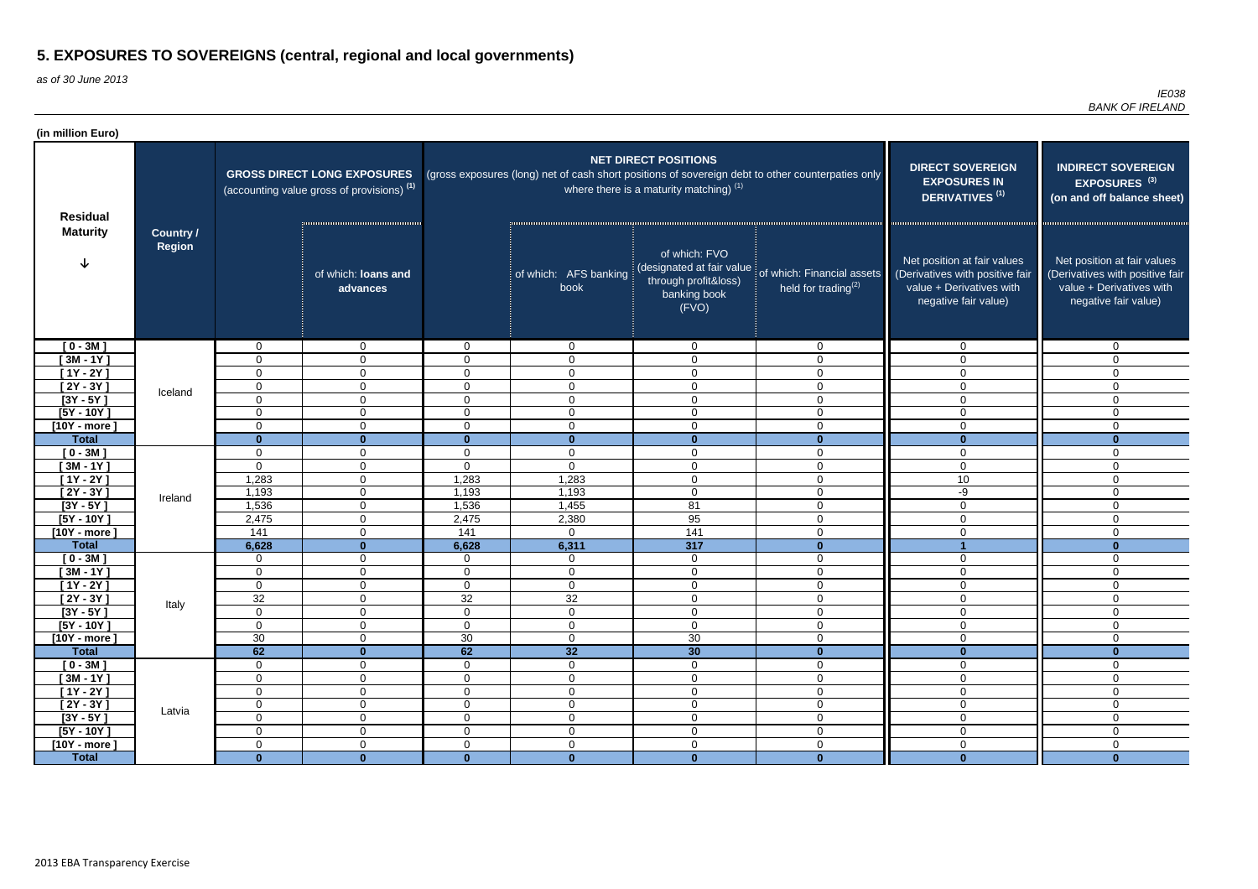as of 30 June 2013

| (in million Euro)          |                            |                            |                                                                                             |                                  |                               |                                                                          |                                                                                                   |                                                                                                                    |                                                                                                                    |
|----------------------------|----------------------------|----------------------------|---------------------------------------------------------------------------------------------|----------------------------------|-------------------------------|--------------------------------------------------------------------------|---------------------------------------------------------------------------------------------------|--------------------------------------------------------------------------------------------------------------------|--------------------------------------------------------------------------------------------------------------------|
| <b>Residual</b>            |                            |                            | <b>GROSS DIRECT LONG EXPOSURES</b><br>(accounting value gross of provisions) <sup>(1)</sup> |                                  |                               | <b>NET DIRECT POSITIONS</b><br>where there is a maturity matching) $(1)$ | (gross exposures (long) net of cash short positions of sovereign debt to other counterpaties only | <b>DIRECT SOVEREIGN</b><br><b>EXPOSURES IN</b><br>DERIVATIVES <sup>(1)</sup>                                       | <b>INDIRECT SOVEREIGN</b><br>EXPOSURES <sup>(3)</sup><br>(on and off balance sheet)                                |
| <b>Maturity</b>            | <b>Country /</b><br>Region |                            | of which: loans and<br>advances                                                             |                                  | of which: AFS banking<br>book | of which: FVO<br>through profit&loss)<br>banking book<br>(FVO)           | (designated at fair value of which: Financial assets<br>held for trading $^{(2)}$                 | Net position at fair values<br>(Derivatives with positive fair<br>value + Derivatives with<br>negative fair value) | Net position at fair values<br>(Derivatives with positive fair<br>value + Derivatives with<br>negative fair value) |
| $[0 - 3M]$                 |                            | 0                          | $\overline{0}$                                                                              | $\Omega$                         | $\overline{0}$                | $\mathbf{0}$                                                             | $\mathbf{0}$                                                                                      | $\overline{0}$                                                                                                     | $\mathbf{0}$                                                                                                       |
| $[3M - 1Y]$                |                            | 0                          | $\mathbf 0$                                                                                 | $\Omega$                         | $\overline{0}$                | $\mathbf 0$                                                              | $\mathbf 0$                                                                                       | $\Omega$                                                                                                           | $\Omega$                                                                                                           |
| $[1Y - 2Y]$                |                            | $\Omega$                   | $\mathbf 0$                                                                                 | $\Omega$                         | $\mathbf 0$                   | $\mathbf 0$                                                              | $\mathbf 0$                                                                                       | $\Omega$                                                                                                           | $\overline{0}$                                                                                                     |
| $\overline{[2Y-3Y]}$       | Iceland                    | 0                          | $\overline{0}$                                                                              | $\Omega$                         | $\mathbf 0$                   | $\mathbf 0$                                                              | $\mathbf 0$                                                                                       | $\mathbf 0$                                                                                                        | 0                                                                                                                  |
| $[3Y - 5Y]$                |                            | $\overline{0}$             | $\overline{0}$                                                                              | $\Omega$                         | $\overline{0}$                | $\mathbf 0$                                                              | $\mathbf 0$                                                                                       | $\Omega$                                                                                                           | $\mathbf 0$                                                                                                        |
| $[5Y - 10Y]$               |                            | 0                          | $\overline{0}$                                                                              | $\overline{0}$                   | $\overline{0}$                | $\mathbf 0$                                                              | $\mathbf 0$                                                                                       | $\overline{0}$                                                                                                     | $\Omega$                                                                                                           |
| $[10Y - more]$             |                            | 0                          | $\mathbf 0$                                                                                 | $\mathbf 0$                      | $\mathbf 0$                   | $\mathbf 0$                                                              | $\mathbf 0$                                                                                       | $\mathbf 0$                                                                                                        | 0                                                                                                                  |
| <b>Total</b>               |                            | $\bf{0}$                   | $\bf{0}$                                                                                    | $\mathbf{0}$                     | $\mathbf 0$                   | $\mathbf{0}$                                                             | $\mathbf 0$                                                                                       | $\bf{0}$                                                                                                           | $\mathbf{0}$                                                                                                       |
| $[0 - 3M]$                 |                            | $\mathbf 0$                | $\overline{0}$                                                                              | $\mathbf 0$                      | $\overline{0}$                | $\mathbf 0$                                                              | $\mathbf 0$                                                                                       | $\mathbf 0$                                                                                                        | $\mathbf 0$                                                                                                        |
| $[3M - 1Y]$<br>$[1Y - 2Y]$ |                            | 0<br>1,283                 | $\overline{0}$<br>$\overline{0}$                                                            | $\mathbf 0$<br>1,283             | $\overline{0}$<br>1,283       | $\mathbf 0$<br>$\mathbf 0$                                               | $\overline{0}$<br>$\mathbf 0$                                                                     | $\mathbf 0$<br>10                                                                                                  | $\overline{0}$                                                                                                     |
| $[2Y - 3Y]$                |                            | 1,193                      | $\overline{0}$                                                                              | 1,193                            | 1,193                         | $\mathbf 0$                                                              | $\overline{0}$                                                                                    | -9                                                                                                                 | $\mathbf 0$<br>$\mathbf 0$                                                                                         |
| $[3Y - 5Y]$                | Ireland                    | 1,536                      | $\overline{0}$                                                                              | 1,536                            | 1,455                         | 81                                                                       | $\overline{0}$                                                                                    | $\Omega$                                                                                                           | $\mathbf 0$                                                                                                        |
| $[5Y - 10Y]$               |                            | 2,475                      | $\overline{0}$                                                                              | 2,475                            | 2,380                         | 95                                                                       | $\overline{0}$                                                                                    | $\mathbf 0$                                                                                                        | $\mathbf 0$                                                                                                        |
| $[10Y - more]$             |                            | 141                        | $\overline{0}$                                                                              | 141                              | $\overline{0}$                | 141                                                                      | $\overline{0}$                                                                                    | $\mathbf 0$                                                                                                        | $\mathbf 0$                                                                                                        |
| <b>Total</b>               |                            | 6,628                      | $\bf{0}$                                                                                    | 6,628                            | 6,311                         | 317                                                                      | $\mathbf{0}$                                                                                      |                                                                                                                    | $\bf{0}$                                                                                                           |
| $[0 - 3M]$                 |                            | $\mathbf 0$                | $\overline{0}$                                                                              | $\mathbf 0$                      | $\overline{0}$                | $\mathbf 0$                                                              | $\overline{0}$                                                                                    | $\mathbf 0$                                                                                                        | 0                                                                                                                  |
| $[3M - 1Y]$                |                            | $\mathbf 0$                | $\overline{0}$                                                                              | $\mathbf 0$                      | $\overline{0}$                | $\mathbf 0$                                                              | $\mathbf 0$                                                                                       | $\mathbf 0$                                                                                                        | $\mathbf 0$                                                                                                        |
| $[1Y - 2Y]$                |                            | 0                          | $\overline{0}$                                                                              | $\mathbf 0$                      | $\mathbf 0$                   | $\mathbf 0$                                                              | $\mathbf 0$                                                                                       | 0                                                                                                                  | $\Omega$                                                                                                           |
| $[2Y - 3Y]$                | Italy                      | 32                         | $\pmb{0}$                                                                                   | 32                               | 32                            | $\pmb{0}$                                                                | $\overline{0}$                                                                                    | $\mathbf 0$                                                                                                        | $\mathbf 0$                                                                                                        |
| $[3Y - 5Y]$                |                            | 0                          | $\overline{0}$                                                                              | $\mathbf 0$                      | $\mathbf 0$                   | $\mathbf 0$                                                              | $\mathbf 0$                                                                                       | $\mathbf 0$                                                                                                        | $\mathbf 0$                                                                                                        |
| $[5Y - 10Y]$               |                            | $\mathbf 0$                | $\overline{0}$                                                                              | $\mathbf 0$                      | $\mathbf 0$                   | $\mathbf 0$                                                              | $\overline{0}$                                                                                    | $\overline{0}$                                                                                                     | $\overline{0}$                                                                                                     |
| $[10Y - more]$             |                            | 30                         | $\mathbf 0$                                                                                 | 30                               | $\overline{0}$                | 30                                                                       | $\mathbf 0$                                                                                       | $\mathbf 0$                                                                                                        | $\mathbf 0$                                                                                                        |
| <b>Total</b>               |                            | 62                         | $\mathbf{0}$                                                                                | 62                               | 32                            | 30                                                                       | $\mathbf{0}$                                                                                      | $\mathbf{0}$                                                                                                       | $\bf{0}$                                                                                                           |
| $[0 - 3M]$                 |                            | $\mathbf 0$                | $\overline{0}$                                                                              | $\overline{0}$                   | $\overline{0}$                | $\mathbf 0$                                                              | $\overline{0}$                                                                                    | $\mathbf 0$                                                                                                        | $\mathbf 0$                                                                                                        |
| $[3M - 1Y]$                |                            | $\mathbf 0$                | $\overline{0}$                                                                              | $\overline{0}$                   | $\boldsymbol{0}$              | $\mathsf 0$                                                              | $\mathbf 0$                                                                                       | $\mathbf 0$                                                                                                        | $\mathbf 0$                                                                                                        |
| $[1Y - 2Y]$<br>$[2Y - 3Y]$ |                            | $\mathbf 0$<br>$\mathbf 0$ | $\overline{0}$<br>$\overline{0}$                                                            | $\overline{0}$<br>$\overline{0}$ | $\mathbf 0$<br>$\overline{0}$ | $\mathbf 0$<br>$\mathbf 0$                                               | $\overline{0}$<br>$\overline{0}$                                                                  | $\mathbf 0$<br>$\mathbf 0$                                                                                         | $\mathbf 0$<br>$\mathbf 0$                                                                                         |
| $[3Y - 5Y]$                | Latvia                     | $\mathbf 0$                | $\overline{0}$                                                                              | $\overline{0}$                   | $\mathbf 0$                   | $\mathsf 0$                                                              | $\mathbf 0$                                                                                       | $\mathbf 0$                                                                                                        | $\overline{0}$                                                                                                     |
| $[5Y - 10Y]$               |                            | $\mathbf 0$                | $\overline{0}$                                                                              | $\overline{0}$                   | $\mathbf 0$                   | $\mathsf 0$                                                              | $\overline{0}$                                                                                    | $\mathbf 0$                                                                                                        | $\mathbf 0$                                                                                                        |
| $[10Y - more]$             |                            | $\mathbf 0$                | $\overline{0}$                                                                              | $\overline{0}$                   | $\mathbf 0$                   | $\mathbf 0$                                                              | $\overline{0}$                                                                                    | $\mathbf 0$                                                                                                        | $\mathbf 0$                                                                                                        |
| <b>Total</b>               |                            | $\mathbf{0}$               | $\mathbf{0}$                                                                                | $\mathbf{0}$                     | $\mathbf{0}$                  | $\mathbf{0}$                                                             | $\mathbf{0}$                                                                                      | $\mathbf{0}$                                                                                                       | $\mathbf{0}$                                                                                                       |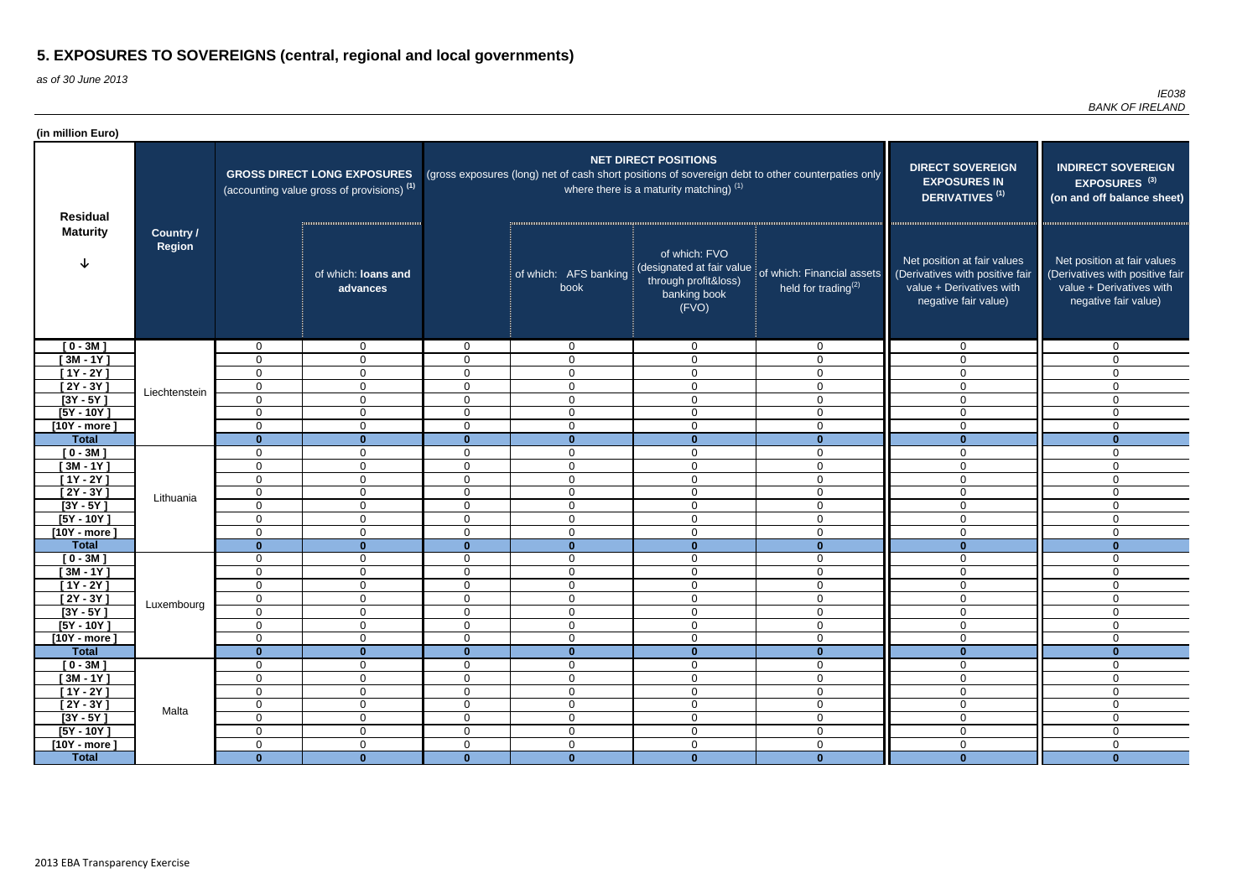as of 30 June 2013

| (in million Euro)          |                            |                                 |                                                                                             |                            |                                 |                                                                                             |                                                                                                   |                                                                                                                    |                                                                                                                    |
|----------------------------|----------------------------|---------------------------------|---------------------------------------------------------------------------------------------|----------------------------|---------------------------------|---------------------------------------------------------------------------------------------|---------------------------------------------------------------------------------------------------|--------------------------------------------------------------------------------------------------------------------|--------------------------------------------------------------------------------------------------------------------|
| <b>Residual</b>            |                            |                                 | <b>GROSS DIRECT LONG EXPOSURES</b><br>(accounting value gross of provisions) <sup>(1)</sup> |                            |                                 | <b>NET DIRECT POSITIONS</b><br>where there is a maturity matching) $(1)$                    | (gross exposures (long) net of cash short positions of sovereign debt to other counterpaties only | <b>DIRECT SOVEREIGN</b><br><b>EXPOSURES IN</b><br>DERIVATIVES <sup>(1)</sup>                                       | <b>INDIRECT SOVEREIGN</b><br>EXPOSURES <sup>(3)</sup><br>(on and off balance sheet)                                |
| <b>Maturity</b>            | <b>Country /</b><br>Region |                                 | of which: loans and<br>advances                                                             |                            | of which: AFS banking<br>book   | of which: FVO<br>(designated at fair value<br>through profit&loss)<br>banking book<br>(FVO) | of which: Financial assets<br>held for trading $(2)$                                              | Net position at fair values<br>(Derivatives with positive fair<br>value + Derivatives with<br>negative fair value) | Net position at fair values<br>(Derivatives with positive fair<br>value + Derivatives with<br>negative fair value) |
| $[0 - 3M]$                 |                            | $\mathbf 0$                     | $\mathbf{0}$                                                                                | $\overline{0}$             | $\overline{0}$                  | $\mathbf 0$                                                                                 | $\mathbf 0$                                                                                       | $\Omega$                                                                                                           | $\mathbf{0}$                                                                                                       |
| $[3M - 1Y]$                |                            | 0                               | $\mathbf{0}$                                                                                | $\Omega$                   | $\mathbf 0$                     | $\mathbf 0$                                                                                 | $\mathbf 0$                                                                                       | $\Omega$                                                                                                           | $\Omega$                                                                                                           |
| $[1Y - 2Y]$                |                            | $\mathbf 0$                     | $\overline{0}$                                                                              | $\mathbf 0$                | $\mathbf 0$                     | $\mathbf 0$                                                                                 | $\mathbf 0$                                                                                       | $\Omega$                                                                                                           | $\Omega$                                                                                                           |
| $[2Y - 3Y]$                | Liechtenstein              | $\mathbf 0$                     | $\overline{0}$                                                                              | $\mathbf 0$                | $\mathbf 0$                     | $\mathbf 0$                                                                                 | $\overline{0}$                                                                                    | $\Omega$                                                                                                           | $\Omega$                                                                                                           |
| $[3Y - 5Y]$                |                            | $\mathbf 0$                     | $\overline{0}$                                                                              | $\mathbf 0$                | $\mathbf 0$                     | $\mathbf 0$                                                                                 | $\overline{0}$                                                                                    | $\mathbf 0$                                                                                                        | 0                                                                                                                  |
| $[5Y - 10Y]$               |                            | $\mathbf 0$                     | $\overline{0}$                                                                              | $\mathbf 0$                | $\overline{0}$                  | $\mathbf 0$                                                                                 | $\mathbf 0$                                                                                       | $\Omega$                                                                                                           | $\mathbf 0$                                                                                                        |
| $[10Y - more]$             |                            | $\mathbf 0$                     | $\overline{0}$                                                                              | $\mathbf 0$                | $\mathbf 0$                     | $\mathbf 0$                                                                                 | $\mathbf 0$                                                                                       | $\Omega$                                                                                                           | $\mathbf 0$                                                                                                        |
| <b>Total</b>               |                            | $\mathbf{0}$                    | $\mathbf{0}$                                                                                | $\mathbf{0}$               | $\mathbf{0}$                    | $\mathbf{0}$                                                                                | $\mathbf{0}$                                                                                      | $\mathbf{0}$                                                                                                       | $\mathbf{0}$                                                                                                       |
| $[0 - 3M]$                 |                            | 0                               | $\mathbf 0$                                                                                 | $\mathbf 0$                | $\mathbf 0$                     | $\mathbf 0$                                                                                 | $\overline{0}$                                                                                    | $\Omega$                                                                                                           | 0                                                                                                                  |
| $[3M - 1Y]$<br>$[1Y - 2Y]$ |                            | 0                               | $\mathbf{0}$                                                                                | $\Omega$<br>$\Omega$       | $\mathbf 0$                     | $\mathbf 0$                                                                                 | $\mathbf 0$                                                                                       | $\mathbf{0}$<br>$\Omega$                                                                                           | 0                                                                                                                  |
| $[2Y - 3Y]$                |                            | $\mathbf 0$<br>$\mathbf 0$      | $\overline{0}$<br>$\overline{0}$                                                            | $\mathbf 0$                | $\mathbf 0$<br>$\mathbf 0$      | $\mathbf 0$<br>$\mathsf 0$                                                                  | $\mathbf 0$<br>$\overline{0}$                                                                     | $\Omega$                                                                                                           | $\overline{0}$<br>$\mathbf 0$                                                                                      |
| $[3Y - 5Y]$                | Lithuania                  | $\mathbf 0$                     | $\mathbf{0}$                                                                                | $\mathbf 0$                | $\mathbf 0$                     | $\mathbf 0$                                                                                 | $\mathbf 0$                                                                                       | $\Omega$                                                                                                           | $\Omega$                                                                                                           |
| $[5Y - 10Y]$               |                            | 0                               | $\mathbf{0}$                                                                                | $\mathbf 0$                | $\mathbf 0$                     | $\mathbf 0$                                                                                 | $\mathbf 0$                                                                                       | $\Omega$                                                                                                           | $\mathbf 0$                                                                                                        |
| $[10Y - more]$             |                            | 0                               | $\overline{0}$                                                                              | $\Omega$                   | $\overline{0}$                  | $\mathbf 0$                                                                                 | $\mathbf 0$                                                                                       | $\overline{0}$                                                                                                     | $\mathbf 0$                                                                                                        |
| <b>Total</b>               |                            | $\mathbf{0}$                    | $\bf{0}$                                                                                    | $\mathbf{0}$               | $\mathbf{0}$                    | $\mathbf{0}$                                                                                | $\mathbf{0}$                                                                                      | $\mathbf{0}$                                                                                                       | $\bf{0}$                                                                                                           |
| $[0 - 3M]$                 |                            | 0                               | $\mathbf 0$                                                                                 | $\mathbf 0$                | $\mathbf 0$                     | $\mathbf 0$                                                                                 | $\mathbf 0$                                                                                       | $\mathbf 0$                                                                                                        | $\mathbf{0}$                                                                                                       |
| $[3M - 1Y]$                |                            | $\mathbf 0$                     | $\mathbf 0$                                                                                 | $\overline{0}$             | $\mathbf 0$                     | $\mathbf 0$                                                                                 | $\overline{0}$                                                                                    | $\overline{0}$                                                                                                     | 0                                                                                                                  |
| $[1Y - 2Y]$                |                            | 0                               | $\mathbf 0$                                                                                 | 0                          | $\overline{0}$                  | $\mathbf 0$                                                                                 | $\overline{0}$                                                                                    | $\mathbf{0}$                                                                                                       | 0                                                                                                                  |
| $[2Y - 3Y]$                | Luxembourg                 | 0                               | $\overline{0}$                                                                              | $\mathbf 0$                | $\overline{0}$                  | $\mathbf 0$                                                                                 | $\mathbf 0$                                                                                       | $\mathbf 0$                                                                                                        | $\mathbf 0$                                                                                                        |
| $[3Y - 5Y]$                |                            | $\mathbf 0$                     | $\overline{0}$                                                                              | $\mathbf 0$                | $\mathbf 0$                     | $\mathsf 0$                                                                                 | $\mathbf 0$                                                                                       | $\mathbf 0$                                                                                                        | $\mathbf{0}$                                                                                                       |
| $[5Y - 10Y]$               |                            | $\mathbf 0$                     | $\overline{0}$                                                                              | $\mathbf 0$                | $\mathbf 0$                     | $\mathsf 0$                                                                                 | $\mathbf 0$                                                                                       | $\mathbf 0$                                                                                                        | $\mathbf 0$                                                                                                        |
| $[10Y - more]$             |                            | $\mathbf 0$                     | $\overline{0}$                                                                              | $\mathbf 0$                | $\boldsymbol{0}$                | $\mathbf 0$                                                                                 | $\mathbf 0$                                                                                       | $\overline{0}$                                                                                                     | $\mathbf 0$                                                                                                        |
| <b>Total</b>               |                            | $\mathbf{0}$                    | $\mathbf{0}$                                                                                | $\mathbf{0}$               | $\mathbf{0}$                    | $\mathbf 0$                                                                                 | $\mathbf{0}$                                                                                      | $\mathbf{0}$                                                                                                       | $\mathbf{0}$                                                                                                       |
| $[0 - 3M]$                 |                            | $\mathbf 0$                     | $\overline{0}$                                                                              | $\overline{0}$             | $\boldsymbol{0}$                | $\mathbf 0$                                                                                 | $\mathbf 0$                                                                                       | $\overline{0}$                                                                                                     | $\mathbf 0$                                                                                                        |
| $[3M - 1Y]$                |                            | $\mathbf 0$                     | $\overline{0}$                                                                              | $\mathbf 0$                | $\boldsymbol{0}$                | $\mathbf 0$                                                                                 | $\mathbf 0$                                                                                       | $\overline{0}$                                                                                                     | 0                                                                                                                  |
| $[1Y - 2Y]$<br>$[2Y - 3Y]$ |                            | $\mathbf 0$<br>$\boldsymbol{0}$ | $\overline{0}$<br>$\mathbf 0$                                                               | $\mathbf 0$<br>$\mathbf 0$ | $\mathbf 0$<br>$\boldsymbol{0}$ | $\mathbf 0$<br>$\pmb{0}$                                                                    | $\mathbf 0$<br>$\mathbf 0$                                                                        | $\mathbf 0$<br>$\mathbf 0$                                                                                         | 0<br>$\mathbf 0$                                                                                                   |
| $[3Y - 5Y]$                | Malta                      | $\overline{0}$                  | $\overline{0}$                                                                              | $\overline{0}$             | $\overline{0}$                  | $\mathbf 0$                                                                                 | $\overline{0}$                                                                                    | $\overline{0}$                                                                                                     | $\mathbf 0$                                                                                                        |
| $[5Y - 10Y]$               |                            | $\overline{0}$                  | $\overline{0}$                                                                              | $\mathbf 0$                | $\boldsymbol{0}$                | $\pmb{0}$                                                                                   | $\mathbf 0$                                                                                       | $\overline{0}$                                                                                                     | $\mathbf 0$                                                                                                        |
| $[10Y - more]$             |                            | $\mathbf 0$                     | $\overline{0}$                                                                              | $\mathbf 0$                | $\mathbf 0$                     | $\mathsf 0$                                                                                 | $\mathbf 0$                                                                                       | $\mathbf 0$                                                                                                        | $\mathbf 0$                                                                                                        |
| <b>Total</b>               |                            | $\mathbf{0}$                    | $\mathbf{0}$                                                                                | $\mathbf{0}$               | $\mathbf{0}$                    | $\mathbf{0}$                                                                                | $\mathbf{0}$                                                                                      | $\mathbf{0}$                                                                                                       | $\mathbf{0}$                                                                                                       |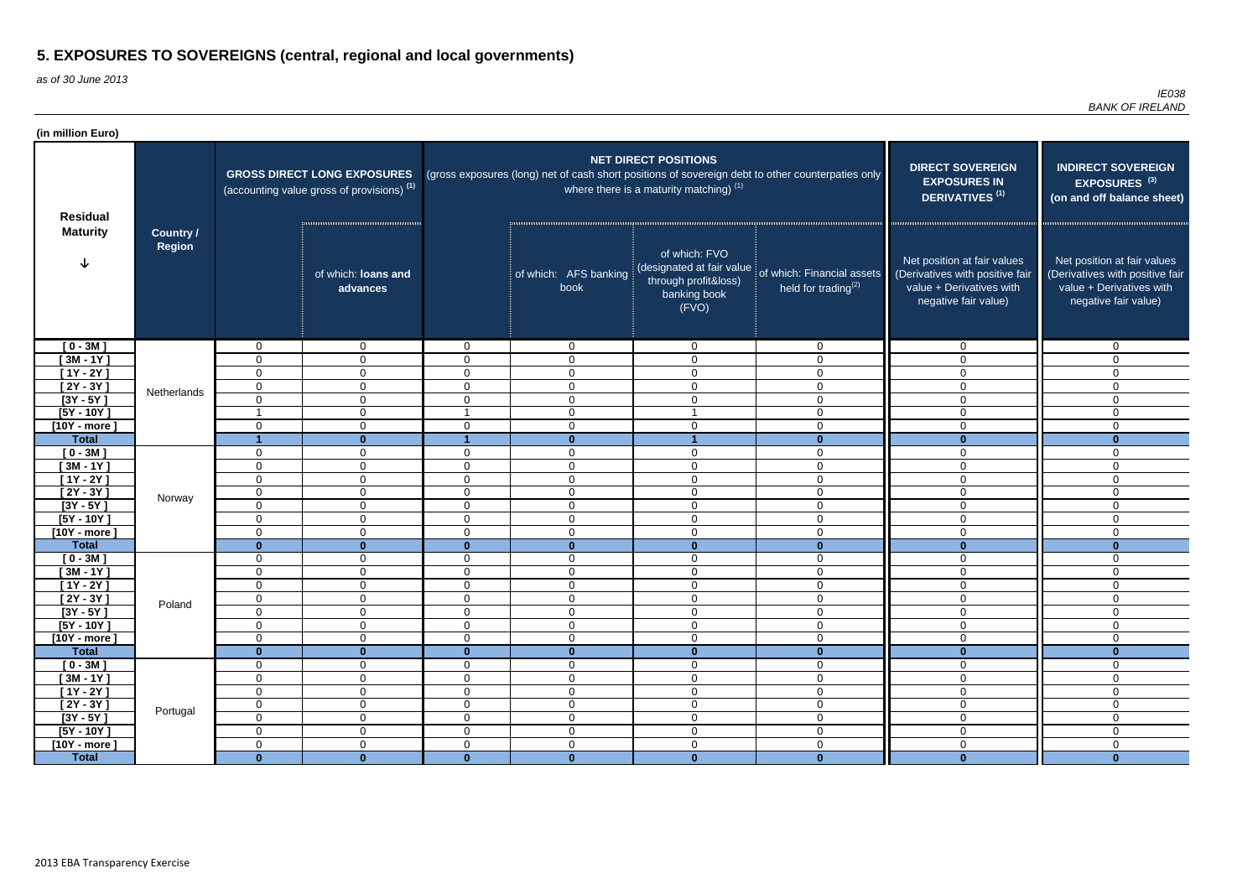as of 30 June 2013

| (in million Euro)          |                            |                            |                                                                                             |                               |                                 |                                                                          |                                                                                                   |                                                                                                                    |                                                                                                                    |
|----------------------------|----------------------------|----------------------------|---------------------------------------------------------------------------------------------|-------------------------------|---------------------------------|--------------------------------------------------------------------------|---------------------------------------------------------------------------------------------------|--------------------------------------------------------------------------------------------------------------------|--------------------------------------------------------------------------------------------------------------------|
| <b>Residual</b>            |                            |                            | <b>GROSS DIRECT LONG EXPOSURES</b><br>(accounting value gross of provisions) <sup>(1)</sup> |                               |                                 | <b>NET DIRECT POSITIONS</b><br>where there is a maturity matching) $(1)$ | (gross exposures (long) net of cash short positions of sovereign debt to other counterpaties only | <b>DIRECT SOVEREIGN</b><br><b>EXPOSURES IN</b><br>DERIVATIVES <sup>(1)</sup>                                       | <b>INDIRECT SOVEREIGN</b><br>EXPOSURES <sup>(3)</sup><br>(on and off balance sheet)                                |
| <b>Maturity</b>            | <b>Country /</b><br>Region |                            | of which: loans and<br>advances                                                             |                               | of which: AFS banking<br>book   | of which: FVO<br>through profit&loss)<br>banking book<br>(FVO)           | (designated at fair value of which: Financial assets<br>held for trading $^{(2)}$                 | Net position at fair values<br>(Derivatives with positive fair<br>value + Derivatives with<br>negative fair value) | Net position at fair values<br>(Derivatives with positive fair<br>value + Derivatives with<br>negative fair value) |
| $[0 - 3M]$                 |                            | $\overline{0}$             | $\overline{0}$                                                                              | $\overline{0}$                | $\overline{0}$                  | $\mathbf 0$                                                              | $\mathbf 0$                                                                                       | $\overline{0}$                                                                                                     | $\mathbf{0}$                                                                                                       |
| [ 3M - 1 $\overline{Y}$ ]  |                            | $\mathbf 0$                | $\mathbf 0$                                                                                 | $\Omega$                      | $\overline{0}$                  | $\mathbf 0$                                                              | $\overline{0}$                                                                                    | $\Omega$                                                                                                           | $\Omega$                                                                                                           |
| $[1Y - 2Y]$                |                            | 0                          | $\mathbf{0}$                                                                                | $\Omega$                      | $\mathbf 0$                     | $\mathbf 0$                                                              | $\mathbf 0$                                                                                       | $\Omega$                                                                                                           | $\Omega$                                                                                                           |
| $\sqrt{2Y-3Y}$             | Netherlands                | $\mathbf 0$                | $\overline{0}$                                                                              | $\mathbf 0$                   | $\mathbf 0$                     | $\mathbf 0$                                                              | $\overline{0}$                                                                                    | $\Omega$                                                                                                           | 0                                                                                                                  |
| $[3Y - 5Y]$                |                            | $\mathbf 0$                | $\overline{0}$                                                                              | $\Omega$                      | $\mathbf 0$                     | $\mathbf 0$                                                              | $\mathbf 0$                                                                                       | $\Omega$                                                                                                           | $\Omega$                                                                                                           |
| $[5Y - 10Y]$               |                            |                            | $\overline{0}$                                                                              |                               | $\mathbf 0$                     |                                                                          | $\mathbf 0$                                                                                       | $\overline{0}$                                                                                                     | $\Omega$                                                                                                           |
| $[10Y - more]$             |                            | $\mathbf 0$                | $\overline{0}$                                                                              | $\mathbf 0$                   | $\mathbf 0$                     | $\mathbf 0$                                                              | $\mathbf 0$                                                                                       | $\overline{0}$                                                                                                     | 0                                                                                                                  |
| <b>Total</b>               |                            |                            | $\bf{0}$                                                                                    |                               | $\mathbf{0}$                    |                                                                          | $\mathbf 0$                                                                                       | $\mathbf{0}$                                                                                                       | $\bf{0}$                                                                                                           |
| $[0 - 3M]$                 |                            | $\mathbf 0$                | $\overline{0}$                                                                              | 0                             | $\mathbf 0$                     | $\mathbf 0$                                                              | $\mathbf 0$                                                                                       | $\Omega$                                                                                                           | 0                                                                                                                  |
| $[3M - 1Y]$                |                            | 0<br>$\mathbf 0$           | $\overline{0}$<br>$\overline{0}$                                                            | $\mathbf 0$<br>$\overline{0}$ | $\mathbf 0$<br>$\mathbf 0$      | $\mathbf 0$                                                              | $\overline{0}$                                                                                    | $\Omega$<br>$\mathbf{0}$                                                                                           | 0                                                                                                                  |
| $[1Y - 2Y]$<br>$[2Y - 3Y]$ |                            | $\mathbf 0$                | $\overline{0}$                                                                              | $\Omega$                      | $\mathbf 0$                     | $\mathbf 0$<br>$\mathbf 0$                                               | $\mathbf 0$<br>$\overline{0}$                                                                     | $\Omega$                                                                                                           | 0<br>0                                                                                                             |
| $[3Y - 5Y]$                | Norway                     | $\mathbf 0$                | $\overline{0}$                                                                              | $\mathbf 0$                   | $\mathbf 0$                     | $\mathsf 0$                                                              | $\overline{0}$                                                                                    | $\Omega$                                                                                                           | 0                                                                                                                  |
| $[5Y - 10Y]$               |                            | $\mathbf 0$                | $\overline{0}$                                                                              | $\mathbf 0$                   | $\overline{0}$                  | $\mathsf 0$                                                              | $\mathbf 0$                                                                                       | $\overline{0}$                                                                                                     | $\mathbf 0$                                                                                                        |
| $[10Y - more]$             |                            | $\mathbf 0$                | $\overline{0}$                                                                              | $\overline{0}$                | $\mathbf 0$                     | $\mathsf 0$                                                              | $\mathbf 0$                                                                                       | $\mathbf 0$                                                                                                        | $\mathbf 0$                                                                                                        |
| <b>Total</b>               |                            | $\mathbf{0}$               | $\mathbf{0}$                                                                                | $\mathbf{0}$                  | $\mathbf{0}$                    | $\mathbf{0}$                                                             | $\mathbf{0}$                                                                                      | $\mathbf{0}$                                                                                                       | $\mathbf{0}$                                                                                                       |
| $[0 - 3M]$                 |                            | $\mathbf 0$                | $\mathbf 0$                                                                                 | $\overline{0}$                | $\overline{0}$                  | $\mathbf 0$                                                              | $\overline{0}$                                                                                    | $\mathbf 0$                                                                                                        | $\mathbf 0$                                                                                                        |
| $[3M - 1Y]$                |                            | $\mathbf 0$                | $\overline{0}$                                                                              | $\mathbf 0$                   | $\mathbf 0$                     | $\mathbf 0$                                                              | $\mathbf 0$                                                                                       | $\mathbf 0$                                                                                                        | 0                                                                                                                  |
| $[1Y - 2Y]$                |                            | 0                          | 0                                                                                           | 0                             | $\mathbf 0$                     | $\mathbf 0$                                                              | $\mathbf 0$                                                                                       | $\Omega$                                                                                                           | 0                                                                                                                  |
| $[2Y - 3Y]$                | Poland                     | $\boldsymbol{0}$           | $\pmb{0}$                                                                                   | $\mathbf 0$                   | $\mathbf 0$                     | $\mathbf 0$                                                              | $\Omega$<br>v                                                                                     | $\overline{0}$                                                                                                     | $\Omega$                                                                                                           |
| $[3Y - 5Y]$                |                            | 0                          | $\overline{0}$                                                                              | $\mathbf 0$                   | $\mathbf 0$                     | $\mathbf 0$                                                              | $\overline{0}$                                                                                    | $\mathbf 0$                                                                                                        | 0                                                                                                                  |
| $[5Y - 10Y]$               |                            | $\mathbf 0$                | $\overline{0}$                                                                              | $\mathbf 0$                   | $\overline{0}$                  | $\mathsf 0$                                                              | $\mathbf 0$                                                                                       | $\mathbf 0$                                                                                                        | $\mathbf 0$                                                                                                        |
| $[10Y - more]$             |                            | $\mathbf 0$                | $\overline{0}$                                                                              | $\mathbf 0$                   | $\mathbf 0$                     | $\mathsf 0$                                                              | $\mathbf 0$                                                                                       | $\mathbf 0$                                                                                                        | 0                                                                                                                  |
| <b>Total</b>               |                            | $\mathbf{0}$               | $\mathbf{0}$                                                                                | $\mathbf{0}$                  | $\mathbf{0}$                    | $\mathbf{0}$                                                             | $\mathbf{0}$                                                                                      | $\mathbf{0}$                                                                                                       | $\bf{0}$                                                                                                           |
| $[0 - 3M]$                 |                            | $\mathbf 0$                | $\overline{0}$                                                                              | $\overline{0}$                | $\mathbf 0$                     | $\mathbf 0$                                                              | $\mathbf 0$                                                                                       | $\overline{0}$                                                                                                     | $\mathbf 0$                                                                                                        |
| $[3M - 1Y]$                |                            | $\boldsymbol{0}$           | $\overline{0}$                                                                              | $\mathbf 0$                   | $\boldsymbol{0}$                | $\mathbf 0$                                                              | $\mathbf 0$                                                                                       | $\mathbf 0$                                                                                                        | $\mathbf 0$                                                                                                        |
| $[1Y - 2Y]$<br>$[2Y - 3Y]$ |                            | $\mathbf 0$<br>$\mathbf 0$ | $\mathbf 0$<br>$\overline{0}$                                                               | $\overline{0}$<br>$\mathbf 0$ | $\boldsymbol{0}$<br>$\mathbf 0$ | $\mathbf 0$<br>$\mathbf 0$                                               | $\mathbf 0$<br>$\mathbf 0$                                                                        | $\mathbf 0$<br>$\mathbf 0$                                                                                         | $\mathbf 0$                                                                                                        |
| $[3Y - 5Y]$                | Portugal                   | $\mathbf 0$                | $\overline{0}$                                                                              | $\overline{0}$                | $\boldsymbol{0}$                | $\mathbf 0$                                                              | $\mathbf 0$                                                                                       | $\mathbf 0$                                                                                                        | 0<br>0                                                                                                             |
| $[5Y - 10Y]$               |                            | $\mathbf 0$                | $\overline{0}$                                                                              | $\overline{0}$                | $\mathbf 0$                     | $\mathbf 0$                                                              | $\mathbf 0$                                                                                       | $\mathbf 0$                                                                                                        | 0                                                                                                                  |
| $[10Y - more]$             |                            | $\mathbf 0$                | $\mathbf 0$                                                                                 | $\overline{0}$                | $\mathbf 0$                     | $\mathbf 0$                                                              | $\mathbf 0$                                                                                       | $\mathbf 0$                                                                                                        | $\mathbf 0$                                                                                                        |
| <b>Total</b>               |                            | $\mathbf{0}$               | $\mathbf{0}$                                                                                | $\mathbf{0}$                  | $\mathbf{0}$                    | $\mathbf{0}$                                                             | $\mathbf{0}$                                                                                      | $\mathbf{0}$                                                                                                       | $\mathbf{0}$                                                                                                       |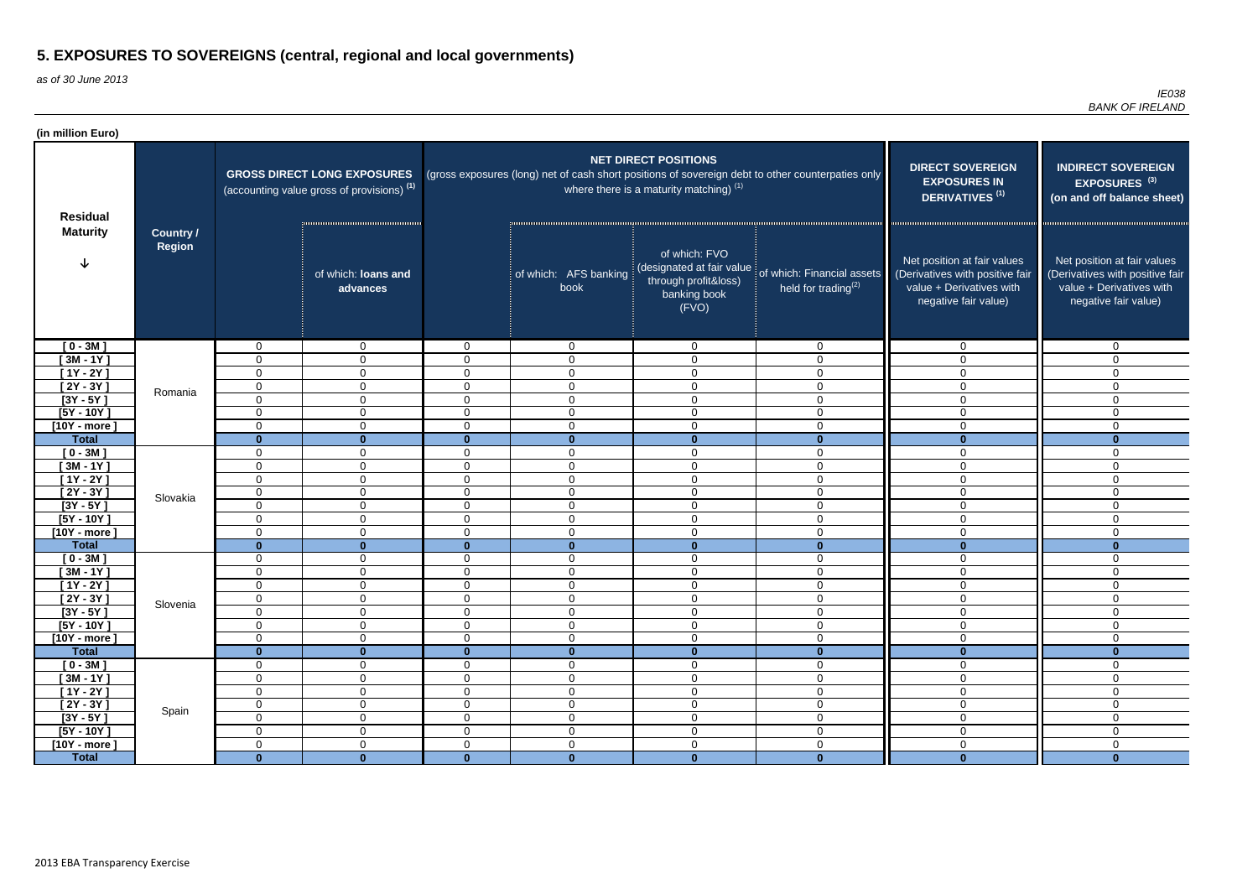as of 30 June 2013

| (in million Euro)          |                            |                                 |                                                                                             |                            |                                 |                                                                                             |                                                                                                   |                                                                                                                    |                                                                                                                    |
|----------------------------|----------------------------|---------------------------------|---------------------------------------------------------------------------------------------|----------------------------|---------------------------------|---------------------------------------------------------------------------------------------|---------------------------------------------------------------------------------------------------|--------------------------------------------------------------------------------------------------------------------|--------------------------------------------------------------------------------------------------------------------|
| <b>Residual</b>            |                            |                                 | <b>GROSS DIRECT LONG EXPOSURES</b><br>(accounting value gross of provisions) <sup>(1)</sup> |                            |                                 | <b>NET DIRECT POSITIONS</b><br>where there is a maturity matching) $(1)$                    | (gross exposures (long) net of cash short positions of sovereign debt to other counterpaties only | <b>DIRECT SOVEREIGN</b><br><b>EXPOSURES IN</b><br>DERIVATIVES <sup>(1)</sup>                                       | <b>INDIRECT SOVEREIGN</b><br>EXPOSURES <sup>(3)</sup><br>(on and off balance sheet)                                |
| <b>Maturity</b>            | <b>Country /</b><br>Region |                                 | of which: loans and<br>advances                                                             |                            | of which: AFS banking<br>book   | of which: FVO<br>(designated at fair value<br>through profit&loss)<br>banking book<br>(FVO) | of which: Financial assets<br>held for trading $(2)$                                              | Net position at fair values<br>(Derivatives with positive fair<br>value + Derivatives with<br>negative fair value) | Net position at fair values<br>(Derivatives with positive fair<br>value + Derivatives with<br>negative fair value) |
| $[0 - 3M]$                 |                            | $\mathbf 0$                     | $\mathbf{0}$                                                                                | $\overline{0}$             | $\overline{0}$                  | $\mathbf 0$                                                                                 | $\mathbf 0$                                                                                       | $\Omega$                                                                                                           | $\mathbf{0}$                                                                                                       |
| $[3M - 1Y]$                |                            | 0                               | $\overline{0}$                                                                              | $\Omega$                   | $\mathbf 0$                     | $\mathbf 0$                                                                                 | $\mathbf 0$                                                                                       | $\Omega$                                                                                                           | $\Omega$                                                                                                           |
| $[1Y - 2Y]$                |                            | $\mathbf 0$                     | $\overline{0}$                                                                              | $\overline{0}$             | $\mathbf 0$                     | $\mathbf 0$                                                                                 | $\mathbf 0$                                                                                       | $\Omega$                                                                                                           | $\Omega$                                                                                                           |
| [2Y - 3Y ]                 | Romania                    | $\mathbf 0$                     | $\overline{0}$                                                                              | $\mathbf 0$                | $\mathbf 0$                     | $\mathbf 0$                                                                                 | $\overline{0}$                                                                                    | $\Omega$                                                                                                           | 0                                                                                                                  |
| $[3Y - 5Y]$                |                            | 0                               | $\overline{0}$                                                                              | $\mathbf 0$                | $\mathbf 0$                     | $\mathbf 0$                                                                                 | $\overline{0}$                                                                                    | $\mathbf 0$                                                                                                        | 0                                                                                                                  |
| $[5Y - 10Y]$               |                            | $\mathbf 0$                     | $\overline{0}$                                                                              | $\mathbf 0$                | $\overline{0}$                  | $\mathbf 0$                                                                                 | $\mathbf 0$                                                                                       | $\Omega$                                                                                                           | $\mathbf 0$                                                                                                        |
| $[10Y - more]$             |                            | 0                               | $\overline{0}$                                                                              | $\mathbf 0$                | $\mathbf 0$                     | $\mathbf 0$                                                                                 | $\mathbf 0$                                                                                       | $\mathbf 0$                                                                                                        | $\mathbf 0$                                                                                                        |
| <b>Total</b>               |                            | $\mathbf{0}$                    | $\mathbf{0}$                                                                                | $\mathbf{0}$               | $\mathbf{0}$                    | $\mathbf{0}$                                                                                | $\mathbf{0}$                                                                                      | $\mathbf{0}$                                                                                                       | $\mathbf{0}$                                                                                                       |
| $[0 - 3M]$                 |                            | 0                               | $\mathbf 0$                                                                                 | $\mathbf 0$                | $\mathbf 0$                     | $\mathbf 0$                                                                                 | $\mathbf 0$                                                                                       | $\Omega$                                                                                                           | 0                                                                                                                  |
| $[3M - 1Y]$<br>$[1Y - 2Y]$ |                            | 0                               | $\mathbf{0}$                                                                                | $\Omega$<br>$\Omega$       | $\mathbf 0$                     | $\mathbf 0$                                                                                 | $\mathbf 0$                                                                                       | $\mathbf{0}$<br>$\Omega$                                                                                           | 0                                                                                                                  |
| $[2Y - 3Y]$                |                            | $\mathbf 0$<br>$\mathbf 0$      | $\overline{0}$<br>$\overline{0}$                                                            | $\mathbf 0$                | $\mathbf 0$<br>$\mathbf 0$      | $\mathbf 0$<br>$\mathsf 0$                                                                  | $\mathbf 0$<br>$\overline{0}$                                                                     | $\Omega$                                                                                                           | $\overline{0}$<br>$\mathbf 0$                                                                                      |
| $[3Y - 5Y]$                | Slovakia                   | $\mathbf 0$                     | $\mathbf{0}$                                                                                | $\mathbf 0$                | $\mathbf 0$                     | $\mathbf 0$                                                                                 | $\mathbf 0$                                                                                       | $\overline{0}$                                                                                                     | $\mathbf 0$                                                                                                        |
| $[5Y - 10Y]$               |                            | 0                               | $\mathbf{0}$                                                                                | $\mathbf 0$                | $\mathbf 0$                     | $\mathbf 0$                                                                                 | $\mathbf 0$                                                                                       | $\Omega$                                                                                                           | $\mathbf 0$                                                                                                        |
| $[10Y - more]$             |                            | 0                               | $\overline{0}$                                                                              | $\Omega$                   | $\overline{0}$                  | $\mathbf 0$                                                                                 | $\mathbf 0$                                                                                       | $\overline{0}$                                                                                                     | $\mathbf 0$                                                                                                        |
| <b>Total</b>               |                            | $\mathbf{0}$                    | $\bf{0}$                                                                                    | $\mathbf{0}$               | $\mathbf{0}$                    | $\mathbf{0}$                                                                                | $\mathbf{0}$                                                                                      | $\mathbf{0}$                                                                                                       | $\mathbf{0}$                                                                                                       |
| $[0 - 3M]$                 |                            | 0                               | $\mathbf 0$                                                                                 | $\mathbf 0$                | $\mathbf 0$                     | $\mathbf 0$                                                                                 | $\mathbf 0$                                                                                       | $\mathbf 0$                                                                                                        | $\mathbf{0}$                                                                                                       |
| $[3M - 1Y]$                |                            | $\mathbf 0$                     | $\mathbf 0$                                                                                 | $\overline{0}$             | $\mathbf 0$                     | $\mathbf 0$                                                                                 | $\overline{0}$                                                                                    | $\overline{0}$                                                                                                     | 0                                                                                                                  |
| $[1Y - 2Y]$                |                            | 0                               | $\mathbf 0$                                                                                 | 0                          | $\overline{0}$                  | $\mathbf 0$                                                                                 | $\overline{0}$                                                                                    | $\mathbf{0}$                                                                                                       | 0                                                                                                                  |
| $[2Y - 3Y]$                | Slovenia                   | 0                               | $\overline{0}$                                                                              | $\mathbf 0$                | $\mathbf 0$                     | $\mathbf 0$                                                                                 | $\mathbf 0$                                                                                       | $\mathbf 0$                                                                                                        | $\mathbf 0$                                                                                                        |
| $[3Y - 5Y]$                |                            | $\mathbf 0$                     | $\overline{0}$                                                                              | $\mathbf 0$                | $\mathbf 0$                     | $\mathsf 0$                                                                                 | $\mathbf 0$                                                                                       | $\mathbf 0$                                                                                                        | $\mathbf{0}$                                                                                                       |
| $[5Y - 10Y]$               |                            | $\mathbf 0$                     | $\overline{0}$                                                                              | $\mathbf 0$                | $\mathbf 0$                     | $\mathsf 0$                                                                                 | $\mathbf 0$                                                                                       | $\mathbf 0$                                                                                                        | $\mathbf 0$                                                                                                        |
| $[10Y - more]$             |                            | $\mathbf 0$                     | $\overline{0}$                                                                              | $\mathbf 0$                | $\boldsymbol{0}$                | $\mathbf 0$                                                                                 | $\mathbf 0$                                                                                       | $\overline{0}$                                                                                                     | 0                                                                                                                  |
| <b>Total</b>               |                            | $\mathbf{0}$                    | $\mathbf{0}$                                                                                | $\mathbf{0}$               | $\mathbf{0}$                    | $\mathbf 0$                                                                                 | $\mathbf{0}$                                                                                      | $\mathbf{0}$                                                                                                       | $\mathbf{0}$                                                                                                       |
| $[0 - 3M]$                 |                            | $\mathbf 0$                     | $\overline{0}$                                                                              | $\overline{0}$             | $\overline{0}$                  | $\mathbf 0$                                                                                 | $\mathbf 0$                                                                                       | $\overline{0}$                                                                                                     | $\mathbf 0$                                                                                                        |
| $[3M - 1Y]$                |                            | $\mathbf 0$                     | $\overline{0}$                                                                              | $\mathbf 0$                | $\boldsymbol{0}$                | $\mathbf 0$                                                                                 | $\mathbf 0$                                                                                       | $\overline{0}$                                                                                                     | 0                                                                                                                  |
| $[1Y - 2Y]$<br>$[2Y - 3Y]$ |                            | $\mathbf 0$<br>$\boldsymbol{0}$ | $\overline{0}$<br>$\mathbf 0$                                                               | $\mathbf 0$<br>$\mathbf 0$ | $\mathbf 0$<br>$\boldsymbol{0}$ | $\mathbf 0$<br>$\pmb{0}$                                                                    | $\mathbf 0$<br>$\mathbf 0$                                                                        | $\mathbf 0$<br>$\mathbf 0$                                                                                         | 0<br>$\mathbf 0$                                                                                                   |
| $[3Y - 5Y]$                | Spain                      | $\overline{0}$                  | $\overline{0}$                                                                              | $\overline{0}$             | $\overline{0}$                  | $\mathbf 0$                                                                                 | $\mathbf 0$                                                                                       | $\overline{0}$                                                                                                     | $\overline{0}$                                                                                                     |
| $[5Y - 10Y]$               |                            | $\overline{0}$                  | $\mathbf 0$                                                                                 | $\overline{0}$             | $\boldsymbol{0}$                | $\mathbf 0$                                                                                 | $\mathbf 0$                                                                                       | $\overline{0}$                                                                                                     | $\mathbf 0$                                                                                                        |
| $[10Y - more]$             |                            | $\mathbf 0$                     | $\overline{0}$                                                                              | $\mathbf 0$                | $\mathbf 0$                     | $\mathsf 0$                                                                                 | $\mathbf 0$                                                                                       | $\overline{0}$                                                                                                     | $\mathbf 0$                                                                                                        |
| <b>Total</b>               |                            | $\mathbf{0}$                    | $\mathbf{0}$                                                                                | $\mathbf{0}$               | $\mathbf{0}$                    | $\mathbf{0}$                                                                                | $\mathbf{0}$                                                                                      | $\mathbf{0}$                                                                                                       | $\mathbf{0}$                                                                                                       |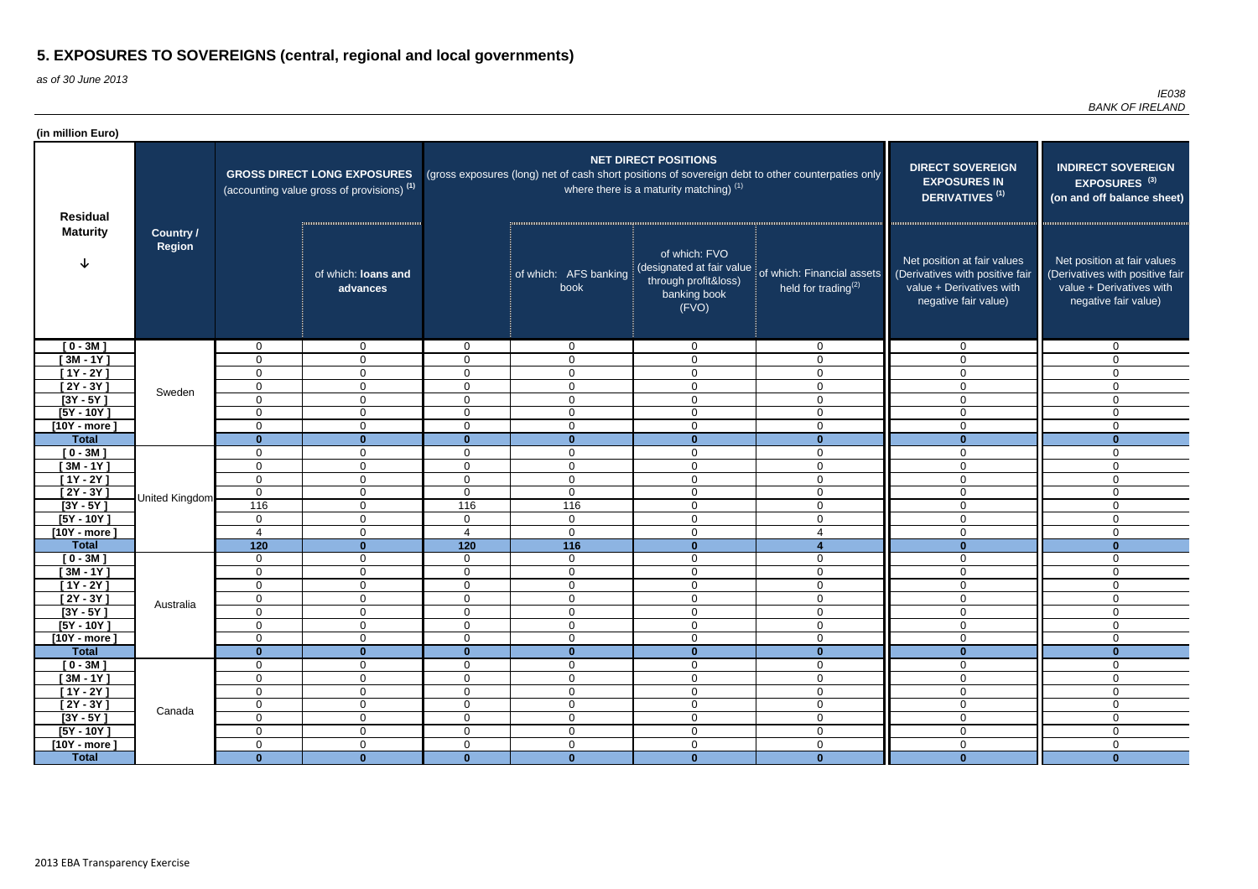as of 30 June 2013

| (in million Euro)              |                            |                             |                                                                                             |                             |                               |                                                                                             |                                                                                                   |                                                                                                                    |                                                                                                                    |
|--------------------------------|----------------------------|-----------------------------|---------------------------------------------------------------------------------------------|-----------------------------|-------------------------------|---------------------------------------------------------------------------------------------|---------------------------------------------------------------------------------------------------|--------------------------------------------------------------------------------------------------------------------|--------------------------------------------------------------------------------------------------------------------|
| <b>Residual</b>                |                            |                             | <b>GROSS DIRECT LONG EXPOSURES</b><br>(accounting value gross of provisions) <sup>(1)</sup> |                             |                               | <b>NET DIRECT POSITIONS</b><br>where there is a maturity matching) $(1)$                    | (gross exposures (long) net of cash short positions of sovereign debt to other counterpaties only | <b>DIRECT SOVEREIGN</b><br><b>EXPOSURES IN</b><br>DERIVATIVES <sup>(1)</sup>                                       | <b>INDIRECT SOVEREIGN</b><br>EXPOSURES <sup>(3)</sup><br>(on and off balance sheet)                                |
| <b>Maturity</b>                | <b>Country /</b><br>Region |                             | of which: loans and<br>advances                                                             |                             | of which: AFS banking<br>book | of which: FVO<br>(designated at fair value<br>through profit&loss)<br>banking book<br>(FVO) | of which: Financial assets<br>held for trading $(2)$                                              | Net position at fair values<br>(Derivatives with positive fair<br>value + Derivatives with<br>negative fair value) | Net position at fair values<br>(Derivatives with positive fair<br>value + Derivatives with<br>negative fair value) |
| $[0 - 3M]$                     |                            | $\mathbf 0$                 | $\mathbf{0}$                                                                                | $\overline{0}$              | $\overline{0}$                | $\mathbf 0$                                                                                 | $\mathbf 0$                                                                                       | $\Omega$                                                                                                           | $\mathbf{0}$                                                                                                       |
| $[3M - 1Y]$                    |                            | 0                           | $\mathbf{0}$                                                                                | $\Omega$                    | $\mathbf 0$                   | $\mathbf 0$                                                                                 | $\mathbf 0$                                                                                       | $\Omega$                                                                                                           | $\Omega$                                                                                                           |
| $[1Y - 2Y]$                    |                            | $\mathbf 0$                 | $\overline{0}$                                                                              | $\mathbf 0$                 | $\mathbf 0$                   | $\mathbf 0$                                                                                 | $\mathbf 0$                                                                                       | $\Omega$                                                                                                           | $\Omega$                                                                                                           |
| $[2Y - 3Y]$                    | Sweden                     | $\mathbf 0$                 | $\overline{0}$                                                                              | $\mathbf 0$                 | $\mathbf 0$                   | $\mathbf 0$                                                                                 | $\overline{0}$                                                                                    | $\Omega$                                                                                                           | 0                                                                                                                  |
| $[3Y - 5Y]$                    |                            | 0                           | $\overline{0}$                                                                              | $\mathbf 0$                 | $\mathbf 0$                   | $\mathbf 0$                                                                                 | $\overline{0}$                                                                                    | $\mathbf 0$                                                                                                        | 0                                                                                                                  |
| $[5Y - 10Y]$                   |                            | $\mathbf 0$                 | $\overline{0}$                                                                              | $\mathbf 0$                 | $\overline{0}$                | $\mathbf 0$                                                                                 | $\mathbf 0$                                                                                       | $\Omega$                                                                                                           | 0                                                                                                                  |
| $[10Y - more]$                 |                            | 0                           | $\overline{0}$                                                                              | $\mathbf 0$                 | $\mathbf 0$                   | $\mathbf 0$                                                                                 | $\mathbf 0$                                                                                       | $\mathbf 0$                                                                                                        | 0                                                                                                                  |
| <b>Total</b>                   |                            | $\mathbf{0}$                | $\mathbf{0}$                                                                                | $\mathbf{0}$                | $\mathbf{0}$                  | $\mathbf{0}$                                                                                | $\mathbf{0}$                                                                                      | $\mathbf{0}$<br>$\Omega$                                                                                           | $\mathbf{0}$                                                                                                       |
| $[0 - 3M]$                     |                            | 0                           | $\mathbf 0$                                                                                 | $\mathbf 0$<br>$\Omega$     | $\mathbf 0$                   | $\mathbf 0$                                                                                 | $\overline{0}$                                                                                    | $\mathbf{0}$                                                                                                       | 0                                                                                                                  |
| $[3M - 1Y]$<br>$[1Y - 2Y]$     |                            | 0<br>$\overline{0}$         | $\mathbf{0}$<br>$\overline{0}$                                                              | $\Omega$                    | $\overline{0}$<br>$\mathbf 0$ | $\mathbf 0$<br>$\mathbf 0$                                                                  | $\mathbf 0$<br>$\mathbf 0$                                                                        | $\Omega$                                                                                                           | 0<br>$\overline{0}$                                                                                                |
| $[2Y - 3Y]$                    |                            | $\overline{0}$              | $\overline{0}$                                                                              | $\mathbf 0$                 | $\mathbf 0$                   | $\mathsf 0$                                                                                 | $\overline{0}$                                                                                    | $\Omega$                                                                                                           | 0                                                                                                                  |
| $[3Y - 5Y]$                    | <b>United Kingdom</b>      | $\frac{116}{ }$             | $\mathbf{0}$                                                                                | 116                         | 116                           | $\mathbf 0$                                                                                 | $\mathbf 0$                                                                                       | $\overline{0}$                                                                                                     | 0                                                                                                                  |
| $[5Y - 10Y]$                   |                            | $\mathbf 0$                 | $\mathbf{0}$                                                                                | $\Omega$                    | $\overline{0}$                | $\mathbf 0$                                                                                 | $\mathbf 0$                                                                                       | $\Omega$                                                                                                           | 0                                                                                                                  |
| $[10Y - more]$                 |                            | $\overline{4}$              | $\overline{0}$                                                                              | 4                           | $\overline{0}$                | $\mathbf 0$                                                                                 | $\overline{4}$                                                                                    | $\overline{0}$                                                                                                     | 0                                                                                                                  |
| <b>Total</b>                   |                            | $\overline{120}$            | $\bf{0}$                                                                                    | $\overline{120}$            | $\overline{116}$              | $\mathbf{0}$                                                                                |                                                                                                   | $\mathbf{0}$                                                                                                       | $\bf{0}$                                                                                                           |
| $[0 - 3M]$                     |                            | $\mathbf 0$                 | $\mathbf 0$                                                                                 | $\mathbf 0$                 | $\mathbf 0$                   | $\mathbf 0$                                                                                 | $\overline{0}$                                                                                    | $\mathbf 0$                                                                                                        | $\mathbf{0}$                                                                                                       |
| $[3M - 1Y]$                    |                            | $\mathbf 0$                 | $\mathbf 0$                                                                                 | $\overline{0}$              | $\mathbf 0$                   | $\mathbf 0$                                                                                 | $\overline{0}$                                                                                    | $\overline{0}$                                                                                                     | 0                                                                                                                  |
| $[1Y - 2Y]$                    |                            | 0                           | $\mathbf 0$                                                                                 | 0                           | $\overline{0}$                | $\mathbf 0$                                                                                 | $\overline{0}$                                                                                    | $\mathbf{0}$                                                                                                       | 0                                                                                                                  |
| $[2Y - 3Y]$                    | Australia                  | 0                           | $\mathbf 0$                                                                                 | $\mathbf 0$                 | $\mathbf 0$                   | $\mathbf 0$                                                                                 | $\mathbf 0$                                                                                       | $\mathbf 0$                                                                                                        | $\mathbf 0$                                                                                                        |
| $[3Y - 5Y]$                    |                            | $\mathbf 0$                 | $\overline{0}$                                                                              | $\mathbf 0$                 | $\mathbf 0$                   | $\mathbf 0$                                                                                 | $\mathbf 0$                                                                                       | $\mathbf 0$                                                                                                        | $\mathbf{0}$                                                                                                       |
| $[5Y - 10Y]$                   |                            | $\mathbf 0$                 | $\overline{0}$                                                                              | $\mathbf 0$                 | $\mathbf 0$                   | $\mathsf 0$                                                                                 | $\mathbf 0$                                                                                       | $\mathbf 0$                                                                                                        | $\mathbf 0$                                                                                                        |
| $[10Y - more]$                 |                            | $\mathbf 0$                 | $\overline{0}$                                                                              | $\mathbf 0$                 | $\boldsymbol{0}$              | $\mathbf 0$                                                                                 | $\mathbf 0$                                                                                       | $\mathbf 0$                                                                                                        | 0                                                                                                                  |
| <b>Total</b>                   |                            | $\mathbf{0}$                | $\mathbf{0}$                                                                                | $\mathbf{0}$                | $\mathbf{0}$                  | $\mathbf{0}$                                                                                | $\mathbf{0}$                                                                                      | $\bullet$                                                                                                          | $\bf{0}$                                                                                                           |
| $[0 - 3M]$                     |                            | $\mathbf 0$                 | $\overline{0}$                                                                              | $\overline{0}$              | $\overline{0}$                | $\mathbf 0$                                                                                 | $\mathbf 0$                                                                                       | $\overline{0}$                                                                                                     | $\mathbf 0$                                                                                                        |
| $[3M - 1Y]$                    |                            | $\mathbf 0$                 | $\overline{0}$                                                                              | $\mathbf 0$                 | $\boldsymbol{0}$              | $\mathbf 0$                                                                                 | $\mathbf 0$                                                                                       | $\mathbf 0$                                                                                                        | 0                                                                                                                  |
| $[1Y - 2Y]$                    |                            | $\mathbf 0$                 | $\overline{0}$                                                                              | $\mathbf 0$                 | $\mathbf 0$                   | $\mathbf 0$                                                                                 | $\mathbf 0$                                                                                       | $\mathbf 0$                                                                                                        | 0                                                                                                                  |
| $[2Y - 3Y]$                    | Canada                     | $\boldsymbol{0}$            | $\mathsf{O}\xspace$                                                                         | $\mathbf 0$                 | $\boldsymbol{0}$              | $\mathbf 0$                                                                                 | $\mathbf 0$                                                                                       | $\mathbf 0$                                                                                                        | $\mathbf 0$                                                                                                        |
| $[3Y - 5Y]$                    |                            | $\overline{0}$              | $\overline{0}$                                                                              | $\overline{0}$              | $\overline{0}$                | $\mathbf 0$                                                                                 | $\mathbf 0$                                                                                       | $\overline{0}$                                                                                                     | $\mathbf 0$                                                                                                        |
| $[5Y - 10Y]$                   |                            | $\overline{0}$              | $\mathbf 0$                                                                                 | $\overline{0}$              | $\boldsymbol{0}$              | $\mathsf 0$                                                                                 | $\mathbf 0$                                                                                       | $\overline{0}$                                                                                                     | $\mathbf 0$                                                                                                        |
| $[10Y - more]$<br><b>Total</b> |                            | $\mathbf 0$<br>$\mathbf{0}$ | $\overline{0}$<br>$\mathbf{0}$                                                              | $\mathbf 0$<br>$\mathbf{0}$ | $\mathbf 0$<br>$\mathbf{0}$   | $\mathsf 0$<br>$\mathbf{0}$                                                                 | $\mathbf 0$<br>$\mathbf{0}$                                                                       | $\overline{0}$<br>$\mathbf{0}$                                                                                     | $\mathbf 0$                                                                                                        |
|                                |                            |                             |                                                                                             |                             |                               |                                                                                             |                                                                                                   |                                                                                                                    | $\mathbf{0}$                                                                                                       |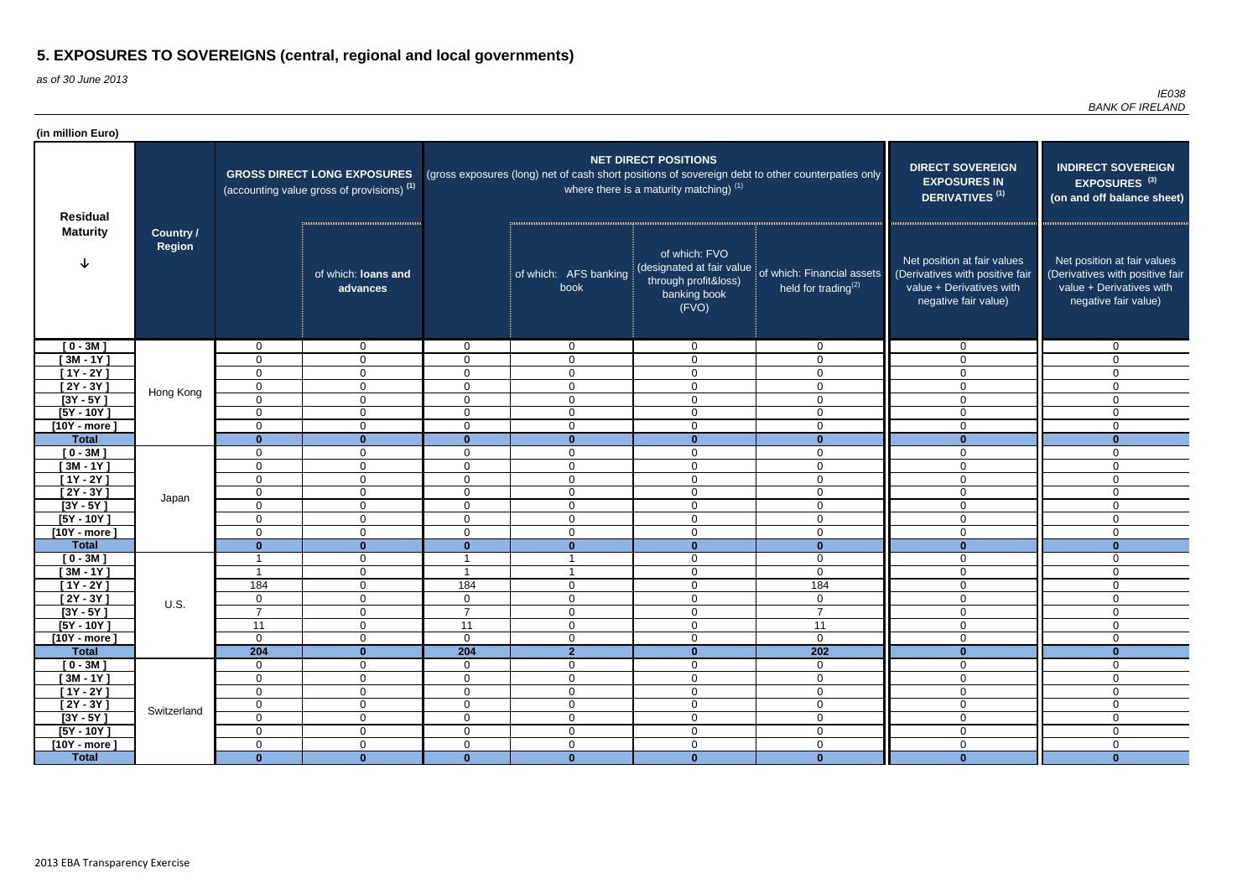as of 30 June 2013

| <b>NET DIRECT POSITIONS</b><br><b>DIRECT SOVEREIGN</b><br><b>INDIRECT SOVEREIGN</b><br>(gross exposures (long) net of cash short positions of sovereign debt to other counterpaties only<br><b>GROSS DIRECT LONG EXPOSURES</b><br><b>EXPOSURES IN</b><br>EXPOSURES <sup>(3)</sup><br>where there is a maturity matching) $(1)$<br>(accounting value gross of provisions) <sup>(1)</sup><br>DERIVATIVES <sup>(1)</sup><br>(on and off balance sheet)<br><b>Residual</b><br><b>Maturity</b><br><b>Country /</b><br>Region<br>of which: FVO<br>Net position at fair values<br>Net position at fair values<br>(designated at fair value<br>of which: Financial assets<br>of which: loans and<br>of which: AFS banking<br>(Derivatives with positive fair<br>(Derivatives with positive fair<br>through profit&loss)<br>held for trading $(2)$<br>value + Derivatives with<br>value + Derivatives with<br>book<br>advances<br>banking book<br>negative fair value)<br>negative fair value)<br>(FVO)<br>$[0 - 3M]$<br>$\mathbf{0}$<br>$\overline{0}$<br>$\overline{0}$<br>$\mathbf 0$<br>$\mathbf 0$<br>$\Omega$<br>$\overline{0}$<br>$\mathbf{0}$<br>$[3M - 1Y]$<br>0<br>$\mathbf{0}$<br>$\Omega$<br>$\mathbf 0$<br>$\mathbf 0$<br>$\mathbf 0$<br>$\Omega$<br>$\Omega$<br>$[1Y - 2Y]$<br>$\overline{0}$<br>$\mathbf 0$<br>$\overline{0}$<br>$\mathbf 0$<br>$\mathbf 0$<br>$\mathbf 0$<br>$\Omega$<br>$\Omega$<br>$[2Y - 3Y]$<br>$\mathbf 0$<br>$\overline{0}$<br>$\mathbf 0$<br>$\mathbf 0$<br>$\mathbf 0$<br>$\overline{0}$<br>$\Omega$<br>0<br>Hong Kong<br>$[3Y - 5Y]$<br>$\mathbf 0$<br>$\overline{0}$<br>$\overline{0}$<br>$\mathbf 0$<br>$\mathbf 0$<br>$\overline{0}$<br>$\mathbf 0$<br>0<br>$[5Y - 10Y]$<br>$\overline{0}$<br>$\overline{0}$<br>$\overline{0}$<br>$\mathbf 0$<br>$\mathbf 0$<br>$\mathbf 0$<br>$\Omega$<br>$\mathbf 0$<br>$\overline{0}$<br>$\mathbf 0$<br>$\mathbf 0$<br>$[10Y - more]$<br>0<br>$\mathbf 0$<br>$\mathbf 0$<br>$\mathbf 0$<br>$\mathbf 0$<br><b>Total</b><br>$\mathbf{0}$<br>$\mathbf{0}$<br>$\mathbf{0}$<br>$\mathbf{0}$<br>$\mathbf{0}$<br>$\mathbf{0}$<br>$\mathbf{0}$<br>$\mathbf{0}$<br>$\mathbf 0$<br>$[0 - 3M]$<br>$\mathbf 0$<br>$\mathbf 0$<br>$\mathbf 0$<br>$\mathbf 0$<br>$\Omega$<br>0<br>0<br>$[3M - 1Y]$<br>0<br>$\mathbf{0}$<br>$\Omega$<br>$\mathbf 0$<br>$\mathbf 0$<br>$\mathbf 0$<br>$\mathbf{0}$<br>0<br>$\mathbf 0$<br>[1Y - 2Y ]<br>$\mathbf 0$<br>$\overline{0}$<br>$\Omega$<br>$\mathbf 0$<br>$\mathbf 0$<br>$\Omega$<br>$\overline{0}$<br>$[2Y - 3Y]$<br>$\mathbf 0$<br>$\mathbf 0$<br>$\mathsf 0$<br>$\overline{0}$<br>$\mathbf 0$<br>$\overline{0}$<br>$\Omega$<br>0<br>Japan<br>$[3Y - 5Y]$<br>$\mathbf 0$<br>$\mathbf 0$<br>$\mathbf 0$<br>$\mathbf 0$<br>$\mathbf 0$<br>$\overline{0}$<br>$\mathbf{0}$<br>0<br>$[5Y - 10Y]$<br>$\mathbf 0$<br>$\mathbf 0$<br>$\mathbf 0$<br>$\mathbf 0$<br>0<br>$\mathbf{0}$<br>$\Omega$<br>0<br>$\mathbf 0$<br>$[10Y - more]$<br>0<br>$\overline{0}$<br>$\Omega$<br>$\overline{0}$<br>$\mathbf 0$<br>$\overline{0}$<br>0<br>$\mathbf{0}$<br>$\mathbf{0}$<br><b>Total</b><br>$\mathbf{0}$<br>$\mathbf{0}$<br>$\mathbf{0}$<br>$\mathbf{0}$<br>$\bf{0}$<br>$\bf{0}$<br>$[0 - 3M]$<br>$\mathbf 0$<br>$\mathbf 0$<br>$\overline{0}$<br>$\mathbf 0$<br>- 1<br>$\mathbf{0}$<br>- 1<br>$\overline{0}$<br>$[3M - 1Y]$<br>$\mathbf 0$<br>$\mathbf 0$<br>$\overline{0}$<br>$\overline{\phantom{a}}$<br>0<br>184<br>184<br>$[1Y - 2Y]$<br>184<br>$\mathbf 0$<br>$\overline{0}$<br>$\mathbf 0$<br>$\mathbf{0}$<br>0<br>$[2Y - 3Y]$<br>$\overline{0}$<br>$\mathbf 0$<br>$\overline{0}$<br>$\mathbf 0$<br>$\mathbf 0$<br>$\mathbf 0$<br>$\mathbf 0$<br>$\overline{0}$<br><b>U.S.</b><br>$\overline{7}$<br>$[3Y - 5Y]$<br>$\overline{7}$<br>$\overline{7}$<br>$\overline{0}$<br>$\mathbf 0$<br>$\mathsf 0$<br>$\mathbf 0$<br>$\mathbf{0}$<br>11<br>$\overline{0}$<br>11<br>$\mathbf 0$<br>$\mathsf 0$<br>11<br>$\mathbf 0$<br>$[5Y - 10Y]$<br>$\mathbf 0$<br>$\mathbf 0$<br>$\overline{0}$<br>$\mathbf 0$<br>$\boldsymbol{0}$<br>$\mathbf 0$<br>$\boldsymbol{0}$<br>$\mathbf 0$<br>$[10Y - more]$<br>0<br>$\overline{2}$<br>204<br>204<br>$\mathbf 0$<br>202<br>$\mathbf{0}$<br><b>Total</b><br>$\mathbf{0}$<br>$\mathbf{0}$<br>$\overline{0}$<br>$\overline{0}$<br>$\boldsymbol{0}$<br>$[0 - 3M]$<br>$\overline{0}$<br>$\mathbf 0$<br>$\mathbf 0$<br>$\overline{0}$<br>$\mathbf 0$<br>$[3M - 1Y]$<br>$\mathbf 0$<br>$\overline{0}$<br>$\boldsymbol{0}$<br>$\mathbf 0$<br>$\mathbf 0$<br>$\mathbf 0$<br>$\mathbf 0$<br>0<br>$[1Y - 2Y]$<br>$\overline{0}$<br>$\mathbf 0$<br>$\mathbf 0$<br>$\mathbf 0$<br>$\mathbf 0$<br>$\mathbf 0$<br>$\mathbf 0$<br>0<br>$\mathsf{O}\xspace$<br>$\pmb{0}$<br>$[2Y - 3Y]$<br>$\boldsymbol{0}$<br>$\mathbf 0$<br>$\boldsymbol{0}$<br>$\mathbf 0$<br>$\mathbf 0$<br>$\mathbf 0$<br>Switzerland<br>$[3Y - 5Y]$<br>$\overline{0}$<br>$\overline{0}$<br>$\overline{0}$<br>$\overline{0}$<br>$\mathbf 0$<br>$\overline{0}$<br>$\overline{0}$<br>$\mathbf 0$<br>$\mathbf 0$<br>$\pmb{0}$<br>$\overline{0}$<br>$\mathbf 0$<br>$\boldsymbol{0}$<br>$\mathbf 0$<br>$[5Y - 10Y]$<br>$\mathbf 0$<br>$\mathbf 0$<br>$\mathbf 0$<br>$\overline{0}$<br>$\mathbf 0$<br>$\mathbf 0$<br>$\mathsf 0$<br>$\mathbf 0$<br>$\mathbf 0$<br>$[10Y - more]$<br>$\mathbf 0$ | (in million Euro) |              |              |              |              |              |              |              |              |
|-----------------------------------------------------------------------------------------------------------------------------------------------------------------------------------------------------------------------------------------------------------------------------------------------------------------------------------------------------------------------------------------------------------------------------------------------------------------------------------------------------------------------------------------------------------------------------------------------------------------------------------------------------------------------------------------------------------------------------------------------------------------------------------------------------------------------------------------------------------------------------------------------------------------------------------------------------------------------------------------------------------------------------------------------------------------------------------------------------------------------------------------------------------------------------------------------------------------------------------------------------------------------------------------------------------------------------------------------------------------------------------------------------------------------------------------------------------------------------------------------------------------------------------------------------------------------------------------------------------------------------------------------------------------------------------------------------------------------------------------------------------------------------------------------------------------------------------------------------------------------------------------------------------------------------------------------------------------------------------------------------------------------------------------------------------------------------------------------------------------------------------------------------------------------------------------------------------------------------------------------------------------------------------------------------------------------------------------------------------------------------------------------------------------------------------------------------------------------------------------------------------------------------------------------------------------------------------------------------------------------------------------------------------------------------------------------------------------------------------------------------------------------------------------------------------------------------------------------------------------------------------------------------------------------------------------------------------------------------------------------------------------------------------------------------------------------------------------------------------------------------------------------------------------------------------------------------------------------------------------------------------------------------------------------------------------------------------------------------------------------------------------------------------------------------------------------------------------------------------------------------------------------------------------------------------------------------------------------------------------------------------------------------------------------------------------------------------------------------------------------------------------------------------------------------------------------------------------------------------------------------------------------------------------------------------------------------------------------------------------------------------------------------------------------------------------------------------------------------------------------------------------------------------------------------------------------------------------------------------------------------------------------------------------------------------------------------------------------------------------------------------------------------------------------------------------------------------------------------------------------------------------------------------------------------------------------------------------------------------------------------------------------------------------------------------------------------------------------------------------------------------------------------------------------------------------------------------------------------------------------------------------------------------------------------------------------------------------------------------------------------------------------------------------------------------------------------------------------------------------------------------------------------------------------------------------------------------------------------------------------------------------------|-------------------|--------------|--------------|--------------|--------------|--------------|--------------|--------------|--------------|
|                                                                                                                                                                                                                                                                                                                                                                                                                                                                                                                                                                                                                                                                                                                                                                                                                                                                                                                                                                                                                                                                                                                                                                                                                                                                                                                                                                                                                                                                                                                                                                                                                                                                                                                                                                                                                                                                                                                                                                                                                                                                                                                                                                                                                                                                                                                                                                                                                                                                                                                                                                                                                                                                                                                                                                                                                                                                                                                                                                                                                                                                                                                                                                                                                                                                                                                                                                                                                                                                                                                                                                                                                                                                                                                                                                                                                                                                                                                                                                                                                                                                                                                                                                                                                                                                                                                                                                                                                                                                                                                                                                                                                                                                                                                                                                                                                                                                                                                                                                                                                                                                                                                                                                                                                                                                       |                   |              |              |              |              |              |              |              |              |
|                                                                                                                                                                                                                                                                                                                                                                                                                                                                                                                                                                                                                                                                                                                                                                                                                                                                                                                                                                                                                                                                                                                                                                                                                                                                                                                                                                                                                                                                                                                                                                                                                                                                                                                                                                                                                                                                                                                                                                                                                                                                                                                                                                                                                                                                                                                                                                                                                                                                                                                                                                                                                                                                                                                                                                                                                                                                                                                                                                                                                                                                                                                                                                                                                                                                                                                                                                                                                                                                                                                                                                                                                                                                                                                                                                                                                                                                                                                                                                                                                                                                                                                                                                                                                                                                                                                                                                                                                                                                                                                                                                                                                                                                                                                                                                                                                                                                                                                                                                                                                                                                                                                                                                                                                                                                       |                   |              |              |              |              |              |              |              |              |
|                                                                                                                                                                                                                                                                                                                                                                                                                                                                                                                                                                                                                                                                                                                                                                                                                                                                                                                                                                                                                                                                                                                                                                                                                                                                                                                                                                                                                                                                                                                                                                                                                                                                                                                                                                                                                                                                                                                                                                                                                                                                                                                                                                                                                                                                                                                                                                                                                                                                                                                                                                                                                                                                                                                                                                                                                                                                                                                                                                                                                                                                                                                                                                                                                                                                                                                                                                                                                                                                                                                                                                                                                                                                                                                                                                                                                                                                                                                                                                                                                                                                                                                                                                                                                                                                                                                                                                                                                                                                                                                                                                                                                                                                                                                                                                                                                                                                                                                                                                                                                                                                                                                                                                                                                                                                       |                   |              |              |              |              |              |              |              |              |
|                                                                                                                                                                                                                                                                                                                                                                                                                                                                                                                                                                                                                                                                                                                                                                                                                                                                                                                                                                                                                                                                                                                                                                                                                                                                                                                                                                                                                                                                                                                                                                                                                                                                                                                                                                                                                                                                                                                                                                                                                                                                                                                                                                                                                                                                                                                                                                                                                                                                                                                                                                                                                                                                                                                                                                                                                                                                                                                                                                                                                                                                                                                                                                                                                                                                                                                                                                                                                                                                                                                                                                                                                                                                                                                                                                                                                                                                                                                                                                                                                                                                                                                                                                                                                                                                                                                                                                                                                                                                                                                                                                                                                                                                                                                                                                                                                                                                                                                                                                                                                                                                                                                                                                                                                                                                       |                   |              |              |              |              |              |              |              |              |
|                                                                                                                                                                                                                                                                                                                                                                                                                                                                                                                                                                                                                                                                                                                                                                                                                                                                                                                                                                                                                                                                                                                                                                                                                                                                                                                                                                                                                                                                                                                                                                                                                                                                                                                                                                                                                                                                                                                                                                                                                                                                                                                                                                                                                                                                                                                                                                                                                                                                                                                                                                                                                                                                                                                                                                                                                                                                                                                                                                                                                                                                                                                                                                                                                                                                                                                                                                                                                                                                                                                                                                                                                                                                                                                                                                                                                                                                                                                                                                                                                                                                                                                                                                                                                                                                                                                                                                                                                                                                                                                                                                                                                                                                                                                                                                                                                                                                                                                                                                                                                                                                                                                                                                                                                                                                       |                   |              |              |              |              |              |              |              |              |
|                                                                                                                                                                                                                                                                                                                                                                                                                                                                                                                                                                                                                                                                                                                                                                                                                                                                                                                                                                                                                                                                                                                                                                                                                                                                                                                                                                                                                                                                                                                                                                                                                                                                                                                                                                                                                                                                                                                                                                                                                                                                                                                                                                                                                                                                                                                                                                                                                                                                                                                                                                                                                                                                                                                                                                                                                                                                                                                                                                                                                                                                                                                                                                                                                                                                                                                                                                                                                                                                                                                                                                                                                                                                                                                                                                                                                                                                                                                                                                                                                                                                                                                                                                                                                                                                                                                                                                                                                                                                                                                                                                                                                                                                                                                                                                                                                                                                                                                                                                                                                                                                                                                                                                                                                                                                       |                   |              |              |              |              |              |              |              |              |
|                                                                                                                                                                                                                                                                                                                                                                                                                                                                                                                                                                                                                                                                                                                                                                                                                                                                                                                                                                                                                                                                                                                                                                                                                                                                                                                                                                                                                                                                                                                                                                                                                                                                                                                                                                                                                                                                                                                                                                                                                                                                                                                                                                                                                                                                                                                                                                                                                                                                                                                                                                                                                                                                                                                                                                                                                                                                                                                                                                                                                                                                                                                                                                                                                                                                                                                                                                                                                                                                                                                                                                                                                                                                                                                                                                                                                                                                                                                                                                                                                                                                                                                                                                                                                                                                                                                                                                                                                                                                                                                                                                                                                                                                                                                                                                                                                                                                                                                                                                                                                                                                                                                                                                                                                                                                       |                   |              |              |              |              |              |              |              |              |
|                                                                                                                                                                                                                                                                                                                                                                                                                                                                                                                                                                                                                                                                                                                                                                                                                                                                                                                                                                                                                                                                                                                                                                                                                                                                                                                                                                                                                                                                                                                                                                                                                                                                                                                                                                                                                                                                                                                                                                                                                                                                                                                                                                                                                                                                                                                                                                                                                                                                                                                                                                                                                                                                                                                                                                                                                                                                                                                                                                                                                                                                                                                                                                                                                                                                                                                                                                                                                                                                                                                                                                                                                                                                                                                                                                                                                                                                                                                                                                                                                                                                                                                                                                                                                                                                                                                                                                                                                                                                                                                                                                                                                                                                                                                                                                                                                                                                                                                                                                                                                                                                                                                                                                                                                                                                       |                   |              |              |              |              |              |              |              |              |
|                                                                                                                                                                                                                                                                                                                                                                                                                                                                                                                                                                                                                                                                                                                                                                                                                                                                                                                                                                                                                                                                                                                                                                                                                                                                                                                                                                                                                                                                                                                                                                                                                                                                                                                                                                                                                                                                                                                                                                                                                                                                                                                                                                                                                                                                                                                                                                                                                                                                                                                                                                                                                                                                                                                                                                                                                                                                                                                                                                                                                                                                                                                                                                                                                                                                                                                                                                                                                                                                                                                                                                                                                                                                                                                                                                                                                                                                                                                                                                                                                                                                                                                                                                                                                                                                                                                                                                                                                                                                                                                                                                                                                                                                                                                                                                                                                                                                                                                                                                                                                                                                                                                                                                                                                                                                       |                   |              |              |              |              |              |              |              |              |
|                                                                                                                                                                                                                                                                                                                                                                                                                                                                                                                                                                                                                                                                                                                                                                                                                                                                                                                                                                                                                                                                                                                                                                                                                                                                                                                                                                                                                                                                                                                                                                                                                                                                                                                                                                                                                                                                                                                                                                                                                                                                                                                                                                                                                                                                                                                                                                                                                                                                                                                                                                                                                                                                                                                                                                                                                                                                                                                                                                                                                                                                                                                                                                                                                                                                                                                                                                                                                                                                                                                                                                                                                                                                                                                                                                                                                                                                                                                                                                                                                                                                                                                                                                                                                                                                                                                                                                                                                                                                                                                                                                                                                                                                                                                                                                                                                                                                                                                                                                                                                                                                                                                                                                                                                                                                       |                   |              |              |              |              |              |              |              |              |
|                                                                                                                                                                                                                                                                                                                                                                                                                                                                                                                                                                                                                                                                                                                                                                                                                                                                                                                                                                                                                                                                                                                                                                                                                                                                                                                                                                                                                                                                                                                                                                                                                                                                                                                                                                                                                                                                                                                                                                                                                                                                                                                                                                                                                                                                                                                                                                                                                                                                                                                                                                                                                                                                                                                                                                                                                                                                                                                                                                                                                                                                                                                                                                                                                                                                                                                                                                                                                                                                                                                                                                                                                                                                                                                                                                                                                                                                                                                                                                                                                                                                                                                                                                                                                                                                                                                                                                                                                                                                                                                                                                                                                                                                                                                                                                                                                                                                                                                                                                                                                                                                                                                                                                                                                                                                       |                   |              |              |              |              |              |              |              |              |
|                                                                                                                                                                                                                                                                                                                                                                                                                                                                                                                                                                                                                                                                                                                                                                                                                                                                                                                                                                                                                                                                                                                                                                                                                                                                                                                                                                                                                                                                                                                                                                                                                                                                                                                                                                                                                                                                                                                                                                                                                                                                                                                                                                                                                                                                                                                                                                                                                                                                                                                                                                                                                                                                                                                                                                                                                                                                                                                                                                                                                                                                                                                                                                                                                                                                                                                                                                                                                                                                                                                                                                                                                                                                                                                                                                                                                                                                                                                                                                                                                                                                                                                                                                                                                                                                                                                                                                                                                                                                                                                                                                                                                                                                                                                                                                                                                                                                                                                                                                                                                                                                                                                                                                                                                                                                       |                   |              |              |              |              |              |              |              |              |
|                                                                                                                                                                                                                                                                                                                                                                                                                                                                                                                                                                                                                                                                                                                                                                                                                                                                                                                                                                                                                                                                                                                                                                                                                                                                                                                                                                                                                                                                                                                                                                                                                                                                                                                                                                                                                                                                                                                                                                                                                                                                                                                                                                                                                                                                                                                                                                                                                                                                                                                                                                                                                                                                                                                                                                                                                                                                                                                                                                                                                                                                                                                                                                                                                                                                                                                                                                                                                                                                                                                                                                                                                                                                                                                                                                                                                                                                                                                                                                                                                                                                                                                                                                                                                                                                                                                                                                                                                                                                                                                                                                                                                                                                                                                                                                                                                                                                                                                                                                                                                                                                                                                                                                                                                                                                       |                   |              |              |              |              |              |              |              |              |
|                                                                                                                                                                                                                                                                                                                                                                                                                                                                                                                                                                                                                                                                                                                                                                                                                                                                                                                                                                                                                                                                                                                                                                                                                                                                                                                                                                                                                                                                                                                                                                                                                                                                                                                                                                                                                                                                                                                                                                                                                                                                                                                                                                                                                                                                                                                                                                                                                                                                                                                                                                                                                                                                                                                                                                                                                                                                                                                                                                                                                                                                                                                                                                                                                                                                                                                                                                                                                                                                                                                                                                                                                                                                                                                                                                                                                                                                                                                                                                                                                                                                                                                                                                                                                                                                                                                                                                                                                                                                                                                                                                                                                                                                                                                                                                                                                                                                                                                                                                                                                                                                                                                                                                                                                                                                       |                   |              |              |              |              |              |              |              |              |
|                                                                                                                                                                                                                                                                                                                                                                                                                                                                                                                                                                                                                                                                                                                                                                                                                                                                                                                                                                                                                                                                                                                                                                                                                                                                                                                                                                                                                                                                                                                                                                                                                                                                                                                                                                                                                                                                                                                                                                                                                                                                                                                                                                                                                                                                                                                                                                                                                                                                                                                                                                                                                                                                                                                                                                                                                                                                                                                                                                                                                                                                                                                                                                                                                                                                                                                                                                                                                                                                                                                                                                                                                                                                                                                                                                                                                                                                                                                                                                                                                                                                                                                                                                                                                                                                                                                                                                                                                                                                                                                                                                                                                                                                                                                                                                                                                                                                                                                                                                                                                                                                                                                                                                                                                                                                       |                   |              |              |              |              |              |              |              |              |
|                                                                                                                                                                                                                                                                                                                                                                                                                                                                                                                                                                                                                                                                                                                                                                                                                                                                                                                                                                                                                                                                                                                                                                                                                                                                                                                                                                                                                                                                                                                                                                                                                                                                                                                                                                                                                                                                                                                                                                                                                                                                                                                                                                                                                                                                                                                                                                                                                                                                                                                                                                                                                                                                                                                                                                                                                                                                                                                                                                                                                                                                                                                                                                                                                                                                                                                                                                                                                                                                                                                                                                                                                                                                                                                                                                                                                                                                                                                                                                                                                                                                                                                                                                                                                                                                                                                                                                                                                                                                                                                                                                                                                                                                                                                                                                                                                                                                                                                                                                                                                                                                                                                                                                                                                                                                       |                   |              |              |              |              |              |              |              |              |
|                                                                                                                                                                                                                                                                                                                                                                                                                                                                                                                                                                                                                                                                                                                                                                                                                                                                                                                                                                                                                                                                                                                                                                                                                                                                                                                                                                                                                                                                                                                                                                                                                                                                                                                                                                                                                                                                                                                                                                                                                                                                                                                                                                                                                                                                                                                                                                                                                                                                                                                                                                                                                                                                                                                                                                                                                                                                                                                                                                                                                                                                                                                                                                                                                                                                                                                                                                                                                                                                                                                                                                                                                                                                                                                                                                                                                                                                                                                                                                                                                                                                                                                                                                                                                                                                                                                                                                                                                                                                                                                                                                                                                                                                                                                                                                                                                                                                                                                                                                                                                                                                                                                                                                                                                                                                       |                   |              |              |              |              |              |              |              |              |
|                                                                                                                                                                                                                                                                                                                                                                                                                                                                                                                                                                                                                                                                                                                                                                                                                                                                                                                                                                                                                                                                                                                                                                                                                                                                                                                                                                                                                                                                                                                                                                                                                                                                                                                                                                                                                                                                                                                                                                                                                                                                                                                                                                                                                                                                                                                                                                                                                                                                                                                                                                                                                                                                                                                                                                                                                                                                                                                                                                                                                                                                                                                                                                                                                                                                                                                                                                                                                                                                                                                                                                                                                                                                                                                                                                                                                                                                                                                                                                                                                                                                                                                                                                                                                                                                                                                                                                                                                                                                                                                                                                                                                                                                                                                                                                                                                                                                                                                                                                                                                                                                                                                                                                                                                                                                       |                   |              |              |              |              |              |              |              |              |
|                                                                                                                                                                                                                                                                                                                                                                                                                                                                                                                                                                                                                                                                                                                                                                                                                                                                                                                                                                                                                                                                                                                                                                                                                                                                                                                                                                                                                                                                                                                                                                                                                                                                                                                                                                                                                                                                                                                                                                                                                                                                                                                                                                                                                                                                                                                                                                                                                                                                                                                                                                                                                                                                                                                                                                                                                                                                                                                                                                                                                                                                                                                                                                                                                                                                                                                                                                                                                                                                                                                                                                                                                                                                                                                                                                                                                                                                                                                                                                                                                                                                                                                                                                                                                                                                                                                                                                                                                                                                                                                                                                                                                                                                                                                                                                                                                                                                                                                                                                                                                                                                                                                                                                                                                                                                       |                   |              |              |              |              |              |              |              |              |
|                                                                                                                                                                                                                                                                                                                                                                                                                                                                                                                                                                                                                                                                                                                                                                                                                                                                                                                                                                                                                                                                                                                                                                                                                                                                                                                                                                                                                                                                                                                                                                                                                                                                                                                                                                                                                                                                                                                                                                                                                                                                                                                                                                                                                                                                                                                                                                                                                                                                                                                                                                                                                                                                                                                                                                                                                                                                                                                                                                                                                                                                                                                                                                                                                                                                                                                                                                                                                                                                                                                                                                                                                                                                                                                                                                                                                                                                                                                                                                                                                                                                                                                                                                                                                                                                                                                                                                                                                                                                                                                                                                                                                                                                                                                                                                                                                                                                                                                                                                                                                                                                                                                                                                                                                                                                       |                   |              |              |              |              |              |              |              |              |
|                                                                                                                                                                                                                                                                                                                                                                                                                                                                                                                                                                                                                                                                                                                                                                                                                                                                                                                                                                                                                                                                                                                                                                                                                                                                                                                                                                                                                                                                                                                                                                                                                                                                                                                                                                                                                                                                                                                                                                                                                                                                                                                                                                                                                                                                                                                                                                                                                                                                                                                                                                                                                                                                                                                                                                                                                                                                                                                                                                                                                                                                                                                                                                                                                                                                                                                                                                                                                                                                                                                                                                                                                                                                                                                                                                                                                                                                                                                                                                                                                                                                                                                                                                                                                                                                                                                                                                                                                                                                                                                                                                                                                                                                                                                                                                                                                                                                                                                                                                                                                                                                                                                                                                                                                                                                       |                   |              |              |              |              |              |              |              |              |
|                                                                                                                                                                                                                                                                                                                                                                                                                                                                                                                                                                                                                                                                                                                                                                                                                                                                                                                                                                                                                                                                                                                                                                                                                                                                                                                                                                                                                                                                                                                                                                                                                                                                                                                                                                                                                                                                                                                                                                                                                                                                                                                                                                                                                                                                                                                                                                                                                                                                                                                                                                                                                                                                                                                                                                                                                                                                                                                                                                                                                                                                                                                                                                                                                                                                                                                                                                                                                                                                                                                                                                                                                                                                                                                                                                                                                                                                                                                                                                                                                                                                                                                                                                                                                                                                                                                                                                                                                                                                                                                                                                                                                                                                                                                                                                                                                                                                                                                                                                                                                                                                                                                                                                                                                                                                       |                   |              |              |              |              |              |              |              |              |
|                                                                                                                                                                                                                                                                                                                                                                                                                                                                                                                                                                                                                                                                                                                                                                                                                                                                                                                                                                                                                                                                                                                                                                                                                                                                                                                                                                                                                                                                                                                                                                                                                                                                                                                                                                                                                                                                                                                                                                                                                                                                                                                                                                                                                                                                                                                                                                                                                                                                                                                                                                                                                                                                                                                                                                                                                                                                                                                                                                                                                                                                                                                                                                                                                                                                                                                                                                                                                                                                                                                                                                                                                                                                                                                                                                                                                                                                                                                                                                                                                                                                                                                                                                                                                                                                                                                                                                                                                                                                                                                                                                                                                                                                                                                                                                                                                                                                                                                                                                                                                                                                                                                                                                                                                                                                       |                   |              |              |              |              |              |              |              |              |
|                                                                                                                                                                                                                                                                                                                                                                                                                                                                                                                                                                                                                                                                                                                                                                                                                                                                                                                                                                                                                                                                                                                                                                                                                                                                                                                                                                                                                                                                                                                                                                                                                                                                                                                                                                                                                                                                                                                                                                                                                                                                                                                                                                                                                                                                                                                                                                                                                                                                                                                                                                                                                                                                                                                                                                                                                                                                                                                                                                                                                                                                                                                                                                                                                                                                                                                                                                                                                                                                                                                                                                                                                                                                                                                                                                                                                                                                                                                                                                                                                                                                                                                                                                                                                                                                                                                                                                                                                                                                                                                                                                                                                                                                                                                                                                                                                                                                                                                                                                                                                                                                                                                                                                                                                                                                       |                   |              |              |              |              |              |              |              |              |
|                                                                                                                                                                                                                                                                                                                                                                                                                                                                                                                                                                                                                                                                                                                                                                                                                                                                                                                                                                                                                                                                                                                                                                                                                                                                                                                                                                                                                                                                                                                                                                                                                                                                                                                                                                                                                                                                                                                                                                                                                                                                                                                                                                                                                                                                                                                                                                                                                                                                                                                                                                                                                                                                                                                                                                                                                                                                                                                                                                                                                                                                                                                                                                                                                                                                                                                                                                                                                                                                                                                                                                                                                                                                                                                                                                                                                                                                                                                                                                                                                                                                                                                                                                                                                                                                                                                                                                                                                                                                                                                                                                                                                                                                                                                                                                                                                                                                                                                                                                                                                                                                                                                                                                                                                                                                       |                   |              |              |              |              |              |              |              |              |
|                                                                                                                                                                                                                                                                                                                                                                                                                                                                                                                                                                                                                                                                                                                                                                                                                                                                                                                                                                                                                                                                                                                                                                                                                                                                                                                                                                                                                                                                                                                                                                                                                                                                                                                                                                                                                                                                                                                                                                                                                                                                                                                                                                                                                                                                                                                                                                                                                                                                                                                                                                                                                                                                                                                                                                                                                                                                                                                                                                                                                                                                                                                                                                                                                                                                                                                                                                                                                                                                                                                                                                                                                                                                                                                                                                                                                                                                                                                                                                                                                                                                                                                                                                                                                                                                                                                                                                                                                                                                                                                                                                                                                                                                                                                                                                                                                                                                                                                                                                                                                                                                                                                                                                                                                                                                       |                   |              |              |              |              |              |              |              |              |
|                                                                                                                                                                                                                                                                                                                                                                                                                                                                                                                                                                                                                                                                                                                                                                                                                                                                                                                                                                                                                                                                                                                                                                                                                                                                                                                                                                                                                                                                                                                                                                                                                                                                                                                                                                                                                                                                                                                                                                                                                                                                                                                                                                                                                                                                                                                                                                                                                                                                                                                                                                                                                                                                                                                                                                                                                                                                                                                                                                                                                                                                                                                                                                                                                                                                                                                                                                                                                                                                                                                                                                                                                                                                                                                                                                                                                                                                                                                                                                                                                                                                                                                                                                                                                                                                                                                                                                                                                                                                                                                                                                                                                                                                                                                                                                                                                                                                                                                                                                                                                                                                                                                                                                                                                                                                       |                   |              |              |              |              |              |              |              |              |
|                                                                                                                                                                                                                                                                                                                                                                                                                                                                                                                                                                                                                                                                                                                                                                                                                                                                                                                                                                                                                                                                                                                                                                                                                                                                                                                                                                                                                                                                                                                                                                                                                                                                                                                                                                                                                                                                                                                                                                                                                                                                                                                                                                                                                                                                                                                                                                                                                                                                                                                                                                                                                                                                                                                                                                                                                                                                                                                                                                                                                                                                                                                                                                                                                                                                                                                                                                                                                                                                                                                                                                                                                                                                                                                                                                                                                                                                                                                                                                                                                                                                                                                                                                                                                                                                                                                                                                                                                                                                                                                                                                                                                                                                                                                                                                                                                                                                                                                                                                                                                                                                                                                                                                                                                                                                       |                   |              |              |              |              |              |              |              |              |
|                                                                                                                                                                                                                                                                                                                                                                                                                                                                                                                                                                                                                                                                                                                                                                                                                                                                                                                                                                                                                                                                                                                                                                                                                                                                                                                                                                                                                                                                                                                                                                                                                                                                                                                                                                                                                                                                                                                                                                                                                                                                                                                                                                                                                                                                                                                                                                                                                                                                                                                                                                                                                                                                                                                                                                                                                                                                                                                                                                                                                                                                                                                                                                                                                                                                                                                                                                                                                                                                                                                                                                                                                                                                                                                                                                                                                                                                                                                                                                                                                                                                                                                                                                                                                                                                                                                                                                                                                                                                                                                                                                                                                                                                                                                                                                                                                                                                                                                                                                                                                                                                                                                                                                                                                                                                       |                   |              |              |              |              |              |              |              |              |
|                                                                                                                                                                                                                                                                                                                                                                                                                                                                                                                                                                                                                                                                                                                                                                                                                                                                                                                                                                                                                                                                                                                                                                                                                                                                                                                                                                                                                                                                                                                                                                                                                                                                                                                                                                                                                                                                                                                                                                                                                                                                                                                                                                                                                                                                                                                                                                                                                                                                                                                                                                                                                                                                                                                                                                                                                                                                                                                                                                                                                                                                                                                                                                                                                                                                                                                                                                                                                                                                                                                                                                                                                                                                                                                                                                                                                                                                                                                                                                                                                                                                                                                                                                                                                                                                                                                                                                                                                                                                                                                                                                                                                                                                                                                                                                                                                                                                                                                                                                                                                                                                                                                                                                                                                                                                       |                   |              |              |              |              |              |              |              |              |
|                                                                                                                                                                                                                                                                                                                                                                                                                                                                                                                                                                                                                                                                                                                                                                                                                                                                                                                                                                                                                                                                                                                                                                                                                                                                                                                                                                                                                                                                                                                                                                                                                                                                                                                                                                                                                                                                                                                                                                                                                                                                                                                                                                                                                                                                                                                                                                                                                                                                                                                                                                                                                                                                                                                                                                                                                                                                                                                                                                                                                                                                                                                                                                                                                                                                                                                                                                                                                                                                                                                                                                                                                                                                                                                                                                                                                                                                                                                                                                                                                                                                                                                                                                                                                                                                                                                                                                                                                                                                                                                                                                                                                                                                                                                                                                                                                                                                                                                                                                                                                                                                                                                                                                                                                                                                       |                   |              |              |              |              |              |              |              |              |
|                                                                                                                                                                                                                                                                                                                                                                                                                                                                                                                                                                                                                                                                                                                                                                                                                                                                                                                                                                                                                                                                                                                                                                                                                                                                                                                                                                                                                                                                                                                                                                                                                                                                                                                                                                                                                                                                                                                                                                                                                                                                                                                                                                                                                                                                                                                                                                                                                                                                                                                                                                                                                                                                                                                                                                                                                                                                                                                                                                                                                                                                                                                                                                                                                                                                                                                                                                                                                                                                                                                                                                                                                                                                                                                                                                                                                                                                                                                                                                                                                                                                                                                                                                                                                                                                                                                                                                                                                                                                                                                                                                                                                                                                                                                                                                                                                                                                                                                                                                                                                                                                                                                                                                                                                                                                       | <b>Total</b>      | $\mathbf{0}$ | $\mathbf{0}$ | $\mathbf{0}$ | $\mathbf{0}$ | $\mathbf{0}$ | $\mathbf{0}$ | $\mathbf{0}$ | $\mathbf{0}$ |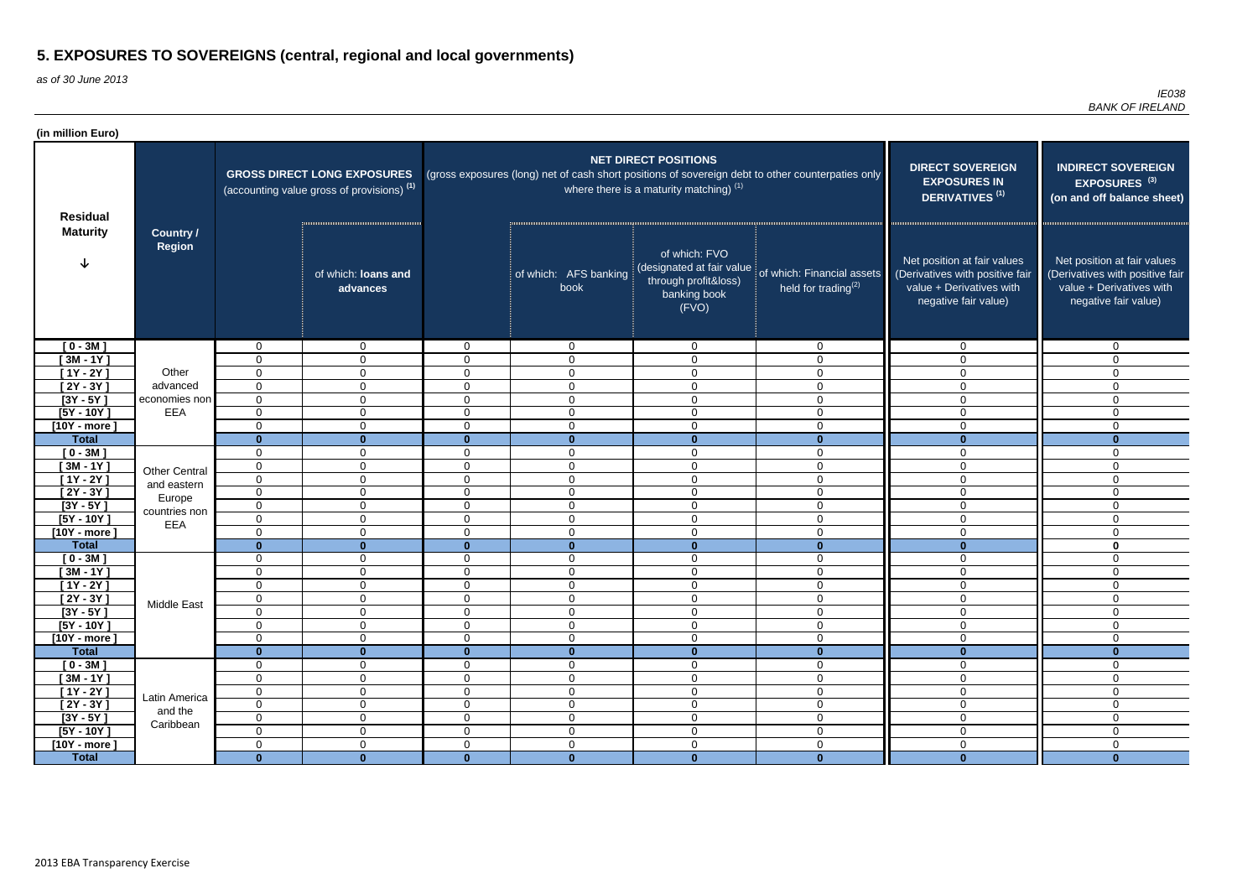as of 30 June 2013

| (in million Euro)    |                                   |                |                                                                                             |                |                               |                                                                          |                                                                                                   |                                                                                                                    |                                                                                                                    |
|----------------------|-----------------------------------|----------------|---------------------------------------------------------------------------------------------|----------------|-------------------------------|--------------------------------------------------------------------------|---------------------------------------------------------------------------------------------------|--------------------------------------------------------------------------------------------------------------------|--------------------------------------------------------------------------------------------------------------------|
| <b>Residual</b>      |                                   |                | <b>GROSS DIRECT LONG EXPOSURES</b><br>(accounting value gross of provisions) <sup>(1)</sup> |                |                               | <b>NET DIRECT POSITIONS</b><br>where there is a maturity matching) $(1)$ | (gross exposures (long) net of cash short positions of sovereign debt to other counterpaties only | <b>DIRECT SOVEREIGN</b><br><b>EXPOSURES IN</b><br>DERIVATIVES <sup>(1)</sup>                                       | <b>INDIRECT SOVEREIGN</b><br>EXPOSURES <sup>(3)</sup><br>(on and off balance sheet)                                |
| <b>Maturity</b>      | <b>Country /</b><br><b>Region</b> |                | of which: loans and<br>advances                                                             |                | of which: AFS banking<br>book | of which: FVO<br>through profit&loss)<br>banking book<br>(FVO)           | (designated at fair value of which: Financial assets<br>held for trading $(2)$                    | Net position at fair values<br>(Derivatives with positive fair<br>value + Derivatives with<br>negative fair value) | Net position at fair values<br>(Derivatives with positive fair<br>value + Derivatives with<br>negative fair value) |
| $[0 - 3M]$           |                                   | $\Omega$       | $\overline{0}$                                                                              | $\Omega$       | $\mathbf{0}$                  | $\mathbf 0$                                                              | $\mathbf{0}$                                                                                      | $\Omega$                                                                                                           | $\mathbf{0}$                                                                                                       |
| $[3M - 1Y]$          |                                   | $\Omega$       | $\overline{0}$                                                                              | $\Omega$       | $\mathbf 0$                   | $\mathbf 0$                                                              | $\mathbf 0$                                                                                       | $\Omega$                                                                                                           | $\Omega$                                                                                                           |
| $[1Y - 2Y]$          | Other                             | $\mathbf 0$    | $\mathbf 0$                                                                                 | $\Omega$       | $\mathbf 0$                   | $\mathbf 0$                                                              | $\mathbf 0$                                                                                       | $\Omega$                                                                                                           | $\Omega$                                                                                                           |
| $\overline{[2Y-3Y]}$ | advanced                          | $\mathbf 0$    | $\overline{0}$                                                                              | $\overline{0}$ | $\mathbf 0$                   | $\mathbf 0$                                                              | $\mathbf 0$                                                                                       | $\Omega$                                                                                                           | $\Omega$                                                                                                           |
| $[3Y - 5Y]$          | economies non                     | $\mathbf 0$    | $\mathbf 0$                                                                                 | $\mathbf 0$    | $\overline{0}$                | $\mathbf 0$                                                              | $\mathbf 0$                                                                                       | $\mathbf 0$                                                                                                        | 0                                                                                                                  |
| $[5Y - 10Y]$         | EEA                               | $\mathbf 0$    | $\mathbf 0$                                                                                 | $\mathbf 0$    | $\overline{0}$                | $\mathbf 0$                                                              | $\overline{0}$                                                                                    | $\mathbf 0$                                                                                                        | $\mathbf 0$                                                                                                        |
| $[10Y - more]$       |                                   | 0              | $\overline{0}$                                                                              | $\overline{0}$ | $\mathbf 0$                   | $\mathbf 0$                                                              | $\mathbf 0$                                                                                       | $\mathbf 0$                                                                                                        | $\mathbf 0$                                                                                                        |
| <b>Total</b>         |                                   | $\Omega$       | $\mathbf{0}$                                                                                | $\mathbf{0}$   | $\mathbf{0}$                  | $\mathbf{0}$                                                             | $\mathbf{0}$                                                                                      | $\mathbf{0}$                                                                                                       | $\mathbf{0}$                                                                                                       |
| $[0 - 3M]$           |                                   | 0              | $\mathbf 0$                                                                                 | 0              | $\mathbf 0$                   | $\mathbf 0$                                                              | $\mathbf 0$                                                                                       | $\Omega$                                                                                                           | 0                                                                                                                  |
| $[3M - 1Y]$          | <b>Other Central</b>              | $\mathbf 0$    | $\mathbf 0$                                                                                 | $\overline{0}$ | $\mathbf 0$                   | $\mathbf 0$                                                              | $\overline{0}$                                                                                    | $\Omega$                                                                                                           | 0                                                                                                                  |
| $[1Y - 2Y]$          | and eastern                       | $\mathbf 0$    | $\mathbf 0$                                                                                 | $\Omega$       | $\overline{0}$                | $\mathbf 0$                                                              | $\overline{0}$                                                                                    | $\Omega$                                                                                                           | $\overline{0}$                                                                                                     |
| $[2Y - 3Y]$          | Europe                            | $\overline{0}$ | $\mathbf 0$                                                                                 | $\mathbf{0}$   | $\overline{0}$                | $\mathbf 0$                                                              | $\overline{0}$                                                                                    | $\Omega$                                                                                                           | $\mathbf 0$                                                                                                        |
| $[3Y - 5Y]$          | countries non                     | $\mathbf 0$    | $\mathbf 0$                                                                                 | $\Omega$       | $\overline{0}$                | $\mathbf 0$                                                              | $\overline{0}$                                                                                    | $\Omega$                                                                                                           | $\Omega$                                                                                                           |
| $[5Y - 10Y]$         | EEA                               | $\mathbf 0$    | $\overline{0}$                                                                              | $\Omega$       | $\mathbf 0$                   | $\mathbf 0$                                                              | $\overline{0}$                                                                                    | $\mathbf 0$                                                                                                        | $\mathbf 0$                                                                                                        |
| $[10Y - more]$       |                                   | 0              | $\overline{0}$                                                                              | $\Omega$       | $\overline{0}$                | $\mathbf 0$                                                              | $\overline{0}$                                                                                    | $\mathbf 0$                                                                                                        | $\mathbf 0$                                                                                                        |
| <b>Total</b>         |                                   | $\bf{0}$       | $\mathbf{0}$                                                                                | $\mathbf{0}$   | $\mathbf 0$                   | $\overline{\mathbf{0}}$                                                  | $\mathbf{0}$                                                                                      | $\mathbf{0}$                                                                                                       | $\mathbf 0$                                                                                                        |
| $[0 - 3M]$           |                                   | $\Omega$       | $\mathbf 0$                                                                                 | $\mathbf 0$    | $\mathbf 0$                   | $\mathbf 0$                                                              | $\mathbf 0$                                                                                       | $\mathbf 0$                                                                                                        | $\mathbf 0$                                                                                                        |
| $[3M - 1Y]$          |                                   | $\Omega$       | $\mathbf 0$                                                                                 | $\mathbf 0$    | $\mathbf 0$                   | $\mathbf 0$                                                              | $\mathbf 0$                                                                                       | $\Omega$                                                                                                           | $\Omega$                                                                                                           |
| $[1Y - 2Y]$          |                                   | 0              | $\mathbf 0$                                                                                 | $\Omega$       | $\mathbf 0$                   | $\mathbf 0$                                                              | $\mathbf 0$                                                                                       | 0                                                                                                                  | 0                                                                                                                  |
| [2Y - 3Y ]           | Middle East                       | 0              | $\mathbf 0$                                                                                 | $\mathbf 0$    | $\mathbf 0$                   | $\mathbf 0$                                                              | $\mathbf 0$                                                                                       | $\overline{0}$                                                                                                     | $\mathbf 0$                                                                                                        |
| $[3Y - 5Y]$          |                                   | 0              | $\mathbf 0$                                                                                 | $\mathbf 0$    | $\mathbf 0$                   | $\mathbf 0$                                                              | $\mathbf 0$                                                                                       | $\mathbf 0$                                                                                                        | $\mathbf{0}$                                                                                                       |
| $[5Y - 10Y]$         |                                   | $\mathbf 0$    | $\mathbf 0$                                                                                 | $\mathbf 0$    | $\mathbf 0$                   | $\mathbf 0$                                                              | $\mathbf 0$                                                                                       | $\mathbf 0$                                                                                                        | $\mathbf 0$                                                                                                        |
| $[10Y - more]$       |                                   | $\mathbf 0$    | $\mathbf 0$                                                                                 | $\mathbf 0$    | $\boldsymbol{0}$              | $\mathsf 0$                                                              | $\boldsymbol{0}$                                                                                  | $\mathbf 0$                                                                                                        | 0                                                                                                                  |
| <b>Total</b>         |                                   | $\mathbf{0}$   | $\mathbf{0}$                                                                                | $\mathbf{0}$   | $\mathbf{0}$                  | $\mathbf{0}$                                                             | $\mathbf{0}$                                                                                      | $\mathbf{0}$                                                                                                       | $\bf{0}$                                                                                                           |
| $[0 - 3M]$           |                                   | $\overline{0}$ | $\boldsymbol{0}$                                                                            | $\overline{0}$ | $\overline{0}$                | $\mathbf 0$                                                              | $\mathbf 0$                                                                                       | $\mathbf 0$                                                                                                        | $\mathbf 0$                                                                                                        |
| $[3M - 1Y]$          |                                   | $\overline{0}$ | $\boldsymbol{0}$                                                                            | $\mathbf 0$    | $\mathbf 0$                   | $\mathbf 0$                                                              | $\mathbf 0$                                                                                       | $\mathbf 0$                                                                                                        | 0                                                                                                                  |
| $[1Y - 2Y]$          | Latin America                     | $\overline{0}$ | $\boldsymbol{0}$                                                                            | $\mathbf 0$    | $\mathbf 0$                   | $\mathbf 0$                                                              | $\overline{0}$                                                                                    | $\mathbf 0$                                                                                                        | 0                                                                                                                  |
| $[2Y - 3Y]$          | and the                           | $\overline{0}$ | $\boldsymbol{0}$                                                                            | $\mathbf 0$    | $\boldsymbol{0}$              | $\mathbf 0$                                                              | $\mathbf 0$                                                                                       | $\mathbf 0$                                                                                                        | $\mathbf 0$                                                                                                        |
| $[3Y - 5Y]$          | Caribbean                         | $\overline{0}$ | $\overline{0}$                                                                              | $\overline{0}$ | $\overline{0}$                | $\mathsf 0$                                                              | $\overline{0}$                                                                                    | $\mathbf 0$                                                                                                        | $\mathbf 0$                                                                                                        |
| $[5Y - 10Y]$         |                                   | $\overline{0}$ | $\mathbf 0$                                                                                 | $\overline{0}$ | $\overline{0}$                | $\mathbf 0$                                                              | $\overline{0}$                                                                                    | $\mathbf 0$                                                                                                        | $\mathbf 0$                                                                                                        |
| $[10Y - more]$       |                                   | $\mathbf 0$    | $\mathbf 0$                                                                                 | $\mathbf 0$    | $\mathbf 0$                   | $\mathbf 0$                                                              | $\mathbf 0$                                                                                       | $\mathbf 0$                                                                                                        | $\mathbf 0$                                                                                                        |
| <b>Total</b>         |                                   | $\mathbf{0}$   | $\mathbf{0}$                                                                                | $\mathbf{0}$   | $\mathbf{0}$                  | $\mathbf{0}$                                                             | $\mathbf{0}$                                                                                      | $\mathbf{0}$                                                                                                       | $\mathbf{0}$                                                                                                       |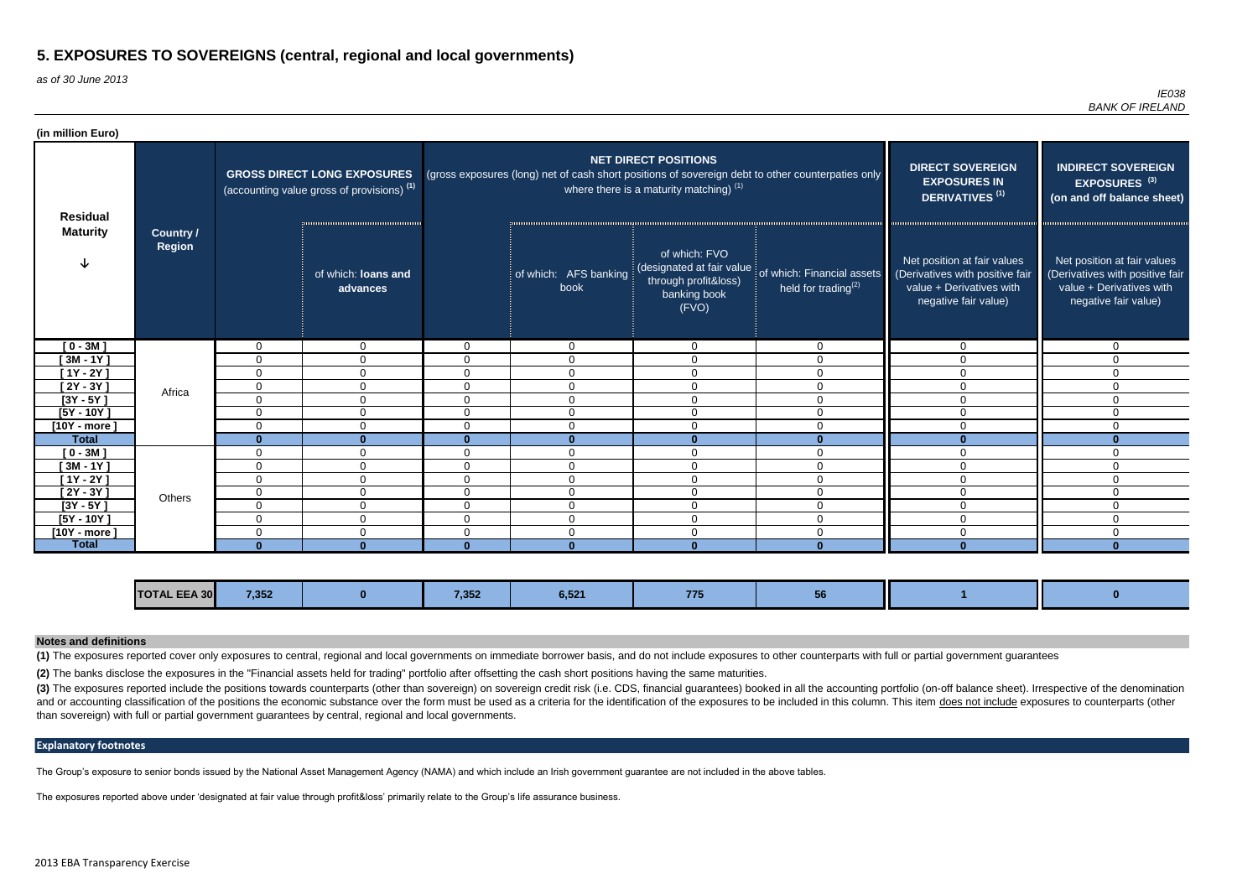as of 30 June 2013

*IE038 BANK OF IRELAND*

(3) The exposures reported include the positions towards counterparts (other than sovereign) on sovereign credit risk (i.e. CDS, financial guarantees) booked in all the accounting portfolio (on-off balance sheet). Irrespec and or accounting classification of the positions the economic substance over the form must be used as a criteria for the identification of the exposures to be included in this column. This item does not include exposures than sovereign) with full or partial government guarantees by central, regional and local governments.

| (in million Euro) |                            |                |                                                                                             |                |                               |                                                                                   |                                                                                                   |                                                                                                                    |                                                                                                                    |
|-------------------|----------------------------|----------------|---------------------------------------------------------------------------------------------|----------------|-------------------------------|-----------------------------------------------------------------------------------|---------------------------------------------------------------------------------------------------|--------------------------------------------------------------------------------------------------------------------|--------------------------------------------------------------------------------------------------------------------|
| <b>Residual</b>   |                            |                | <b>GROSS DIRECT LONG EXPOSURES</b><br>(accounting value gross of provisions) <sup>(1)</sup> |                |                               | <b>NET DIRECT POSITIONS</b><br>where there is a maturity matching) <sup>(1)</sup> | (gross exposures (long) net of cash short positions of sovereign debt to other counterpaties only | <b>DIRECT SOVEREIGN</b><br><b>EXPOSURES IN</b><br><b>DERIVATIVES<sup>(1)</sup></b>                                 | <b>INDIRECT SOVEREIGN</b><br>EXPOSURES <sup>(3)</sup><br>(on and off balance sheet)                                |
| <b>Maturity</b>   | Country /<br><b>Region</b> |                | of which: loans and<br>advances                                                             |                | of which: AFS banking<br>book | of which: FVO<br>through profit&loss)<br>banking book<br>(FVO)                    | (designated at fair value of which: Financial assets<br>held for trading $(2)$                    | Net position at fair values<br>(Derivatives with positive fair<br>value + Derivatives with<br>negative fair value) | Net position at fair values<br>(Derivatives with positive fair<br>value + Derivatives with<br>negative fair value) |
| $[0 - 3M]$        |                            | $\mathbf 0$    | $\Omega$                                                                                    | $\Omega$       | $\overline{0}$                | $\mathbf{0}$                                                                      | $\Omega$                                                                                          | $\mathbf{0}$                                                                                                       | $\Omega$                                                                                                           |
| $[3M - 1Y]$       |                            | $\mathbf 0$    | $\Omega$                                                                                    | 0              | $\mathbf 0$                   | $\Omega$                                                                          | $\Omega$                                                                                          | $\Omega$                                                                                                           | 0                                                                                                                  |
| $[1Y - 2Y]$       |                            | $\mathbf{0}$   | $\Omega$                                                                                    | $\Omega$       | $\Omega$                      | $\Omega$                                                                          |                                                                                                   | $\Omega$                                                                                                           |                                                                                                                    |
| $[2Y - 3Y]$       | Africa                     | $\mathbf 0$    | $\mathbf 0$                                                                                 | 0              | $\Omega$                      | $\Omega$                                                                          | $\Omega$                                                                                          | $\Omega$                                                                                                           |                                                                                                                    |
| $[3Y - 5Y]$       |                            | 0              | $\mathbf{0}$                                                                                | $\Omega$       | $\Omega$                      | $\mathbf 0$                                                                       | $\Omega$                                                                                          | $\Omega$                                                                                                           |                                                                                                                    |
| $[5Y - 10Y]$      |                            | $\mathbf 0$    | $\Omega$                                                                                    | $\overline{0}$ | $\mathbf 0$                   | $\mathbf{0}$                                                                      | $\Omega$                                                                                          | $\Omega$                                                                                                           | $\Omega$                                                                                                           |
| $[10Y - more]$    |                            | $\mathbf{0}$   | $\mathbf{0}$                                                                                | $\Omega$       | $\Omega$                      | $\mathbf 0$                                                                       | $\Omega$                                                                                          | $\Omega$                                                                                                           | 0                                                                                                                  |
| <b>Total</b>      |                            | $\mathbf{0}$   | $\mathbf{0}$                                                                                | $\bf{0}$       | $\bf{0}$                      | $\Omega$                                                                          |                                                                                                   | $\Omega$                                                                                                           |                                                                                                                    |
| $[0 - 3M]$        |                            | $\overline{0}$ | $\mathbf 0$                                                                                 | $\overline{0}$ | $\Omega$                      | $\mathbf{0}$                                                                      | $\Omega$                                                                                          | $\Omega$                                                                                                           | $\Omega$                                                                                                           |
| $[3M - 1Y]$       |                            | $\mathbf 0$    | $\mathbf 0$                                                                                 | $\overline{0}$ | $\mathbf 0$                   | $\mathbf{0}$                                                                      | $\Omega$                                                                                          | $\mathbf 0$                                                                                                        | $\Omega$                                                                                                           |
| [1Y - 2Y ]        |                            | $\mathbf 0$    | $\mathbf 0$                                                                                 | 0              | $\mathbf{0}$                  | $\overline{0}$                                                                    | $\Omega$                                                                                          | $\mathbf{0}$                                                                                                       | 0                                                                                                                  |
| $[2Y - 3Y]$       | Others                     | $\mathbf 0$    | $\mathbf 0$                                                                                 | $\Omega$       | $\mathbf{0}$                  | $\Omega$                                                                          | $\Omega$                                                                                          | $\Omega$                                                                                                           | 0                                                                                                                  |
| $[3Y - 5Y]$       |                            | $\mathbf 0$    | $\mathbf 0$                                                                                 | 0              | $\mathbf 0$                   | $\mathbf 0$                                                                       | $\Omega$                                                                                          | $\mathbf{0}$                                                                                                       | 0                                                                                                                  |
| $[5Y - 10Y]$      |                            | $\mathbf{0}$   | $\mathbf{0}$                                                                                | $\Omega$       | $\Omega$                      | 0                                                                                 | $\Omega$                                                                                          | $\mathbf{0}$                                                                                                       | 0                                                                                                                  |
| $[10Y - more]$    |                            | $\mathbf{0}$   | $\mathbf{0}$                                                                                | $\Omega$       | $\Omega$                      | $\Omega$                                                                          | $\Omega$                                                                                          | $\Omega$                                                                                                           | 0                                                                                                                  |
| <b>Total</b>      |                            | $\Omega$       | $\bf{0}$                                                                                    | $\mathbf{0}$   | $\bf{0}$                      | -0                                                                                |                                                                                                   | $\Omega$                                                                                                           | ∩                                                                                                                  |

| <b>TOTAL EEA 30</b><br>7,352<br>7.252<br>$\mathbf{U}, \mathbf{U}$<br>$\sim$ , $\sim$<br>$\cdots$<br><b>Service Service</b><br>$\mathcal{L}(\mathcal{L})$ and $\mathcal{L}(\mathcal{L})$ and $\mathcal{L}(\mathcal{L})$ and $\mathcal{L}(\mathcal{L})$ and $\mathcal{L}(\mathcal{L})$ |  |  |  |  |  |  |  |  |  |
|--------------------------------------------------------------------------------------------------------------------------------------------------------------------------------------------------------------------------------------------------------------------------------------|--|--|--|--|--|--|--|--|--|
|--------------------------------------------------------------------------------------------------------------------------------------------------------------------------------------------------------------------------------------------------------------------------------------|--|--|--|--|--|--|--|--|--|

### **Explanatory footnotes**

The Group's exposure to senior bonds issued by the National Asset Management Agency (NAMA) and which include an Irish government guarantee are not included in the above tables.

The exposures reported above under 'designated at fair value through profit&loss' primarily relate to the Group's life assurance business.

**(2)** The banks disclose the exposures in the "Financial assets held for trading" portfolio after offsetting the cash short positions having the same maturities.

**(1)** The exposures reported cover only exposures to central, regional and local governments on immediate borrower basis, and do not include exposures to other counterparts with full or partial government guarantees

### **Notes and definitions**